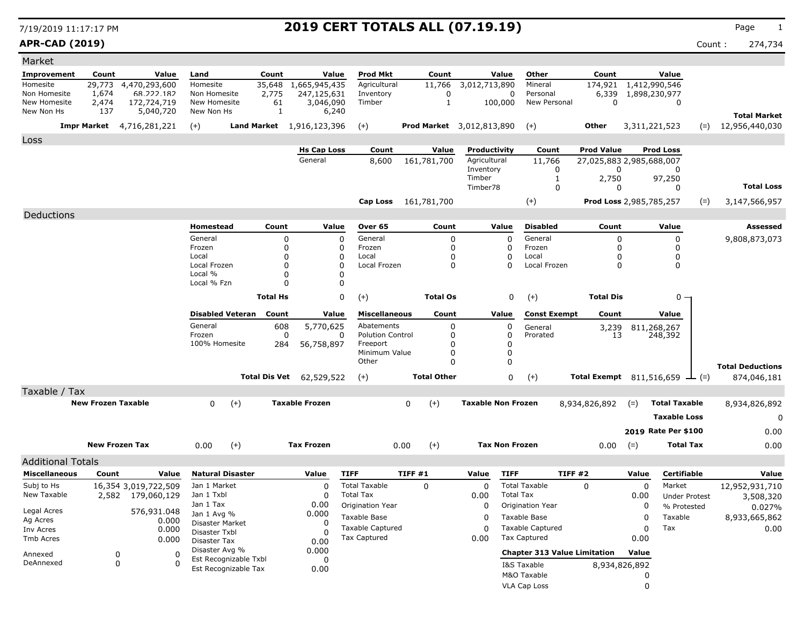# 7/19/2019 11:17:17 PM **2019 CERT TOTALS ALL (07.19.19)** Page <sup>1</sup>

**APR-CAD (2019)** Count : 274,734

| Market                       |                           |                                  |                              |                       |                 |                                  |                                         |                                  |                           |                       |                                         |                          |          |                      |        |                                        |
|------------------------------|---------------------------|----------------------------------|------------------------------|-----------------------|-----------------|----------------------------------|-----------------------------------------|----------------------------------|---------------------------|-----------------------|-----------------------------------------|--------------------------|----------|----------------------|--------|----------------------------------------|
| <b>Improvement</b>           | Count                     | Value                            | Land                         |                       | Count           | Value                            | <b>Prod Mkt</b>                         | Count                            |                           | Value                 | Other                                   | Count                    |          | Value                |        |                                        |
| Homesite                     | 29,773                    | 4,470,293,600                    | Homesite                     |                       | 35,648          | 1,665,945,435                    | Agricultural                            | 11,766                           | 3,012,713,890             |                       | Mineral                                 | 174,921                  |          | 1,412,990,546        |        |                                        |
| Non Homesite<br>New Homesite | 1,674<br>2,474            | 68.222.182<br>172,724,719        | Non Homesite<br>New Homesite |                       | 2,775<br>61     | 247,125,631                      | Inventory<br>Timber                     | 0<br>1                           |                           | 0<br>100,000          | Personal<br>New Personal                | 6,339<br>$\mathbf 0$     |          | 1,898,230,977<br>0   |        |                                        |
| New Non Hs                   | 137                       | 5,040,720                        | New Non Hs                   |                       | $\mathbf{1}$    | 3,046,090<br>6,240               |                                         |                                  |                           |                       |                                         |                          |          |                      |        |                                        |
|                              |                           | <b>Impr Market</b> 4,716,281,221 | $(+)$                        |                       |                 | <b>Land Market</b> 1,916,123,396 | $(+)$                                   | <b>Prod Market</b> 3,012,813,890 |                           |                       | $(+)$                                   | <b>Other</b>             |          | 3,311,221,523        | $(=)$  | <b>Total Market</b><br>12,956,440,030  |
| Loss                         |                           |                                  |                              |                       |                 |                                  |                                         |                                  |                           |                       |                                         |                          |          |                      |        |                                        |
|                              |                           |                                  |                              |                       |                 | <b>Hs Cap Loss</b>               | Count                                   | Value                            | Productivity              |                       | Count                                   | <b>Prod Value</b>        |          | <b>Prod Loss</b>     |        |                                        |
|                              |                           |                                  |                              |                       |                 | General                          | 8,600                                   | 161,781,700                      | Agricultural              |                       | 11,766                                  | 27,025,883 2,985,688,007 |          |                      |        |                                        |
|                              |                           |                                  |                              |                       |                 |                                  |                                         |                                  | Inventory<br>Timber       |                       | 0<br>1                                  | 0<br>2,750               |          | 0<br>97,250          |        |                                        |
|                              |                           |                                  |                              |                       |                 |                                  |                                         |                                  | Timber78                  |                       | 0                                       | 0                        |          | 0                    |        | <b>Total Loss</b>                      |
|                              |                           |                                  |                              |                       |                 |                                  |                                         | Cap Loss 161,781,700             |                           |                       | $(+)$                                   | Prod Loss 2,985,785,257  |          |                      | $(=)$  | 3,147,566,957                          |
| Deductions                   |                           |                                  |                              |                       |                 |                                  |                                         |                                  |                           |                       |                                         |                          |          |                      |        |                                        |
|                              |                           |                                  | Homestead                    |                       | Count           | Value                            | Over 65                                 | Count                            |                           | Value                 | <b>Disabled</b>                         | Count                    |          | Value                |        | Assessed                               |
|                              |                           |                                  | General                      |                       | 0               | $\mathbf 0$                      | General                                 | $\mathbf 0$                      |                           | 0                     | General                                 | 0                        |          | 0                    |        | 9,808,873,073                          |
|                              |                           |                                  | Frozen                       |                       | 0               | 0                                | Frozen                                  | 0                                |                           | $\Omega$              | Frozen                                  | 0                        |          | 0                    |        |                                        |
|                              |                           |                                  | Local<br>Local Frozen        |                       | 0<br>0          | 0<br>O                           | Local<br>Local Frozen                   | $\Omega$<br>0                    |                           | 0<br>$\Omega$         | Local<br>Local Frozen                   | <sup>0</sup><br>0        |          | 0<br>0               |        |                                        |
|                              |                           |                                  | Local %                      |                       | 0               |                                  |                                         |                                  |                           |                       |                                         |                          |          |                      |        |                                        |
|                              |                           |                                  | Local % Fzn                  |                       | 0               |                                  |                                         |                                  |                           |                       |                                         |                          |          |                      |        |                                        |
|                              |                           |                                  |                              |                       | <b>Total Hs</b> |                                  | 0<br>$(+)$                              | <b>Total Os</b>                  |                           | 0                     | $(+)$                                   | <b>Total Dis</b>         |          | 0 -                  |        |                                        |
|                              |                           |                                  | <b>Disabled Veteran</b>      |                       | Count           | Value                            | <b>Miscellaneous</b>                    | Count                            |                           | Value                 | <b>Const Exempt</b>                     | Count                    |          | Value                |        |                                        |
|                              |                           |                                  | General                      |                       | 608             | 5,770,625                        | Abatements                              | 0                                |                           | 0                     | General                                 | 3,239                    |          | 811,268,267          |        |                                        |
|                              |                           |                                  | Frozen                       |                       | 0               | 0                                | <b>Polution Control</b>                 | 0                                |                           | 0                     | Prorated                                | 13                       |          | 248,392              |        |                                        |
|                              |                           |                                  | 100% Homesite                |                       | 284             | 56,758,897                       | Freeport<br>Minimum Value               | $\Omega$<br>$\Omega$             |                           | 0<br>$\mathbf 0$      |                                         |                          |          |                      |        |                                        |
|                              |                           |                                  |                              |                       |                 |                                  | Other                                   | $\Omega$                         |                           | $\mathbf 0$           |                                         |                          |          |                      |        |                                        |
|                              |                           |                                  |                              |                       | Total Dis Vet   | 62,529,522                       | $(+)$                                   | <b>Total Other</b>               |                           | 0                     | $(+)$                                   | Total Exempt 811,516,659 |          |                      | $ (=)$ | <b>Total Deductions</b><br>874,046,181 |
| Taxable / Tax                |                           |                                  |                              |                       |                 |                                  |                                         |                                  |                           |                       |                                         |                          |          |                      |        |                                        |
|                              | <b>New Frozen Taxable</b> |                                  | $\mathbf{0}$                 | $(+)$                 |                 | <b>Taxable Frozen</b>            |                                         | $(+)$<br>0                       | <b>Taxable Non Frozen</b> |                       |                                         | 8,934,826,892            | $(=)$    | <b>Total Taxable</b> |        | 8,934,826,892                          |
|                              |                           |                                  |                              |                       |                 |                                  |                                         |                                  |                           |                       |                                         |                          |          |                      |        |                                        |
|                              |                           |                                  |                              |                       |                 |                                  |                                         |                                  |                           |                       |                                         |                          |          | <b>Taxable Loss</b>  |        | 0                                      |
|                              |                           |                                  |                              |                       |                 |                                  |                                         |                                  |                           |                       |                                         |                          |          | 2019 Rate Per \$100  |        | 0.00                                   |
|                              |                           | <b>New Frozen Tax</b>            | 0.00                         | $(+)$                 |                 | <b>Tax Frozen</b>                |                                         | $(+)$<br>0.00                    |                           | <b>Tax Non Frozen</b> |                                         | 0.00                     | $(=)$    | <b>Total Tax</b>     |        | 0.00                                   |
| <b>Additional Totals</b>     |                           |                                  |                              |                       |                 |                                  |                                         |                                  |                           |                       |                                         |                          |          |                      |        |                                        |
| <b>Miscellaneous</b>         | Count                     | Value                            | <b>Natural Disaster</b>      |                       |                 | Value                            | <b>TIFF</b>                             | TIFF#1                           | Value                     | <b>TIFF</b>           | <b>TIFF #2</b>                          |                          | Value    | Certifiable          |        | Value                                  |
| Subj to Hs                   |                           | 16,354 3,019,722,509             | Jan 1 Market                 |                       |                 |                                  | <b>Total Taxable</b>                    | $\mathbf 0$                      | $\Omega$                  |                       | <b>Total Taxable</b>                    | 0                        | $\Omega$ | Market               |        | 12,952,931,710                         |
| New Taxable                  |                           | 2,582 179,060,129                | Jan 1 Txbl                   |                       |                 | 0                                | <b>Total Tax</b>                        |                                  | 0.00                      | <b>Total Tax</b>      |                                         |                          | 0.00     | <b>Under Protest</b> |        | 3,508,320                              |
| Legal Acres                  |                           | 576,931.048                      | Jan 1 Tax<br>Jan 1 Avg %     |                       |                 | 0.00<br>0.000                    | Origination Year                        |                                  | $\mathbf 0$               |                       | Origination Year                        |                          | 0        | % Protested          |        | 0.027%                                 |
| Ag Acres                     |                           | 0.000                            | Disaster Market              |                       |                 |                                  | Taxable Base                            |                                  | 0                         |                       | Taxable Base                            |                          | 0        | Taxable              |        | 8,933,665,862                          |
| Inv Acres                    |                           | 0.000                            | Disaster Txbl                |                       |                 | 0                                | <b>Taxable Captured</b><br>Tax Captured |                                  | 0                         |                       | <b>Taxable Captured</b><br>Tax Captured |                          | 0        | Tax                  |        | 0.00                                   |
| Tmb Acres                    |                           | 0.000                            | Disaster Tax                 |                       |                 | 0.00                             |                                         |                                  | 0.00                      |                       |                                         |                          | 0.00     |                      |        |                                        |
| Annexed                      |                           | 0<br>0                           | Disaster Avg %               | Est Recognizable Txbl |                 | 0.000<br>0                       |                                         |                                  |                           |                       | <b>Chapter 313 Value Limitation</b>     |                          | Value    |                      |        |                                        |
| DeAnnexed                    |                           | 0<br>0                           |                              | Est Recognizable Tax  |                 | 0.00                             |                                         |                                  |                           |                       | I&S Taxable                             | 8,934,826,892            |          |                      |        |                                        |
|                              |                           |                                  |                              |                       |                 |                                  |                                         |                                  |                           |                       | M&O Taxable                             |                          | 0        |                      |        |                                        |
|                              |                           |                                  |                              |                       |                 |                                  |                                         |                                  |                           |                       | VLA Cap Loss                            |                          | 0        |                      |        |                                        |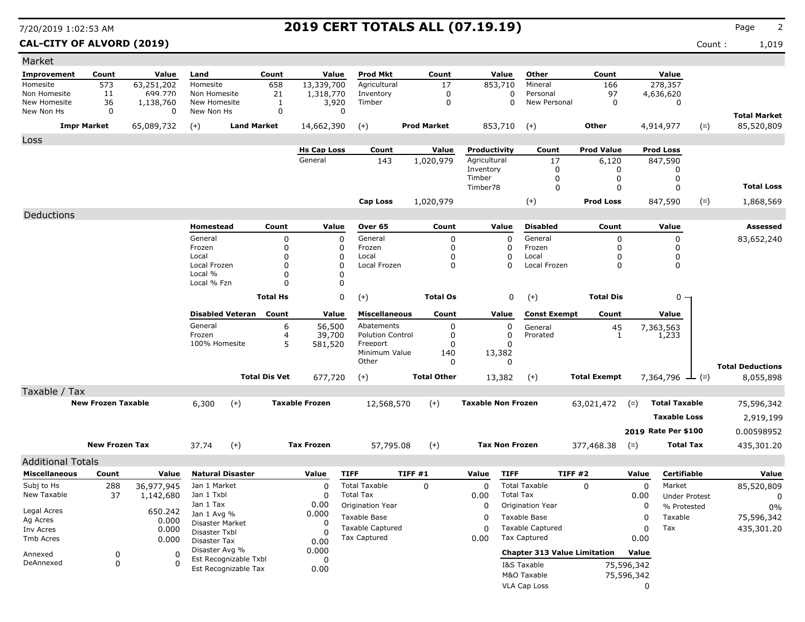### **CAL-CITY OF ALVORD (2019)** Count : 1,019

| Market                     |                           |                          |                                |                         |                      |                       |                         |        |                    |                           |                       |                                     |                     |             |                       |       |                         |
|----------------------------|---------------------------|--------------------------|--------------------------------|-------------------------|----------------------|-----------------------|-------------------------|--------|--------------------|---------------------------|-----------------------|-------------------------------------|---------------------|-------------|-----------------------|-------|-------------------------|
| Improvement                | Count                     | Value                    | Land                           |                         | Count                | Value                 | <b>Prod Mkt</b>         |        | Count              |                           | Value                 | Other                               | Count               |             | Value                 |       |                         |
| Homesite                   | 573                       | 63,251,202               | Homesite                       |                         | 658                  | 13,339,700            | Agricultural            |        | 17                 |                           | 853,710               | Mineral                             | 166                 |             | 278,357               |       |                         |
| Non Homesite               | 11                        | 699.770                  | Non Homesite                   |                         | 21                   | 1,318,770             | Inventory               |        | 0                  |                           | 0                     | Personal                            | 97                  |             | 4,636,620             |       |                         |
| New Homesite<br>New Non Hs | 36<br>0                   | 1,138,760<br>$\mathbf 0$ | New Homesite<br>New Non Hs     |                         | 1<br>$\mathbf 0$     | 3,920<br>0            | Timber                  |        | 0                  |                           | 0                     | New Personal                        | $\mathbf 0$         |             | 0                     |       |                         |
|                            |                           |                          |                                |                         |                      |                       |                         |        |                    |                           |                       |                                     |                     |             |                       |       | <b>Total Market</b>     |
|                            | <b>Impr Market</b>        | 65,089,732               | $(+)$                          | <b>Land Market</b>      |                      | 14,662,390            | $(+)$                   |        | <b>Prod Market</b> |                           | 853,710               | $(+)$                               | Other               |             | 4,914,977             | $(=)$ | 85,520,809              |
| Loss                       |                           |                          |                                |                         |                      |                       |                         |        |                    |                           |                       |                                     |                     |             |                       |       |                         |
|                            |                           |                          |                                |                         |                      | <b>Hs Cap Loss</b>    | Count                   |        | Value              | Productivity              |                       | Count                               | <b>Prod Value</b>   |             | <b>Prod Loss</b>      |       |                         |
|                            |                           |                          |                                |                         |                      | General               | 143                     |        | 1,020,979          | Agricultural              |                       | 17                                  | 6,120               |             | 847,590               |       |                         |
|                            |                           |                          |                                |                         |                      |                       |                         |        |                    | Inventory                 |                       | 0                                   | 0                   |             | 0                     |       |                         |
|                            |                           |                          |                                |                         |                      |                       |                         |        |                    | Timber<br>Timber78        |                       | 0<br>0                              | 0<br>0              |             | 0<br>0                |       | <b>Total Loss</b>       |
|                            |                           |                          |                                |                         |                      |                       |                         |        |                    |                           |                       |                                     |                     |             |                       |       |                         |
|                            |                           |                          |                                |                         |                      |                       | Cap Loss                |        | 1,020,979          |                           |                       | $(+)$                               | <b>Prod Loss</b>    |             | 847,590               | $(=)$ | 1,868,569               |
| Deductions                 |                           |                          |                                |                         |                      |                       |                         |        |                    |                           |                       |                                     |                     |             |                       |       |                         |
|                            |                           |                          | Homestead                      |                         | Count                | Value                 | Over 65                 |        | Count              |                           | Value                 | <b>Disabled</b>                     | Count               |             | Value                 |       | Assessed                |
|                            |                           |                          | General                        |                         | 0                    | 0                     | General                 |        | 0                  |                           | 0                     | General                             | 0                   |             | 0                     |       | 83,652,240              |
|                            |                           |                          | Frozen                         |                         | 0                    | 0                     | Frozen                  |        | 0                  |                           | 0                     | Frozen                              | $\Omega$            |             | 0                     |       |                         |
|                            |                           |                          | Local<br>Local Frozen          |                         | 0                    | 0<br>0                | Local<br>Local Frozen   |        | 0                  |                           | 0<br>0                | Local<br>Local Frozen               | n<br>$\Omega$       |             | 0<br>0                |       |                         |
|                            |                           |                          | Local %                        |                         | 0<br>$\Omega$        | 0                     |                         |        | 0                  |                           |                       |                                     |                     |             |                       |       |                         |
|                            |                           |                          | Local % Fzn                    |                         | $\Omega$             | $\Omega$              |                         |        |                    |                           |                       |                                     |                     |             |                       |       |                         |
|                            |                           |                          |                                |                         | <b>Total Hs</b>      | 0                     | $(+)$                   |        | <b>Total Os</b>    |                           | 0                     | $(+)$                               | <b>Total Dis</b>    |             | 0 -                   |       |                         |
|                            |                           |                          |                                |                         |                      |                       |                         |        |                    |                           |                       |                                     |                     |             |                       |       |                         |
|                            |                           |                          |                                | <b>Disabled Veteran</b> | Count                | Value                 | <b>Miscellaneous</b>    |        | Count              |                           | Value                 | <b>Const Exempt</b>                 | Count               |             | Value                 |       |                         |
|                            |                           |                          | General                        |                         | 6                    | 56,500                | Abatements              |        | 0                  |                           | 0                     | General                             | 45                  |             |                       |       |                         |
|                            |                           |                          | Frozen                         |                         | 4                    | 39,700                | <b>Polution Control</b> |        | 0                  |                           | 0                     | Prorated                            | 1                   |             | 7,363,563<br>1,233    |       |                         |
|                            |                           |                          | 100% Homesite                  |                         | 5                    | 581,520               | Freeport                |        | 0                  |                           | 0                     |                                     |                     |             |                       |       |                         |
|                            |                           |                          |                                |                         |                      |                       | Minimum Value<br>Other  |        | 140<br>0           |                           | 13,382<br>0           |                                     |                     |             |                       |       |                         |
|                            |                           |                          |                                |                         |                      |                       |                         |        |                    |                           |                       |                                     |                     |             |                       |       | <b>Total Deductions</b> |
|                            |                           |                          |                                |                         | <b>Total Dis Vet</b> | 677,720               | $(+)$                   |        | <b>Total Other</b> |                           | 13,382                | $(+)$                               | <b>Total Exempt</b> |             | 7,364,796 $\perp$ (=) |       | 8,055,898               |
| Taxable / Tax              |                           |                          |                                |                         |                      |                       |                         |        |                    |                           |                       |                                     |                     |             |                       |       |                         |
|                            | <b>New Frozen Taxable</b> |                          | 6,300                          | $(+)$                   |                      | <b>Taxable Frozen</b> | 12,568,570              |        | $(+)$              | <b>Taxable Non Frozen</b> |                       |                                     | 63,021,472          | $(=)$       | <b>Total Taxable</b>  |       | 75,596,342              |
|                            |                           |                          |                                |                         |                      |                       |                         |        |                    |                           |                       |                                     |                     |             | <b>Taxable Loss</b>   |       | 2,919,199               |
|                            |                           |                          |                                |                         |                      |                       |                         |        |                    |                           |                       |                                     |                     |             |                       |       |                         |
|                            |                           |                          |                                |                         |                      |                       |                         |        |                    |                           |                       |                                     |                     |             | 2019 Rate Per \$100   |       | 0.00598952              |
|                            | <b>New Frozen Tax</b>     |                          | 37.74                          | $(+)$                   |                      | <b>Tax Frozen</b>     | 57,795.08               |        | $(+)$              |                           | <b>Tax Non Frozen</b> |                                     | 377,468.38          | $(=)$       | <b>Total Tax</b>      |       | 435,301.20              |
| <b>Additional Totals</b>   |                           |                          |                                |                         |                      |                       |                         |        |                    |                           |                       |                                     |                     |             |                       |       |                         |
| <b>Miscellaneous</b>       | Count                     | Value                    |                                | <b>Natural Disaster</b> |                      | Value                 | <b>TIFF</b>             | TIFF#1 |                    | Value                     | <b>TIFF</b>           |                                     | TIFF #2             | Value       | Certifiable           |       | Value                   |
| Subj to Hs                 | 288                       | 36,977,945               | Jan 1 Market                   |                         |                      | 0                     | <b>Total Taxable</b>    |        | $\mathbf 0$        | 0                         |                       | <b>Total Taxable</b>                | $\Omega$            | $\mathbf 0$ | Market                |       | 85,520,809              |
| New Taxable                | 37                        | 1,142,680                | Jan 1 Txbl                     |                         |                      | 0                     | <b>Total Tax</b>        |        |                    | 0.00                      | <b>Total Tax</b>      |                                     |                     | 0.00        | <b>Under Protest</b>  |       | 0                       |
|                            |                           |                          | Jan 1 Tax                      |                         |                      | 0.00                  | Origination Year        |        |                    | 0                         |                       | <b>Origination Year</b>             |                     | 0           | % Protested           |       | $0\%$                   |
| Legal Acres                |                           | 650.242                  | Jan 1 Avg %                    |                         |                      | 0.000                 | Taxable Base            |        |                    | 0                         |                       | Taxable Base                        |                     | 0           | Taxable               |       | 75,596,342              |
| Ag Acres                   |                           | 0.000                    | Disaster Market                |                         |                      | 0                     | <b>Taxable Captured</b> |        |                    | $\Omega$                  |                       | <b>Taxable Captured</b>             |                     |             | Tax                   |       |                         |
| Inv Acres<br>Tmb Acres     |                           | 0.000                    | Disaster Txbl                  |                         |                      |                       | <b>Tax Captured</b>     |        |                    | 0.00                      |                       | <b>Tax Captured</b>                 |                     | 0<br>0.00   |                       |       | 435,301.20              |
|                            |                           | 0.000                    | Disaster Tax<br>Disaster Avg % |                         |                      | 0.00                  |                         |        |                    |                           |                       |                                     |                     |             |                       |       |                         |
| Annexed                    | 0                         | 0                        |                                | Est Recognizable Txbl   |                      | 0.000<br>0            |                         |        |                    |                           |                       | <b>Chapter 313 Value Limitation</b> |                     | Value       |                       |       |                         |
| DeAnnexed                  | 0                         | $\Omega$                 |                                | Est Recognizable Tax    |                      | 0.00                  |                         |        |                    |                           |                       | I&S Taxable                         |                     | 75,596,342  |                       |       |                         |
|                            |                           |                          |                                |                         |                      |                       |                         |        |                    |                           |                       | M&O Taxable                         |                     | 75,596,342  |                       |       |                         |
|                            |                           |                          |                                |                         |                      |                       |                         |        |                    |                           |                       | VLA Cap Loss                        |                     | 0           |                       |       |                         |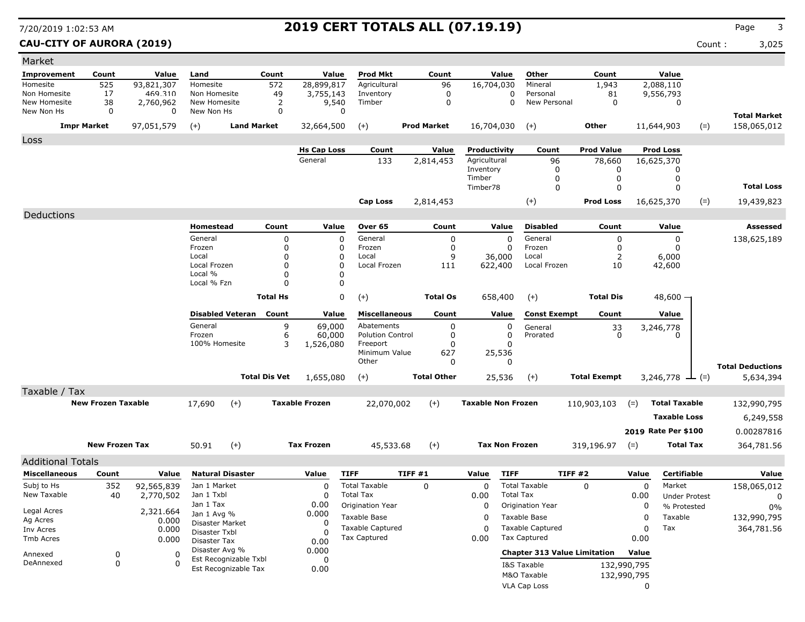**CAU-CITY OF AURORA (2019)** Count : 3,025

| Market                     |                           |                         |                            |                         |                            |                       |                                          |                    |                    |                           |                       |                                         |                     |                     |                      |       |                                      |
|----------------------------|---------------------------|-------------------------|----------------------------|-------------------------|----------------------------|-----------------------|------------------------------------------|--------------------|--------------------|---------------------------|-----------------------|-----------------------------------------|---------------------|---------------------|----------------------|-------|--------------------------------------|
| Improvement                | Count                     | Value                   | Land                       |                         | Count                      | Value                 | <b>Prod Mkt</b>                          |                    | Count              |                           | Value                 | Other                                   | Count               |                     | Value                |       |                                      |
| Homesite                   | 525                       | 93,821,307              | Homesite                   |                         | 572                        | 28,899,817            | Agricultural                             |                    | 96                 | 16,704,030                |                       | Mineral                                 | 1,943               |                     | 2,088,110            |       |                                      |
| Non Homesite               | 17                        | 469.310                 | Non Homesite               |                         | 49                         | 3,755,143             | Inventory                                |                    | 0                  |                           | 0                     | Personal                                | 81                  |                     | 9,556,793            |       |                                      |
| New Homesite<br>New Non Hs | 38<br>0                   | 2,760,962<br>0          | New Homesite<br>New Non Hs |                         | 2<br>0                     | 9,540<br>$\Omega$     | Timber                                   |                    | $\pmb{0}$          |                           | 0                     | New Personal                            | $\mathbf 0$         |                     | $\mathbf 0$          |       |                                      |
|                            |                           |                         |                            |                         |                            |                       |                                          |                    |                    |                           |                       |                                         |                     |                     |                      |       | <b>Total Market</b>                  |
|                            | <b>Impr Market</b>        | 97,051,579              | $(+)$                      | <b>Land Market</b>      |                            | 32,664,500            | $(+)$                                    | <b>Prod Market</b> |                    | 16,704,030                |                       | $(+)$                                   | Other               |                     | 11,644,903           | $(=)$ | 158,065,012                          |
| Loss                       |                           |                         |                            |                         |                            |                       |                                          |                    |                    |                           |                       |                                         |                     |                     |                      |       |                                      |
|                            |                           |                         |                            |                         |                            | <b>Hs Cap Loss</b>    | Count                                    |                    | Value              | Productivity              |                       | Count                                   | <b>Prod Value</b>   |                     | <b>Prod Loss</b>     |       |                                      |
|                            |                           |                         |                            |                         |                            | General               | 133                                      |                    | 2,814,453          | Agricultural              |                       | 96                                      | 78,660              |                     | 16,625,370           |       |                                      |
|                            |                           |                         |                            |                         |                            |                       |                                          |                    |                    | Inventory<br>Timber       |                       | 0<br>0                                  | 0<br>0              |                     | 0<br>0               |       |                                      |
|                            |                           |                         |                            |                         |                            |                       |                                          |                    |                    | Timber78                  |                       | $\Omega$                                | 0                   |                     | $\Omega$             |       | <b>Total Loss</b>                    |
|                            |                           |                         |                            |                         |                            |                       | Cap Loss                                 |                    | 2,814,453          |                           |                       | $(+)$                                   | <b>Prod Loss</b>    |                     | 16,625,370           | $(=)$ | 19,439,823                           |
|                            |                           |                         |                            |                         |                            |                       |                                          |                    |                    |                           |                       |                                         |                     |                     |                      |       |                                      |
| Deductions                 |                           |                         |                            |                         |                            |                       |                                          |                    |                    |                           |                       |                                         |                     |                     |                      |       |                                      |
|                            |                           |                         | Homestead                  |                         | Count                      | Value                 | Over 65                                  |                    | Count              |                           | Value                 | <b>Disabled</b>                         | Count               |                     | Value                |       | Assessed                             |
|                            |                           |                         | General<br>Frozen          |                         | $\mathbf 0$<br>$\mathbf 0$ | $\Omega$<br>0         | General<br>Frozen                        |                    | 0<br>0             |                           | 0<br>0                | General<br>Frozen                       | 0<br>0              |                     | 0<br>0               |       | 138,625,189                          |
|                            |                           |                         | Local                      |                         | 0                          | 0                     | Local                                    |                    | 9                  |                           | 36,000                | Local                                   | 2                   |                     | 6,000                |       |                                      |
|                            |                           |                         | Local Frozen               |                         | $\mathbf 0$                | 0                     | Local Frozen                             |                    | 111                |                           | 622,400               | Local Frozen                            | 10                  |                     | 42,600               |       |                                      |
|                            |                           |                         | Local %                    |                         | $\mathbf 0$                | 0                     |                                          |                    |                    |                           |                       |                                         |                     |                     |                      |       |                                      |
|                            |                           |                         | Local % Fzn                |                         | $\Omega$                   | $\Omega$              |                                          |                    |                    |                           |                       |                                         |                     |                     |                      |       |                                      |
|                            |                           |                         |                            |                         | <b>Total Hs</b>            | 0                     | $(+)$                                    |                    | <b>Total Os</b>    |                           | 658,400               | $(+)$                                   | <b>Total Dis</b>    |                     | $48,600 -$           |       |                                      |
|                            |                           |                         |                            | <b>Disabled Veteran</b> | Count                      | Value                 | <b>Miscellaneous</b>                     |                    | Count              |                           | Value                 | <b>Const Exempt</b>                     | Count               |                     | Value                |       |                                      |
|                            |                           |                         | General                    |                         | 9                          | 69,000                | Abatements                               |                    | 0                  |                           | 0                     | General                                 |                     |                     | 3,246,778            |       |                                      |
|                            |                           |                         | Frozen                     |                         | 6                          | 60,000                | <b>Polution Control</b>                  |                    | 0                  |                           | 0                     | Prorated                                | $\frac{33}{0}$      |                     | ∩                    |       |                                      |
|                            |                           |                         | 100% Homesite              |                         | 3                          | 1,526,080             | Freeport                                 |                    | 0                  |                           | 0                     |                                         |                     |                     |                      |       |                                      |
|                            |                           |                         |                            |                         |                            |                       | Minimum Value<br>Other                   |                    | 627<br>0           |                           | 25,536<br>0           |                                         |                     |                     |                      |       |                                      |
|                            |                           |                         |                            | <b>Total Dis Vet</b>    |                            | 1,655,080             | $(+)$                                    |                    | <b>Total Other</b> |                           | 25,536                | $(+)$                                   | <b>Total Exempt</b> |                     | $3,246,778$ — (=)    |       | <b>Total Deductions</b><br>5,634,394 |
|                            |                           |                         |                            |                         |                            |                       |                                          |                    |                    |                           |                       |                                         |                     |                     |                      |       |                                      |
| Taxable / Tax              | <b>New Frozen Taxable</b> |                         |                            |                         |                            |                       |                                          |                    |                    | <b>Taxable Non Frozen</b> |                       |                                         |                     |                     |                      |       |                                      |
|                            |                           |                         | 17,690                     | $(+)$                   |                            | <b>Taxable Frozen</b> | 22,070,002                               |                    | $(+)$              |                           |                       |                                         | 110,903,103         | $(=)$               | <b>Total Taxable</b> |       | 132,990,795                          |
|                            |                           |                         |                            |                         |                            |                       |                                          |                    |                    |                           |                       |                                         |                     |                     | <b>Taxable Loss</b>  |       | 6,249,558                            |
|                            |                           |                         |                            |                         |                            |                       |                                          |                    |                    |                           |                       |                                         |                     |                     | 2019 Rate Per \$100  |       | 0.00287816                           |
|                            | <b>New Frozen Tax</b>     |                         | 50.91                      | $(+)$                   |                            | <b>Tax Frozen</b>     | 45,533.68                                |                    | $(+)$              |                           | <b>Tax Non Frozen</b> |                                         | 319,196.97          | $(=)$               | <b>Total Tax</b>     |       | 364,781.56                           |
| <b>Additional Totals</b>   |                           |                         |                            |                         |                            |                       |                                          |                    |                    |                           |                       |                                         |                     |                     |                      |       |                                      |
| <b>Miscellaneous</b>       |                           |                         |                            | <b>Natural Disaster</b> |                            |                       |                                          |                    |                    |                           |                       |                                         | TIFF #2             |                     | <b>Certifiable</b>   |       |                                      |
|                            | Count                     | Value                   |                            |                         |                            | Value                 | <b>TIFF</b>                              | TIFF #1            |                    | Value                     | <b>TIFF</b>           |                                         |                     | Value               |                      |       | Value                                |
| Subj to Hs<br>New Taxable  | 352<br>40                 | 92,565,839<br>2,770,502 | Jan 1 Market<br>Jan 1 Txbl |                         |                            | $\Omega$<br>0         | <b>Total Taxable</b><br><b>Total Tax</b> | $\Omega$           |                    | 0<br>0.00                 | <b>Total Tax</b>      | <b>Total Taxable</b>                    | $\Omega$            | $\mathbf 0$<br>0.00 | Market               |       | 158,065,012                          |
|                            |                           |                         | Jan 1 Tax                  |                         |                            | 0.00                  | Origination Year                         |                    |                    | 0                         |                       | Origination Year                        |                     | 0                   | <b>Under Protest</b> |       | 0                                    |
| Legal Acres                |                           | 2,321.664               | Jan 1 Avg %                |                         |                            | 0.000                 |                                          |                    |                    |                           |                       | <b>Taxable Base</b>                     |                     |                     | % Protested          |       | 0%                                   |
| Ag Acres                   |                           | 0.000                   | Disaster Market            |                         |                            | 0                     | Taxable Base                             |                    |                    | 0                         |                       |                                         |                     | 0                   | Taxable              |       | 132,990,795                          |
| Inv Acres<br>Tmb Acres     |                           | 0.000                   | Disaster Txbl              |                         |                            | $\Omega$              | <b>Taxable Captured</b><br>Tax Captured  |                    |                    | $\Omega$<br>0.00          |                       | <b>Taxable Captured</b><br>Tax Captured |                     | 0<br>0.00           | Tax                  |       | 364,781.56                           |
|                            |                           | 0.000                   | Disaster Tax               |                         |                            | 0.00                  |                                          |                    |                    |                           |                       |                                         |                     |                     |                      |       |                                      |
| Annexed                    | 0                         | 0                       | Disaster Avg %             | Est Recognizable Txbl   |                            | 0.000<br>0            |                                          |                    |                    |                           |                       | <b>Chapter 313 Value Limitation</b>     |                     | Value               |                      |       |                                      |
| DeAnnexed                  | 0                         | $\Omega$                |                            | Est Recognizable Tax    |                            | 0.00                  |                                          |                    |                    |                           |                       | I&S Taxable                             |                     | 132,990,795         |                      |       |                                      |
|                            |                           |                         |                            |                         |                            |                       |                                          |                    |                    |                           |                       | M&O Taxable                             |                     | 132,990,795         |                      |       |                                      |
|                            |                           |                         |                            |                         |                            |                       |                                          |                    |                    |                           |                       | VLA Cap Loss                            |                     | 0                   |                      |       |                                      |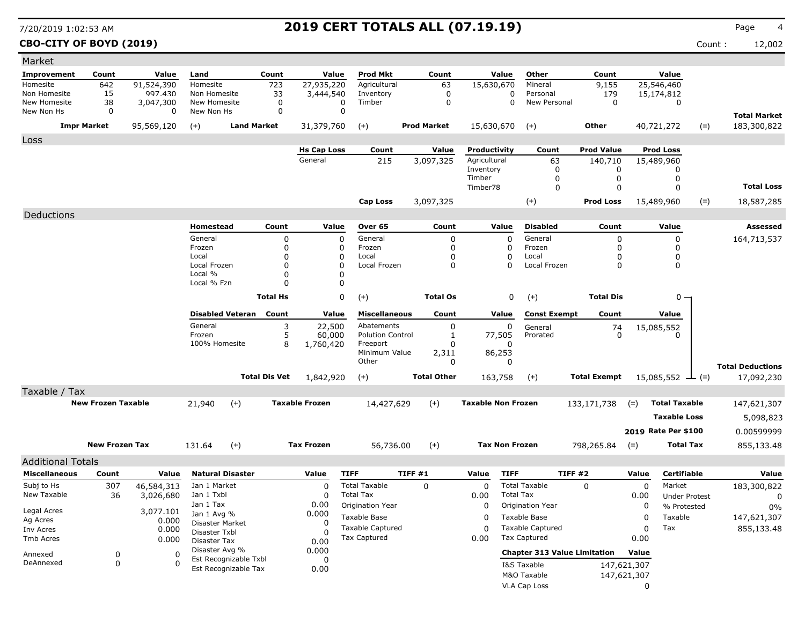### **CBO-CITY OF BOYD (2019)** Count : 12,002

| Market                       |                           |                    |                                  |                      |                       |                         |                    |                           |                       |                                     |                     |             |                              |       |                                    |
|------------------------------|---------------------------|--------------------|----------------------------------|----------------------|-----------------------|-------------------------|--------------------|---------------------------|-----------------------|-------------------------------------|---------------------|-------------|------------------------------|-------|------------------------------------|
| Improvement                  | Count                     | Value              | Land                             | Count                | Value                 | <b>Prod Mkt</b>         | Count              |                           | Value                 | Other                               | Count               |             | Value                        |       |                                    |
| Homesite                     | 642                       | 91,524,390         | Homesite                         | 723                  | 27,935,220            | Agricultural            | 63                 | 15,630,670                |                       | Mineral                             | 9,155               |             | 25,546,460                   |       |                                    |
| Non Homesite<br>New Homesite | 15                        | 997.430            | Non Homesite<br>New Homesite     | 33                   | 3,444,540<br>0        | Inventory<br>Timber     | 0<br>0             |                           | 0<br>$\Omega$         | Personal<br>New Personal            | 179<br>0            |             | 15,174,812<br>0              |       |                                    |
| New Non Hs                   | 38<br>0                   | 3,047,300<br>0     | New Non Hs                       | 0<br>0               | $\Omega$              |                         |                    |                           |                       |                                     |                     |             |                              |       |                                    |
|                              | <b>Impr Market</b>        | 95,569,120         | $(+)$                            | <b>Land Market</b>   | 31,379,760            | $(+)$                   | <b>Prod Market</b> | 15,630,670                |                       | $(+)$                               | <b>Other</b>        |             | 40,721,272                   | $(=)$ | <b>Total Market</b><br>183,300,822 |
| Loss                         |                           |                    |                                  |                      |                       |                         |                    |                           |                       |                                     |                     |             |                              |       |                                    |
|                              |                           |                    |                                  |                      | <b>Hs Cap Loss</b>    | Count                   | Value              | Productivity              |                       | Count                               | <b>Prod Value</b>   |             | <b>Prod Loss</b>             |       |                                    |
|                              |                           |                    |                                  |                      | General               | 215                     | 3,097,325          | Agricultural              |                       | 63                                  | 140,710             |             | 15,489,960                   |       |                                    |
|                              |                           |                    |                                  |                      |                       |                         |                    | Inventory<br>Timber       |                       | 0<br>0                              | 0<br>0              |             | 0<br>0                       |       |                                    |
|                              |                           |                    |                                  |                      |                       |                         |                    | Timber78                  |                       | $\mathbf 0$                         | 0                   |             | $\Omega$                     |       | <b>Total Loss</b>                  |
|                              |                           |                    |                                  |                      |                       | <b>Cap Loss</b>         | 3,097,325          |                           |                       | $(+)$                               | <b>Prod Loss</b>    |             | 15,489,960                   | $(=)$ | 18,587,285                         |
| Deductions                   |                           |                    |                                  |                      |                       |                         |                    |                           |                       |                                     |                     |             |                              |       |                                    |
|                              |                           |                    | Homestead                        | Count                | Value                 | Over 65                 | Count              |                           | Value                 | <b>Disabled</b>                     | Count               |             | Value                        |       | Assessed                           |
|                              |                           |                    | General                          | 0                    | 0                     | General                 | 0                  |                           | 0                     | General                             | 0                   |             | 0                            |       | 164,713,537                        |
|                              |                           |                    | Frozen                           | $\mathbf 0$          | 0                     | Frozen                  | 0                  |                           | 0                     | Frozen                              | 0                   |             | 0                            |       |                                    |
|                              |                           |                    | Local                            | 0                    | 0                     | Local                   | 0                  |                           | 0                     | Local                               | 0                   |             | 0                            |       |                                    |
|                              |                           |                    | Local Frozen<br>Local %          | $\Omega$<br>$\Omega$ | 0<br>$\Omega$         | Local Frozen            | 0                  |                           | 0                     | Local Frozen                        | 0                   |             | 0                            |       |                                    |
|                              |                           |                    | Local % Fzn                      | $\Omega$             | $\Omega$              |                         |                    |                           |                       |                                     |                     |             |                              |       |                                    |
|                              |                           |                    |                                  | <b>Total Hs</b>      | 0                     | $(+)$                   | <b>Total Os</b>    |                           | 0                     | $(+)$                               | <b>Total Dis</b>    |             | $0 -$                        |       |                                    |
|                              |                           |                    | <b>Disabled Veteran</b>          | Count                | Value                 | <b>Miscellaneous</b>    | Count              |                           | Value                 | <b>Const Exempt</b>                 | Count               |             | Value                        |       |                                    |
|                              |                           |                    | General                          | 3                    | 22,500                | Abatements              | 0                  |                           | 0                     | General                             | 74                  |             | 15,085,552                   |       |                                    |
|                              |                           |                    | Frozen                           | 5                    | 60,000                | <b>Polution Control</b> | $\mathbf{1}$       |                           | 77,505                | Prorated                            | $\Omega$            |             | $\Omega$                     |       |                                    |
|                              |                           |                    | 100% Homesite                    | 8                    | 1,760,420             | Freeport                | 0                  |                           | 0                     |                                     |                     |             |                              |       |                                    |
|                              |                           |                    |                                  |                      |                       | Minimum Value<br>Other  | 2,311<br>0         |                           | 86,253<br>0           |                                     |                     |             |                              |       |                                    |
|                              |                           |                    |                                  |                      |                       |                         |                    |                           |                       |                                     |                     |             |                              |       | <b>Total Deductions</b>            |
|                              |                           |                    |                                  | <b>Total Dis Vet</b> | 1,842,920             | $(+)$                   | <b>Total Other</b> | 163,758                   |                       | $(+)$                               | <b>Total Exempt</b> |             | $15,085,552 \rightarrow$ (=) |       | 17,092,230                         |
| Taxable / Tax                |                           |                    |                                  |                      |                       |                         |                    |                           |                       |                                     |                     |             |                              |       |                                    |
|                              | <b>New Frozen Taxable</b> |                    | 21,940                           | $(+)$                | <b>Taxable Frozen</b> | 14,427,629              | $(+)$              | <b>Taxable Non Frozen</b> |                       |                                     | 133,171,738         | $(=)$       | <b>Total Taxable</b>         |       | 147,621,307                        |
|                              |                           |                    |                                  |                      |                       |                         |                    |                           |                       |                                     |                     |             | <b>Taxable Loss</b>          |       | 5,098,823                          |
|                              |                           |                    |                                  |                      |                       |                         |                    |                           |                       |                                     |                     |             | 2019 Rate Per \$100          |       | 0.00599999                         |
|                              | <b>New Frozen Tax</b>     |                    | 131.64                           | $(+)$                | <b>Tax Frozen</b>     | 56,736.00               | $(+)$              |                           | <b>Tax Non Frozen</b> |                                     | 798,265.84          | $(=)$       | <b>Total Tax</b>             |       | 855,133.48                         |
| <b>Additional Totals</b>     |                           |                    |                                  |                      |                       |                         |                    |                           |                       |                                     |                     |             |                              |       |                                    |
| <b>Miscellaneous</b>         | Count                     | Value              | <b>Natural Disaster</b>          |                      | Value                 | <b>TIFF</b>             | TIFF#1             | Value                     | <b>TIFF</b>           |                                     | TIFF #2             | Value       | <b>Certifiable</b>           |       | Value                              |
| Subj to Hs                   | 307                       | 46,584,313         | Jan 1 Market                     |                      | $\mathbf C$           | <b>Total Taxable</b>    | $\mathbf 0$        | 0                         |                       | <b>Total Taxable</b>                | $\mathbf 0$         | $\mathbf 0$ | Market                       |       | 183,300,822                        |
| New Taxable                  | 36                        | 3,026,680          | Jan 1 Txbl                       |                      | $\overline{0}$        | <b>Total Tax</b>        |                    | 0.00                      | <b>Total Tax</b>      |                                     |                     | 0.00        | <b>Under Protest</b>         |       | 0                                  |
|                              |                           |                    | Jan 1 Tax                        |                      | 0.00                  | Origination Year        |                    | 0                         |                       | Origination Year                    |                     | 0           | % Protested                  |       | $0\%$                              |
| Legal Acres<br>Ag Acres      |                           | 3,077.101<br>0.000 | Jan 1 Avg %                      |                      | 0.000                 | Taxable Base            |                    | 0                         |                       | Taxable Base                        |                     | 0           | Taxable                      |       | 147,621,307                        |
| Inv Acres                    |                           | 0.000              | Disaster Market<br>Disaster Txbl |                      | 0<br>-C               | <b>Taxable Captured</b> |                    | 0                         |                       | <b>Taxable Captured</b>             |                     | 0           | Tax                          |       | 855,133.48                         |
| Tmb Acres                    |                           | 0.000              | Disaster Tax                     |                      | 0.00                  | <b>Tax Captured</b>     |                    | 0.00                      |                       | <b>Tax Captured</b>                 |                     | 0.00        |                              |       |                                    |
| Annexed                      | 0                         | 0                  | Disaster Avg %                   |                      | 0.000                 |                         |                    |                           |                       | <b>Chapter 313 Value Limitation</b> |                     | Value       |                              |       |                                    |
| DeAnnexed                    | 0                         | O                  | Est Recognizable Txbl            |                      | 0                     |                         |                    |                           |                       | I&S Taxable                         |                     | 147,621,307 |                              |       |                                    |
|                              |                           |                    | Est Recognizable Tax             |                      | 0.00                  |                         |                    |                           |                       | M&O Taxable                         |                     | 147,621,307 |                              |       |                                    |
|                              |                           |                    |                                  |                      |                       |                         |                    |                           |                       | VLA Cap Loss                        |                     | 0           |                              |       |                                    |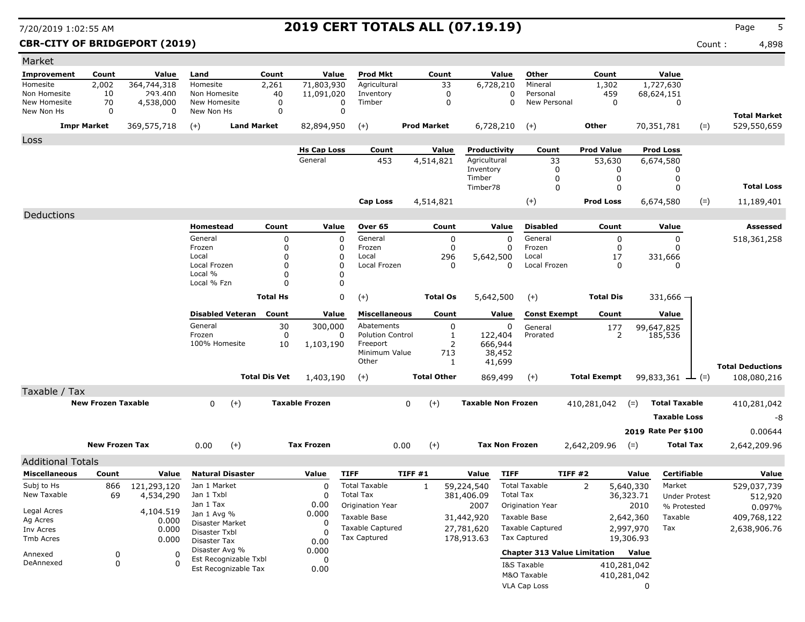### **CBR-CITY OF BRIDGEPORT (2019)** Count : 4,898

| Value<br><b>Prod Mkt</b><br>Count<br>Value<br>Other<br>Count<br>Improvement<br>Count<br>Value<br>Land<br>Count                                                     | Value                                  |
|--------------------------------------------------------------------------------------------------------------------------------------------------------------------|----------------------------------------|
| 364,744,318<br>71,803,930<br>Agricultural<br>33<br>Mineral<br>Homesite<br>2,002<br>Homesite<br>2,261<br>6,728,210<br>1,302                                         | 1,727,630                              |
| 459<br>Non Homesite<br>293.400<br>Non Homesite<br>11,091,020<br>0<br>Personal<br>10<br>40<br>Inventory<br>0                                                        | 68,624,151                             |
| New Homesite<br>New Homesite<br>0<br>New Personal<br>0<br>70<br>4,538,000<br>0<br>0<br>Timber<br>0<br>$\mathbf 0$<br>0<br>New Non Hs<br>0<br>0<br>New Non Hs       | 0                                      |
|                                                                                                                                                                    | <b>Total Market</b>                    |
| 369,575,718<br><b>Land Market</b><br><b>Prod Market</b><br>6,728,210<br>Other<br><b>Impr Market</b><br>$(+)$<br>82,894,950<br>$(+)$<br>$(+)$                       | 70,351,781<br>529,550,659<br>$(=)$     |
| Loss                                                                                                                                                               |                                        |
| <b>Hs Cap Loss</b><br>Count<br>Value<br>Count<br><b>Prod Value</b><br>Productivity                                                                                 | <b>Prod Loss</b>                       |
| General<br>453<br>4,514,821<br>Agricultural<br>33<br>53,630<br>Inventory<br>0<br>0                                                                                 | 6,674,580<br>0                         |
| Timber<br>$\mathbf 0$<br>0                                                                                                                                         | 0                                      |
| Timber78<br>$\mathbf 0$<br>$\mathbf 0$                                                                                                                             | <b>Total Loss</b><br>0                 |
| $(+)$<br><b>Prod Loss</b><br>Cap Loss<br>4,514,821                                                                                                                 | 6,674,580<br>$(=)$<br>11,189,401       |
| Deductions                                                                                                                                                         |                                        |
| Value<br>Over 65<br><b>Disabled</b><br>Homestead<br>Count<br>Count<br>Value<br>Count                                                                               | Value<br>Assessed                      |
| General<br>0<br>0<br>General<br>0<br>General<br>0<br>0                                                                                                             | 518,361,258<br>0                       |
| Frozen<br>0<br>Frozen<br>0<br>Frozen<br>$\Omega$<br>0<br>0                                                                                                         | 0                                      |
| Local<br>0<br>0<br>Local<br>296<br>5,642,500<br>Local<br>17                                                                                                        | 331,666                                |
| Local Frozen<br>0<br>$\Omega$<br>Local Frozen<br>Local Frozen<br>$\Omega$<br>$\mathbf{0}$<br>0<br>Local %<br>$\Omega$<br>0                                         | 0                                      |
| Local % Fzn<br>$\Omega$<br>0                                                                                                                                       |                                        |
| <b>Total Hs</b>                                                                                                                                                    |                                        |
| 0<br>$(+)$<br><b>Total Os</b><br>5,642,500<br><b>Total Dis</b><br>$(+)$                                                                                            | $331,666 -$                            |
| <b>Disabled Veteran</b><br>Count<br><b>Miscellaneous</b><br>Count<br>Value<br>Count<br>Value<br><b>Const Exempt</b>                                                | Value                                  |
| General<br>30<br>300,000<br>Abatements<br>0<br>0<br>General<br>177                                                                                                 | 99,647,825                             |
| 0<br>0<br><b>Polution Control</b><br>2<br>Frozen<br>1<br>122,404<br>Prorated                                                                                       | 185,536                                |
| 100% Homesite<br>2<br>666,944<br>10<br>1,103,190<br>Freeport<br>Minimum Value<br>713<br>38,452                                                                     |                                        |
| Other<br>1<br>41,699                                                                                                                                               |                                        |
| <b>Total Dis Vet</b><br><b>Total Other</b><br><b>Total Exempt</b><br>$(+)$                                                                                         | <b>Total Deductions</b><br>108,080,216 |
| 1,403,190<br>869,499<br>$(+)$                                                                                                                                      | 99,833,361 $\rightarrow$ (=)           |
| Taxable / Tax<br><b>New Frozen Taxable</b><br><b>Taxable Frozen</b><br><b>Taxable Non Frozen</b>                                                                   | <b>Total Taxable</b>                   |
| 0<br>$(+)$<br>0<br>$(+)$<br>410,281,042<br>$(=)$                                                                                                                   | 410,281,042                            |
|                                                                                                                                                                    | <b>Taxable Loss</b><br>-8              |
|                                                                                                                                                                    | 2019 Rate Per \$100<br>0.00644         |
| $(+)$<br><b>New Frozen Tax</b><br>0.00<br>$(+)$<br><b>Tax Frozen</b><br>0.00<br><b>Tax Non Frozen</b><br>2,642,209.96<br>$(=)$                                     | <b>Total Tax</b><br>2,642,209.96       |
| <b>Additional Totals</b>                                                                                                                                           |                                        |
| <b>TIFF</b><br>TIFF #1<br><b>TIFF</b><br>TIFF#2<br><b>Miscellaneous</b><br><b>Natural Disaster</b><br>Value<br>Count<br>Value<br>Value<br>Value                    | <b>Certifiable</b><br>Value            |
| Subj to Hs<br>866<br>121,293,120<br>Jan 1 Market<br>0<br><b>Total Taxable</b><br>$\mathbf{1}$<br>59,224,540<br><b>Total Taxable</b><br>$\overline{2}$<br>5,640,330 | Market<br>529,037,739                  |
| New Taxable<br>69<br>4,534,290<br>Jan 1 Txbl<br>$\Omega$<br><b>Total Tax</b><br>381,406.09<br><b>Total Tax</b><br>36,323.71                                        | <b>Under Protest</b><br>512,920        |
| Jan 1 Tax<br>0.00<br>Origination Year<br>2007<br>Origination Year<br>2010                                                                                          | % Protested<br>0.097%                  |
| 4,104.519<br>Legal Acres<br>Jan 1 Avg %<br>0.000<br>Taxable Base<br>Taxable Base<br>31,442,920<br>2,642,360<br>Ag Acres<br>0.000                                   | Taxable<br>409,768,122                 |
| Disaster Market<br>0<br><b>Taxable Captured</b><br>27,781,620<br><b>Taxable Captured</b><br>2,997,970<br>Inv Acres<br>0.000<br>Disaster Txbl<br>$\Omega$           | Tax<br>2,638,906.76                    |
| Tax Captured<br>178,913.63<br>Tax Captured<br>19,306.93<br>Tmb Acres<br>0.000<br>0.00<br>Disaster Tax                                                              |                                        |
| Disaster Avg %<br>0.000<br><b>Chapter 313 Value Limitation</b><br>Value                                                                                            |                                        |
| Annexed<br>0<br>0<br>Est Recognizable Txbl<br>0<br>0<br>DeAnnexed<br>$\Omega$<br>I&S Taxable                                                                       |                                        |
| 410,281,042<br>Est Recognizable Tax<br>0.00<br>M&O Taxable<br>410,281,042                                                                                          |                                        |
| VLA Cap Loss<br>0                                                                                                                                                  |                                        |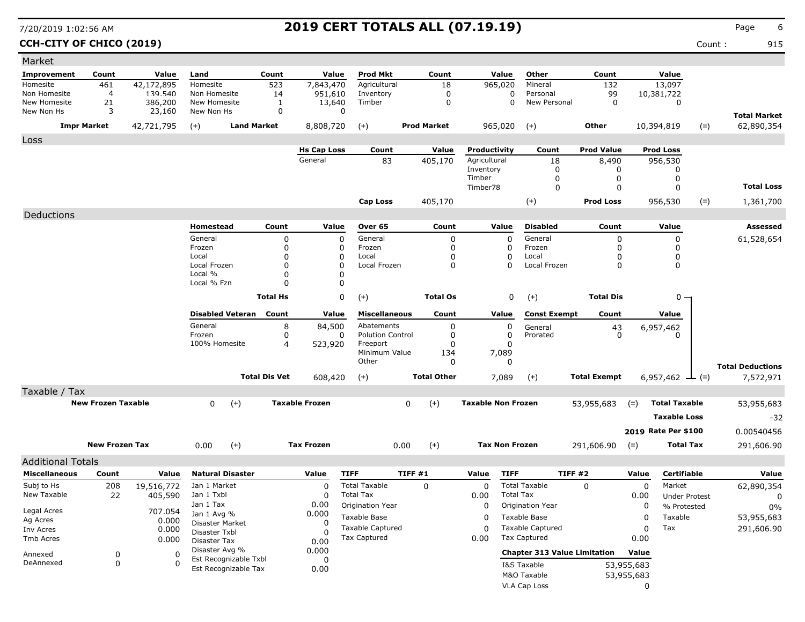### **CCH-CITY OF CHICO (2019)** Count : 915

| Market                     |                           |                   |                                |                      |                       |                                     |                    |                           |                                     |                     |            |                       |       |                                   |
|----------------------------|---------------------------|-------------------|--------------------------------|----------------------|-----------------------|-------------------------------------|--------------------|---------------------------|-------------------------------------|---------------------|------------|-----------------------|-------|-----------------------------------|
| <b>Improvement</b>         | Count                     | Value             | Land                           | Count                | Value                 | Prod Mkt                            | Count              | Value                     | Other                               | Count               |            | Value                 |       |                                   |
| Homesite                   | 461                       | 42,172,895        | Homesite                       | 523                  | 7,843,470             | Agricultural                        | 18                 | 965,020                   | Mineral                             | 132                 |            | 13,097                |       |                                   |
| Non Homesite               | 4                         | 139.540           | Non Homesite                   | 14                   | 951,610               | Inventory                           | 0                  |                           | Personal<br>0                       | 99                  |            | 10,381,722            |       |                                   |
| New Homesite<br>New Non Hs | 21<br>3                   | 386,200<br>23,160 | New Homesite<br>New Non Hs     | 1<br>0               | 13,640<br>0           | Timber                              | $\mathbf 0$        |                           | New Personal<br>$\Omega$            | $\mathbf 0$         |            | 0                     |       |                                   |
|                            | <b>Impr Market</b>        | 42,721,795        | $(+)$<br><b>Land Market</b>    |                      | 8,808,720             | $(+)$                               | <b>Prod Market</b> | 965,020                   | $^{(+)}$                            | <b>Other</b>        |            | 10,394,819            | $(=)$ | <b>Total Market</b><br>62,890,354 |
| Loss                       |                           |                   |                                |                      |                       |                                     |                    |                           |                                     |                     |            |                       |       |                                   |
|                            |                           |                   |                                |                      | <b>Hs Cap Loss</b>    | Count                               | Value              | Productivity              | Count                               | <b>Prod Value</b>   |            | <b>Prod Loss</b>      |       |                                   |
|                            |                           |                   |                                |                      | General               | 83                                  | 405,170            | Agricultural              | 18                                  | 8,490               |            | 956,530               |       |                                   |
|                            |                           |                   |                                |                      |                       |                                     |                    | Inventory                 | 0                                   | 0                   |            | 0                     |       |                                   |
|                            |                           |                   |                                |                      |                       |                                     |                    | Timber<br>Timber78        | 0<br>$\mathbf 0$                    | 0<br>$\Omega$       |            | 0<br>$\Omega$         |       | <b>Total Loss</b>                 |
|                            |                           |                   |                                |                      |                       |                                     |                    |                           |                                     |                     |            |                       |       |                                   |
|                            |                           |                   |                                |                      |                       | Cap Loss                            | 405,170            |                           | $(+)$                               | <b>Prod Loss</b>    |            | 956,530               | $(=)$ | 1,361,700                         |
| Deductions                 |                           |                   | Homestead                      | Count                |                       | Over 65                             | Count              | Value                     | <b>Disabled</b>                     | Count               |            | Value                 |       | Assessed                          |
|                            |                           |                   | General                        | 0                    | Value<br>$\mathbf 0$  | General                             | 0                  | 0                         | General                             | $\mathbf 0$         |            | 0                     |       | 61,528,654                        |
|                            |                           |                   | Frozen                         | $\mathbf 0$          | 0                     | Frozen                              | 0                  | 0                         | Frozen                              | 0                   |            | 0                     |       |                                   |
|                            |                           |                   | Local                          | $\Omega$             | 0                     | Local                               | 0                  | 0                         | Local                               | $\Omega$            |            | 0                     |       |                                   |
|                            |                           |                   | Local Frozen                   | $\Omega$             | $\Omega$              | Local Frozen                        | 0                  | 0                         | Local Frozen                        | 0                   |            | 0                     |       |                                   |
|                            |                           |                   | Local %<br>Local % Fzn         | n<br>$\Omega$        | $\Omega$<br>0         |                                     |                    |                           |                                     |                     |            |                       |       |                                   |
|                            |                           |                   |                                |                      |                       |                                     |                    |                           |                                     |                     |            |                       |       |                                   |
|                            |                           |                   |                                | <b>Total Hs</b>      | 0                     | $(+)$                               | <b>Total Os</b>    | 0                         | $(+)$                               | <b>Total Dis</b>    |            | 0 -                   |       |                                   |
|                            |                           |                   | <b>Disabled Veteran</b>        | Count                | Value                 | <b>Miscellaneous</b>                | Count              | Value                     | <b>Const Exempt</b>                 | Count               |            | Value                 |       |                                   |
|                            |                           |                   | General                        | 8                    | 84,500                | Abatements                          | 0                  | 0                         | General                             | $^{43}_{0}$         |            | 6,957,462             |       |                                   |
|                            |                           |                   | Frozen                         | 0                    | 0                     | <b>Polution Control</b><br>Freeport | 0                  | 0                         | Prorated                            |                     |            | $\Omega$              |       |                                   |
|                            |                           |                   | 100% Homesite                  | 4                    | 523,920               | Minimum Value                       | 0<br>134           | 0<br>7,089                |                                     |                     |            |                       |       |                                   |
|                            |                           |                   |                                |                      |                       | Other                               | 0                  | 0                         |                                     |                     |            |                       |       | <b>Total Deductions</b>           |
|                            |                           |                   |                                | <b>Total Dis Vet</b> | 608,420               | $(+)$                               | <b>Total Other</b> | 7,089                     | $(+)$                               | <b>Total Exempt</b> |            | 6,957,462 $\perp$ (=) |       | 7,572,971                         |
| Taxable / Tax              |                           |                   |                                |                      |                       |                                     |                    |                           |                                     |                     |            |                       |       |                                   |
|                            | <b>New Frozen Taxable</b> |                   | 0<br>$(+)$                     |                      | <b>Taxable Frozen</b> |                                     | $(+)$<br>0         | <b>Taxable Non Frozen</b> |                                     | 53,955,683          | $(=)$      | <b>Total Taxable</b>  |       | 53,955,683                        |
|                            |                           |                   |                                |                      |                       |                                     |                    |                           |                                     |                     |            | <b>Taxable Loss</b>   |       | $-32$                             |
|                            |                           |                   |                                |                      |                       |                                     |                    |                           |                                     |                     |            |                       |       |                                   |
|                            |                           |                   |                                |                      |                       |                                     |                    |                           |                                     |                     |            | 2019 Rate Per \$100   |       | 0.00540456                        |
|                            | <b>New Frozen Tax</b>     |                   | 0.00<br>$(+)$                  |                      | <b>Tax Frozen</b>     |                                     | 0.00<br>$(+)$      | <b>Tax Non Frozen</b>     |                                     | 291,606.90          | $(=)$      | <b>Total Tax</b>      |       | 291,606.90                        |
| <b>Additional Totals</b>   |                           |                   |                                |                      |                       |                                     |                    |                           |                                     |                     |            |                       |       |                                   |
| <b>Miscellaneous</b>       | Count                     | Value             | <b>Natural Disaster</b>        |                      | Value                 | <b>TIFF</b>                         | <b>TIFF #1</b>     | <b>TIFF</b><br>Value      |                                     | <b>TIFF #2</b>      | Value      | Certifiable           |       | Value                             |
| Subj to Hs                 | 208                       | 19,516,772        | Jan 1 Market                   |                      | 0                     | <b>Total Taxable</b>                | $\mathbf 0$        | 0                         | <b>Total Taxable</b>                | $\Omega$            | 0          | Market                |       | 62,890,354                        |
| New Taxable                | 22                        | 405,590           | Jan 1 Txbl                     |                      | 0                     | <b>Total Tax</b>                    |                    | 0.00                      | <b>Total Tax</b>                    |                     | 0.00       | <b>Under Protest</b>  |       | 0                                 |
| Legal Acres                |                           | 707.054           | Jan 1 Tax                      |                      | 0.00                  | Origination Year                    |                    | 0                         | <b>Origination Year</b>             |                     | 0          | % Protested           |       | 0%                                |
| Ag Acres                   |                           | 0.000             | Jan 1 Avg %<br>Disaster Market |                      | 0.000<br>0            | Taxable Base                        |                    | 0                         | Taxable Base                        |                     | 0          | Taxable               |       | 53,955,683                        |
| Inv Acres                  |                           | 0.000             | Disaster Txbl                  |                      | $\cup$                | <b>Taxable Captured</b>             |                    | 0                         | <b>Taxable Captured</b>             |                     | 0          | Tax                   |       | 291,606.90                        |
| Tmb Acres                  |                           | 0.000             | Disaster Tax                   |                      | 0.00                  | <b>Tax Captured</b>                 |                    | 0.00                      | <b>Tax Captured</b>                 |                     | 0.00       |                       |       |                                   |
| Annexed                    | 0                         | 0                 | Disaster Avg %                 |                      | 0.000                 |                                     |                    |                           | <b>Chapter 313 Value Limitation</b> |                     | Value      |                       |       |                                   |
| DeAnnexed                  | 0                         | $\Omega$          | Est Recognizable Txbl          |                      | 0                     |                                     |                    |                           | I&S Taxable                         |                     | 53,955,683 |                       |       |                                   |
|                            |                           |                   | Est Recognizable Tax           |                      | 0.00                  |                                     |                    |                           | M&O Taxable                         |                     | 53,955,683 |                       |       |                                   |
|                            |                           |                   |                                |                      |                       |                                     |                    |                           | VLA Cap Loss                        |                     | 0          |                       |       |                                   |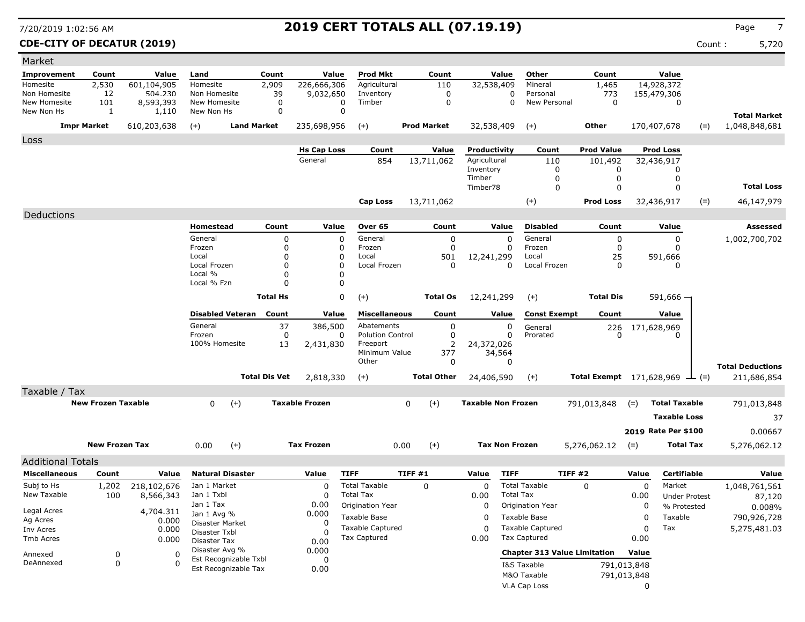### **CDE-CITY OF DECATUR (2019)** Count : 5,720

| Market                     |                           |                    |                               |                      |                       |                         |                    |                           |                       |                                     |                                               |             |                      |       |                         |
|----------------------------|---------------------------|--------------------|-------------------------------|----------------------|-----------------------|-------------------------|--------------------|---------------------------|-----------------------|-------------------------------------|-----------------------------------------------|-------------|----------------------|-------|-------------------------|
| Improvement                | Count                     | Value              | Land                          | Count                | Value                 | <b>Prod Mkt</b>         | Count              |                           | Value                 | Other                               | Count                                         |             | Value                |       |                         |
| Homesite                   | 2,530                     | 601,104,905        | Homesite                      | 2,909                | 226,666,306           | Agricultural            | 110                | 32,538,409                |                       | Mineral                             | 1,465                                         |             | 14,928,372           |       |                         |
| Non Homesite               | 12                        | 504.230            | Non Homesite                  | 39                   | 9,032,650             | Inventory               | 0                  |                           | 0                     | Personal                            | 773                                           |             | 155,479,306          |       |                         |
| New Homesite<br>New Non Hs | 101                       | 8,593,393          | New Homesite<br>New Non Hs    | 0<br>0               | 0<br>$\Omega$         | Timber                  | 0                  |                           | $\Omega$              | New Personal                        | 0                                             |             | 0                    |       |                         |
|                            | 1                         | 1,110              |                               |                      |                       |                         |                    |                           |                       |                                     |                                               |             |                      |       | <b>Total Market</b>     |
|                            | <b>Impr Market</b>        | 610,203,638        | $(+)$                         | <b>Land Market</b>   | 235,698,956           | $(+)$                   | <b>Prod Market</b> | 32,538,409                |                       | $(+)$                               | <b>Other</b>                                  |             | 170,407,678          | $(=)$ | 1,048,848,681           |
| Loss                       |                           |                    |                               |                      |                       |                         |                    |                           |                       |                                     |                                               |             |                      |       |                         |
|                            |                           |                    |                               |                      | <b>Hs Cap Loss</b>    | Count                   | Value              | Productivity              |                       | Count                               | <b>Prod Value</b>                             |             | <b>Prod Loss</b>     |       |                         |
|                            |                           |                    |                               |                      | General               | 854                     | 13,711,062         | Agricultural<br>Inventory |                       | 110<br>0                            | 101,492<br>0                                  |             | 32,436,917<br>0      |       |                         |
|                            |                           |                    |                               |                      |                       |                         |                    | Timber                    |                       | 0                                   | 0                                             |             | 0                    |       |                         |
|                            |                           |                    |                               |                      |                       |                         |                    | Timber78                  |                       | 0                                   | 0                                             |             | 0                    |       | <b>Total Loss</b>       |
|                            |                           |                    |                               |                      |                       | <b>Cap Loss</b>         | 13,711,062         |                           |                       | $(+)$                               | <b>Prod Loss</b>                              |             | 32,436,917           | $(=)$ | 46,147,979              |
| Deductions                 |                           |                    |                               |                      |                       |                         |                    |                           |                       |                                     |                                               |             |                      |       |                         |
|                            |                           |                    | Homestead                     | Count                | Value                 | Over 65                 | Count              |                           | Value                 | <b>Disabled</b>                     | Count                                         |             | Value                |       | Assessed                |
|                            |                           |                    | General                       | 0                    | 0                     | General                 | 0                  |                           | 0                     | General                             | 0                                             |             | 0                    |       | 1,002,700,702           |
|                            |                           |                    | Frozen                        | 0                    | 0                     | Frozen                  | 0                  |                           | $\Omega$              | Frozen                              | 0                                             |             | $\Omega$             |       |                         |
|                            |                           |                    | Local<br>Local Frozen         | 0<br>$\Omega$        | 0<br>0                | Local<br>Local Frozen   | 501<br>0           | 12,241,299                |                       | Local                               | 25                                            |             | 591,666              |       |                         |
|                            |                           |                    | Local %                       | O                    | $\Omega$              |                         |                    |                           | 0                     | Local Frozen                        | 0                                             |             | 0                    |       |                         |
|                            |                           |                    | Local % Fzn                   | $\Omega$             | 0                     |                         |                    |                           |                       |                                     |                                               |             |                      |       |                         |
|                            |                           |                    |                               | <b>Total Hs</b>      | 0                     | $(+)$                   | <b>Total Os</b>    | 12,241,299                |                       | $(+)$                               | <b>Total Dis</b>                              |             | $591,666$ –          |       |                         |
|                            |                           |                    | <b>Disabled Veteran</b>       | Count                | Value                 | <b>Miscellaneous</b>    | Count              |                           | Value                 | <b>Const Exempt</b>                 | Count                                         |             | Value                |       |                         |
|                            |                           |                    | General                       | 37                   | 386,500               | Abatements              | $\pmb{0}$          |                           | $\mathbf 0$           | General                             | 226                                           | 171,628,969 |                      |       |                         |
|                            |                           |                    | Frozen                        | $\mathbf 0$          | 0                     | <b>Polution Control</b> | 0                  |                           | 0                     | Prorated                            | U                                             |             | n                    |       |                         |
|                            |                           |                    | 100% Homesite                 | 13                   | 2,431,830             | Freeport                | 2                  | 24,372,026                |                       |                                     |                                               |             |                      |       |                         |
|                            |                           |                    |                               |                      |                       | Minimum Value<br>Other  | 377<br>0           |                           | 34,564<br>0           |                                     |                                               |             |                      |       |                         |
|                            |                           |                    |                               |                      |                       |                         |                    |                           |                       |                                     |                                               |             |                      |       | <b>Total Deductions</b> |
|                            |                           |                    |                               | <b>Total Dis Vet</b> | 2,818,330             | $(+)$                   | <b>Total Other</b> | 24,406,590                |                       | $(+)$                               | <b>Total Exempt</b> $171,628,969$ $\perp$ (=) |             |                      |       | 211,686,854             |
| Taxable / Tax              |                           |                    |                               |                      |                       |                         |                    |                           |                       |                                     |                                               |             |                      |       |                         |
|                            | <b>New Frozen Taxable</b> |                    | 0<br>$(+)$                    |                      | <b>Taxable Frozen</b> |                         | $(+)$<br>0         | <b>Taxable Non Frozen</b> |                       |                                     | 791,013,848                                   | $(=)$       | <b>Total Taxable</b> |       | 791,013,848             |
|                            |                           |                    |                               |                      |                       |                         |                    |                           |                       |                                     |                                               |             | <b>Taxable Loss</b>  |       | 37                      |
|                            |                           |                    |                               |                      |                       |                         |                    |                           |                       |                                     |                                               |             | 2019 Rate Per \$100  |       | 0.00667                 |
|                            | <b>New Frozen Tax</b>     |                    | 0.00<br>$(+)$                 |                      | <b>Tax Frozen</b>     |                         | $(+)$<br>0.00      |                           | <b>Tax Non Frozen</b> |                                     | 5,276,062.12                                  | $(=)$       | <b>Total Tax</b>     |       | 5,276,062.12            |
| <b>Additional Totals</b>   |                           |                    |                               |                      |                       |                         |                    |                           |                       |                                     |                                               |             |                      |       |                         |
| <b>Miscellaneous</b>       | Count                     | Value              | <b>Natural Disaster</b>       |                      | Value                 | <b>TIFF</b>             | TIFF#1             | Value                     | <b>TIFF</b>           |                                     | TIFF #2                                       | Value       | Certifiable          |       | Value                   |
| Subj to Hs                 | 1,202                     | 218,102,676        | Jan 1 Market                  |                      | $\mathbf C$           | <b>Total Taxable</b>    | $\mathbf 0$        | 0                         |                       | <b>Total Taxable</b>                | 0                                             | 0           | Market               |       | 1,048,761,561           |
| New Taxable                | 100                       | 8,566,343          | Jan 1 Txbl                    |                      | 0                     | <b>Total Tax</b>        |                    | 0.00                      | <b>Total Tax</b>      |                                     |                                               | 0.00        | <b>Under Protest</b> |       | 87,120                  |
|                            |                           |                    | Jan 1 Tax                     |                      | 0.00                  | Origination Year        |                    | 0                         |                       | Origination Year                    |                                               | 0           | % Protested          |       | 0.008%                  |
| Legal Acres<br>Ag Acres    |                           | 4,704.311<br>0.000 | Jan 1 Avg %                   |                      | 0.000                 | Taxable Base            |                    | 0                         |                       | Taxable Base                        |                                               | 0           | Taxable              |       | 790,926,728             |
| Inv Acres                  |                           | 0.000              | Disaster Market               |                      | 0                     | <b>Taxable Captured</b> |                    | 0                         |                       | Taxable Captured                    |                                               | 0           | Tax                  |       | 5,275,481.03            |
| Tmb Acres                  |                           | 0.000              | Disaster Txbl<br>Disaster Tax |                      | -C<br>0.00            | <b>Tax Captured</b>     |                    | 0.00                      |                       | <b>Tax Captured</b>                 |                                               | 0.00        |                      |       |                         |
| Annexed                    |                           |                    | Disaster Avg %                |                      | 0.000                 |                         |                    |                           |                       | <b>Chapter 313 Value Limitation</b> |                                               | Value       |                      |       |                         |
| DeAnnexed                  | 0<br>0                    | 0<br>$\Omega$      | Est Recognizable Txbl         |                      | 0                     |                         |                    |                           |                       | I&S Taxable                         |                                               | 791,013,848 |                      |       |                         |
|                            |                           |                    | Est Recognizable Tax          |                      | 0.00                  |                         |                    |                           |                       | M&O Taxable                         |                                               | 791,013,848 |                      |       |                         |
|                            |                           |                    |                               |                      |                       |                         |                    |                           |                       | VLA Cap Loss                        |                                               | 0           |                      |       |                         |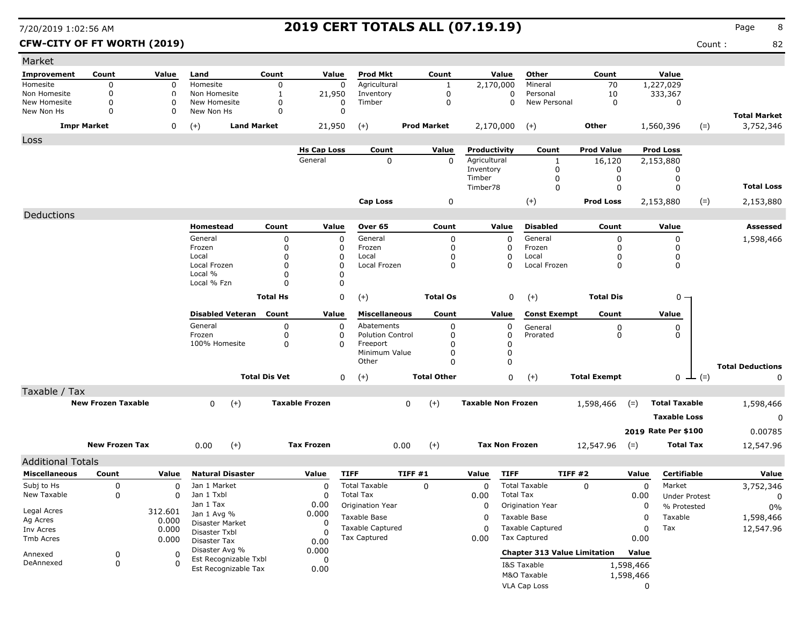### **CFW-CITY OF FT WORTH (2019)** Count : 82

| Market                   |                           |             |                                |                      |                       |                         |                |                    |                           |                  |                                     |                     |             |                      |               |                         |
|--------------------------|---------------------------|-------------|--------------------------------|----------------------|-----------------------|-------------------------|----------------|--------------------|---------------------------|------------------|-------------------------------------|---------------------|-------------|----------------------|---------------|-------------------------|
| Improvement              | Count                     | Value       | Land                           | Count                | Value                 | <b>Prod Mkt</b>         |                | Count              |                           | Value            | Other                               | Count               |             | Value                |               |                         |
| Homesite                 | 0                         | 0           | Homesite                       | 0                    | $\mathbf 0$           | Agricultural            |                | $\mathbf{1}$       | 2,170,000                 |                  | Mineral                             | 70                  |             | 1,227,029            |               |                         |
| Non Homesite             | 0                         | 0           | Non Homesite                   | 1                    | 21,950                | Inventory               |                | 0                  |                           | 0                | Personal                            | 10                  |             | 333,367              |               |                         |
| New Homesite             | 0                         | 0           | New Homesite                   | 0                    | 0                     | Timber                  |                | 0                  |                           | $\Omega$         | New Personal                        | 0                   |             | 0                    |               |                         |
| New Non Hs               | $\Omega$                  | 0           | New Non Hs                     | 0                    | 0                     |                         |                |                    |                           |                  |                                     |                     |             |                      |               | <b>Total Market</b>     |
|                          | <b>Impr Market</b>        | 0           | $(+)$<br><b>Land Market</b>    |                      | 21,950                | $(+)$                   |                | <b>Prod Market</b> | 2,170,000                 |                  | $(+)$                               | Other               |             | 1,560,396            | $(=)$         | 3,752,346               |
| Loss                     |                           |             |                                |                      |                       |                         |                |                    |                           |                  |                                     |                     |             |                      |               |                         |
|                          |                           |             |                                |                      | <b>Hs Cap Loss</b>    | Count                   |                | Value              | Productivity              |                  | Count                               | <b>Prod Value</b>   |             | <b>Prod Loss</b>     |               |                         |
|                          |                           |             |                                |                      | General               | 0                       |                | $\Omega$           | Agricultural              |                  | 1                                   | 16,120              |             | 2,153,880            |               |                         |
|                          |                           |             |                                |                      |                       |                         |                |                    | Inventory                 |                  | 0                                   | 0                   |             | 0                    |               |                         |
|                          |                           |             |                                |                      |                       |                         |                |                    | Timber                    |                  | 0                                   | 0                   |             | 0                    |               | <b>Total Loss</b>       |
|                          |                           |             |                                |                      |                       |                         |                |                    | Timber78                  |                  | $\mathbf 0$                         | 0                   |             | 0                    |               |                         |
|                          |                           |             |                                |                      |                       | Cap Loss                |                | 0                  |                           |                  | $(+)$                               | <b>Prod Loss</b>    |             | 2,153,880            | $(=)$         | 2,153,880               |
| Deductions               |                           |             |                                |                      |                       |                         |                |                    |                           |                  |                                     |                     |             |                      |               |                         |
|                          |                           |             | Homestead                      | Count                | Value                 | Over 65                 |                | Count              |                           | Value            | <b>Disabled</b>                     | Count               |             | Value                |               | Assessed                |
|                          |                           |             | General                        | 0                    | 0                     | General                 |                | 0                  |                           | 0                | General                             | 0                   |             | 0                    |               | 1,598,466               |
|                          |                           |             | Frozen                         | $\Omega$             | 0                     | Frozen                  |                | 0                  |                           | 0                | Frozen                              | 0                   |             | 0                    |               |                         |
|                          |                           |             | Local                          | $\Omega$             | 0                     | Local                   |                | $\Omega$           |                           | 0                | Local                               | 0                   |             | 0                    |               |                         |
|                          |                           |             | Local Frozen<br>Local %        | $\Omega$<br>$\Omega$ | 0<br>0                | Local Frozen            |                | 0                  |                           | $\Omega$         | Local Frozen                        | 0                   |             | 0                    |               |                         |
|                          |                           |             | Local % Fzn                    | $\Omega$             | $\Omega$              |                         |                |                    |                           |                  |                                     |                     |             |                      |               |                         |
|                          |                           |             |                                |                      |                       |                         |                | <b>Total Os</b>    |                           |                  |                                     |                     |             |                      |               |                         |
|                          |                           |             |                                | <b>Total Hs</b>      | 0                     | $(+)$                   |                |                    |                           | 0                | $(+)$                               | <b>Total Dis</b>    |             | $0 -$                |               |                         |
|                          |                           |             | <b>Disabled Veteran</b>        | Count                | Value                 | <b>Miscellaneous</b>    |                | Count              |                           | Value            | <b>Const Exempt</b>                 | Count               |             | Value                |               |                         |
|                          |                           |             | General                        | 0                    | 0                     | Abatements              |                | 0                  |                           | 0                | General                             |                     |             | 0                    |               |                         |
|                          |                           |             | Frozen                         | 0                    | 0                     | <b>Polution Control</b> |                | $\Omega$           |                           | 0                | Prorated                            | $_{0}^{0}$          |             | 0                    |               |                         |
|                          |                           |             | 100% Homesite                  | 0                    | $\Omega$              | Freeport                |                | $\Omega$           |                           | 0                |                                     |                     |             |                      |               |                         |
|                          |                           |             |                                |                      |                       | Minimum Value<br>Other  |                | 0<br>$\Omega$      |                           | 0<br>$\mathbf 0$ |                                     |                     |             |                      |               |                         |
|                          |                           |             |                                |                      |                       |                         |                |                    |                           |                  |                                     |                     |             |                      |               | <b>Total Deductions</b> |
|                          |                           |             |                                | <b>Total Dis Vet</b> | 0                     | $^{(+)}$                |                | <b>Total Other</b> |                           | 0                | $(+)$                               | <b>Total Exempt</b> |             |                      | $0 \perp (=)$ | 0                       |
| Taxable / Tax            |                           |             |                                |                      |                       |                         |                |                    |                           |                  |                                     |                     |             |                      |               |                         |
|                          | <b>New Frozen Taxable</b> |             | $\mathbf{0}$<br>$(+)$          |                      | <b>Taxable Frozen</b> |                         | 0              | $(+)$              | <b>Taxable Non Frozen</b> |                  |                                     | 1,598,466           | $(=)$       | <b>Total Taxable</b> |               | 1,598,466               |
|                          |                           |             |                                |                      |                       |                         |                |                    |                           |                  |                                     |                     |             | <b>Taxable Loss</b>  |               | 0                       |
|                          |                           |             |                                |                      |                       |                         |                |                    |                           |                  |                                     |                     |             |                      |               |                         |
|                          |                           |             |                                |                      |                       |                         |                |                    |                           |                  |                                     |                     |             | 2019 Rate Per \$100  |               | 0.00785                 |
|                          | <b>New Frozen Tax</b>     |             | $(+)$<br>0.00                  |                      | <b>Tax Frozen</b>     |                         | 0.00           | $(+)$              | <b>Tax Non Frozen</b>     |                  |                                     | 12,547.96           | $(=)$       | <b>Total Tax</b>     |               | 12,547.96               |
| <b>Additional Totals</b> |                           |             |                                |                      |                       |                         |                |                    |                           |                  |                                     |                     |             |                      |               |                         |
| <b>Miscellaneous</b>     | Count                     | Value       | <b>Natural Disaster</b>        |                      | Value                 | <b>TIFF</b>             | <b>TIFF #1</b> |                    | Value                     | <b>TIFF</b>      | <b>TIFF #2</b>                      |                     | Value       | Certifiable          |               | Value                   |
| Subj to Hs               | 0                         | $\mathbf 0$ | Jan 1 Market                   |                      | 0                     | <b>Total Taxable</b>    |                | 0                  | 0                         |                  | <b>Total Taxable</b>                | $\Omega$            | $\mathbf 0$ | Market               |               | 3,752,346               |
| New Taxable              | 0                         | $\Omega$    | Jan 1 Txbl                     |                      | $\Omega$              | <b>Total Tax</b>        |                |                    | 0.00                      | <b>Total Tax</b> |                                     |                     | 0.00        | <b>Under Protest</b> |               | 0                       |
|                          |                           |             | Jan 1 Tax                      |                      | 0.00                  | Origination Year        |                |                    | 0                         |                  | Origination Year                    |                     | 0           | % Protested          |               | $0\%$                   |
| Legal Acres              |                           | 312.601     | Jan 1 Avg %                    |                      | 0.000                 | Taxable Base            |                |                    | 0                         |                  | Taxable Base                        |                     | 0           | Taxable              |               | 1,598,466               |
| Ag Acres                 |                           | 0.000       | Disaster Market                |                      | 0                     | Taxable Captured        |                |                    | 0                         |                  | <b>Taxable Captured</b>             |                     | 0           | Tax                  |               | 12,547.96               |
| Inv Acres<br>Tmb Acres   |                           | 0.000       | Disaster Txbl                  |                      |                       | <b>Tax Captured</b>     |                |                    | 0.00                      |                  | <b>Tax Captured</b>                 |                     | 0.00        |                      |               |                         |
|                          |                           | 0.000       | Disaster Tax<br>Disaster Avg % |                      | 0.00                  |                         |                |                    |                           |                  |                                     |                     |             |                      |               |                         |
| Annexed                  | 0                         | 0           | Est Recognizable Txbl          |                      | 0.000<br>0            |                         |                |                    |                           |                  | <b>Chapter 313 Value Limitation</b> |                     | Value       |                      |               |                         |
| DeAnnexed                | 0                         | $\Omega$    | Est Recognizable Tax           |                      | 0.00                  |                         |                |                    |                           |                  | I&S Taxable                         |                     | 1,598,466   |                      |               |                         |
|                          |                           |             |                                |                      |                       |                         |                |                    |                           |                  | M&O Taxable                         |                     | 1,598,466   |                      |               |                         |
|                          |                           |             |                                |                      |                       |                         |                |                    |                           |                  | VLA Cap Loss                        |                     | 0           |                      |               |                         |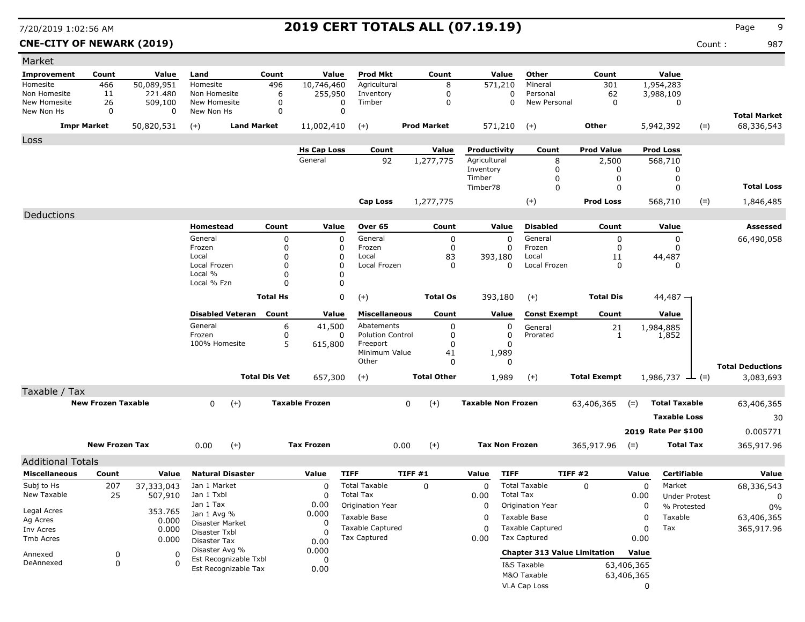**CNE-CITY OF NEWARK (2019)** Count : 987

| Market                   |                           |             |                          |                      |                       |                                     |                    |                           |                       |                                     |                     |            |                             |       |                         |
|--------------------------|---------------------------|-------------|--------------------------|----------------------|-----------------------|-------------------------------------|--------------------|---------------------------|-----------------------|-------------------------------------|---------------------|------------|-----------------------------|-------|-------------------------|
| <b>Improvement</b>       | Count                     | Value       | Land                     | Count                | Value                 | <b>Prod Mkt</b>                     | Count              |                           | Value                 | Other                               | Count               |            | Value                       |       |                         |
| Homesite                 | 466                       | 50,089,951  | Homesite                 | 496                  | 10,746,460            | Agricultural                        | 8                  |                           | 571,210               | Mineral                             | 301                 |            | 1,954,283                   |       |                         |
| Non Homesite             | 11                        | 221.480     | Non Homesite             | 6                    | 255,950               | Inventory                           | $\mathbf 0$        |                           | 0                     | Personal                            | 62                  |            | 3,988,109                   |       |                         |
| New Homesite             | 26                        | 509,100     | New Homesite             | $\Omega$             | 0                     | Timber                              | 0                  |                           | 0                     | New Personal                        | $\mathbf 0$         |            | 0                           |       |                         |
| New Non Hs               | 0                         | 0           | New Non Hs               | 0                    | 0                     |                                     |                    |                           |                       |                                     |                     |            |                             |       | <b>Total Market</b>     |
|                          | <b>Impr Market</b>        | 50,820,531  | $(+)$                    | <b>Land Market</b>   | 11,002,410            | $(+)$                               | <b>Prod Market</b> |                           | 571,210               | $(+)$                               | Other               |            | 5,942,392                   | $(=)$ | 68,336,543              |
| Loss                     |                           |             |                          |                      |                       |                                     |                    |                           |                       |                                     |                     |            |                             |       |                         |
|                          |                           |             |                          |                      | <b>Hs Cap Loss</b>    | Count                               | Value              | Productivity              |                       | Count                               | <b>Prod Value</b>   |            | <b>Prod Loss</b>            |       |                         |
|                          |                           |             |                          |                      | General               | 92                                  | 1,277,775          | Agricultural              |                       | 8                                   | 2,500               |            | 568,710                     |       |                         |
|                          |                           |             |                          |                      |                       |                                     |                    | Inventory                 |                       | 0                                   | 0                   |            | 0                           |       |                         |
|                          |                           |             |                          |                      |                       |                                     |                    | Timber<br>Timber78        |                       | 0<br>0                              | 0<br>0              |            | 0<br>$\mathbf 0$            |       | <b>Total Loss</b>       |
|                          |                           |             |                          |                      |                       |                                     |                    |                           |                       |                                     |                     |            |                             |       |                         |
|                          |                           |             |                          |                      |                       | Cap Loss                            | 1,277,775          |                           |                       | $(+)$                               | <b>Prod Loss</b>    |            | 568,710                     | $(=)$ | 1,846,485               |
| Deductions               |                           |             |                          |                      |                       |                                     |                    |                           |                       |                                     |                     |            |                             |       |                         |
|                          |                           |             | Homestead                | Count                | Value                 | Over 65                             | Count              |                           | Value                 | <b>Disabled</b>                     | Count               |            | Value                       |       | Assessed                |
|                          |                           |             | General                  | 0                    | 0                     | General                             |                    | 0                         | 0                     | General                             | 0                   |            | 0                           |       | 66,490,058              |
|                          |                           |             | Frozen                   | 0                    | 0                     | Frozen                              |                    | 0                         | 0                     | Frozen                              | 0                   |            | 0                           |       |                         |
|                          |                           |             | Local<br>Local Frozen    | 0<br>0               | 0<br>$\Omega$         | Local<br>Local Frozen               | 83                 | 0                         | 393,180<br>$\Omega$   | Local<br>Local Frozen               | 11<br>0             |            | 44,487<br>0                 |       |                         |
|                          |                           |             | Local %                  | 0                    | 0                     |                                     |                    |                           |                       |                                     |                     |            |                             |       |                         |
|                          |                           |             | Local % Fzn              | 0                    | 0                     |                                     |                    |                           |                       |                                     |                     |            |                             |       |                         |
|                          |                           |             |                          | <b>Total Hs</b>      | 0                     | $(+)$                               | <b>Total Os</b>    |                           | 393,180               | $(+)$                               | <b>Total Dis</b>    |            | $44,487 -$                  |       |                         |
|                          |                           |             |                          |                      |                       |                                     |                    |                           |                       |                                     |                     |            |                             |       |                         |
|                          |                           |             | <b>Disabled Veteran</b>  | Count                | Value                 | <b>Miscellaneous</b>                | Count              |                           | Value                 | <b>Const Exempt</b>                 | Count               |            | Value                       |       |                         |
|                          |                           |             | General                  | 6                    | 41,500                | Abatements                          |                    | 0                         | 0                     | General                             | 21                  |            | 1,984,885                   |       |                         |
|                          |                           |             | Frozen<br>100% Homesite  | 0<br>5               | 0<br>615,800          | <b>Polution Control</b><br>Freeport |                    | 0<br>0                    | 0<br>$\Omega$         | Prorated                            | 1                   |            | 1,852                       |       |                         |
|                          |                           |             |                          |                      |                       | Minimum Value                       | 41                 |                           | 1,989                 |                                     |                     |            |                             |       |                         |
|                          |                           |             |                          |                      |                       | Other                               |                    | 0                         | 0                     |                                     |                     |            |                             |       | <b>Total Deductions</b> |
|                          |                           |             |                          | <b>Total Dis Vet</b> | 657,300               | $(+)$                               | <b>Total Other</b> |                           | 1,989                 | $(+)$                               | <b>Total Exempt</b> |            | $1,986,737 \rightarrow$ (=) |       | 3,083,693               |
|                          |                           |             |                          |                      |                       |                                     |                    |                           |                       |                                     |                     |            |                             |       |                         |
| Taxable / Tax            |                           |             |                          |                      |                       |                                     |                    |                           |                       |                                     |                     |            |                             |       |                         |
|                          | <b>New Frozen Taxable</b> |             | $(+)$<br>0               |                      | <b>Taxable Frozen</b> |                                     | $(+)$<br>0         | <b>Taxable Non Frozen</b> |                       |                                     | 63,406,365          | $(=)$      | <b>Total Taxable</b>        |       | 63,406,365              |
|                          |                           |             |                          |                      |                       |                                     |                    |                           |                       |                                     |                     |            | <b>Taxable Loss</b>         |       | 30                      |
|                          |                           |             |                          |                      |                       |                                     |                    |                           |                       |                                     |                     |            | 2019 Rate Per \$100         |       | 0.005771                |
|                          | <b>New Frozen Tax</b>     |             | 0.00<br>$(+)$            |                      | <b>Tax Frozen</b>     |                                     | $(+)$<br>0.00      |                           | <b>Tax Non Frozen</b> |                                     | 365,917.96          | $(=)$      | <b>Total Tax</b>            |       | 365,917.96              |
|                          |                           |             |                          |                      |                       |                                     |                    |                           |                       |                                     |                     |            |                             |       |                         |
| <b>Additional Totals</b> |                           |             |                          |                      |                       |                                     |                    |                           |                       |                                     |                     |            |                             |       |                         |
| <b>Miscellaneous</b>     | Count                     | Value       | <b>Natural Disaster</b>  |                      | Value                 | <b>TIFF</b>                         | TIFF#1             | Value                     | <b>TIFF</b>           |                                     | <b>TIFF #2</b>      | Value      | <b>Certifiable</b>          |       | Value                   |
| Subj to Hs               | 207                       | 37,333,043  | Jan 1 Market             |                      | 0                     | <b>Total Taxable</b>                | 0                  | 0                         |                       | <b>Total Taxable</b>                | 0                   | 0          | Market                      |       | 68,336,543              |
| New Taxable              | 25                        | 507,910     | Jan 1 Txbl               |                      | 0                     | <b>Total Tax</b>                    |                    | 0.00                      | <b>Total Tax</b>      |                                     |                     | 0.00       | <b>Under Protest</b>        |       | 0                       |
| Legal Acres              |                           | 353.765     | Jan 1 Tax<br>Jan 1 Avg % |                      | 0.00                  | Origination Year                    |                    | 0                         |                       | Origination Year                    |                     | 0          | % Protested                 |       | 0%                      |
| Ag Acres                 |                           | 0.000       | Disaster Market          |                      | 0.000<br>0            | Taxable Base                        |                    | 0                         |                       | Taxable Base                        |                     | 0          | Taxable                     |       | 63,406,365              |
| Inv Acres                |                           | 0.000       | Disaster Txbl            |                      | O                     | <b>Taxable Captured</b>             |                    | 0                         |                       | <b>Taxable Captured</b>             |                     | 0          | Tax                         |       | 365,917.96              |
| Tmb Acres                |                           | 0.000       | Disaster Tax             |                      | 0.00                  | Tax Captured                        |                    | 0.00                      |                       | <b>Tax Captured</b>                 |                     | 0.00       |                             |       |                         |
| Annexed                  | 0                         | 0           | Disaster Avg %           |                      | 0.000                 |                                     |                    |                           |                       | <b>Chapter 313 Value Limitation</b> |                     | Value      |                             |       |                         |
| DeAnnexed                | $\pmb{0}$                 | $\mathbf 0$ | Est Recognizable Txbl    |                      | 0                     |                                     |                    |                           |                       | I&S Taxable                         |                     | 63,406,365 |                             |       |                         |
|                          |                           |             | Est Recognizable Tax     |                      | 0.00                  |                                     |                    |                           |                       | M&O Taxable                         |                     | 63,406,365 |                             |       |                         |
|                          |                           |             |                          |                      |                       |                                     |                    |                           |                       | <b>VLA Cap Loss</b>                 |                     | 0          |                             |       |                         |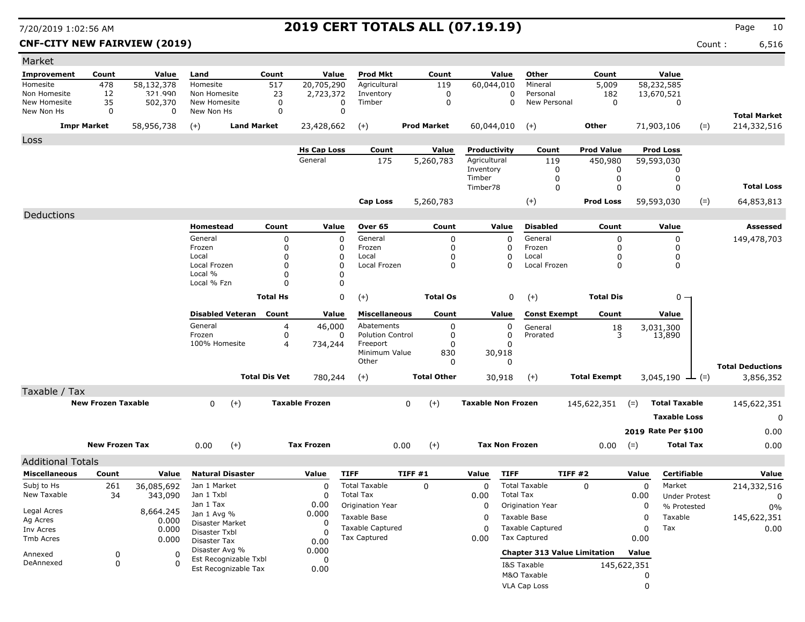### **CNF-CITY NEW FAIRVIEW (2019)** Count : 6,516

| Market                     |                           |                |                               |                      |                               |                                 |                    |          |                              |                                     |                              |             |                                |       |                         |
|----------------------------|---------------------------|----------------|-------------------------------|----------------------|-------------------------------|---------------------------------|--------------------|----------|------------------------------|-------------------------------------|------------------------------|-------------|--------------------------------|-------|-------------------------|
| <b>Improvement</b>         | Count                     | Value          | Land                          | Count                | Value                         | <b>Prod Mkt</b>                 | Count              |          | Value                        | Other                               | Count                        |             | Value                          |       |                         |
| Homesite                   | 478                       | 58,132,378     | Homesite                      | 517                  | 20,705,290                    | Agricultural                    | 119                |          | 60,044,010                   | Mineral                             | 5,009                        |             | 58,232,585                     |       |                         |
| Non Homesite               | 12                        | 321.990        | Non Homesite                  | 23                   | 2,723,372                     | Inventory                       |                    | 0        | 0                            | Personal<br>New Personal            | 182                          |             | 13,670,521                     |       |                         |
| New Homesite<br>New Non Hs | 35<br>0                   | 502,370<br>0   | New Homesite<br>New Non Hs    | 0<br>$\mathbf 0$     |                               | 0<br>Timber<br>0                |                    | 0        | 0                            |                                     | $\mathbf 0$                  |             | 0                              |       |                         |
|                            | <b>Impr Market</b>        |                |                               | <b>Land Market</b>   |                               |                                 | <b>Prod Market</b> |          |                              |                                     | Other                        |             | 71,903,106                     |       | <b>Total Market</b>     |
|                            |                           | 58,956,738     | $(+)$                         |                      | 23,428,662                    | $(+)$                           |                    |          | 60,044,010                   | $(+)$                               |                              |             |                                | $(=)$ | 214,332,516             |
| Loss                       |                           |                |                               |                      |                               |                                 |                    |          |                              |                                     |                              |             |                                |       |                         |
|                            |                           |                |                               |                      | <b>Hs Cap Loss</b><br>General | Count<br>175                    | Value<br>5,260,783 |          | Productivity<br>Agricultural | Count<br>119                        | <b>Prod Value</b><br>450,980 |             | <b>Prod Loss</b><br>59,593,030 |       |                         |
|                            |                           |                |                               |                      |                               |                                 |                    |          | Inventory                    | 0                                   | 0                            |             | 0                              |       |                         |
|                            |                           |                |                               |                      |                               |                                 |                    |          | Timber                       | 0                                   | 0                            |             | 0                              |       |                         |
|                            |                           |                |                               |                      |                               |                                 |                    |          | Timber78                     | $\mathbf 0$                         | $\Omega$                     |             | $\Omega$                       |       | <b>Total Loss</b>       |
|                            |                           |                |                               |                      |                               | <b>Cap Loss</b>                 | 5,260,783          |          |                              | $(+)$                               | <b>Prod Loss</b>             |             | 59,593,030                     | $(=)$ | 64,853,813              |
| Deductions                 |                           |                |                               |                      |                               |                                 |                    |          |                              |                                     |                              |             |                                |       |                         |
|                            |                           |                | Homestead                     | Count                | Value                         | Over 65                         | Count              |          | Value                        | <b>Disabled</b>                     | Count                        |             | Value                          |       | <b>Assessed</b>         |
|                            |                           |                | General                       | 0                    |                               | 0<br>General                    |                    | 0        | 0                            | General                             | 0                            |             | 0                              |       | 149,478,703             |
|                            |                           |                | Frozen                        | 0                    |                               | 0<br>Frozen                     |                    | 0        | 0                            | Frozen                              | 0                            |             | 0                              |       |                         |
|                            |                           |                | Local<br>Local Frozen         | 0<br>0               |                               | 0<br>Local<br>0<br>Local Frozen |                    | 0<br>0   | 0<br>0                       | Local<br>Local Frozen               | $\Omega$<br>$\Omega$         |             | 0<br>0                         |       |                         |
|                            |                           |                | Local %                       | $\Omega$             |                               | 0                               |                    |          |                              |                                     |                              |             |                                |       |                         |
|                            |                           |                | Local % Fzn                   | 0                    |                               | $\Omega$                        |                    |          |                              |                                     |                              |             |                                |       |                         |
|                            |                           |                |                               | <b>Total Hs</b>      |                               | 0<br>$(+)$                      | <b>Total Os</b>    |          | 0                            | $(+)$                               | <b>Total Dis</b>             |             | $0 -$                          |       |                         |
|                            |                           |                | <b>Disabled Veteran</b>       | Count                | Value                         | <b>Miscellaneous</b>            | Count              |          | Value                        | <b>Const Exempt</b>                 | Count                        |             | Value                          |       |                         |
|                            |                           |                | General                       | 4                    | 46,000                        | Abatements                      |                    | 0        | 0                            | General                             |                              |             | 3,031,300                      |       |                         |
|                            |                           |                | Frozen                        | 0                    |                               | <b>Polution Control</b><br>0    |                    | 0        | 0                            | Prorated                            | $\frac{18}{3}$               |             | 13,890                         |       |                         |
|                            |                           |                | 100% Homesite                 | 4                    | 734,244                       | Freeport                        |                    | 0        | 0                            |                                     |                              |             |                                |       |                         |
|                            |                           |                |                               |                      |                               | Minimum Value<br>Other          |                    | 830<br>O | 30,918<br>0                  |                                     |                              |             |                                |       |                         |
|                            |                           |                |                               |                      |                               |                                 |                    |          |                              |                                     |                              |             |                                |       | <b>Total Deductions</b> |
|                            |                           |                |                               | <b>Total Dis Vet</b> | 780,244                       | $(+)$                           | <b>Total Other</b> |          | 30,918                       | $(+)$                               | <b>Total Exempt</b>          |             | 3,045,190 $\perp$ (=)          |       | 3,856,352               |
| Taxable / Tax              |                           |                |                               |                      |                               |                                 |                    |          |                              |                                     |                              |             |                                |       |                         |
|                            | <b>New Frozen Taxable</b> |                | 0                             | $(+)$                | <b>Taxable Frozen</b>         |                                 | 0<br>$(+)$         |          | <b>Taxable Non Frozen</b>    |                                     | 145,622,351                  | $(=)$       | <b>Total Taxable</b>           |       | 145,622,351             |
|                            |                           |                |                               |                      |                               |                                 |                    |          |                              |                                     |                              |             | <b>Taxable Loss</b>            |       | 0                       |
|                            |                           |                |                               |                      |                               |                                 |                    |          |                              |                                     |                              |             | 2019 Rate Per \$100            |       | 0.00                    |
|                            | <b>New Frozen Tax</b>     |                | 0.00                          | $(+)$                | <b>Tax Frozen</b>             |                                 | $(+)$<br>0.00      |          | <b>Tax Non Frozen</b>        |                                     | 0.00                         | $(=)$       | <b>Total Tax</b>               |       | 0.00                    |
| <b>Additional Totals</b>   |                           |                |                               |                      |                               |                                 |                    |          |                              |                                     |                              |             |                                |       |                         |
| <b>Miscellaneous</b>       | Count                     | Value          | <b>Natural Disaster</b>       |                      | Value                         | <b>TIFF</b>                     | TIFF #1            | Value    | <b>TIFF</b>                  |                                     | TIFF#2                       | Value       | <b>Certifiable</b>             |       | Value                   |
| Subj to Hs                 | 261                       | 36,085,692     | Jan 1 Market                  |                      | $\Omega$                      | <b>Total Taxable</b>            | 0                  |          | 0                            | <b>Total Taxable</b>                | $\Omega$                     | 0           | Market                         |       | 214,332,516             |
| New Taxable                | 34                        | 343,090        | Jan 1 Txbl                    |                      | $\Omega$                      | <b>Total Tax</b>                |                    |          | 0.00<br><b>Total Tax</b>     |                                     |                              | 0.00        | <b>Under Protest</b>           |       | 0                       |
|                            |                           |                | Jan 1 Tax                     |                      | 0.00                          | Origination Year                |                    |          | 0                            | Origination Year                    |                              | 0           | % Protested                    |       | 0%                      |
| Legal Acres<br>Ag Acres    |                           | 8,664.245      | Jan 1 Avg %                   |                      | 0.000                         | Taxable Base                    |                    |          | 0                            | Taxable Base                        |                              | 0           | Taxable                        |       | 145,622,351             |
| Inv Acres                  |                           | 0.000<br>0.000 | Disaster Market               |                      | 0                             | <b>Taxable Captured</b>         |                    |          | $\Omega$                     | <b>Taxable Captured</b>             |                              | 0           | Tax                            |       | $0.00\,$                |
| Tmb Acres                  |                           | 0.000          | Disaster Txbl<br>Disaster Tax |                      | $\Omega$<br>0.00              | <b>Tax Captured</b>             |                    |          | 0.00                         | <b>Tax Captured</b>                 |                              | 0.00        |                                |       |                         |
|                            |                           |                | Disaster Avg %                |                      | 0.000                         |                                 |                    |          |                              | <b>Chapter 313 Value Limitation</b> |                              | Value       |                                |       |                         |
| Annexed<br>DeAnnexed       | 0<br>0                    | 0<br>$\Omega$  | Est Recognizable Txbl         |                      | 0                             |                                 |                    |          |                              |                                     |                              |             |                                |       |                         |
|                            |                           |                | Est Recognizable Tax          |                      | 0.00                          |                                 |                    |          |                              | I&S Taxable                         |                              | 145,622,351 |                                |       |                         |
|                            |                           |                |                               |                      |                               |                                 |                    |          |                              | M&O Taxable<br>VLA Cap Loss         |                              | 0           |                                |       |                         |
|                            |                           |                |                               |                      |                               |                                 |                    |          |                              |                                     |                              | 0           |                                |       |                         |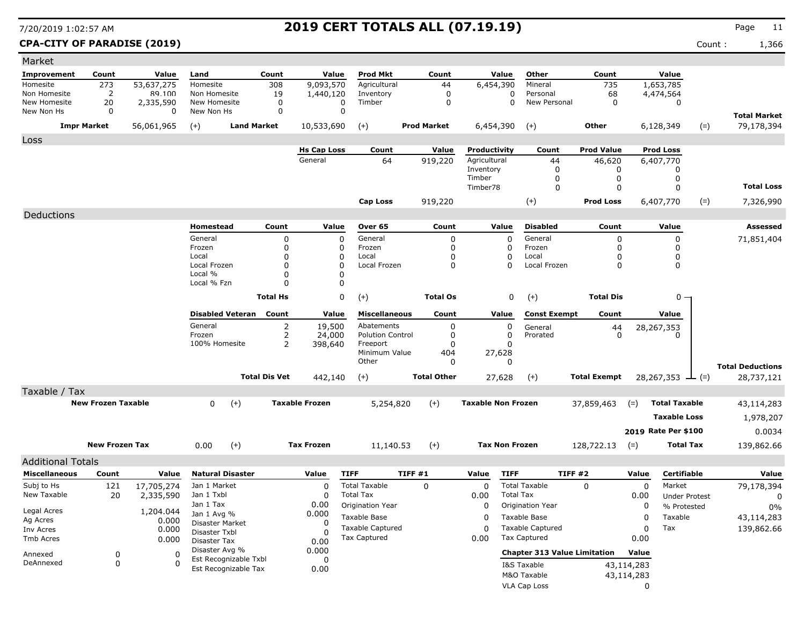**CPA-CITY OF PARADISE (2019)** Count : 1,366

| Market                     |                           |                       |                                               |                      |                       |                         |                    |                           |                       |                                     |                     |             |                              |       |                         |
|----------------------------|---------------------------|-----------------------|-----------------------------------------------|----------------------|-----------------------|-------------------------|--------------------|---------------------------|-----------------------|-------------------------------------|---------------------|-------------|------------------------------|-------|-------------------------|
| <b>Improvement</b>         | Count                     | Value                 | Land                                          | Count                | Value                 | <b>Prod Mkt</b>         | Count              |                           | Value                 | Other                               | Count               |             | Value                        |       |                         |
| Homesite                   | 273                       | 53,637,275            | Homesite                                      | 308                  | 9,093,570             | Agricultural            | 44                 |                           | 6,454,390             | Mineral                             | 735                 |             | 1,653,785                    |       |                         |
| Non Homesite               | 2                         | 89.100                | Non Homesite                                  | 19                   | 1,440,120             | Inventory               | 0                  |                           | 0                     | Personal                            | 68                  |             | 4,474,564                    |       |                         |
| New Homesite<br>New Non Hs | 20<br>0                   | 2,335,590<br>$\Omega$ | New Homesite<br>New Non Hs                    | 0<br>$\mathbf 0$     | 0<br>$\mathbf 0$      | Timber                  | 0                  |                           | 0                     | New Personal                        | $\mathbf 0$         |             | 0                            |       |                         |
|                            |                           |                       |                                               |                      |                       |                         |                    |                           |                       |                                     |                     |             |                              |       | <b>Total Market</b>     |
|                            | <b>Impr Market</b>        | 56,061,965            | $(+)$                                         | <b>Land Market</b>   | 10,533,690            | $(+)$                   | <b>Prod Market</b> |                           | 6,454,390             | $(+)$                               | Other               |             | 6,128,349                    | $(=)$ | 79,178,394              |
| Loss                       |                           |                       |                                               |                      |                       |                         |                    |                           |                       |                                     |                     |             |                              |       |                         |
|                            |                           |                       |                                               |                      | <b>Hs Cap Loss</b>    | Count                   | Value              | Productivity              |                       | Count                               | <b>Prod Value</b>   |             | <b>Prod Loss</b>             |       |                         |
|                            |                           |                       |                                               |                      | General               | 64                      | 919,220            | Agricultural              |                       | 44                                  | 46,620              |             | 6,407,770                    |       |                         |
|                            |                           |                       |                                               |                      |                       |                         |                    | Inventory<br>Timber       |                       | 0<br>0                              | 0<br>0              |             | 0<br>0                       |       |                         |
|                            |                           |                       |                                               |                      |                       |                         |                    | Timber78                  |                       | $\mathbf 0$                         | 0                   |             | 0                            |       | <b>Total Loss</b>       |
|                            |                           |                       |                                               |                      |                       |                         |                    |                           |                       |                                     | <b>Prod Loss</b>    |             |                              |       |                         |
|                            |                           |                       |                                               |                      |                       | Cap Loss                | 919,220            |                           |                       | $(+)$                               |                     |             | 6,407,770                    | $(=)$ | 7,326,990               |
| Deductions                 |                           |                       |                                               |                      |                       |                         |                    |                           |                       |                                     |                     |             |                              |       |                         |
|                            |                           |                       | Homestead                                     | Count                | Value                 | Over 65                 | Count              |                           | Value                 | <b>Disabled</b>                     | Count               |             | Value                        |       | <b>Assessed</b>         |
|                            |                           |                       | General                                       | $\Omega$             | 0                     | General                 | 0                  |                           | 0                     | General                             | 0                   |             | 0                            |       | 71,851,404              |
|                            |                           |                       | Frozen<br>Local                               | 0<br>0               | 0<br>0                | Frozen<br>Local         | 0<br>0             |                           | 0<br>0                | Frozen<br>Local                     | $\mathbf 0$<br>0    |             | 0<br>0                       |       |                         |
|                            |                           |                       | Local Frozen                                  | 0                    | 0                     | Local Frozen            | 0                  |                           | 0                     | Local Frozen                        | $\Omega$            |             | 0                            |       |                         |
|                            |                           |                       | Local %                                       | 0                    | 0                     |                         |                    |                           |                       |                                     |                     |             |                              |       |                         |
|                            |                           |                       | Local % Fzn                                   | 0                    | 0                     |                         |                    |                           |                       |                                     |                     |             |                              |       |                         |
|                            |                           |                       |                                               | <b>Total Hs</b>      | 0                     | $(+)$                   | <b>Total Os</b>    |                           | 0                     | $(+)$                               | <b>Total Dis</b>    |             | 0 -                          |       |                         |
|                            |                           |                       | <b>Disabled Veteran</b>                       | Count                | Value                 | <b>Miscellaneous</b>    | Count              |                           | Value                 | <b>Const Exempt</b>                 | Count               |             | Value                        |       |                         |
|                            |                           |                       | General                                       | $\overline{2}$       | 19,500                | Abatements              | 0                  |                           | 0                     | General                             | 44                  |             | 28,267,353                   |       |                         |
|                            |                           |                       | Frozen                                        | 2                    | 24,000                | <b>Polution Control</b> | 0                  |                           | 0                     | Prorated                            | $\Omega$            |             | O                            |       |                         |
|                            |                           |                       | 100% Homesite                                 | 2                    | 398,640               | Freeport                | 0                  |                           | 0                     |                                     |                     |             |                              |       |                         |
|                            |                           |                       |                                               |                      |                       | Minimum Value<br>Other  | 404<br>0           |                           | 27,628<br>0           |                                     |                     |             |                              |       |                         |
|                            |                           |                       |                                               |                      |                       |                         |                    |                           |                       |                                     |                     |             |                              |       | <b>Total Deductions</b> |
|                            |                           |                       |                                               | <b>Total Dis Vet</b> | 442,140               | $(+)$                   | <b>Total Other</b> |                           | 27,628                | $(+)$                               | <b>Total Exempt</b> |             | $28,267,353 \rightarrow (=)$ |       | 28,737,121              |
| Taxable / Tax              |                           |                       |                                               |                      |                       |                         |                    |                           |                       |                                     |                     |             |                              |       |                         |
|                            | <b>New Frozen Taxable</b> |                       | 0                                             | $(+)$                | <b>Taxable Frozen</b> | 5,254,820               | $(+)$              | <b>Taxable Non Frozen</b> |                       |                                     | 37,859,463          | $(=)$       | <b>Total Taxable</b>         |       | 43,114,283              |
|                            |                           |                       |                                               |                      |                       |                         |                    |                           |                       |                                     |                     |             | <b>Taxable Loss</b>          |       | 1,978,207               |
|                            |                           |                       |                                               |                      |                       |                         |                    |                           |                       |                                     |                     |             | 2019 Rate Per \$100          |       | 0.0034                  |
|                            | <b>New Frozen Tax</b>     |                       | 0.00                                          | $(+)$                | <b>Tax Frozen</b>     | 11,140.53               | $(+)$              |                           | <b>Tax Non Frozen</b> |                                     | 128,722.13          |             | <b>Total Tax</b>             |       |                         |
|                            |                           |                       |                                               |                      |                       |                         |                    |                           |                       |                                     |                     | $(=)$       |                              |       | 139,862.66              |
| <b>Additional Totals</b>   |                           |                       |                                               |                      |                       |                         |                    |                           |                       |                                     |                     |             |                              |       |                         |
| <b>Miscellaneous</b>       | Count                     | Value                 | <b>Natural Disaster</b>                       |                      | Value                 | <b>TIFF</b>             | TIFF#1             | Value                     | <b>TIFF</b>           |                                     | TIFF#2              | Value       | <b>Certifiable</b>           |       | Value                   |
| Subj to Hs                 | 121                       | 17,705,274            | Jan 1 Market                                  |                      | 0                     | <b>Total Taxable</b>    | $\mathbf 0$        | 0                         |                       | <b>Total Taxable</b>                | $\Omega$            | $\mathbf 0$ | Market                       |       | 79,178,394              |
| New Taxable                | 20                        | 2,335,590             | Jan 1 Txbl                                    |                      | 0                     | <b>Total Tax</b>        |                    | 0.00                      | <b>Total Tax</b>      |                                     |                     | 0.00        | <b>Under Protest</b>         |       | 0                       |
| Legal Acres                |                           | 1,204.044             | Jan 1 Tax<br>Jan 1 Avg %                      |                      | 0.00                  | Origination Year        |                    | 0                         |                       | <b>Origination Year</b>             |                     | 0           | % Protested                  |       | 0%                      |
| Ag Acres                   |                           | 0.000                 | Disaster Market                               |                      | 0.000<br>0            | Taxable Base            |                    | 0                         |                       | Taxable Base                        |                     | $\mathbf 0$ | Taxable                      |       | 43,114,283              |
| Inv Acres                  |                           | 0.000                 | Disaster Txbl                                 |                      | $\Omega$              | <b>Taxable Captured</b> |                    | 0                         |                       | <b>Taxable Captured</b>             |                     | 0           | Tax                          |       | 139,862.66              |
| Tmb Acres                  |                           | 0.000                 | Disaster Tax                                  |                      | 0.00                  | Tax Captured            |                    | 0.00                      |                       | <b>Tax Captured</b>                 |                     | 0.00        |                              |       |                         |
| Annexed                    | 0                         | 0                     | Disaster Avg %                                |                      | 0.000                 |                         |                    |                           |                       | <b>Chapter 313 Value Limitation</b> |                     | Value       |                              |       |                         |
| DeAnnexed                  | $\mathsf{O}\xspace$       | $\Omega$              | Est Recognizable Txbl<br>Est Recognizable Tax |                      | 0                     |                         |                    |                           |                       | I&S Taxable                         |                     | 43,114,283  |                              |       |                         |
|                            |                           |                       |                                               |                      | 0.00                  |                         |                    |                           |                       | M&O Taxable                         |                     | 43,114,283  |                              |       |                         |
|                            |                           |                       |                                               |                      |                       |                         |                    |                           |                       | <b>VLA Cap Loss</b>                 |                     | 0           |                              |       |                         |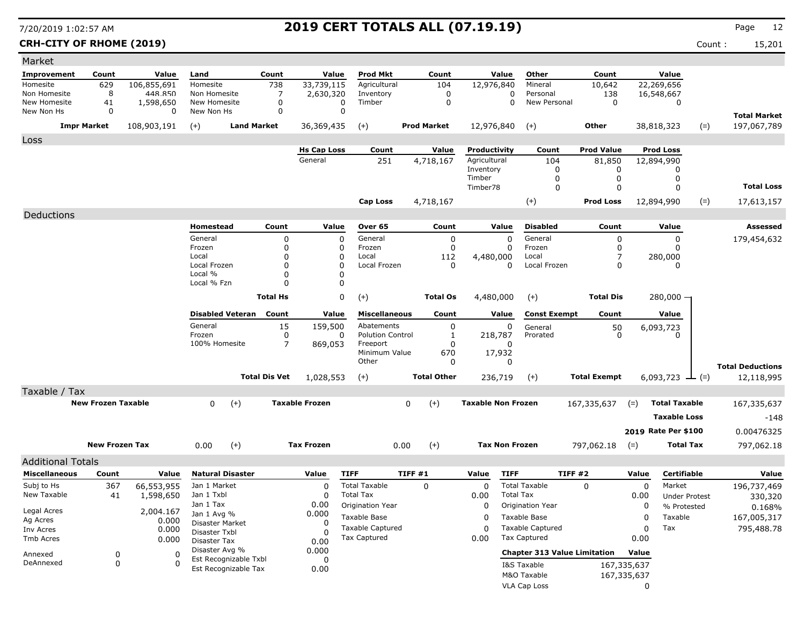### **CRH-CITY OF RHOME (2019)** Count : 15,201

| Improvement                |                           |                |                                |                      |                       |                                                |                    |                           |                                                |                     |                            |                             |       |                                    |
|----------------------------|---------------------------|----------------|--------------------------------|----------------------|-----------------------|------------------------------------------------|--------------------|---------------------------|------------------------------------------------|---------------------|----------------------------|-----------------------------|-------|------------------------------------|
|                            | Count                     | Value          | Land                           | Count                | Value                 | Prod Mkt                                       | Count              | Value                     | Other                                          | Count               |                            | Value                       |       |                                    |
| Homesite                   | 629                       | 106,855,691    | Homesite                       | 738                  | 33,739,115            | Agricultural                                   | 104                | 12,976,840                | Mineral                                        | 10,642              |                            | 22,269,656                  |       |                                    |
| Non Homesite               | 8                         | 448.850        | Non Homesite                   | 7                    | 2,630,320             | Inventory                                      | 0                  | 0                         | Personal                                       | 138                 |                            | 16,548,667                  |       |                                    |
| New Homesite<br>New Non Hs | 41<br>0                   | 1,598,650<br>0 | New Homesite<br>New Non Hs     | 0<br>0               | 0<br>$\Omega$         | Timber                                         | $\mathbf 0$        | $\Omega$                  | New Personal                                   | $\mathbf 0$         |                            | 0                           |       |                                    |
|                            | <b>Impr Market</b>        | 108,903,191    | $(+)$                          | <b>Land Market</b>   | 36,369,435            | $(+)$                                          | <b>Prod Market</b> | 12,976,840                | $(+)$                                          | Other               |                            | 38,818,323                  | $(=)$ | <b>Total Market</b><br>197,067,789 |
| Loss                       |                           |                |                                |                      |                       |                                                |                    |                           |                                                |                     |                            |                             |       |                                    |
|                            |                           |                |                                |                      | <b>Hs Cap Loss</b>    | Count                                          | Value              | Productivity              | Count                                          | <b>Prod Value</b>   |                            | <b>Prod Loss</b>            |       |                                    |
|                            |                           |                |                                |                      | General               | 251                                            | 4,718,167          | Agricultural              | 104                                            | 81,850              |                            | 12,894,990                  |       |                                    |
|                            |                           |                |                                |                      |                       |                                                |                    | Inventory<br>Timber       | 0<br>0                                         | 0<br>0              |                            | 0<br>0                      |       |                                    |
|                            |                           |                |                                |                      |                       |                                                |                    | Timber78                  | $\mathbf 0$                                    | $\mathbf 0$         |                            | $\Omega$                    |       | <b>Total Loss</b>                  |
|                            |                           |                |                                |                      |                       | <b>Cap Loss</b>                                |                    |                           |                                                | <b>Prod Loss</b>    |                            | 12,894,990                  |       |                                    |
|                            |                           |                |                                |                      |                       |                                                | 4,718,167          |                           | $(+)$                                          |                     |                            |                             | $(=)$ | 17,613,157                         |
| Deductions                 |                           |                | Homestead                      | Count                | Value                 | Over 65                                        | Count              | Value                     | <b>Disabled</b>                                | Count               |                            | Value                       |       | <b>Assessed</b>                    |
|                            |                           |                | General                        | $\Omega$             | $\mathbf 0$           | General                                        | 0                  | 0                         | General                                        | $\mathbf 0$         |                            | 0                           |       | 179,454,632                        |
|                            |                           |                | Frozen                         | $\Omega$             | 0                     | Frozen                                         | 0                  | 0                         | Frozen                                         | $\Omega$            |                            | 0                           |       |                                    |
|                            |                           |                | Local                          | O                    | 0                     | Local                                          | 112                | 4,480,000                 | Local                                          | 7                   |                            | 280,000                     |       |                                    |
|                            |                           |                | Local Frozen<br>Local %        | $\Omega$<br>O        | $\Omega$<br>0         | Local Frozen                                   | 0                  | 0                         | Local Frozen                                   | $\Omega$            |                            | 0                           |       |                                    |
|                            |                           |                | Local % Fzn                    | $\Omega$             | 0                     |                                                |                    |                           |                                                |                     |                            |                             |       |                                    |
|                            |                           |                |                                | <b>Total Hs</b>      | 0                     | $(+)$                                          | <b>Total Os</b>    | 4,480,000                 | $(+)$                                          | <b>Total Dis</b>    |                            | $280,000 -$                 |       |                                    |
|                            |                           |                |                                |                      |                       |                                                |                    |                           |                                                |                     |                            |                             |       |                                    |
|                            |                           |                | <b>Disabled Veteran</b>        | Count                | Value                 | <b>Miscellaneous</b>                           | Count              | Value                     | <b>Const Exempt</b>                            | Count               |                            | Value                       |       |                                    |
|                            |                           |                | General<br>Frozen              | 15                   | 159,500               | Abatements<br><b>Polution Control</b>          | 0                  | 0                         | General<br>Prorated                            | $\frac{50}{0}$      |                            | 6,093,723<br>$\Omega$       |       |                                    |
|                            |                           |                | 100% Homesite                  | 0<br>7               | 0<br>869,053          | Freeport                                       | 1<br>0             | 218,787<br>0              |                                                |                     |                            |                             |       |                                    |
|                            |                           |                |                                |                      |                       | Minimum Value                                  | 670                | 17,932                    |                                                |                     |                            |                             |       |                                    |
|                            |                           |                |                                |                      |                       | Other                                          | 0                  | 0                         |                                                |                     |                            |                             |       | <b>Total Deductions</b>            |
|                            |                           |                |                                |                      |                       |                                                |                    |                           |                                                |                     |                            |                             |       |                                    |
|                            |                           |                |                                | <b>Total Dis Vet</b> | 1,028,553             | $(+)$                                          | <b>Total Other</b> | 236,719                   | $(+)$                                          | <b>Total Exempt</b> |                            | 6,093,723 $\rightarrow$ (=) |       | 12,118,995                         |
|                            |                           |                |                                |                      |                       |                                                |                    |                           |                                                |                     |                            |                             |       |                                    |
| Taxable / Tax              | <b>New Frozen Taxable</b> |                | 0<br>$(+)$                     |                      | <b>Taxable Frozen</b> |                                                | $(+)$<br>0         | <b>Taxable Non Frozen</b> |                                                | 167,335,637         | $(=)$                      | <b>Total Taxable</b>        |       | 167,335,637                        |
|                            |                           |                |                                |                      |                       |                                                |                    |                           |                                                |                     |                            | <b>Taxable Loss</b>         |       | -148                               |
|                            |                           |                |                                |                      |                       |                                                |                    |                           |                                                |                     |                            |                             |       |                                    |
|                            | <b>New Frozen Tax</b>     |                |                                |                      | <b>Tax Frozen</b>     |                                                |                    | <b>Tax Non Frozen</b>     |                                                |                     |                            | 2019 Rate Per \$100         |       | 0.00476325                         |
|                            |                           |                | 0.00<br>$(+)$                  |                      |                       |                                                | 0.00<br>$(+)$      |                           |                                                | 797,062.18          | $(=)$                      | <b>Total Tax</b>            |       | 797,062.18                         |
| <b>Additional Totals</b>   |                           |                |                                |                      |                       |                                                |                    |                           |                                                |                     |                            |                             |       |                                    |
| <b>Miscellaneous</b>       | Count                     | Value          | <b>Natural Disaster</b>        |                      | Value                 | <b>TIFF</b>                                    | TIFF #1            | <b>TIFF</b><br>Value      |                                                | <b>TIFF #2</b>      | Value                      | Certifiable                 |       | Value                              |
| Subj to Hs                 | 367                       | 66,553,955     | Jan 1 Market                   |                      | 0                     | <b>Total Taxable</b>                           | $\mathbf 0$        | 0                         | <b>Total Taxable</b>                           | $\mathbf{0}$        | $\mathbf 0$                | Market                      |       | 196,737,469                        |
| New Taxable                | 41                        | 1,598,650      | Jan 1 Txbl<br>Jan 1 Tax        |                      | 0<br>0.00             | <b>Total Tax</b>                               |                    | 0.00<br><b>Total Tax</b>  |                                                |                     | 0.00                       | <b>Under Protest</b>        |       | 330,320                            |
| Legal Acres                |                           | 2,004.167      | Jan 1 Avg %                    |                      | 0.000                 | Origination Year                               |                    | 0                         | <b>Origination Year</b>                        |                     | 0                          | % Protested                 |       | 0.168%                             |
| Ag Acres                   |                           | 0.000          | Disaster Market                |                      | 0                     | Taxable Base                                   |                    | 0                         | Taxable Base                                   |                     | 0                          | Taxable                     |       | 167,005,317                        |
| Inv Acres<br>Tmb Acres     |                           | 0.000          | Disaster Txbl                  |                      | $\Omega$              | <b>Taxable Captured</b><br><b>Tax Captured</b> |                    | 0<br>0.00                 | <b>Taxable Captured</b><br><b>Tax Captured</b> |                     | 0<br>0.00                  | Tax                         |       | 795,488.78                         |
|                            |                           | 0.000          | Disaster Tax<br>Disaster Avg % |                      | 0.00                  |                                                |                    |                           |                                                |                     |                            |                             |       |                                    |
| Annexed                    | 0                         | 0<br>O         | Est Recognizable Txbl          |                      | 0.000<br>0            |                                                |                    |                           | <b>Chapter 313 Value Limitation</b>            |                     | Value                      |                             |       |                                    |
| DeAnnexed                  | 0                         |                | Est Recognizable Tax           |                      | 0.00                  |                                                |                    |                           | I&S Taxable<br>M&O Taxable                     |                     | 167,335,637<br>167,335,637 |                             |       |                                    |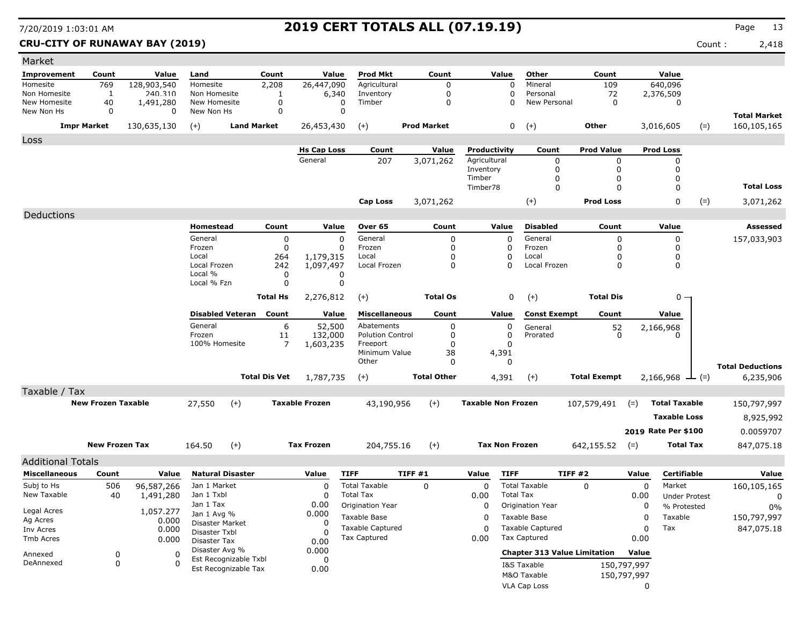**CRU-CITY OF RUNAWAY BAY (2019)** Count : 2,418

| Market                     |                           |                         |                                |                       |                       |                        |                                       |        |                    |                           |                       |                                     |                     |             |                      |             |                         |
|----------------------------|---------------------------|-------------------------|--------------------------------|-----------------------|-----------------------|------------------------|---------------------------------------|--------|--------------------|---------------------------|-----------------------|-------------------------------------|---------------------|-------------|----------------------|-------------|-------------------------|
| <b>Improvement</b>         | Count                     | Value                   | Land                           | Count                 |                       | Value                  | Prod Mkt                              |        | Count              |                           | Value                 | Other                               | Count               |             | Value                |             |                         |
| Homesite                   | 769                       | 128,903,540             | Homesite                       | 2,208                 |                       | 26,447,090             | Agricultural                          |        | 0                  |                           | 0                     | Mineral                             | 109                 |             | 640,096              |             |                         |
| Non Homesite               | 1                         | 240.310                 | Non Homesite                   |                       | 1                     | 6,340                  | Inventory                             |        | 0                  |                           | 0                     | Personal                            | 72                  |             | 2,376,509            |             |                         |
| New Homesite<br>New Non Hs | 40<br>0                   | 1,491,280<br>$\Omega$   | New Homesite<br>New Non Hs     |                       | 0<br>0                | 0<br>0                 | Timber                                |        | 0                  |                           | $\Omega$              | New Personal                        | $\mathbf 0$         |             | 0                    |             |                         |
|                            |                           |                         |                                |                       |                       |                        |                                       |        |                    |                           |                       |                                     |                     |             |                      |             | <b>Total Market</b>     |
|                            | <b>Impr Market</b>        | 130,635,130             | $(+)$                          | <b>Land Market</b>    |                       | 26,453,430             | $(+)$                                 |        | <b>Prod Market</b> |                           | 0                     | $(+)$                               | Other               |             | 3,016,605            | $(=)$       | 160,105,165             |
| Loss                       |                           |                         |                                |                       |                       |                        |                                       |        |                    |                           |                       |                                     |                     |             |                      |             |                         |
|                            |                           |                         |                                |                       |                       | <b>Hs Cap Loss</b>     | Count                                 |        | Value              | Productivity              |                       | Count                               | <b>Prod Value</b>   |             | <b>Prod Loss</b>     |             |                         |
|                            |                           |                         |                                |                       |                       | General                | 207                                   |        | 3,071,262          | Agricultural              |                       | 0                                   | 0                   |             | 0                    |             |                         |
|                            |                           |                         |                                |                       |                       |                        |                                       |        |                    | Inventory<br>Timber       |                       | 0<br>0                              | 0<br>0              |             | 0<br>0               |             |                         |
|                            |                           |                         |                                |                       |                       |                        |                                       |        |                    | Timber78                  |                       | $\mathbf 0$                         | $\Omega$            |             | $\mathbf{0}$         |             | <b>Total Loss</b>       |
|                            |                           |                         |                                |                       |                       |                        | Cap Loss                              |        | 3,071,262          |                           |                       |                                     | <b>Prod Loss</b>    |             | 0                    |             |                         |
|                            |                           |                         |                                |                       |                       |                        |                                       |        |                    |                           |                       | $(+)$                               |                     |             |                      | $(=)$       | 3,071,262               |
| Deductions                 |                           |                         |                                |                       |                       |                        |                                       |        |                    |                           |                       |                                     |                     |             |                      |             |                         |
|                            |                           |                         | Homestead                      |                       | Count                 | Value                  | Over 65                               |        | Count              |                           | Value                 | <b>Disabled</b>                     | Count               |             | Value                |             | Assessed                |
|                            |                           |                         | General                        |                       | 0                     | 0                      | General                               |        | $\mathbf 0$        |                           | $\mathbf 0$           | General                             | 0                   |             | 0                    |             | 157,033,903             |
|                            |                           |                         | Frozen<br>Local                |                       | 0                     | O                      | Frozen                                |        | 0                  |                           | $\Omega$              | Frozen<br>Local                     | 0                   |             | 0                    |             |                         |
|                            |                           |                         | Local Frozen                   |                       | 264<br>242            | 1,179,315<br>1,097,497 | Local<br>Local Frozen                 |        | 0<br>0             |                           | 0<br>$\Omega$         | Local Frozen                        | 0<br>0              |             | 0<br>0               |             |                         |
|                            |                           |                         | Local %                        |                       | 0                     | 0                      |                                       |        |                    |                           |                       |                                     |                     |             |                      |             |                         |
|                            |                           |                         | Local % Fzn                    |                       | 0                     | 0                      |                                       |        |                    |                           |                       |                                     |                     |             |                      |             |                         |
|                            |                           |                         |                                | <b>Total Hs</b>       |                       | 2,276,812              | $(+)$                                 |        | <b>Total Os</b>    |                           | 0                     | $(+)$                               | <b>Total Dis</b>    |             | $0 -$                |             |                         |
|                            |                           |                         |                                |                       |                       |                        |                                       |        |                    |                           |                       |                                     |                     |             |                      |             |                         |
|                            |                           |                         | <b>Disabled Veteran</b>        |                       | Count                 | Value                  | <b>Miscellaneous</b>                  |        | Count              |                           | Value                 | <b>Const Exempt</b>                 | Count               |             | Value                |             |                         |
|                            |                           |                         | General<br>Frozen              |                       | 6<br>11               | 52,500<br>132,000      | Abatements<br><b>Polution Control</b> |        | 0<br>0             |                           | 0<br>0                | General<br>Prorated                 | $\frac{52}{0}$      |             | 2,166,968            |             |                         |
|                            |                           |                         | 100% Homesite                  |                       | 7                     | 1,603,235              | Freeport                              |        | $\Omega$           |                           | $\Omega$              |                                     |                     |             |                      |             |                         |
|                            |                           |                         |                                |                       |                       |                        | Minimum Value                         |        | 38                 |                           | 4,391                 |                                     |                     |             |                      |             |                         |
|                            |                           |                         |                                |                       |                       |                        | Other                                 |        | 0                  |                           | 0                     |                                     |                     |             |                      |             | <b>Total Deductions</b> |
|                            |                           |                         |                                | <b>Total Dis Vet</b>  |                       | 1,787,735              | $(+)$                                 |        | <b>Total Other</b> |                           | 4,391                 | $(+)$                               | <b>Total Exempt</b> |             | 2,166,968            | $\perp$ (=) | 6,235,906               |
| Taxable / Tax              |                           |                         |                                |                       |                       |                        |                                       |        |                    |                           |                       |                                     |                     |             |                      |             |                         |
|                            | <b>New Frozen Taxable</b> |                         | 27,550                         | $(+)$                 | <b>Taxable Frozen</b> |                        | 43,190,956                            |        | $(+)$              | <b>Taxable Non Frozen</b> |                       |                                     | 107,579,491         | $(=)$       | <b>Total Taxable</b> |             | 150,797,997             |
|                            |                           |                         |                                |                       |                       |                        |                                       |        |                    |                           |                       |                                     |                     |             |                      |             |                         |
|                            |                           |                         |                                |                       |                       |                        |                                       |        |                    |                           |                       |                                     |                     |             | <b>Taxable Loss</b>  |             | 8,925,992               |
|                            |                           |                         |                                |                       |                       |                        |                                       |        |                    |                           |                       |                                     |                     |             | 2019 Rate Per \$100  |             | 0.0059707               |
|                            | <b>New Frozen Tax</b>     |                         | 164.50                         | $(+)$                 |                       | <b>Tax Frozen</b>      | 204,755.16                            |        | $(+)$              |                           | <b>Tax Non Frozen</b> |                                     | 642,155.52          | $(=)$       | <b>Total Tax</b>     |             | 847,075.18              |
| <b>Additional Totals</b>   |                           |                         |                                |                       |                       |                        |                                       |        |                    |                           |                       |                                     |                     |             |                      |             |                         |
| <b>Miscellaneous</b>       | Count                     | Value                   | <b>Natural Disaster</b>        |                       |                       | Value                  | <b>TIFF</b>                           | TIFF#1 |                    | Value                     | <b>TIFF</b>           |                                     | TIFF #2             | Value       | <b>Certifiable</b>   |             | Value                   |
| Subj to Hs                 |                           |                         | Jan 1 Market                   |                       |                       | $\Omega$               | <b>Total Taxable</b>                  |        | 0                  | 0                         |                       | <b>Total Taxable</b>                | $\Omega$            | 0           | Market               |             |                         |
| New Taxable                | 506<br>40                 | 96,587,266<br>1,491,280 | Jan 1 Txbl                     |                       |                       | O                      | <b>Total Tax</b>                      |        |                    | 0.00                      | <b>Total Tax</b>      |                                     |                     | 0.00        | <b>Under Protest</b> |             | 160,105,165<br>0        |
|                            |                           |                         | Jan 1 Tax                      |                       |                       | 0.00                   | Origination Year                      |        |                    | 0                         |                       | <b>Origination Year</b>             |                     | 0           | % Protested          |             | 0%                      |
| Legal Acres                |                           | 1,057.277               | Jan 1 Avg %                    |                       |                       | 0.000                  | Taxable Base                          |        |                    | 0                         |                       | Taxable Base                        |                     | 0           | Taxable              |             | 150,797,997             |
| Ag Acres                   |                           | 0.000                   | Disaster Market                |                       |                       | 0                      | Taxable Captured                      |        |                    | 0                         |                       | <b>Taxable Captured</b>             |                     | 0           | Tax                  |             | 847,075.18              |
| Inv Acres<br>Tmb Acres     |                           | 0.000                   | Disaster Txbl                  |                       |                       |                        | <b>Tax Captured</b>                   |        |                    | 0.00                      |                       | <b>Tax Captured</b>                 |                     | 0.00        |                      |             |                         |
|                            |                           | 0.000                   | Disaster Tax<br>Disaster Avg % |                       |                       | 0.00                   |                                       |        |                    |                           |                       |                                     |                     |             |                      |             |                         |
| Annexed                    | $\pmb{0}$                 | 0                       |                                | Est Recognizable Txbl |                       | 0.000<br>0             |                                       |        |                    |                           |                       | <b>Chapter 313 Value Limitation</b> |                     | Value       |                      |             |                         |
| DeAnnexed                  | 0                         | 0                       |                                | Est Recognizable Tax  |                       | 0.00                   |                                       |        |                    |                           |                       | I&S Taxable                         |                     | 150,797,997 |                      |             |                         |
|                            |                           |                         |                                |                       |                       |                        |                                       |        |                    |                           |                       | M&O Taxable                         |                     | 150,797,997 |                      |             |                         |
|                            |                           |                         |                                |                       |                       |                        |                                       |        |                    |                           |                       | VLA Cap Loss                        |                     | 0           |                      |             |                         |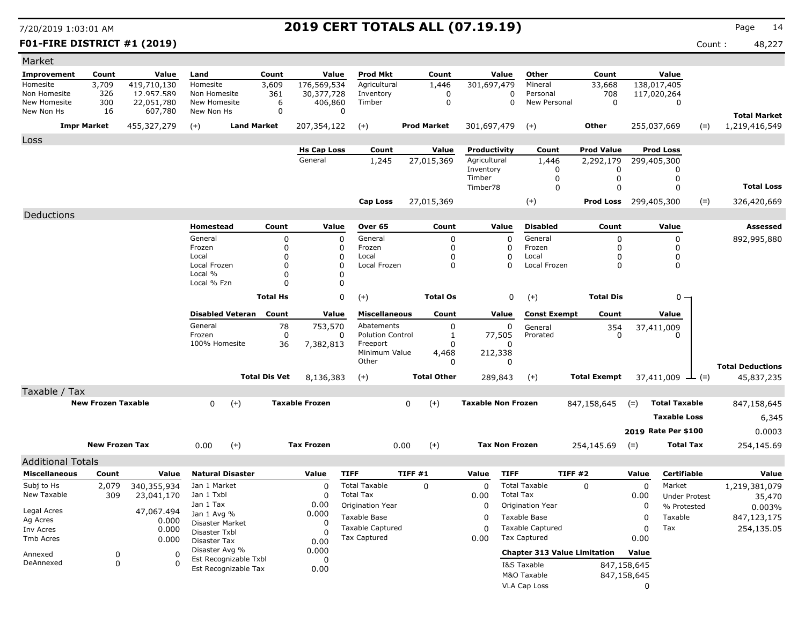**F01-FIRE DISTRICT #1 (2019)** Count : 48,227

| Market                     |                           |                       |                                |                      |                       |                         |                    |                           |                                     |                              |             |                      |       |                         |
|----------------------------|---------------------------|-----------------------|--------------------------------|----------------------|-----------------------|-------------------------|--------------------|---------------------------|-------------------------------------|------------------------------|-------------|----------------------|-------|-------------------------|
| Improvement                | Count                     | Value                 | Land                           | Count                | Value                 | <b>Prod Mkt</b>         | Count              | Value                     | Other                               | Count                        |             | Value                |       |                         |
| Homesite                   | 3,709                     | 419,710,130           | Homesite                       | 3,609                | 176,569,534           | Agricultural            | 1,446              | 301,697,479               | Mineral                             | 33,668                       |             | 138,017,405          |       |                         |
| Non Homesite               | 326                       | 12.957.589            | Non Homesite                   | 361                  | 30,377,728            | Inventory               | $\Omega$           |                           | Personal<br>0                       | 708                          |             | 117,020,264          |       |                         |
| New Homesite<br>New Non Hs | 300<br>16                 | 22,051,780<br>607,780 | New Homesite<br>New Non Hs     | 6<br>0               | 406,860<br>0          | Timber                  | 0                  |                           | New Personal<br>0                   | $\mathbf 0$                  |             | 0                    |       |                         |
|                            |                           |                       |                                |                      |                       |                         |                    |                           |                                     |                              |             |                      |       | <b>Total Market</b>     |
|                            | <b>Impr Market</b>        | 455,327,279           | $(+)$                          | <b>Land Market</b>   | 207,354,122           | $(+)$                   | <b>Prod Market</b> | 301,697,479               | $^{(+)}$                            | Other                        |             | 255,037,669          | $(=)$ | 1,219,416,549           |
| Loss                       |                           |                       |                                |                      |                       |                         |                    |                           |                                     |                              |             |                      |       |                         |
|                            |                           |                       |                                |                      | <b>Hs Cap Loss</b>    | Count                   | Value              | Productivity              | Count                               | <b>Prod Value</b>            |             | <b>Prod Loss</b>     |       |                         |
|                            |                           |                       |                                |                      | General               | 1,245                   | 27,015,369         | Agricultural<br>Inventory | 1,446<br>0                          | 2,292,179<br>0               |             | 299,405,300<br>0     |       |                         |
|                            |                           |                       |                                |                      |                       |                         |                    | Timber                    | 0                                   | 0                            |             | 0                    |       |                         |
|                            |                           |                       |                                |                      |                       |                         |                    | Timber78                  | 0                                   | $\Omega$                     |             | 0                    |       | <b>Total Loss</b>       |
|                            |                           |                       |                                |                      |                       | Cap Loss                | 27,015,369         |                           | $(+)$                               | <b>Prod Loss</b> 299,405,300 |             |                      | $(=)$ | 326,420,669             |
| Deductions                 |                           |                       |                                |                      |                       |                         |                    |                           |                                     |                              |             |                      |       |                         |
|                            |                           |                       |                                |                      |                       |                         |                    |                           | <b>Disabled</b>                     |                              |             |                      |       | <b>Assessed</b>         |
|                            |                           |                       | Homestead<br>General           | Count                | Value<br>0            | Over 65<br>General      | Count              | Value                     | 0<br>General                        | Count                        |             | Value<br>0           |       |                         |
|                            |                           |                       | Frozen                         | 0<br>0               | 0                     | Frozen                  | 0<br>0             |                           | 0<br>Frozen                         | 0<br>0                       |             | 0                    |       | 892,995,880             |
|                            |                           |                       | Local                          | 0                    | 0                     | Local                   | 0                  |                           | 0<br>Local                          | 0                            |             | 0                    |       |                         |
|                            |                           |                       | Local Frozen                   | 0                    | $\Omega$              | Local Frozen            | 0                  |                           | $\Omega$<br>Local Frozen            | $\Omega$                     |             | 0                    |       |                         |
|                            |                           |                       | Local %                        | 0                    | 0                     |                         |                    |                           |                                     |                              |             |                      |       |                         |
|                            |                           |                       | Local % Fzn                    | O                    | 0                     |                         |                    |                           |                                     |                              |             |                      |       |                         |
|                            |                           |                       |                                | <b>Total Hs</b>      | 0                     | $(+)$                   | <b>Total Os</b>    |                           | 0<br>$(+)$                          | <b>Total Dis</b>             |             | $0 -$                |       |                         |
|                            |                           |                       | <b>Disabled Veteran</b>        | Count                | Value                 | <b>Miscellaneous</b>    | Count              | Value                     | <b>Const Exempt</b>                 | Count                        |             | Value                |       |                         |
|                            |                           |                       | General                        | 78                   | 753,570               | Abatements              | 0                  |                           | 0<br>General                        | 354                          |             | 37,411,009           |       |                         |
|                            |                           |                       | Frozen                         | $\mathbf 0$          | 0                     | <b>Polution Control</b> | 1                  | 77,505                    | Prorated                            | 0                            |             | 0                    |       |                         |
|                            |                           |                       | 100% Homesite                  | 36                   | 7,382,813             | Freeport                | O                  |                           |                                     |                              |             |                      |       |                         |
|                            |                           |                       |                                |                      |                       | Minimum Value<br>Other  | 4,468<br>0         | 212,338                   | 0                                   |                              |             |                      |       |                         |
|                            |                           |                       |                                |                      |                       |                         |                    |                           |                                     |                              |             |                      |       | <b>Total Deductions</b> |
|                            |                           |                       |                                | <b>Total Dis Vet</b> | 8,136,383             | $(+)$                   | <b>Total Other</b> | 289,843                   | $(+)$                               | <b>Total Exempt</b>          |             | $37,411,009$ — (=)   |       | 45,837,235              |
| Taxable / Tax              |                           |                       |                                |                      |                       |                         |                    |                           |                                     |                              |             |                      |       |                         |
|                            | <b>New Frozen Taxable</b> |                       | $(+)$<br>0                     |                      | <b>Taxable Frozen</b> |                         | $(+)$<br>0         | <b>Taxable Non Frozen</b> |                                     | 847,158,645                  | $(=)$       | <b>Total Taxable</b> |       | 847,158,645             |
|                            |                           |                       |                                |                      |                       |                         |                    |                           |                                     |                              |             | <b>Taxable Loss</b>  |       | 6,345                   |
|                            |                           |                       |                                |                      |                       |                         |                    |                           |                                     |                              |             | 2019 Rate Per \$100  |       | 0.0003                  |
|                            |                           |                       |                                |                      |                       |                         |                    |                           |                                     |                              |             |                      |       |                         |
|                            | <b>New Frozen Tax</b>     |                       | 0.00<br>$(+)$                  |                      | <b>Tax Frozen</b>     |                         | $(+)$<br>0.00      |                           | <b>Tax Non Frozen</b>               | 254,145.69                   | $(=)$       | <b>Total Tax</b>     |       | 254,145.69              |
| <b>Additional Totals</b>   |                           |                       |                                |                      |                       |                         |                    |                           |                                     |                              |             |                      |       |                         |
| <b>Miscellaneous</b>       | Count                     | Value                 | <b>Natural Disaster</b>        |                      | Value                 | <b>TIFF</b>             | TIFF #1            | Value                     | <b>TIFF</b>                         | TIFF #2                      | Value       | Certifiable          |       | Value                   |
| Subj to Hs                 | 2,079                     | 340,355,934           | Jan 1 Market                   |                      | 0                     | <b>Total Taxable</b>    | 0                  | 0                         | <b>Total Taxable</b>                | $\Omega$                     | 0           | Market               |       | 1,219,381,079           |
| New Taxable                | 309                       | 23,041,170            | Jan 1 Txbl                     |                      | 0                     | <b>Total Tax</b>        |                    | 0.00                      | <b>Total Tax</b>                    |                              | 0.00        | <b>Under Protest</b> |       | 35,470                  |
| Legal Acres                |                           | 47,067.494            | Jan 1 Tax                      |                      | 0.00                  | Origination Year        |                    | 0                         | Origination Year                    |                              | 0           | % Protested          |       | 0.003%                  |
| Ag Acres                   |                           | 0.000                 | Jan 1 Avg %<br>Disaster Market |                      | 0.000<br>0            | Taxable Base            |                    | 0                         | Taxable Base                        |                              | 0           | Taxable              |       | 847,123,175             |
| Inv Acres                  |                           | 0.000                 | Disaster Txbl                  |                      |                       | <b>Taxable Captured</b> |                    | 0                         | <b>Taxable Captured</b>             |                              | 0           | Tax                  |       | 254,135.05              |
| Tmb Acres                  |                           | 0.000                 | Disaster Tax                   |                      | 0.00                  | Tax Captured            |                    | 0.00                      | Tax Captured                        |                              | 0.00        |                      |       |                         |
| Annexed                    | 0                         | 0                     | Disaster Avg %                 |                      | 0.000                 |                         |                    |                           | <b>Chapter 313 Value Limitation</b> |                              | Value       |                      |       |                         |
| DeAnnexed                  | 0                         | $\Omega$              | Est Recognizable Txbl          |                      | 0                     |                         |                    |                           | I&S Taxable                         |                              | 847,158,645 |                      |       |                         |
|                            |                           |                       | Est Recognizable Tax           |                      | 0.00                  |                         |                    |                           | M&O Taxable                         |                              | 847,158,645 |                      |       |                         |
|                            |                           |                       |                                |                      |                       |                         |                    |                           | <b>VLA Cap Loss</b>                 |                              | 0           |                      |       |                         |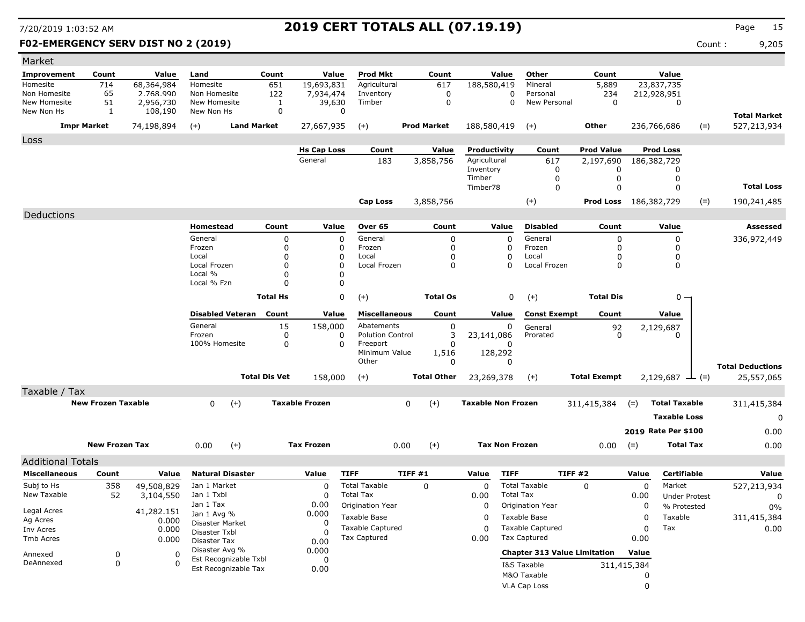### **F02-EMERGENCY SERV DIST NO 2 (2019)** Count : 9,205

| rage |  |
|------|--|
|      |  |

| Market                       |                           |                        |                                               |                      |                       |                           |                    |                           |                       |                                     |                              |             |                       |       |                                    |
|------------------------------|---------------------------|------------------------|-----------------------------------------------|----------------------|-----------------------|---------------------------|--------------------|---------------------------|-----------------------|-------------------------------------|------------------------------|-------------|-----------------------|-------|------------------------------------|
| <b>Improvement</b>           | Count                     | Value                  | Land                                          | Count                | Value                 | Prod Mkt                  | Count              |                           | Value                 | Other                               | Count                        |             | Value                 |       |                                    |
| Homesite                     | 714                       | 68,364,984             | Homesite                                      | 651                  | 19,693,831            | Agricultural              | 617                | 188,580,419               |                       | Mineral                             | 5,889                        |             | 23,837,735            |       |                                    |
| Non Homesite<br>New Homesite | 65<br>51                  | 2.768.990<br>2,956,730 | Non Homesite<br>New Homesite                  | 122<br>1             | 7,934,474<br>39,630   | Inventory<br>Timber       | 0<br>$\mathbf 0$   |                           | 0<br>$\Omega$         | Personal<br>New Personal            | 234<br>$\mathbf 0$           |             | 212,928,951<br>0      |       |                                    |
| New Non Hs                   | 1                         | 108,190                | New Non Hs                                    | 0                    | $\Omega$              |                           |                    |                           |                       |                                     |                              |             |                       |       |                                    |
|                              | <b>Impr Market</b>        | 74,198,894             | $(+)$                                         | <b>Land Market</b>   | 27,667,935            | $(+)$                     | <b>Prod Market</b> | 188,580,419               |                       | $(+)$                               | Other                        |             | 236,766,686           | $(=)$ | <b>Total Market</b><br>527,213,934 |
|                              |                           |                        |                                               |                      |                       |                           |                    |                           |                       |                                     |                              |             |                       |       |                                    |
| Loss                         |                           |                        |                                               |                      | <b>Hs Cap Loss</b>    | Count                     | Value              | Productivity              |                       | Count                               | <b>Prod Value</b>            |             | <b>Prod Loss</b>      |       |                                    |
|                              |                           |                        |                                               |                      | General               | 183                       | 3,858,756          | Agricultural              |                       | 617                                 | 2,197,690                    |             | 186,382,729           |       |                                    |
|                              |                           |                        |                                               |                      |                       |                           |                    | Inventory                 |                       | $\Omega$                            | 0                            |             | 0                     |       |                                    |
|                              |                           |                        |                                               |                      |                       |                           |                    | Timber                    |                       | $\Omega$                            | 0                            |             | 0                     |       | <b>Total Loss</b>                  |
|                              |                           |                        |                                               |                      |                       |                           |                    | Timber78                  |                       | $\mathbf 0$                         | $\Omega$                     |             | $\Omega$              |       |                                    |
|                              |                           |                        |                                               |                      |                       | Cap Loss                  | 3,858,756          |                           |                       | $(+)$                               | <b>Prod Loss</b> 186,382,729 |             |                       | $(=)$ | 190,241,485                        |
| Deductions                   |                           |                        |                                               |                      |                       |                           |                    |                           |                       |                                     |                              |             |                       |       |                                    |
|                              |                           |                        | Homestead                                     | Count                | Value                 | Over 65                   | Count              |                           | Value                 | <b>Disabled</b>                     | Count                        |             | Value                 |       | Assessed                           |
|                              |                           |                        | General                                       | 0                    | $\mathbf 0$           | General                   | 0                  |                           | 0                     | General                             | $\mathbf 0$                  |             | 0                     |       | 336,972,449                        |
|                              |                           |                        | Frozen<br>Local                               | 0<br>$\Omega$        | 0<br>0                | Frozen<br>Local           | 0<br>0             |                           | 0<br>0                | Frozen<br>Local                     | 0<br>0                       |             | 0<br>0                |       |                                    |
|                              |                           |                        | Local Frozen                                  | n                    | 0                     | Local Frozen              | 0                  |                           | 0                     | Local Frozen                        | $\Omega$                     |             | 0                     |       |                                    |
|                              |                           |                        | Local %                                       | n                    | 0                     |                           |                    |                           |                       |                                     |                              |             |                       |       |                                    |
|                              |                           |                        | Local % Fzn                                   | n                    | 0                     |                           |                    |                           |                       |                                     |                              |             |                       |       |                                    |
|                              |                           |                        |                                               | <b>Total Hs</b>      | 0                     | $(+)$                     | <b>Total Os</b>    |                           | 0                     | $(+)$                               | <b>Total Dis</b>             |             | $0 -$                 |       |                                    |
|                              |                           |                        | <b>Disabled Veteran</b>                       | Count                | Value                 | <b>Miscellaneous</b>      | Count              |                           | Value                 | <b>Const Exempt</b>                 | Count                        |             | Value                 |       |                                    |
|                              |                           |                        | General                                       | 15                   | 158,000               | Abatements                | 0                  |                           | 0                     | General                             |                              |             | 2,129,687             |       |                                    |
|                              |                           |                        | Frozen                                        | 0                    | 0                     | <b>Polution Control</b>   | 3                  | 23,141,086                |                       | Prorated                            | $\frac{92}{0}$               |             | $\Omega$              |       |                                    |
|                              |                           |                        | 100% Homesite                                 | 0                    | 0                     | Freeport<br>Minimum Value | O<br>1,516         |                           | 128,292               |                                     |                              |             |                       |       |                                    |
|                              |                           |                        |                                               |                      |                       | Other                     | 0                  |                           | 0                     |                                     |                              |             |                       |       | <b>Total Deductions</b>            |
|                              |                           |                        |                                               | <b>Total Dis Vet</b> | 158,000               | $(+)$                     | <b>Total Other</b> | 23,269,378                |                       | $(+)$                               | <b>Total Exempt</b>          |             | 2,129,687 $\perp$ (=) |       | 25,557,065                         |
|                              |                           |                        |                                               |                      |                       |                           |                    |                           |                       |                                     |                              |             |                       |       |                                    |
| Taxable / Tax                | <b>New Frozen Taxable</b> |                        |                                               |                      | <b>Taxable Frozen</b> |                           |                    | <b>Taxable Non Frozen</b> |                       |                                     |                              |             |                       |       |                                    |
|                              |                           |                        | $(+)$<br>0                                    |                      |                       |                           | $(+)$<br>0         |                           |                       |                                     | 311,415,384                  | $(=)$       | <b>Total Taxable</b>  |       | 311,415,384                        |
|                              |                           |                        |                                               |                      |                       |                           |                    |                           |                       |                                     |                              |             | <b>Taxable Loss</b>   |       | 0                                  |
|                              |                           |                        |                                               |                      |                       |                           |                    |                           |                       |                                     |                              |             | 2019 Rate Per \$100   |       | 0.00                               |
|                              | <b>New Frozen Tax</b>     |                        | 0.00<br>$(+)$                                 |                      | <b>Tax Frozen</b>     |                           | 0.00<br>$(+)$      |                           | <b>Tax Non Frozen</b> |                                     | 0.00                         | $(=)$       | <b>Total Tax</b>      |       | 0.00                               |
| <b>Additional Totals</b>     |                           |                        |                                               |                      |                       |                           |                    |                           |                       |                                     |                              |             |                       |       |                                    |
| <b>Miscellaneous</b>         | Count                     | Value                  | <b>Natural Disaster</b>                       |                      | Value                 | <b>TIFF</b>               | <b>TIFF #1</b>     | Value                     | <b>TIFF</b>           | <b>TIFF #2</b>                      |                              | Value       | <b>Certifiable</b>    |       | Value                              |
| Subj to Hs                   | 358                       | 49,508,829             | Jan 1 Market                                  |                      | 0                     | <b>Total Taxable</b>      | $\Omega$           | $\mathbf 0$               |                       | <b>Total Taxable</b>                | $\mathbf{0}$                 | 0           | Market                |       | 527,213,934                        |
| New Taxable                  | 52                        | 3,104,550              | Jan 1 Txbl                                    |                      | 0                     | <b>Total Tax</b>          |                    | 0.00                      | <b>Total Tax</b>      |                                     |                              | 0.00        | <b>Under Protest</b>  |       | 0                                  |
| Legal Acres                  |                           | 41,282.151             | Jan 1 Tax                                     |                      | 0.00                  | Origination Year          |                    | 0                         |                       | Origination Year                    |                              | 0           | % Protested           |       | 0%                                 |
| Ag Acres                     |                           | 0.000                  | Jan 1 Avg %<br>Disaster Market                |                      | 0.000<br>0            | Taxable Base              |                    | 0                         |                       | Taxable Base                        |                              | 0           | Taxable               |       | 311,415,384                        |
| Inv Acres                    |                           | 0.000                  | Disaster Txbl                                 |                      | -C                    | <b>Taxable Captured</b>   |                    | 0                         |                       | <b>Taxable Captured</b>             |                              | 0           | Tax                   |       | 0.00                               |
| Tmb Acres                    |                           | 0.000                  | Disaster Tax                                  |                      | 0.00                  | <b>Tax Captured</b>       |                    | 0.00                      |                       | <b>Tax Captured</b>                 |                              | 0.00        |                       |       |                                    |
| Annexed                      | 0                         | 0                      | Disaster Avg %                                |                      | 0.000                 |                           |                    |                           |                       | <b>Chapter 313 Value Limitation</b> |                              | Value       |                       |       |                                    |
| DeAnnexed                    | 0                         | 0                      | Est Recognizable Txbl<br>Est Recognizable Tax |                      | 0<br>0.00             |                           |                    |                           |                       | I&S Taxable                         |                              | 311,415,384 |                       |       |                                    |
|                              |                           |                        |                                               |                      |                       |                           |                    |                           |                       | M&O Taxable                         |                              | 0           |                       |       |                                    |
|                              |                           |                        |                                               |                      |                       |                           |                    |                           |                       | <b>VLA Cap Loss</b>                 |                              | 0           |                       |       |                                    |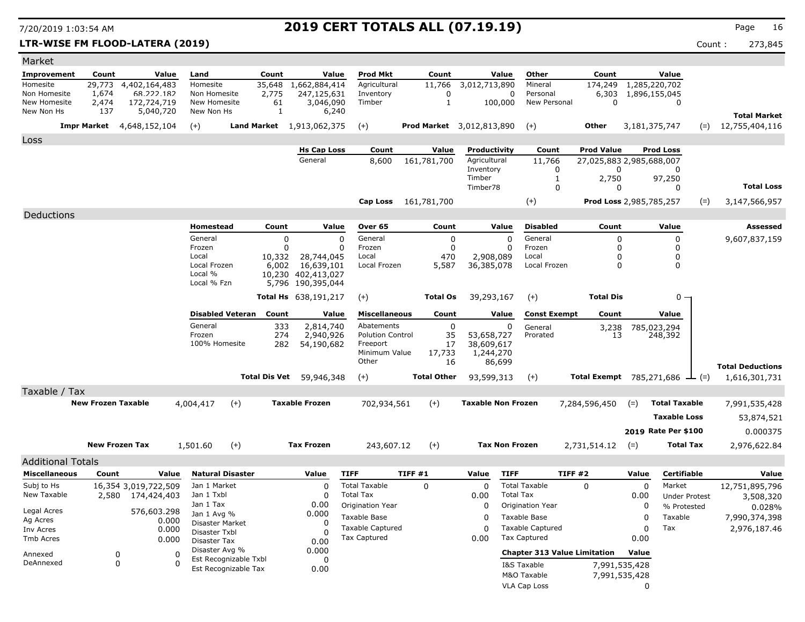**LTR-WISE FM FLOOD-LATERA (2019)** Count : 273,845

| Market                     |                           |                                  |                   |                                         |         |                           |                         |                                  |                           |                       |                                     |                                             |          |                      |       |                         |
|----------------------------|---------------------------|----------------------------------|-------------------|-----------------------------------------|---------|---------------------------|-------------------------|----------------------------------|---------------------------|-----------------------|-------------------------------------|---------------------------------------------|----------|----------------------|-------|-------------------------|
| <b>Improvement</b>         | Count                     | Value                            | Land              |                                         | Count   | Value                     | <b>Prod Mkt</b>         | Count                            |                           | Value                 | Other                               | Count                                       |          | Value                |       |                         |
| Homesite                   | 29,773                    | 4,402,164,483                    |                   | Homesite                                | 35,648  | 1,662,884,414             | Agricultural            | 11,766                           | 3,012,713,890             |                       | Mineral                             | 174,249                                     |          | 1,285,220,702        |       |                         |
| Non Homesite               | 1,674                     | 68.222.182                       |                   | Non Homesite                            | 2,775   | 247,125,631               | Inventory               | 0                                |                           | 0                     | Personal                            | 6,303                                       |          | 1,896,155,045        |       |                         |
| New Homesite<br>New Non Hs | 2,474<br>137              | 172,724,719<br>5,040,720         |                   | New Homesite<br>New Non Hs              | 61<br>1 | 3,046,090<br>6,240        | Timber                  | $\mathbf{1}$                     |                           | 100,000               | New Personal                        | $\mathbf 0$                                 |          | 0                    |       |                         |
|                            |                           |                                  |                   |                                         |         |                           |                         |                                  |                           |                       |                                     |                                             |          |                      |       | <b>Total Market</b>     |
|                            |                           | <b>Impr Market</b> 4,648,152,104 | $(+)$             |                                         |         | Land Market 1,913,062,375 | $(+)$                   | <b>Prod Market</b> 3,012,813,890 |                           |                       | $(+)$                               | Other                                       |          | 3,181,375,747        | $(=)$ | 12,755,404,116          |
| Loss                       |                           |                                  |                   |                                         |         |                           |                         |                                  |                           |                       |                                     |                                             |          |                      |       |                         |
|                            |                           |                                  |                   |                                         |         | <b>Hs Cap Loss</b>        | Count                   | Value                            | Productivity              |                       | Count                               | <b>Prod Value</b>                           |          | <b>Prod Loss</b>     |       |                         |
|                            |                           |                                  |                   |                                         |         | General                   | 8,600                   | 161,781,700                      | Agricultural              |                       | 11,766                              | 27,025,883 2,985,688,007                    |          |                      |       |                         |
|                            |                           |                                  |                   |                                         |         |                           |                         |                                  | Inventory<br>Timber       |                       | 0<br>1                              | 0<br>2,750                                  |          | 0<br>97,250          |       |                         |
|                            |                           |                                  |                   |                                         |         |                           |                         |                                  | Timber78                  |                       | 0                                   | 0                                           |          | 0                    |       | <b>Total Loss</b>       |
|                            |                           |                                  |                   |                                         |         |                           |                         | Cap Loss 161,781,700             |                           |                       | $(+)$                               | Prod Loss 2,985,785,257                     |          |                      | $(=)$ | 3,147,566,957           |
|                            |                           |                                  |                   |                                         |         |                           |                         |                                  |                           |                       |                                     |                                             |          |                      |       |                         |
| Deductions                 |                           |                                  |                   |                                         |         |                           |                         |                                  |                           |                       |                                     |                                             |          |                      |       |                         |
|                            |                           |                                  |                   | Homestead                               | Count   | Value                     | Over 65                 | Count                            |                           | Value                 | <b>Disabled</b>                     | Count                                       |          | Value                |       | Assessed                |
|                            |                           |                                  | General<br>Frozen |                                         | 0<br>0  | 0<br><sup>0</sup>         | General<br>Frozen       | 0<br>0                           |                           | 0<br>$\mathbf{0}$     | General<br>Frozen                   | 0<br>0                                      |          | 0<br><sup>0</sup>    |       | 9,607,837,159           |
|                            |                           |                                  | Local             |                                         | 10,332  | 28,744,045                | Local                   | 470                              | 2,908,089                 |                       | Local                               | 0                                           |          | 0                    |       |                         |
|                            |                           |                                  |                   | Local Frozen                            | 6,002   | 16,639,101                | Local Frozen            | 5,587                            | 36,385,078                |                       | Local Frozen                        | 0                                           |          | 0                    |       |                         |
|                            |                           |                                  | Local %           | Local % Fzn                             |         | 10,230 402,413,027        |                         |                                  |                           |                       |                                     |                                             |          |                      |       |                         |
|                            |                           |                                  |                   |                                         |         | 5,796 190,395,044         |                         |                                  |                           |                       |                                     |                                             |          |                      |       |                         |
|                            |                           |                                  |                   |                                         |         | Total Hs 638,191,217      | $(+)$                   | <b>Total Os</b>                  | 39,293,167                |                       | $(+)$                               | <b>Total Dis</b>                            |          | 0 —                  |       |                         |
|                            |                           |                                  |                   | <b>Disabled Veteran</b>                 | Count   | Value                     | <b>Miscellaneous</b>    | Count                            |                           | Value                 | <b>Const Exempt</b>                 | Count                                       |          | Value                |       |                         |
|                            |                           |                                  | General           |                                         | 333     | 2,814,740                 | Abatements              | 0                                |                           | 0                     | General                             | 3,238                                       |          | 785,023,294          |       |                         |
|                            |                           |                                  | Frozen            |                                         | 274     | 2,940,926                 | <b>Polution Control</b> | 35                               | 53,658,727                |                       | Prorated                            | 13                                          |          | 248,392              |       |                         |
|                            |                           |                                  |                   | 100% Homesite                           | 282     | 54,190,682                | Freeport                | 17                               | 38,609,617                |                       |                                     |                                             |          |                      |       |                         |
|                            |                           |                                  |                   |                                         |         |                           | Minimum Value<br>Other  | 17,733<br>16                     | 1,244,270                 | 86,699                |                                     |                                             |          |                      |       |                         |
|                            |                           |                                  |                   |                                         |         |                           |                         |                                  |                           |                       |                                     |                                             |          |                      |       | <b>Total Deductions</b> |
|                            |                           |                                  |                   |                                         |         | Total Dis Vet 59,946,348  | $(+)$                   | <b>Total Other</b>               | 93,599,313                |                       | $(+)$                               | <b>Total Exempt</b> 785,271,686 $\perp$ (=) |          |                      |       | 1,616,301,731           |
| Taxable / Tax              |                           |                                  |                   |                                         |         |                           |                         |                                  |                           |                       |                                     |                                             |          |                      |       |                         |
|                            | <b>New Frozen Taxable</b> |                                  | 4,004,417         | $^{(+)}$                                |         | <b>Taxable Frozen</b>     | 702,934,561             | $(+)$                            | <b>Taxable Non Frozen</b> |                       |                                     | 7,284,596,450                               | $(=)$    | <b>Total Taxable</b> |       | 7,991,535,428           |
|                            |                           |                                  |                   |                                         |         |                           |                         |                                  |                           |                       |                                     |                                             |          | <b>Taxable Loss</b>  |       | 53,874,521              |
|                            |                           |                                  |                   |                                         |         |                           |                         |                                  |                           |                       |                                     |                                             |          | 2019 Rate Per \$100  |       | 0.000375                |
|                            | <b>New Frozen Tax</b>     |                                  | 1,501.60          | $(+)$                                   |         | <b>Tax Frozen</b>         | 243,607.12              | $(+)$                            |                           | <b>Tax Non Frozen</b> |                                     | 2,731,514.12                                |          | Total Tax            |       | 2,976,622.84            |
|                            |                           |                                  |                   |                                         |         |                           |                         |                                  |                           |                       |                                     |                                             | $(=)$    |                      |       |                         |
| <b>Additional Totals</b>   |                           |                                  |                   |                                         |         |                           |                         |                                  |                           |                       |                                     |                                             |          |                      |       |                         |
| <b>Miscellaneous</b>       | Count                     | Value                            |                   | <b>Natural Disaster</b>                 |         | Value                     | <b>TIFF</b>             | TIFF#1                           | Value                     | <b>TIFF</b>           |                                     | TIFF #2                                     | Value    | <b>Certifiable</b>   |       | Value                   |
| Subj to Hs                 |                           | 16,354 3,019,722,509             |                   | Jan 1 Market                            |         | $\Omega$                  | <b>Total Taxable</b>    | 0                                | 0                         |                       | <b>Total Taxable</b>                | 0                                           | 0        | Market               |       | 12,751,895,796          |
| New Taxable                |                           | 2,580 174,424,403                |                   | Jan 1 Txbl                              |         | O                         | <b>Total Tax</b>        |                                  | 0.00                      | <b>Total Tax</b>      |                                     |                                             | 0.00     | <b>Under Protest</b> |       | 3,508,320               |
| Legal Acres                |                           | 576,603.298                      |                   | Jan 1 Tax<br>Jan 1 Avg %                |         | 0.00<br>0.000             | Origination Year        |                                  | 0                         |                       | Origination Year                    |                                             | 0        | % Protested          |       | 0.028%                  |
| Ag Acres                   |                           | 0.000                            |                   | Disaster Market                         |         | $\Omega$                  | Taxable Base            |                                  | 0                         |                       | Taxable Base                        |                                             | $\Omega$ | Taxable              |       | 7,990,374,398           |
| Inv Acres                  |                           | 0.000                            |                   | Disaster Txbl                           |         |                           | <b>Taxable Captured</b> |                                  | O                         |                       | <b>Taxable Captured</b>             |                                             | 0        | Tax                  |       | 2,976,187.46            |
| Tmb Acres                  |                           | 0.000                            |                   | Disaster Tax                            |         | 0.00                      | <b>Tax Captured</b>     |                                  | 0.00                      |                       | <b>Tax Captured</b>                 |                                             | 0.00     |                      |       |                         |
| Annexed                    | $\boldsymbol{0}$          |                                  | 0                 | Disaster Avg %<br>Est Recognizable Txbl |         | 0.000                     |                         |                                  |                           |                       | <b>Chapter 313 Value Limitation</b> |                                             | Value    |                      |       |                         |
| DeAnnexed                  | 0                         |                                  | $\Omega$          | Est Recognizable Tax                    |         | 0<br>0.00                 |                         |                                  |                           |                       | I&S Taxable                         | 7,991,535,428                               |          |                      |       |                         |
|                            |                           |                                  |                   |                                         |         |                           |                         |                                  |                           |                       | M&O Taxable                         | 7,991,535,428                               |          |                      |       |                         |
|                            |                           |                                  |                   |                                         |         |                           |                         |                                  |                           |                       | <b>VLA Cap Loss</b>                 |                                             | 0        |                      |       |                         |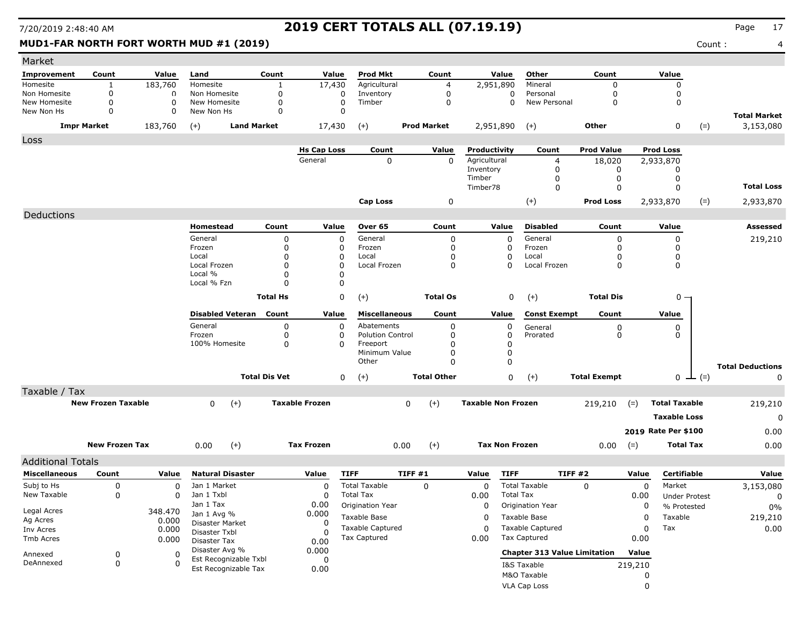### **MUD1-FAR NORTH FORT WORTH MUD #1 (2019)** 4 and 2019 **Count :** 4 and 2019 **Count :** 4 and 2019 **Count :** 4 and 2019 **Count :** 4 and 2019 **Count :** 4 and 2019 **Count :** 4 and 2019 **Count :** 4 and 2019 **Count :** 4 and 2019

| Market                       |                            |                         |                                         |                         |                       |                                                |             |                      |                           |                      |                                         |                            |                  |                                     |       |                         |
|------------------------------|----------------------------|-------------------------|-----------------------------------------|-------------------------|-----------------------|------------------------------------------------|-------------|----------------------|---------------------------|----------------------|-----------------------------------------|----------------------------|------------------|-------------------------------------|-------|-------------------------|
| Improvement                  | Count                      | Value                   | Land                                    | Count                   | Value                 | <b>Prod Mkt</b>                                |             | Count                | Value                     |                      | Other                                   | Count                      |                  | Value                               |       |                         |
| Homesite                     | 1                          | 183,760                 | Homesite                                | $\mathbf{1}$            | 17,430                | Agricultural                                   |             | 4                    | 2,951,890                 |                      | Mineral                                 | $\Omega$                   |                  | $\Omega$                            |       |                         |
| Non Homesite<br>New Homesite | $\mathbf 0$<br>$\mathbf 0$ | $\Omega$<br>$\mathbf 0$ | Non Homesite<br>New Homesite            | 0<br>$\mathbf 0$        | 0<br>$\mathbf 0$      | Inventory<br>Timber                            |             | 0<br>$\mathbf 0$     |                           | 0<br>$\mathbf 0$     | Personal<br>New Personal                | $\mathbf 0$<br>$\mathbf 0$ |                  | 0<br>$\mathbf 0$                    |       |                         |
| New Non Hs                   | $\mathbf 0$                | 0                       | New Non Hs                              | $\mathbf 0$             | $\mathbf 0$           |                                                |             |                      |                           |                      |                                         |                            |                  |                                     |       | <b>Total Market</b>     |
|                              | <b>Impr Market</b>         | 183,760                 | <b>Land Market</b><br>$(+)$             |                         | 17,430                | $(+)$                                          |             | <b>Prod Market</b>   | 2,951,890                 |                      | $(+)$                                   | Other                      |                  | 0                                   | $(=)$ | 3,153,080               |
| Loss                         |                            |                         |                                         |                         |                       |                                                |             |                      |                           |                      |                                         |                            |                  |                                     |       |                         |
|                              |                            |                         |                                         |                         | <b>Hs Cap Loss</b>    | Count                                          |             | Value                | Productivity              |                      | Count                                   | <b>Prod Value</b>          |                  | <b>Prod Loss</b>                    |       |                         |
|                              |                            |                         |                                         |                         | General               | 0                                              |             | $\mathbf 0$          | Agricultural              |                      | 4                                       | 18,020                     |                  | 2,933,870                           |       |                         |
|                              |                            |                         |                                         |                         |                       |                                                |             |                      | Inventory<br>Timber       |                      | 0<br>0                                  | 0<br>0                     |                  | 0<br>0                              |       |                         |
|                              |                            |                         |                                         |                         |                       |                                                |             |                      | Timber78                  |                      | 0                                       | $\mathbf 0$                |                  | $\mathbf 0$                         |       | <b>Total Loss</b>       |
|                              |                            |                         |                                         |                         |                       | <b>Cap Loss</b>                                |             | 0                    |                           |                      | $(+)$                                   | <b>Prod Loss</b>           |                  | 2,933,870                           | $(=)$ | 2,933,870               |
| Deductions                   |                            |                         |                                         |                         |                       |                                                |             |                      |                           |                      |                                         |                            |                  |                                     |       |                         |
|                              |                            |                         | Homestead                               | Count                   | Value                 | Over 65                                        |             | Count                | Value                     |                      | <b>Disabled</b>                         | Count                      |                  | Value                               |       | <b>Assessed</b>         |
|                              |                            |                         | General                                 | $\mathbf 0$             | $\mathbf 0$           | General                                        |             | 0                    |                           | $\Omega$             | General                                 | $\Omega$                   |                  | $\mathbf 0$                         |       | 219,210                 |
|                              |                            |                         | Frozen                                  | $\Omega$                | $\Omega$              | Frozen                                         |             | 0                    |                           | $\Omega$             | Frozen                                  | 0                          |                  | 0                                   |       |                         |
|                              |                            |                         | Local<br>Local Frozen                   | $\Omega$<br>$\mathbf 0$ | 0<br>$\Omega$         | Local<br>Local Frozen                          |             | 0<br>$\mathbf 0$     |                           | $\Omega$<br>$\Omega$ | Local<br>Local Frozen                   | 0<br>$\mathbf 0$           |                  | 0<br>$\mathbf 0$                    |       |                         |
|                              |                            |                         | Local %                                 | $\Omega$                | O                     |                                                |             |                      |                           |                      |                                         |                            |                  |                                     |       |                         |
|                              |                            |                         | Local % Fzn                             | $\Omega$                | 0                     |                                                |             |                      |                           |                      |                                         |                            |                  |                                     |       |                         |
|                              |                            |                         |                                         | <b>Total Hs</b>         | $\mathbf 0$           | $(+)$                                          |             | <b>Total Os</b>      |                           | 0                    | $(+)$                                   | <b>Total Dis</b>           |                  | 0 -                                 |       |                         |
|                              |                            |                         | <b>Disabled Veteran</b>                 | Count                   | Value                 | <b>Miscellaneous</b>                           |             | Count                | Value                     |                      | <b>Const Exempt</b>                     | Count                      |                  | Value                               |       |                         |
|                              |                            |                         | General                                 | $\mathbf 0$             | 0                     | Abatements                                     |             | $\mathbf 0$          |                           | $\mathbf 0$          | General                                 | $_{\rm 0}^{\rm 0}$         |                  | 0                                   |       |                         |
|                              |                            |                         | Frozen                                  | $\mathbf 0$             | 0                     | <b>Polution Control</b>                        |             | $\mathbf 0$          |                           | 0                    | Prorated                                |                            |                  | 0                                   |       |                         |
|                              |                            |                         | 100% Homesite                           | $\mathbf 0$             | $\Omega$              | Freeport<br>Minimum Value                      |             | $\Omega$<br>$\Omega$ |                           | 0<br>$\Omega$        |                                         |                            |                  |                                     |       |                         |
|                              |                            |                         |                                         |                         |                       | Other                                          |             | $\Omega$             |                           | $\Omega$             |                                         |                            |                  |                                     |       | <b>Total Deductions</b> |
|                              |                            |                         |                                         | <b>Total Dis Vet</b>    | 0                     | $(+)$                                          |             | <b>Total Other</b>   |                           | $\mathbf 0$          | $(+)$                                   | <b>Total Exempt</b>        |                  | 0 $\perp$ (=)                       |       | 0                       |
| Taxable / Tax                |                            |                         |                                         |                         |                       |                                                |             |                      |                           |                      |                                         |                            |                  |                                     |       |                         |
|                              | <b>New Frozen Taxable</b>  |                         | 0<br>$(+)$                              |                         | <b>Taxable Frozen</b> |                                                | $\mathbf 0$ | $(+)$                | <b>Taxable Non Frozen</b> |                      |                                         | 219,210                    | $(=)$            | <b>Total Taxable</b>                |       | 219,210                 |
|                              |                            |                         |                                         |                         |                       |                                                |             |                      |                           |                      |                                         |                            |                  | <b>Taxable Loss</b>                 |       | $\Omega$                |
|                              |                            |                         |                                         |                         |                       |                                                |             |                      |                           |                      |                                         |                            |                  |                                     |       |                         |
|                              |                            |                         |                                         |                         |                       |                                                |             |                      |                           |                      |                                         |                            |                  | 2019 Rate Per \$100                 |       | 0.00                    |
|                              | <b>New Frozen Tax</b>      |                         | 0.00<br>$(+)$                           |                         | <b>Tax Frozen</b>     |                                                | 0.00        | $(+)$                | <b>Tax Non Frozen</b>     |                      |                                         | 0.00                       | $(=)$            | <b>Total Tax</b>                    |       | 0.00                    |
| <b>Additional Totals</b>     |                            |                         |                                         |                         |                       |                                                |             |                      |                           |                      |                                         |                            |                  |                                     |       |                         |
| <b>Miscellaneous</b>         | Count                      | Value                   | <b>Natural Disaster</b>                 |                         | Value                 | <b>TIFF</b>                                    | TIFF#1      |                      | Value                     | <b>TIFF</b>          | TIFF #2                                 |                            | Value            | Certifiable                         |       | Value                   |
| Subj to Hs<br>New Taxable    | 0                          | $\mathbf 0$             | Jan 1 Market<br>Jan 1 Txbl              |                         | $\Omega$              | <b>Total Taxable</b><br><b>Total Tax</b>       |             | $\Omega$             | $\mathbf 0$<br>0.00       | <b>Total Tax</b>     | <b>Total Taxable</b>                    | $\Omega$                   | $\mathbf 0$      | Market                              |       | 3,153,080               |
|                              | 0                          | 0                       | Jan 1 Tax                               |                         | 0<br>0.00             | Origination Year                               |             |                      | 0                         |                      | Origination Year                        |                            | 0.00<br>$\Omega$ | <b>Under Protest</b><br>% Protested |       | 0                       |
| Legal Acres                  |                            | 348.470                 | Jan 1 Avg %                             |                         | 0.000                 | Taxable Base                                   |             |                      | 0                         |                      | Taxable Base                            |                            | $\Omega$         | Taxable                             |       | 0%                      |
| Ag Acres                     |                            | 0.000                   | <b>Disaster Market</b>                  |                         | 0                     |                                                |             |                      |                           |                      |                                         |                            | $\Omega$         |                                     |       | 219,210                 |
| Inv Acres                    |                            | 0.000                   | Disaster Txbl                           |                         | 0                     | <b>Taxable Captured</b><br><b>Tax Captured</b> |             |                      | 0<br>0.00                 |                      | <b>Taxable Captured</b><br>Tax Captured |                            | 0.00             | Tax                                 |       | 0.00                    |
| Tmb Acres                    |                            | 0.000                   | Disaster Tax                            |                         | 0.00                  |                                                |             |                      |                           |                      |                                         |                            |                  |                                     |       |                         |
| Annexed                      | $\mathbf 0$                | $\Omega$                | Disaster Avg %<br>Est Recognizable Txbl |                         | 0.000<br>$\mathbf 0$  |                                                |             |                      |                           |                      | <b>Chapter 313 Value Limitation</b>     |                            | Value            |                                     |       |                         |
| DeAnnexed                    | 0                          | n                       | Est Recognizable Tax                    |                         | 0.00                  |                                                |             |                      |                           |                      | I&S Taxable                             |                            | 219,210          |                                     |       |                         |
|                              |                            |                         |                                         |                         |                       |                                                |             |                      |                           |                      | M&O Taxable                             |                            |                  | 0                                   |       |                         |

VLA Cap Loss 0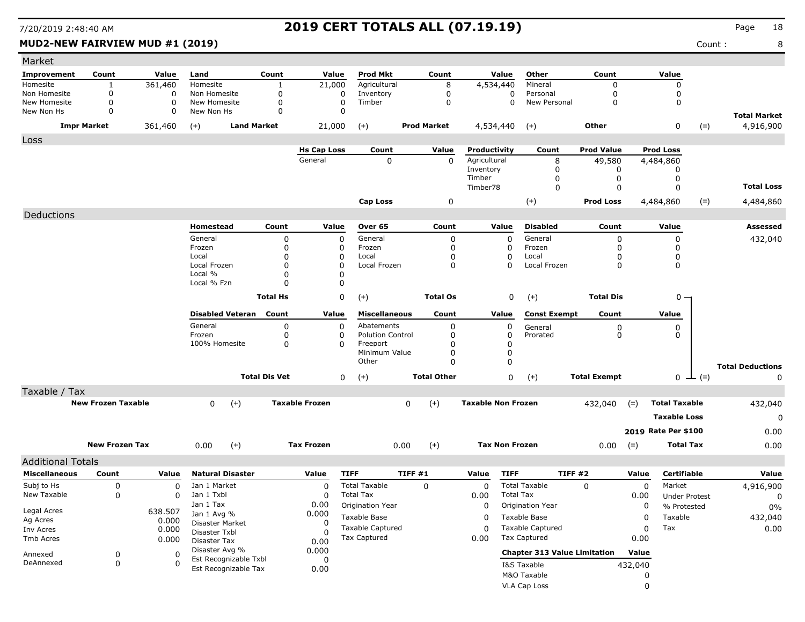| MUD2-NEW FAIRVIEW MUD #1 (2019) |                    |          |                             |                 |                    |                      |                    |              |                     |                   |                  | Count: | 8                   |
|---------------------------------|--------------------|----------|-----------------------------|-----------------|--------------------|----------------------|--------------------|--------------|---------------------|-------------------|------------------|--------|---------------------|
| Market                          |                    |          |                             |                 |                    |                      |                    |              |                     |                   |                  |        |                     |
| Improvement                     | Count              | Value    | Land                        | Count           | Value              | <b>Prod Mkt</b>      | Count              | Value        | Other               | Count             | Value            |        |                     |
| Homesite                        |                    | 361,460  | Homesite                    |                 | 21,000             | Agricultural         | 8                  | 4,534,440    | Mineral             |                   |                  |        |                     |
| Non Homesite                    | 0                  | O        | Non Homesite                |                 | 0                  | Inventory            | 0                  | 0            | Personal            |                   | 0                |        |                     |
| New Homesite                    | 0                  | $\Omega$ | New Homesite                |                 | 0                  | Timber               | $\Omega$           | $\Omega$     | New Personal        | $\Omega$          | 0                |        |                     |
| New Non Hs                      | 0                  | $\Omega$ | New Non Hs                  | $\Omega$        | O                  |                      |                    |              |                     |                   |                  |        | <b>Total Market</b> |
|                                 | <b>Impr Market</b> | 361,460  | $(+)$<br><b>Land Market</b> |                 | 21,000             | $(+)$                | <b>Prod Market</b> | 4,534,440    | $(+)$               | Other             | 0                | $(=)$  | 4,916,900           |
| Loss                            |                    |          |                             |                 |                    |                      |                    |              |                     |                   |                  |        |                     |
|                                 |                    |          |                             |                 | <b>Hs Cap Loss</b> | Count                | Value              | Productivity | Count               | <b>Prod Value</b> | <b>Prod Loss</b> |        |                     |
|                                 |                    |          |                             |                 | General            | 0                    | 0                  | Agricultural | 8                   | 49,580            | 4,484,860        |        |                     |
|                                 |                    |          |                             |                 |                    |                      |                    | Inventory    | O                   |                   |                  |        |                     |
|                                 |                    |          |                             |                 |                    |                      |                    | Timber       | $\Omega$            |                   |                  |        |                     |
|                                 |                    |          |                             |                 |                    |                      |                    | Timber78     | 0                   | 0                 |                  |        | <b>Total Loss</b>   |
|                                 |                    |          |                             |                 |                    | <b>Cap Loss</b>      | 0                  |              | $(+)$               | <b>Prod Loss</b>  | 4,484,860        | $(=)$  | 4,484,860           |
| Deductions                      |                    |          |                             |                 |                    |                      |                    |              |                     |                   |                  |        |                     |
|                                 |                    |          | <b>Homestead</b>            | Count           | Value              | Over 65              | Count              | Value        | <b>Disabled</b>     | Count             | Value            |        | <b>Assessed</b>     |
|                                 |                    |          | General                     | O               | $\Omega$           | General              | 0                  | 0            | General             | $\Omega$          | 0                |        | 432,040             |
|                                 |                    |          | Frozen                      |                 | n                  | Frozen               | 0                  | $\mathbf{0}$ | Frozen              |                   |                  |        |                     |
|                                 |                    |          | Local                       |                 |                    | Local                |                    | 0            | Local               |                   | 0                |        |                     |
|                                 |                    |          | Local Frozen                |                 |                    | Local Frozen         | $\mathbf 0$        | 0            | Local Frozen        | 0                 | 0                |        |                     |
|                                 |                    |          | Local %                     |                 |                    |                      |                    |              |                     |                   |                  |        |                     |
|                                 |                    |          | Local % Fzn                 |                 | $\Omega$           |                      |                    |              |                     |                   |                  |        |                     |
|                                 |                    |          |                             | <b>Total Hs</b> | 0                  | $(+)$                | <b>Total Os</b>    | 0            | $(+)$               | <b>Total Dis</b>  | $0 -$            |        |                     |
|                                 |                    |          | <b>Disabled Veteran</b>     | Count           | Value              | <b>Miscellaneous</b> | Count              | Value        | <b>Const Exempt</b> | Count             | Value            |        |                     |
|                                 |                    |          | General                     | 0               | 0                  | Abatements           | $\mathbf 0$        | 0            | General             | $\Omega$          | 0                |        |                     |

| Subj to Hs<br>New Taxable | 0                         | $\Omega$<br><sup>0</sup> | Jan 1 Market<br>Jan 1 Txbl<br>$\ln 1$ T <sub>2</sub> $\sqrt{2}$ |                         | n nn                  |                | Total Taxable<br><b>Total Tax</b><br>$Q$ of a function $M = 0$ | 0                  | 0<br>0.00<br>$\sim$ | <b>Total Taxable</b><br><b>Total Tax</b><br>$O = 100$ | 0                   | 0<br>0.00<br>$\sim$ | Market<br><b>Under Protest</b><br>. | 4,916,900<br>$\Omega$<br>---- |
|---------------------------|---------------------------|--------------------------|-----------------------------------------------------------------|-------------------------|-----------------------|----------------|----------------------------------------------------------------|--------------------|---------------------|-------------------------------------------------------|---------------------|---------------------|-------------------------------------|-------------------------------|
| <b>Miscellaneous</b>      | Count                     | Value                    |                                                                 | <b>Natural Disaster</b> | Value                 | <b>TIFF</b>    | TIFF#1                                                         |                    | Value               | <b>TIFF</b>                                           | <b>TIFF #2</b>      | Value               | <b>Certifiable</b>                  | Value                         |
| <b>Additional Totals</b>  |                           |                          |                                                                 |                         |                       |                |                                                                |                    |                     |                                                       |                     |                     |                                     |                               |
|                           | <b>New Frozen Tax</b>     |                          | 0.00                                                            | $(+)$                   | <b>Tax Frozen</b>     |                | 0.00                                                           | $^{(+)}$           |                     | <b>Tax Non Frozen</b>                                 | 0.00                | $(=)$               | <b>Total Tax</b>                    | 0.00                          |
|                           |                           |                          |                                                                 |                         |                       |                |                                                                |                    |                     |                                                       |                     |                     | 2019 Rate Per \$100                 | 0.00                          |
|                           |                           |                          |                                                                 |                         |                       |                |                                                                |                    |                     |                                                       |                     |                     | <b>Taxable Loss</b>                 | 0                             |
|                           | <b>New Frozen Taxable</b> |                          | 0                                                               | $(+)$                   | <b>Taxable Frozen</b> |                | 0                                                              | $^{(+)}$           |                     | <b>Taxable Non Frozen</b>                             | 432,040             | $(=)$               | <b>Total Taxable</b>                | 432,040                       |
| Taxable / Tax             |                           |                          |                                                                 |                         |                       |                |                                                                |                    |                     |                                                       |                     |                     |                                     |                               |
|                           |                           |                          |                                                                 |                         | <b>Total Dis Vet</b>  | $\overline{0}$ | $(+)$                                                          | <b>Total Other</b> |                     | $\mathbf 0$<br>$(+)$                                  | <b>Total Exempt</b> |                     | $0 \perp (=)$                       | 0                             |
|                           |                           |                          |                                                                 |                         |                       |                | Other                                                          |                    |                     | 0                                                     |                     |                     |                                     | <b>Total Deductions</b>       |
|                           |                           |                          | 100% Homesite                                                   |                         | 0                     | 0              | Freeport<br>Minimum Value                                      |                    |                     |                                                       |                     |                     |                                     |                               |
|                           |                           |                          | Frozen                                                          |                         |                       |                | <b>Polution Control</b>                                        |                    |                     | Prorated<br>0                                         |                     | 0                   |                                     |                               |
|                           |                           |                          | General                                                         |                         |                       |                | Abatements                                                     | υ                  |                     | O<br>General                                          |                     | 0                   |                                     |                               |

|             |                  |                                               |       |                     |      |                                     |         | <u></u>     | ັ       |
|-------------|------------------|-----------------------------------------------|-------|---------------------|------|-------------------------------------|---------|-------------|---------|
| Legal Acres |                  | Jan 1 Tax                                     | 0.00  | Origination Year    | O    | Origination Year                    |         | % Protested | 0%      |
| Ag Acres    | 638.507<br>0.000 | Jan 1 Avg %                                   | 0.000 | Taxable Base        |      | Taxable Base                        |         | Taxable     | 432,040 |
| Inv Acres   | 0.000            | <b>Disaster Market</b><br>Disaster Txbl       |       | Taxable Captured    |      | <b>Taxable Captured</b>             |         | Tax         | 0.00    |
| Tmb Acres   | 0.000            | Disaster Tax                                  | 0.00  | <b>Tax Captured</b> | 0.00 | Tax Captured                        | 0.00    |             |         |
| Annexed     |                  | Disaster Avg %                                | 0.000 |                     |      | <b>Chapter 313 Value Limitation</b> | Value   |             |         |
| DeAnnexed   |                  | Est Recognizable Txbl<br>Est Recognizable Tax | 0.00  |                     |      | I&S Taxable                         | 432,040 |             |         |
|             |                  |                                               |       |                     |      | M&O Taxable                         |         |             |         |
|             |                  |                                               |       |                     |      |                                     |         |             |         |

VLA Cap Loss 0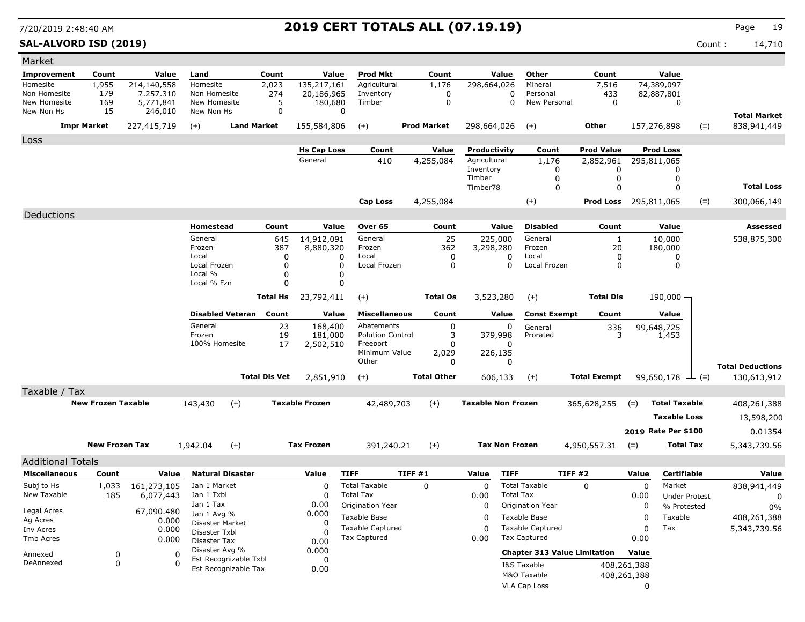**SAL-ALVORD ISD (2019)** Count : 14,710

| Market                     |                           |                      |                                         |                               |                       |                           |                    |        |                           |                                     |                              |             |                              |       |                                    |
|----------------------------|---------------------------|----------------------|-----------------------------------------|-------------------------------|-----------------------|---------------------------|--------------------|--------|---------------------------|-------------------------------------|------------------------------|-------------|------------------------------|-------|------------------------------------|
| Improvement                | Count                     | Value                | Land                                    | Count                         | Value                 | Prod Mkt                  | Count              |        | Value                     | Other                               | Count                        |             | Value                        |       |                                    |
| Homesite                   | 1,955                     | 214,140,558          | Homesite                                | 2,023                         | 135,217,161           | Agricultural              | 1,176              |        | 298,664,026               | Mineral                             | 7,516                        |             | 74,389,097                   |       |                                    |
| Non Homesite               | 179                       | 7.257.310            | Non Homesite                            | 274                           | 20,186,965            | Inventory                 | 0                  |        | 0                         | Personal                            | 433                          |             | 82,887,801                   |       |                                    |
| New Homesite<br>New Non Hs | 169<br>15                 | 5,771,841<br>246,010 | New Homesite<br>New Non Hs              | 5<br>$\Omega$                 | 180,680<br>0          | Timber                    | 0                  |        | $\Omega$                  | New Personal                        | $\mathbf 0$                  |             | 0                            |       |                                    |
|                            | <b>Impr Market</b>        | 227,415,719          | $(+)$                                   | <b>Land Market</b>            | 155,584,806           | $(+)$                     | <b>Prod Market</b> |        | 298,664,026               | $(+)$                               | Other                        |             | 157,276,898                  | $(=)$ | <b>Total Market</b><br>838,941,449 |
| Loss                       |                           |                      |                                         |                               |                       |                           |                    |        |                           |                                     |                              |             |                              |       |                                    |
|                            |                           |                      |                                         |                               | <b>Hs Cap Loss</b>    | Count                     | Value              |        | Productivity              | Count                               | <b>Prod Value</b>            |             | <b>Prod Loss</b>             |       |                                    |
|                            |                           |                      |                                         |                               | General               | 410                       | 4,255,084          |        | Agricultural              | 1,176                               | 2,852,961                    |             | 295,811,065                  |       |                                    |
|                            |                           |                      |                                         |                               |                       |                           |                    | Timber | Inventory                 | 0<br>0                              | 0<br>0                       |             | 0<br>0                       |       |                                    |
|                            |                           |                      |                                         |                               |                       |                           |                    |        | Timber78                  | $\mathbf 0$                         | 0                            |             | $\Omega$                     |       | <b>Total Loss</b>                  |
|                            |                           |                      |                                         |                               |                       | <b>Cap Loss</b>           | 4,255,084          |        |                           | $(+)$                               | <b>Prod Loss</b> 295,811,065 |             |                              | $(=)$ | 300,066,149                        |
| Deductions                 |                           |                      |                                         |                               |                       |                           |                    |        |                           |                                     |                              |             |                              |       |                                    |
|                            |                           |                      | Homestead                               | Count                         | Value                 | Over 65                   | Count              |        | Value                     | <b>Disabled</b>                     | Count                        |             | Value                        |       | Assessed                           |
|                            |                           |                      | General                                 | 645                           | 14,912,091            | General                   |                    | 25     | 225,000                   | General                             | $\mathbf{1}$                 |             | 10,000                       |       | 538,875,300                        |
|                            |                           |                      | Frozen                                  | 387                           | 8,880,320             | Frozen                    | 362                |        | 3,298,280                 | Frozen                              | 20                           |             | 180,000                      |       |                                    |
|                            |                           |                      | Local                                   | 0                             | 0                     | Local                     |                    | 0      | 0                         | Local                               | 0                            |             | 0                            |       |                                    |
|                            |                           |                      | Local Frozen<br>Local %                 | 0<br>$\Omega$                 | 0<br>0                | Local Frozen              |                    | 0      | 0                         | Local Frozen                        | 0                            |             | 0                            |       |                                    |
|                            |                           |                      | Local % Fzn                             | $\Omega$                      | 0                     |                           |                    |        |                           |                                     |                              |             |                              |       |                                    |
|                            |                           |                      |                                         | <b>Total Hs</b>               | 23,792,411            | $(+)$                     | <b>Total Os</b>    |        | 3,523,280                 | $(+)$                               | <b>Total Dis</b>             |             | $190,000 -$                  |       |                                    |
|                            |                           |                      |                                         | <b>Disabled Veteran</b> Count | Value                 | <b>Miscellaneous</b>      | Count              |        | Value                     | <b>Const Exempt</b>                 | Count                        |             | Value                        |       |                                    |
|                            |                           |                      | General                                 | 23                            | 168,400               | Abatements                |                    | 0      | 0                         | General                             | 336                          |             |                              |       |                                    |
|                            |                           |                      | Frozen                                  | 19                            | 181,000               | <b>Polution Control</b>   |                    | 3      | 379,998                   | Prorated                            | २                            |             | 99,648,725<br>1,453          |       |                                    |
|                            |                           |                      | 100% Homesite                           | 17                            | 2,502,510             | Freeport<br>Minimum Value | 2,029              | 0      | 0<br>226,135              |                                     |                              |             |                              |       |                                    |
|                            |                           |                      |                                         |                               |                       | Other                     |                    | 0      | 0                         |                                     |                              |             |                              |       | <b>Total Deductions</b>            |
|                            |                           |                      |                                         | <b>Total Dis Vet</b>          | 2,851,910             | $(+)$                     | <b>Total Other</b> |        | 606,133                   | $(+)$                               | <b>Total Exempt</b>          |             | 99,650,178 $\rightarrow$ (=) |       | 130,613,912                        |
| Taxable / Tax              |                           |                      |                                         |                               |                       |                           |                    |        |                           |                                     |                              |             |                              |       |                                    |
|                            | <b>New Frozen Taxable</b> |                      | 143,430                                 | $(+)$                         | <b>Taxable Frozen</b> | 42,489,703                | $(+)$              |        | <b>Taxable Non Frozen</b> |                                     | 365,628,255                  | $(=)$       | <b>Total Taxable</b>         |       | 408,261,388                        |
|                            |                           |                      |                                         |                               |                       |                           |                    |        |                           |                                     |                              |             | <b>Taxable Loss</b>          |       |                                    |
|                            |                           |                      |                                         |                               |                       |                           |                    |        |                           |                                     |                              |             |                              |       | 13,598,200                         |
|                            |                           |                      |                                         |                               |                       |                           |                    |        |                           |                                     |                              |             | 2019 Rate Per \$100          |       | 0.01354                            |
|                            | <b>New Frozen Tax</b>     |                      | 1,942.04                                | $(+)$                         | <b>Tax Frozen</b>     | 391,240.21                | $(+)$              |        | <b>Tax Non Frozen</b>     |                                     | 4,950,557.31                 | $(=)$       | <b>Total Tax</b>             |       | 5,343,739.56                       |
| <b>Additional Totals</b>   |                           |                      |                                         |                               |                       |                           |                    |        |                           |                                     |                              |             |                              |       |                                    |
| <b>Miscellaneous</b>       | Count                     | Value                | <b>Natural Disaster</b>                 |                               | Value                 | <b>TIFF</b>               | TIFF #1            | Value  | <b>TIFF</b>               |                                     | TIFF #2                      | Value       | Certifiable                  |       | Value                              |
| Subj to Hs                 | 1,033                     | 161,273,105          | Jan 1 Market                            |                               | $\Omega$              | <b>Total Taxable</b>      | $\mathbf 0$        |        | 0                         | <b>Total Taxable</b>                | 0                            | $\mathbf 0$ | Market                       |       | 838,941,449                        |
| New Taxable                | 185                       | 6,077,443            | Jan 1 Txbl                              |                               | 0                     | <b>Total Tax</b>          |                    | 0.00   | <b>Total Tax</b>          |                                     |                              | 0.00        | <b>Under Protest</b>         |       | 0                                  |
| Legal Acres                |                           | 67,090.480           | Jan 1 Tax<br>Jan 1 Avg %                |                               | 0.00<br>0.000         | Origination Year          |                    |        | 0                         | Origination Year                    |                              | 0           | % Protested                  |       | $0\%$                              |
| Ag Acres                   |                           | 0.000                | Disaster Market                         |                               | -0                    | Taxable Base              |                    |        | 0                         | Taxable Base                        |                              | 0           | Taxable                      |       | 408,261,388                        |
| Inv Acres                  |                           | 0.000                | Disaster Txbl                           |                               | -0                    | <b>Taxable Captured</b>   |                    |        | $\Omega$                  | <b>Taxable Captured</b>             |                              | 0           | Tax                          |       | 5,343,739.56                       |
| Tmb Acres                  |                           | 0.000                | Disaster Tax                            |                               | 0.00                  | Tax Captured              |                    | 0.00   |                           | Tax Captured                        |                              | 0.00        |                              |       |                                    |
| Annexed                    | 0                         | 0                    | Disaster Avg %<br>Est Recognizable Txbl |                               | 0.000<br>0            |                           |                    |        |                           | <b>Chapter 313 Value Limitation</b> |                              | Value       |                              |       |                                    |
| DeAnnexed                  | 0                         | $\Omega$             | Est Recognizable Tax                    |                               | 0.00                  |                           |                    |        |                           | I&S Taxable                         |                              | 408,261,388 |                              |       |                                    |
|                            |                           |                      |                                         |                               |                       |                           |                    |        |                           | M&O Taxable                         |                              | 408,261,388 |                              |       |                                    |
|                            |                           |                      |                                         |                               |                       |                           |                    |        |                           | VLA Cap Loss                        |                              | 0           |                              |       |                                    |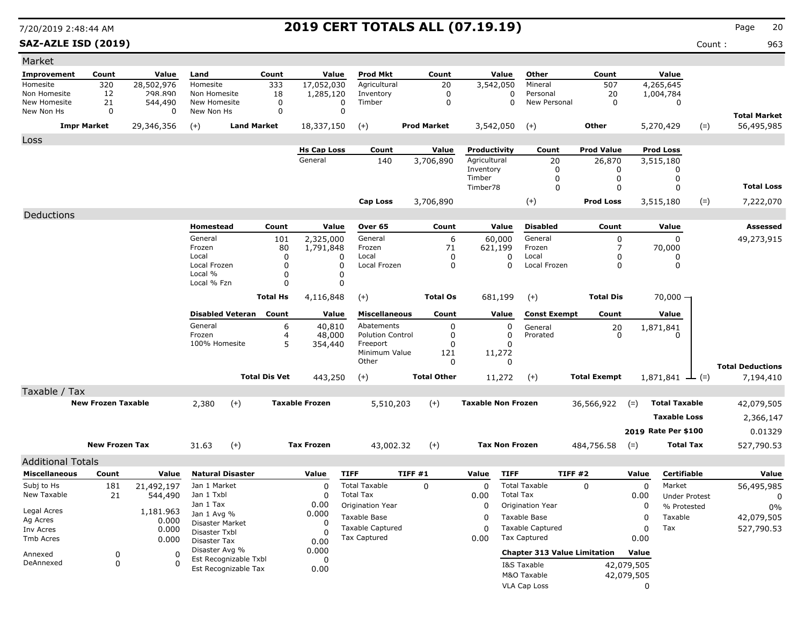**SAZ-AZLE ISD (2019)** Count : 963

| Market                     |                           |              |                                |                       |                  |                       |                         |                    |             |                           |                                     |                     |            |                       |       |                                   |
|----------------------------|---------------------------|--------------|--------------------------------|-----------------------|------------------|-----------------------|-------------------------|--------------------|-------------|---------------------------|-------------------------------------|---------------------|------------|-----------------------|-------|-----------------------------------|
| Improvement                | Count                     | Value        | Land                           |                       | Count            | Value                 | <b>Prod Mkt</b>         | Count              |             | Value                     | Other                               | Count               |            | Value                 |       |                                   |
| Homesite                   | 320                       | 28,502,976   | Homesite                       |                       | 333              | 17,052,030            | Agricultural            | 20                 |             | 3,542,050                 | Mineral                             | 507                 |            | 4,265,645             |       |                                   |
| Non Homesite               | 12                        | 298.890      | Non Homesite                   |                       | 18               | 1,285,120             | Inventory               |                    | $\mathbf 0$ | 0                         | Personal                            | 20                  |            | 1,004,784             |       |                                   |
| New Homesite<br>New Non Hs | 21<br>0                   | 544,490<br>0 | New Homesite<br>New Non Hs     |                       | $\mathbf 0$<br>0 | 0<br>0                | Timber                  |                    | 0           | 0                         | New Personal                        | $\mathbf 0$         |            | 0                     |       |                                   |
|                            | <b>Impr Market</b>        | 29,346,356   | $(+)$                          | <b>Land Market</b>    |                  | 18,337,150            | $(+)$                   | <b>Prod Market</b> |             | 3,542,050                 | $(+)$                               | Other               |            | 5,270,429             | $(=)$ | <b>Total Market</b><br>56,495,985 |
| Loss                       |                           |              |                                |                       |                  |                       |                         |                    |             |                           |                                     |                     |            |                       |       |                                   |
|                            |                           |              |                                |                       |                  | <b>Hs Cap Loss</b>    | Count                   | Value              |             | <b>Productivity</b>       | Count                               | <b>Prod Value</b>   |            | <b>Prod Loss</b>      |       |                                   |
|                            |                           |              |                                |                       |                  | General               | 140                     | 3,706,890          |             | Agricultural              | 20                                  | 26,870              |            | 3,515,180             |       |                                   |
|                            |                           |              |                                |                       |                  |                       |                         |                    |             | Inventory<br>Timber       | 0                                   | 0                   |            | 0                     |       |                                   |
|                            |                           |              |                                |                       |                  |                       |                         |                    |             | Timber78                  | 0<br>$\Omega$                       | 0<br>0              |            | 0<br>$\Omega$         |       | <b>Total Loss</b>                 |
|                            |                           |              |                                |                       |                  |                       | Cap Loss                |                    |             |                           | $(+)$                               | <b>Prod Loss</b>    |            |                       |       |                                   |
| Deductions                 |                           |              |                                |                       |                  |                       |                         | 3,706,890          |             |                           |                                     |                     |            | 3,515,180             | $(=)$ | 7,222,070                         |
|                            |                           |              | Homestead                      |                       | Count            | Value                 | Over 65                 | Count              |             | Value                     | <b>Disabled</b>                     | Count               |            | Value                 |       | Assessed                          |
|                            |                           |              | General                        |                       | 101              | 2,325,000             | General                 |                    | 6           | 60,000                    | General                             | 0                   |            | $\Omega$              |       | 49,273,915                        |
|                            |                           |              | Frozen                         |                       | 80               | 1,791,848             | Frozen                  |                    | 71          | 621,199                   | Frozen                              | 7                   |            | 70,000                |       |                                   |
|                            |                           |              | Local                          |                       | 0                | 0                     | Local                   |                    | 0           | 0                         | Local                               | 0                   |            | 0                     |       |                                   |
|                            |                           |              | Local Frozen<br>Local %        |                       | $\Omega$<br>0    | 0<br>0                | Local Frozen            |                    | 0           | $\Omega$                  | Local Frozen                        | 0                   |            | $\mathbf{0}$          |       |                                   |
|                            |                           |              | Local % Fzn                    |                       | 0                | O                     |                         |                    |             |                           |                                     |                     |            |                       |       |                                   |
|                            |                           |              |                                |                       | <b>Total Hs</b>  | 4,116,848             | $(+)$                   | <b>Total Os</b>    |             | 681,199                   | $(+)$                               | <b>Total Dis</b>    |            | 70,000 -              |       |                                   |
|                            |                           |              | <b>Disabled Veteran</b>        |                       | Count            | Value                 | <b>Miscellaneous</b>    | Count              |             | Value                     | <b>Const Exempt</b>                 | Count               |            | Value                 |       |                                   |
|                            |                           |              | General                        |                       | 6                | 40,810                | Abatements              |                    | 0           | 0                         | General                             | 20                  |            | 1,871,841             |       |                                   |
|                            |                           |              | Frozen                         |                       | 4                | 48,000                | <b>Polution Control</b> |                    | 0           | 0                         | Prorated                            | $\Omega$            |            |                       |       |                                   |
|                            |                           |              | 100% Homesite                  |                       | 5                | 354,440               | Freeport                |                    | 0           | 0                         |                                     |                     |            |                       |       |                                   |
|                            |                           |              |                                |                       |                  |                       | Minimum Value<br>Other  |                    | 121<br>0    | 11,272<br>0               |                                     |                     |            |                       |       |                                   |
|                            |                           |              |                                |                       |                  |                       |                         |                    |             |                           |                                     |                     |            |                       |       | <b>Total Deductions</b>           |
|                            |                           |              |                                | <b>Total Dis Vet</b>  |                  | 443,250               | $(+)$                   | <b>Total Other</b> |             | 11,272                    | $(+)$                               | <b>Total Exempt</b> |            | $1,871,841 \perp (=)$ |       | 7,194,410                         |
| Taxable / Tax              |                           |              |                                |                       |                  |                       |                         |                    |             |                           |                                     |                     |            |                       |       |                                   |
|                            | <b>New Frozen Taxable</b> |              | 2,380                          | $(+)$                 |                  | <b>Taxable Frozen</b> | 5,510,203               | $(+)$              |             | <b>Taxable Non Frozen</b> |                                     | 36,566,922          | $(=)$      | <b>Total Taxable</b>  |       | 42,079,505                        |
|                            |                           |              |                                |                       |                  |                       |                         |                    |             |                           |                                     |                     |            | <b>Taxable Loss</b>   |       | 2,366,147                         |
|                            |                           |              |                                |                       |                  |                       |                         |                    |             |                           |                                     |                     |            | 2019 Rate Per \$100   |       | 0.01329                           |
|                            | <b>New Frozen Tax</b>     |              | 31.63                          | $(+)$                 |                  | <b>Tax Frozen</b>     | 43,002.32               | $(+)$              |             | <b>Tax Non Frozen</b>     |                                     | 484,756.58          | $(=)$      | <b>Total Tax</b>      |       | 527,790.53                        |
| <b>Additional Totals</b>   |                           |              |                                |                       |                  |                       |                         |                    |             |                           |                                     |                     |            |                       |       |                                   |
| <b>Miscellaneous</b>       | Count                     | Value        | <b>Natural Disaster</b>        |                       |                  | Value                 | <b>TIFF</b>             | <b>TIFF #1</b>     |             | <b>TIFF</b><br>Value      |                                     | TIFF #2             | Value      | <b>Certifiable</b>    |       | Value                             |
| Subj to Hs                 | 181                       | 21,492,197   | Jan 1 Market                   |                       |                  | 0                     | <b>Total Taxable</b>    | 0                  |             | 0                         | <b>Total Taxable</b>                | 0                   | 0          | Market                |       | 56,495,985                        |
| New Taxable                | 21                        | 544,490      | Jan 1 Txbl                     |                       |                  | 0                     | <b>Total Tax</b>        |                    |             | <b>Total Tax</b><br>0.00  |                                     |                     | 0.00       | <b>Under Protest</b>  |       | 0                                 |
| Legal Acres                |                           | 1,181.963    | Jan 1 Tax                      |                       |                  | 0.00                  | Origination Year        |                    |             | 0                         | Origination Year                    |                     | 0          | % Protested           |       | 0%                                |
| Ag Acres                   |                           | 0.000        | Jan 1 Avg %<br>Disaster Market |                       |                  | 0.000<br>0            | Taxable Base            |                    |             | 0                         | Taxable Base                        |                     | 0          | Taxable               |       | 42,079,505                        |
| Inv Acres                  |                           | 0.000        | Disaster Txbl                  |                       |                  | 0                     | <b>Taxable Captured</b> |                    |             | 0                         | <b>Taxable Captured</b>             |                     | 0          | Tax                   |       | 527,790.53                        |
| Tmb Acres                  |                           | 0.000        | Disaster Tax                   |                       |                  | 0.00                  | Tax Captured            |                    |             | 0.00                      | <b>Tax Captured</b>                 |                     | 0.00       |                       |       |                                   |
| Annexed                    | 0                         | 0            | Disaster Avg %                 | Est Recognizable Txbl |                  | 0.000                 |                         |                    |             |                           | <b>Chapter 313 Value Limitation</b> |                     | Value      |                       |       |                                   |
| DeAnnexed                  | 0                         | O            |                                | Est Recognizable Tax  |                  | 0<br>0.00             |                         |                    |             |                           | I&S Taxable                         |                     | 42,079,505 |                       |       |                                   |
|                            |                           |              |                                |                       |                  |                       |                         |                    |             |                           | M&O Taxable                         |                     | 42,079,505 |                       |       |                                   |
|                            |                           |              |                                |                       |                  |                       |                         |                    |             |                           | VLA Cap Loss                        |                     | $\Omega$   |                       |       |                                   |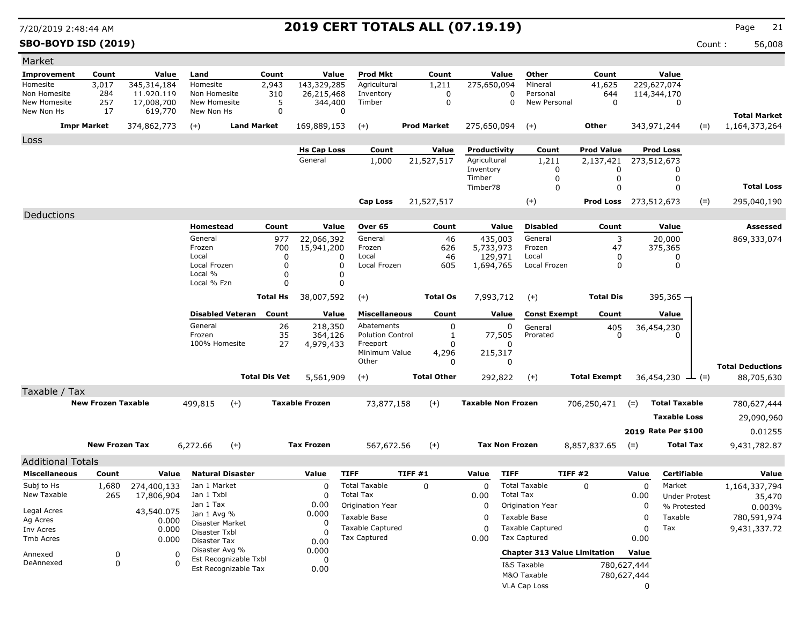**SBO-BOYD ISD (2019)** Count : 56,008

| Market                       |                           |                           |                                               |                      |                       |                                          |                    |        |                           |                                          |                              |                  |                                |        |                         |
|------------------------------|---------------------------|---------------------------|-----------------------------------------------|----------------------|-----------------------|------------------------------------------|--------------------|--------|---------------------------|------------------------------------------|------------------------------|------------------|--------------------------------|--------|-------------------------|
| Improvement                  | Count                     | Value                     | Land                                          | Count                | Value                 | <b>Prod Mkt</b>                          | Count              |        | Value                     | Other                                    | Count                        |                  | Value                          |        |                         |
| Homesite                     | 3,017                     | 345,314,184               | Homesite                                      | 2,943                | 143,329,285           | Agricultural                             | 1,211              |        | 275,650,094               | Mineral                                  | 41,625                       |                  | 229,627,074                    |        |                         |
| Non Homesite<br>New Homesite | 284<br>257                | 11.920.119<br>17,008,700  | Non Homesite<br>New Homesite                  | 310<br>5             | 26,215,468<br>344,400 | Inventory<br>Timber                      |                    | 0<br>0 | 0<br>$\Omega$             | Personal<br>New Personal                 | 644<br>$\mathbf 0$           |                  | 114,344,170<br>$\mathbf 0$     |        |                         |
| New Non Hs                   | 17                        | 619,770                   | New Non Hs                                    | 0                    | 0                     |                                          |                    |        |                           |                                          |                              |                  |                                |        | <b>Total Market</b>     |
|                              | <b>Impr Market</b>        | 374,862,773               | $(+)$                                         | <b>Land Market</b>   | 169,889,153           | $(+)$                                    | <b>Prod Market</b> |        | 275,650,094               | $(+)$                                    | Other                        | 343,971,244      |                                | $(=)$  | 1,164,373,264           |
| Loss                         |                           |                           |                                               |                      |                       |                                          |                    |        |                           |                                          |                              |                  |                                |        |                         |
|                              |                           |                           |                                               |                      | <b>Hs Cap Loss</b>    | Count                                    | Value              |        | Productivity              | Count                                    | Prod Value                   |                  | <b>Prod Loss</b>               |        |                         |
|                              |                           |                           |                                               |                      | General               | 1,000                                    | 21,527,517         |        | Agricultural<br>Inventory | 1,211<br>0                               | 2,137,421<br>0               | 273,512,673      | 0                              |        |                         |
|                              |                           |                           |                                               |                      |                       |                                          |                    |        | Timber                    | 0                                        | 0                            |                  | 0                              |        |                         |
|                              |                           |                           |                                               |                      |                       |                                          |                    |        | Timber78                  | $\mathbf 0$                              | 0                            |                  | $\Omega$                       |        | <b>Total Loss</b>       |
|                              |                           |                           |                                               |                      |                       | Cap Loss                                 | 21,527,517         |        |                           | $(+)$                                    | <b>Prod Loss</b> 273,512,673 |                  |                                | $(=)$  | 295,040,190             |
| Deductions                   |                           |                           |                                               |                      |                       |                                          |                    |        |                           |                                          |                              |                  |                                |        |                         |
|                              |                           |                           | Homestead                                     | Count                | Value                 | Over 65                                  | Count              |        | Value                     | <b>Disabled</b>                          | Count                        |                  | Value                          |        | Assessed                |
|                              |                           |                           | General                                       | 977                  | 22,066,392            | General                                  |                    | 46     | 435,003                   | General                                  | 3                            |                  | 20,000                         |        | 869,333,074             |
|                              |                           |                           | Frozen<br>Local                               | 700<br>$\Omega$      | 15,941,200<br>0       | Frozen<br>Local                          | 626                | 46     | 5,733,973<br>129,971      | Frozen<br>Local                          | 47<br>0                      |                  | 375,365<br>0                   |        |                         |
|                              |                           |                           | Local Frozen                                  | $\mathbf 0$          | 0                     | Local Frozen                             | 605                |        | 1,694,765                 | Local Frozen                             | 0                            |                  | 0                              |        |                         |
|                              |                           |                           | Local %                                       | 0                    | 0                     |                                          |                    |        |                           |                                          |                              |                  |                                |        |                         |
|                              |                           |                           | Local % Fzn                                   | $\Omega$             | $\Omega$              |                                          |                    |        |                           |                                          |                              |                  |                                |        |                         |
|                              |                           |                           |                                               | <b>Total Hs</b>      | 38,007,592            | $(+)$                                    | <b>Total Os</b>    |        | 7,993,712                 | $(+)$                                    | <b>Total Dis</b>             |                  | $395,365 -$                    |        |                         |
|                              |                           |                           | <b>Disabled Veteran</b>                       | Count                | Value                 | <b>Miscellaneous</b>                     | Count              |        | Value                     | <b>Const Exempt</b>                      | Count                        |                  | Value                          |        |                         |
|                              |                           |                           | General                                       | 26                   | 218,350               | Abatements                               |                    | 0      | 0                         | General                                  | 405                          |                  | 36,454,230                     |        |                         |
|                              |                           |                           | Frozen<br>100% Homesite                       | 35<br>27             | 364,126<br>4,979,433  | <b>Polution Control</b><br>Freeport      |                    | 1<br>0 | 77,505<br>0               | Prorated                                 | $\Omega$                     |                  | n                              |        |                         |
|                              |                           |                           |                                               |                      |                       | Minimum Value                            | 4,296              |        | 215,317                   |                                          |                              |                  |                                |        |                         |
|                              |                           |                           |                                               |                      |                       | Other                                    |                    | 0      | 0                         |                                          |                              |                  |                                |        | <b>Total Deductions</b> |
|                              |                           |                           |                                               | <b>Total Dis Vet</b> | 5,561,909             | $(+)$                                    | <b>Total Other</b> |        | 292,822                   | $(+)$                                    | <b>Total Exempt</b>          |                  | 36,454,230                     | $ (=)$ | 88,705,630              |
| Taxable / Tax                |                           |                           |                                               |                      |                       |                                          |                    |        |                           |                                          |                              |                  |                                |        |                         |
|                              | <b>New Frozen Taxable</b> |                           | 499,815<br>$(+)$                              |                      | <b>Taxable Frozen</b> | 73,877,158                               | $(+)$              |        | <b>Taxable Non Frozen</b> |                                          | 706,250,471                  | $(=)$            | <b>Total Taxable</b>           |        | 780,627,444             |
|                              |                           |                           |                                               |                      |                       |                                          |                    |        |                           |                                          |                              |                  | <b>Taxable Loss</b>            |        | 29,090,960              |
|                              |                           |                           |                                               |                      |                       |                                          |                    |        |                           |                                          |                              |                  | 2019 Rate Per \$100            |        | 0.01255                 |
|                              | <b>New Frozen Tax</b>     |                           | 6,272.66<br>$(+)$                             |                      | <b>Tax Frozen</b>     | 567,672.56                               | $(+)$              |        | <b>Tax Non Frozen</b>     |                                          | 8,857,837.65                 | $(=)$            | <b>Total Tax</b>               |        | 9,431,782.87            |
|                              |                           |                           |                                               |                      |                       |                                          |                    |        |                           |                                          |                              |                  |                                |        |                         |
| <b>Additional Totals</b>     |                           |                           |                                               |                      |                       |                                          |                    |        |                           |                                          |                              |                  |                                |        |                         |
| <b>Miscellaneous</b>         | Count                     | Value                     | <b>Natural Disaster</b>                       |                      | Value                 | <b>TIFF</b>                              | TIFF#1             |        | <b>TIFF</b><br>Value      |                                          | TIFF#2                       | Value            | <b>Certifiable</b>             |        | Value                   |
| Subj to Hs<br>New Taxable    | 1,680<br>265              | 274,400,133<br>17,806,904 | Jan 1 Market<br>Jan 1 Txbl                    |                      | $\mathbf C$<br>0      | <b>Total Taxable</b><br><b>Total Tax</b> | 0                  |        | 0<br>0.00                 | <b>Total Taxable</b><br><b>Total Tax</b> | $\Omega$                     | $\Omega$<br>0.00 | Market<br><b>Under Protest</b> |        | 1,164,337,794           |
|                              |                           |                           | Jan 1 Tax                                     |                      | 0.00                  | Origination Year                         |                    |        | $\mathbf{0}$              | Origination Year                         |                              | $\Omega$         | % Protested                    |        | 35,470<br>0.003%        |
| Legal Acres<br>Ag Acres      |                           | 43,540.075<br>0.000       | Jan 1 Avg %                                   |                      | 0.000                 | Taxable Base                             |                    |        | 0                         | Taxable Base                             |                              | 0                | Taxable                        |        | 780,591,974             |
| Inv Acres                    |                           | 0.000                     | Disaster Market<br>Disaster Txbl              |                      | 0<br>0                | <b>Taxable Captured</b>                  |                    |        | 0                         | <b>Taxable Captured</b>                  |                              | 0                | Tax                            |        | 9,431,337.72            |
| Tmb Acres                    |                           | 0.000                     | Disaster Tax                                  |                      | 0.00                  | Tax Captured                             |                    |        | 0.00                      | <b>Tax Captured</b>                      |                              | 0.00             |                                |        |                         |
| Annexed                      | 0                         | 0                         | Disaster Avg %                                |                      | 0.000                 |                                          |                    |        |                           | <b>Chapter 313 Value Limitation</b>      |                              | Value            |                                |        |                         |
| DeAnnexed                    | 0                         | O                         | Est Recognizable Txbl<br>Est Recognizable Tax |                      | 0<br>0.00             |                                          |                    |        |                           | I&S Taxable                              |                              | 780,627,444      |                                |        |                         |
|                              |                           |                           |                                               |                      |                       |                                          |                    |        |                           | M&O Taxable                              |                              | 780,627,444      |                                |        |                         |
|                              |                           |                           |                                               |                      |                       |                                          |                    |        |                           | VLA Cap Loss                             |                              | 0                |                                |        |                         |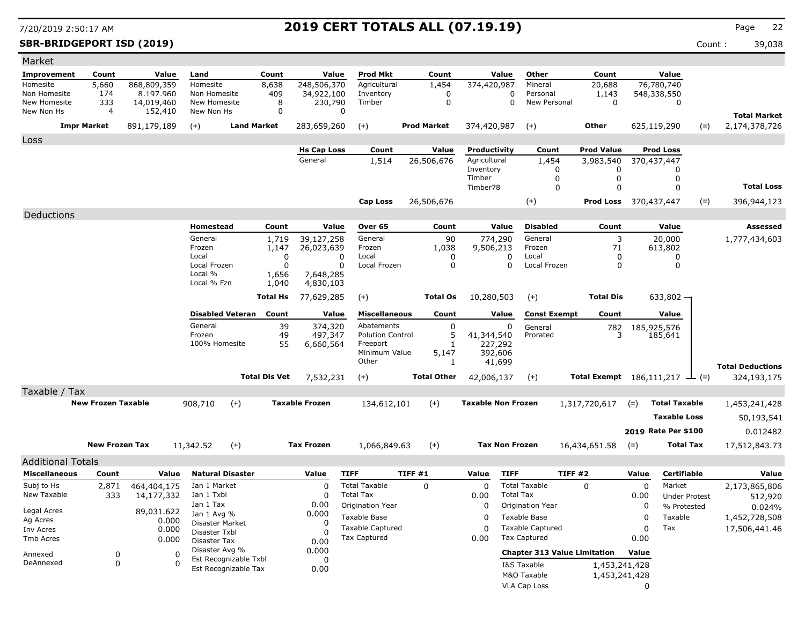**SBR-BRIDGEPORT ISD (2019)** Count : 39,038

| Market                       |                           |                         |                                |                               |                                |             |                                         |                    |          |                           |                       |                                                |                                                     |           |                        |       |                                      |
|------------------------------|---------------------------|-------------------------|--------------------------------|-------------------------------|--------------------------------|-------------|-----------------------------------------|--------------------|----------|---------------------------|-----------------------|------------------------------------------------|-----------------------------------------------------|-----------|------------------------|-------|--------------------------------------|
| Improvement                  | Count                     | Value                   | Land                           | Count                         |                                | Value       | <b>Prod Mkt</b>                         | Count              |          |                           | Value                 | Other                                          | Count                                               |           | Value                  |       |                                      |
| Homesite                     | 5,660                     | 868,809,359             | Homesite                       | 8,638                         | 248,506,370                    |             | Agricultural                            | 1,454              |          | 374,420,987               |                       | Mineral                                        | 20,688                                              |           | 76,780,740             |       |                                      |
| Non Homesite<br>New Homesite | 174<br>333                | 8.197.960<br>14,019,460 | Non Homesite<br>New Homesite   | 409<br>8                      | 34,922,100<br>230,790          |             | Inventory<br>Timber                     |                    | 0<br>0   |                           | 0<br>$\Omega$         | Personal<br>New Personal                       | 1,143<br>$\mathbf 0$                                |           | 548,338,550<br>0       |       |                                      |
| New Non Hs                   | 4                         | 152,410                 | New Non Hs                     | $\mathbf 0$                   |                                | 0           |                                         |                    |          |                           |                       |                                                |                                                     |           |                        |       |                                      |
|                              | <b>Impr Market</b>        | 891,179,189             | $(+)$                          | <b>Land Market</b>            | 283,659,260                    |             | $(+)$                                   | <b>Prod Market</b> |          | 374,420,987               |                       | $(+)$                                          | Other                                               |           | 625,119,290            | $(=)$ | <b>Total Market</b><br>2,174,378,726 |
| Loss                         |                           |                         |                                |                               |                                |             |                                         |                    |          |                           |                       |                                                |                                                     |           |                        |       |                                      |
|                              |                           |                         |                                |                               | <b>Hs Cap Loss</b>             |             | Count                                   | Value              |          | <b>Productivity</b>       |                       | Count                                          | <b>Prod Value</b>                                   |           | <b>Prod Loss</b>       |       |                                      |
|                              |                           |                         |                                |                               | General                        |             | 1,514                                   | 26,506,676         |          | Agricultural              |                       | 1,454                                          | 3,983,540                                           |           | 370,437,447            |       |                                      |
|                              |                           |                         |                                |                               |                                |             |                                         |                    |          | Inventory<br>Timber       |                       | 0<br>0                                         | 0<br>0                                              |           | 0<br>0                 |       |                                      |
|                              |                           |                         |                                |                               |                                |             |                                         |                    |          | Timber78                  |                       | 0                                              | 0                                                   |           | 0                      |       | <b>Total Loss</b>                    |
|                              |                           |                         |                                |                               |                                |             | Cap Loss                                | 26,506,676         |          |                           |                       | $(+)$                                          | <b>Prod Loss</b> 370,437,447                        |           |                        | $(=)$ | 396,944,123                          |
| Deductions                   |                           |                         |                                |                               |                                |             |                                         |                    |          |                           |                       |                                                |                                                     |           |                        |       |                                      |
|                              |                           |                         | Homestead                      | Count                         |                                | Value       | Over 65                                 |                    | Count    |                           | Value                 | <b>Disabled</b>                                | Count                                               |           | Value                  |       | <b>Assessed</b>                      |
|                              |                           |                         | General                        | 1,719                         | 39,127,258                     |             | General                                 |                    | 90       | 774,290                   |                       | General                                        | 3                                                   |           | 20,000                 |       | 1,777,434,603                        |
|                              |                           |                         | Frozen                         | 1,147                         | 26,023,639                     |             | Frozen                                  | 1,038              |          | 9,506,213                 |                       | Frozen                                         | 71                                                  |           | 613,802                |       |                                      |
|                              |                           |                         | Local                          |                               | 0                              | 0           | Local                                   |                    | 0        |                           | O                     | Local                                          | 0                                                   |           | 0                      |       |                                      |
|                              |                           |                         | Local Frozen<br>Local %        | 1,656                         | 0<br>7,648,285                 | $\Omega$    | Local Frozen                            |                    | $\Omega$ |                           | $\Omega$              | Local Frozen                                   | 0                                                   |           | 0                      |       |                                      |
|                              |                           |                         | Local % Fzn                    | 1,040                         | 4,830,103                      |             |                                         |                    |          |                           |                       |                                                |                                                     |           |                        |       |                                      |
|                              |                           |                         |                                | <b>Total Hs</b>               | 77,629,285                     |             | $(+)$                                   | <b>Total Os</b>    |          | 10,280,503                |                       | $(+)$                                          | <b>Total Dis</b>                                    |           | $633,802 -$            |       |                                      |
|                              |                           |                         |                                |                               |                                |             |                                         |                    |          |                           |                       |                                                |                                                     |           |                        |       |                                      |
|                              |                           |                         |                                | <b>Disabled Veteran</b> Count |                                | Value       | <b>Miscellaneous</b>                    |                    | Count    |                           | Value                 | <b>Const Exempt</b>                            | Count                                               |           | Value                  |       |                                      |
|                              |                           |                         | General<br>Frozen              |                               | 39<br>374,320<br>49<br>497,347 |             | Abatements<br><b>Polution Control</b>   |                    | 0        | 41,344,540                | 0                     | General<br>Prorated                            | 782<br>3                                            |           | 185,925,576<br>185,641 |       |                                      |
|                              |                           |                         | 100% Homesite                  |                               | 55<br>6,660,564                |             | Freeport                                |                    |          |                           | 227,292               |                                                |                                                     |           |                        |       |                                      |
|                              |                           |                         |                                |                               |                                |             | Minimum Value                           |                    | 5,147    | 392,606                   |                       |                                                |                                                     |           |                        |       |                                      |
|                              |                           |                         |                                |                               |                                |             | Other                                   |                    | 1        |                           | 41,699                |                                                |                                                     |           |                        |       | <b>Total Deductions</b>              |
|                              |                           |                         |                                | <b>Total Dis Vet</b>          | 7,532,231                      |             | $(+)$                                   | <b>Total Other</b> |          | 42,006,137                |                       | $(+)$                                          | <b>Total Exempt</b> $186,111,217$ $\rightarrow$ (=) |           |                        |       | 324,193,175                          |
| Taxable / Tax                |                           |                         |                                |                               |                                |             |                                         |                    |          |                           |                       |                                                |                                                     |           |                        |       |                                      |
|                              | <b>New Frozen Taxable</b> |                         | 908,710                        | $(+)$                         | <b>Taxable Frozen</b>          |             | 134,612,101                             | $(+)$              |          | <b>Taxable Non Frozen</b> |                       |                                                | 1,317,720,617                                       | $(=)$     | <b>Total Taxable</b>   |       | 1,453,241,428                        |
|                              |                           |                         |                                |                               |                                |             |                                         |                    |          |                           |                       |                                                |                                                     |           | <b>Taxable Loss</b>    |       | 50,193,541                           |
|                              |                           |                         |                                |                               |                                |             |                                         |                    |          |                           |                       |                                                |                                                     |           | 2019 Rate Per \$100    |       | 0.012482                             |
|                              |                           |                         |                                |                               |                                |             |                                         |                    |          |                           |                       |                                                |                                                     |           |                        |       |                                      |
|                              | <b>New Frozen Tax</b>     |                         | 11,342.52                      | $(+)$                         | <b>Tax Frozen</b>              |             | 1,066,849.63                            | $(+)$              |          |                           | <b>Tax Non Frozen</b> |                                                | 16,434,651.58                                       | $(=)$     | <b>Total Tax</b>       |       | 17,512,843.73                        |
| <b>Additional Totals</b>     |                           |                         |                                |                               |                                |             |                                         |                    |          |                           |                       |                                                |                                                     |           |                        |       |                                      |
| <b>Miscellaneous</b>         | Count                     | Value                   | <b>Natural Disaster</b>        |                               | Value                          | <b>TIFF</b> |                                         | TIFF#1             |          | Value                     | <b>TIFF</b>           |                                                | <b>TIFF #2</b>                                      | Value     | Certifiable            |       | Value                                |
| Subj to Hs                   | 2,871                     | 464,404,175             | Jan 1 Market                   |                               | $\Omega$                       |             | <b>Total Taxable</b>                    | 0                  |          | 0                         |                       | <b>Total Taxable</b>                           | $\Omega$                                            | 0         | Market                 |       | 2,173,865,806                        |
| New Taxable                  | 333                       | 14,177,332              | Jan 1 Txbl<br>Jan 1 Tax        |                               | $\Omega$<br>0.00               |             | <b>Total Tax</b>                        |                    |          | 0.00                      | <b>Total Tax</b>      |                                                |                                                     | 0.00      | <b>Under Protest</b>   |       | 512,920                              |
| Legal Acres                  |                           | 89,031.622              | Jan 1 Avg %                    |                               | 0.000                          |             | Origination Year                        |                    |          | $\Omega$                  |                       | <b>Origination Year</b>                        |                                                     | 0         | % Protested            |       | 0.024%                               |
| Ag Acres                     |                           | 0.000                   | Disaster Market                |                               | 0                              |             | Taxable Base                            |                    |          | 0                         |                       | Taxable Base                                   |                                                     | 0         | Taxable                |       | 1,452,728,508                        |
| Inv Acres<br>Tmb Acres       |                           | 0.000                   | Disaster Txbl                  |                               |                                |             | <b>Taxable Captured</b><br>Tax Captured |                    |          | 0<br>0.00                 |                       | <b>Taxable Captured</b><br><b>Tax Captured</b> |                                                     | 0<br>0.00 | Tax                    |       | 17,506,441.46                        |
|                              |                           | 0.000                   | Disaster Tax<br>Disaster Avg % |                               | 0.00                           |             |                                         |                    |          |                           |                       |                                                |                                                     |           |                        |       |                                      |
| Annexed                      | 0                         | 0                       |                                | Est Recognizable Txbl         | 0.000<br>0                     |             |                                         |                    |          |                           |                       |                                                | <b>Chapter 313 Value Limitation</b>                 | Value     |                        |       |                                      |
| DeAnnexed                    | 0                         | O                       |                                | Est Recognizable Tax          | 0.00                           |             |                                         |                    |          |                           |                       | I&S Taxable                                    | 1,453,241,428                                       |           |                        |       |                                      |
|                              |                           |                         |                                |                               |                                |             |                                         |                    |          |                           |                       | M&O Taxable                                    | 1,453,241,428                                       |           |                        |       |                                      |
|                              |                           |                         |                                |                               |                                |             |                                         |                    |          |                           |                       | VLA Cap Loss                                   |                                                     | 0         |                        |       |                                      |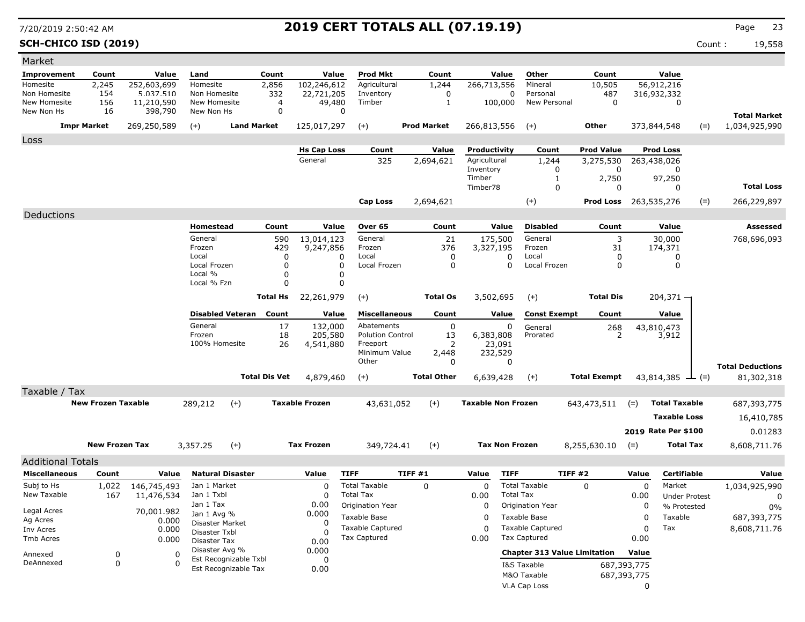**SCH-CHICO ISD (2019)** Count : 19,558

| Market                     |                           |                       |                                |                      |                       |                                                |                    |                 |                           |                  |                                                |                     |             |                        |       |                                      |
|----------------------------|---------------------------|-----------------------|--------------------------------|----------------------|-----------------------|------------------------------------------------|--------------------|-----------------|---------------------------|------------------|------------------------------------------------|---------------------|-------------|------------------------|-------|--------------------------------------|
| Improvement                | Count                     | Value                 | Land                           | Count                | Value                 | <b>Prod Mkt</b>                                |                    | Count           |                           | Value            | Other                                          | Count               |             | Value                  |       |                                      |
| Homesite                   | 2,245                     | 252,603,699           | Homesite                       | 2,856                | 102,246,612           | Agricultural                                   |                    | 1,244           | 266,713,556               |                  | Mineral                                        | 10,505              |             | 56,912,216             |       |                                      |
| Non Homesite               | 154                       | 5.037.510             | Non Homesite                   | 332                  | 22,721,205            | Inventory                                      |                    | 0               |                           | 0                | Personal                                       | 487                 |             | 316,932,332            |       |                                      |
| New Homesite<br>New Non Hs | 156<br>16                 | 11,210,590<br>398,790 | New Homesite<br>New Non Hs     | 4<br>0               | 49,480<br>0           | Timber                                         |                    | 1               |                           | 100,000          | New Personal                                   | 0                   |             | 0                      |       |                                      |
|                            | <b>Impr Market</b>        | 269,250,589           | $(+)$                          | <b>Land Market</b>   | 125,017,297           | $(+)$                                          | <b>Prod Market</b> |                 | 266,813,556               |                  | $(+)$                                          | Other               |             | 373,844,548            | $(=)$ | <b>Total Market</b><br>1,034,925,990 |
| Loss                       |                           |                       |                                |                      |                       |                                                |                    |                 |                           |                  |                                                |                     |             |                        |       |                                      |
|                            |                           |                       |                                |                      | <b>Hs Cap Loss</b>    | Count                                          |                    | Value           | Productivity              |                  | Count                                          | <b>Prod Value</b>   |             | <b>Prod Loss</b>       |       |                                      |
|                            |                           |                       |                                |                      | General               | 325                                            | 2,694,621          |                 | Agricultural              |                  | 1,244                                          | 3,275,530           |             | 263,438,026            |       |                                      |
|                            |                           |                       |                                |                      |                       |                                                |                    |                 | Inventory<br>Timber       |                  | 0<br>1                                         | 0<br>2,750          |             | 97,250                 |       |                                      |
|                            |                           |                       |                                |                      |                       |                                                |                    |                 | Timber78                  |                  | 0                                              | 0                   |             | 0                      |       | <b>Total Loss</b>                    |
|                            |                           |                       |                                |                      |                       | Cap Loss                                       | 2,694,621          |                 |                           |                  | $(+)$                                          | Prod Loss           |             | 263,535,276            | $(=)$ | 266,229,897                          |
| Deductions                 |                           |                       |                                |                      |                       |                                                |                    |                 |                           |                  |                                                |                     |             |                        |       |                                      |
|                            |                           |                       | Homestead                      | Count                | Value                 | Over 65                                        |                    | Count           |                           | Value            | <b>Disabled</b>                                | Count               |             | Value                  |       | Assessed                             |
|                            |                           |                       | General                        | 590                  | 13,014,123            | General                                        |                    | 21              | 175,500                   |                  | General                                        | 3                   |             | 30,000                 |       | 768,696,093                          |
|                            |                           |                       | Frozen                         | 429                  | 9,247,856             | Frozen                                         |                    | 376             | 3,327,195                 |                  | Frozen                                         | 31                  |             | 174,371                |       |                                      |
|                            |                           |                       | Local                          | 0                    | 0                     | Local                                          |                    | 0               |                           | 0                | Local                                          | 0                   |             | 0                      |       |                                      |
|                            |                           |                       | Local Frozen<br>Local %        | 0<br>$\Omega$        | $\Omega$<br>0         | Local Frozen                                   |                    | 0               |                           | 0                | Local Frozen                                   | 0                   |             | 0                      |       |                                      |
|                            |                           |                       | Local % Fzn                    | $\Omega$             | $\Omega$              |                                                |                    |                 |                           |                  |                                                |                     |             |                        |       |                                      |
|                            |                           |                       |                                | <b>Total Hs</b>      | 22,261,979            | $(+)$                                          |                    | <b>Total Os</b> | 3,502,695                 |                  | $(+)$                                          | <b>Total Dis</b>    |             | $204,371 -$            |       |                                      |
|                            |                           |                       |                                |                      |                       |                                                |                    |                 |                           |                  |                                                |                     |             |                        |       |                                      |
|                            |                           |                       | <b>Disabled Veteran</b>        | Count                | Value                 | <b>Miscellaneous</b>                           |                    | Count           |                           | Value            | <b>Const Exempt</b>                            | Count               |             | Value                  |       |                                      |
|                            |                           |                       | General                        | 17                   | 132,000               | Abatements<br><b>Polution Control</b>          |                    | 0               |                           | 0                | General                                        | 268                 |             | 43,810,473             |       |                                      |
|                            |                           |                       | Frozen<br>100% Homesite        | 18<br>26             | 205,580<br>4,541,880  | Freeport                                       |                    | 13<br>2         | 6,383,808<br>23,091       |                  | Prorated                                       | $\mathcal{P}$       |             | 3,912                  |       |                                      |
|                            |                           |                       |                                |                      |                       | Minimum Value                                  |                    | 2,448           | 232,529                   |                  |                                                |                     |             |                        |       |                                      |
|                            |                           |                       |                                |                      |                       | Other                                          |                    | 0               |                           | 0                |                                                |                     |             |                        |       | <b>Total Deductions</b>              |
|                            |                           |                       |                                | <b>Total Dis Vet</b> | 4,879,460             | $(+)$                                          | <b>Total Other</b> |                 | 6,639,428                 |                  | $(+)$                                          | <b>Total Exempt</b> |             | 43,814,385 $\perp$ (=) |       | 81,302,318                           |
| Taxable / Tax              |                           |                       |                                |                      |                       |                                                |                    |                 |                           |                  |                                                |                     |             |                        |       |                                      |
|                            | <b>New Frozen Taxable</b> |                       | 289,212<br>$(+)$               |                      | <b>Taxable Frozen</b> | 43,631,052                                     | $(+)$              |                 | <b>Taxable Non Frozen</b> |                  |                                                | 643,473,511         | $(=)$       | <b>Total Taxable</b>   |       | 687,393,775                          |
|                            |                           |                       |                                |                      |                       |                                                |                    |                 |                           |                  |                                                |                     |             | <b>Taxable Loss</b>    |       | 16,410,785                           |
|                            |                           |                       |                                |                      |                       |                                                |                    |                 |                           |                  |                                                |                     |             | 2019 Rate Per \$100    |       | 0.01283                              |
|                            | <b>New Frozen Tax</b>     |                       |                                |                      | <b>Tax Frozen</b>     |                                                |                    |                 | <b>Tax Non Frozen</b>     |                  |                                                |                     |             | <b>Total Tax</b>       |       |                                      |
|                            |                           |                       | $(+)$<br>3,357.25              |                      |                       | 349,724.41                                     | $(+)$              |                 |                           |                  |                                                | 8,255,630.10        | $(=)$       |                        |       | 8,608,711.76                         |
| <b>Additional Totals</b>   |                           |                       |                                |                      |                       |                                                |                    |                 |                           |                  |                                                |                     |             |                        |       |                                      |
| <b>Miscellaneous</b>       | Count                     | Value                 | <b>Natural Disaster</b>        |                      | Value                 | <b>TIFF</b>                                    | TIFF#1             |                 | Value                     | <b>TIFF</b>      | <b>TIFF #2</b>                                 |                     | Value       | Certifiable            |       | Value                                |
| Subj to Hs                 | 1,022                     | 146,745,493           | Jan 1 Market                   |                      | $\mathbf{C}$          | <b>Total Taxable</b>                           | $\mathbf 0$        |                 | 0                         |                  | <b>Total Taxable</b>                           | 0                   | 0           | Market                 |       | 1,034,925,990                        |
| New Taxable                | 167                       | 11,476,534            | Jan 1 Txbl<br>Jan 1 Tax        |                      | 0<br>0.00             | <b>Total Tax</b>                               |                    |                 | 0.00                      | <b>Total Tax</b> |                                                |                     | 0.00        | <b>Under Protest</b>   |       | 0                                    |
| Legal Acres                |                           | 70,001.982            | Jan 1 Avg %                    |                      | 0.000                 | Origination Year                               |                    |                 | 0                         |                  | Origination Year                               |                     | 0           | % Protested            |       | 0%                                   |
| Ag Acres                   |                           | 0.000                 | Disaster Market                |                      | 0                     | Taxable Base                                   |                    |                 | 0                         |                  | Taxable Base                                   |                     | 0           | Taxable                |       | 687,393,775                          |
| Inv Acres                  |                           | 0.000                 | Disaster Txbl                  |                      | $\Omega$              | <b>Taxable Captured</b><br><b>Tax Captured</b> |                    |                 | 0<br>0.00                 |                  | <b>Taxable Captured</b><br><b>Tax Captured</b> |                     | 0<br>0.00   | Tax                    |       | 8,608,711.76                         |
| Tmb Acres                  |                           | 0.000                 | Disaster Tax<br>Disaster Avg % |                      | 0.00                  |                                                |                    |                 |                           |                  |                                                |                     |             |                        |       |                                      |
| Annexed                    | 0                         | 0                     | Est Recognizable Txbl          |                      | 0.000<br>0            |                                                |                    |                 |                           |                  | <b>Chapter 313 Value Limitation</b>            |                     | Value       |                        |       |                                      |
| DeAnnexed                  | 0                         | <sup>0</sup>          | Est Recognizable Tax           |                      | 0.00                  |                                                |                    |                 |                           |                  | I&S Taxable                                    |                     | 687,393,775 |                        |       |                                      |
|                            |                           |                       |                                |                      |                       |                                                |                    |                 |                           |                  | M&O Taxable                                    |                     | 687,393,775 |                        |       |                                      |
|                            |                           |                       |                                |                      |                       |                                                |                    |                 |                           |                  | VLA Cap Loss                                   |                     | 0           |                        |       |                                      |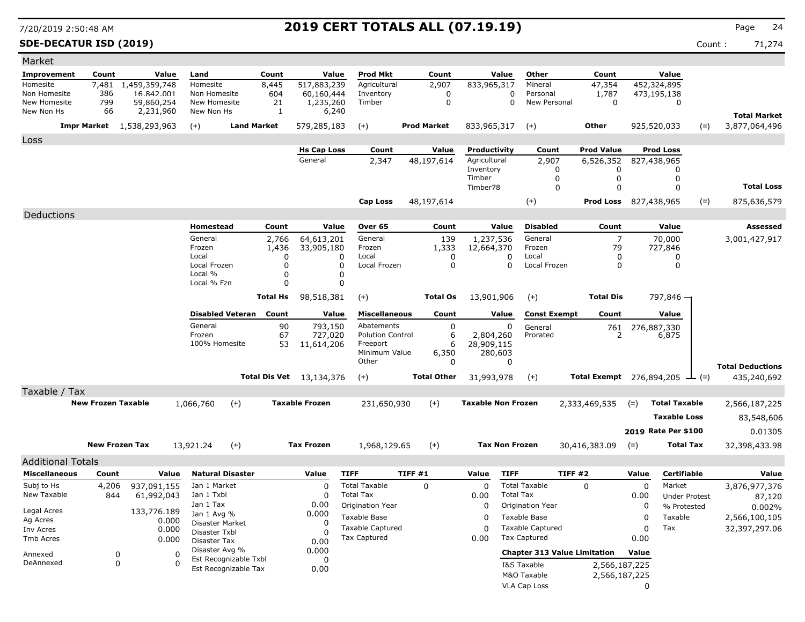### **SDE-DECATUR ISD (2019)** Count : 71,274

| Market                     |                           |                                  |                            |                         |                 |                          |                                         |        |                    |                           |                       |                                         |                                      |             |                      |       |                                      |
|----------------------------|---------------------------|----------------------------------|----------------------------|-------------------------|-----------------|--------------------------|-----------------------------------------|--------|--------------------|---------------------------|-----------------------|-----------------------------------------|--------------------------------------|-------------|----------------------|-------|--------------------------------------|
| Improvement                | Count                     | Value                            | Land                       |                         | Count           | Value                    | Prod Mkt                                |        | Count              |                           | Value                 | Other                                   | Count                                |             | Value                |       |                                      |
| Homesite                   | 7,481                     | 1,459,359,748                    | Homesite                   |                         | 8,445           | 517,883,239              | Agricultural                            |        | 2,907              | 833,965,317               |                       | Mineral                                 | 47,354                               |             | 452,324,895          |       |                                      |
| Non Homesite               | 386                       | 16.842.001                       | Non Homesite               |                         | 604             | 60,160,444               | Inventory                               |        | 0                  |                           | 0                     | Personal                                | 1,787                                |             | 473,195,138          |       |                                      |
| New Homesite<br>New Non Hs | 799<br>66                 | 59,860,254<br>2,231,960          | New Homesite<br>New Non Hs |                         | 21<br>1         | 1,235,260<br>6,240       | Timber                                  |        | 0                  |                           | $\Omega$              | New Personal                            | $\mathbf 0$                          |             | 0                    |       |                                      |
|                            |                           | <b>Impr Market</b> 1,538,293,963 | $(+)$                      | <b>Land Market</b>      |                 | 579,285,183              | $(+)$                                   |        | <b>Prod Market</b> | 833,965,317               |                       | $(+)$                                   | Other                                |             | 925,520,033          | $(=)$ | <b>Total Market</b><br>3,877,064,496 |
| Loss                       |                           |                                  |                            |                         |                 |                          |                                         |        |                    |                           |                       |                                         |                                      |             |                      |       |                                      |
|                            |                           |                                  |                            |                         |                 | <b>Hs Cap Loss</b>       | Count                                   |        | Value              | Productivity              |                       | Count                                   | <b>Prod Value</b>                    |             | <b>Prod Loss</b>     |       |                                      |
|                            |                           |                                  |                            |                         |                 | General                  | 2,347                                   |        | 48,197,614         | Agricultural              |                       | 2,907                                   | 6,526,352                            |             | 827,438,965          |       |                                      |
|                            |                           |                                  |                            |                         |                 |                          |                                         |        |                    | Inventory                 |                       | 0                                       | 0                                    |             | 0                    |       |                                      |
|                            |                           |                                  |                            |                         |                 |                          |                                         |        |                    | Timber<br>Timber78        |                       | 0<br>0                                  | 0<br>0                               |             | 0<br>0               |       | <b>Total Loss</b>                    |
|                            |                           |                                  |                            |                         |                 |                          |                                         |        |                    |                           |                       |                                         |                                      |             |                      |       |                                      |
|                            |                           |                                  |                            |                         |                 |                          | <b>Cap Loss</b>                         |        | 48,197,614         |                           |                       | $(+)$                                   | <b>Prod Loss</b> 827,438,965         |             |                      | $(=)$ | 875,636,579                          |
| Deductions                 |                           |                                  |                            |                         |                 |                          |                                         |        |                    |                           |                       |                                         |                                      |             |                      |       |                                      |
|                            |                           |                                  | Homestead                  |                         | Count           | Value                    | Over 65                                 |        | Count              |                           | Value                 | <b>Disabled</b>                         | Count                                |             | Value                |       | Assessed                             |
|                            |                           |                                  | General<br>Frozen          |                         | 2,766<br>1,436  | 64,613,201<br>33,905,180 | General<br>Frozen                       |        | 139<br>1,333       | 1,237,536<br>12,664,370   |                       | General<br>Frozen                       | $\overline{7}$<br>79                 |             | 70,000<br>727,846    |       | 3,001,427,917                        |
|                            |                           |                                  | Local                      |                         | 0               |                          | Local<br>0                              |        | 0                  |                           | 0                     | Local                                   | 0                                    |             | $\Omega$             |       |                                      |
|                            |                           |                                  | Local Frozen               |                         | 0               |                          | $\Omega$<br>Local Frozen                |        | 0                  |                           | 0                     | Local Frozen                            | 0                                    |             | 0                    |       |                                      |
|                            |                           |                                  | Local %<br>Local % Fzn     |                         | 0<br>$\Omega$   |                          | 0<br>0                                  |        |                    |                           |                       |                                         |                                      |             |                      |       |                                      |
|                            |                           |                                  |                            |                         |                 |                          |                                         |        |                    |                           |                       |                                         |                                      |             |                      |       |                                      |
|                            |                           |                                  |                            |                         | <b>Total Hs</b> | 98,518,381               | $(+)$                                   |        | <b>Total Os</b>    | 13,901,906                |                       | $(+)$                                   | <b>Total Dis</b>                     |             | 797,846 -            |       |                                      |
|                            |                           |                                  |                            | <b>Disabled Veteran</b> | Count           | Value                    | <b>Miscellaneous</b>                    |        | Count              |                           | Value                 | <b>Const Exempt</b>                     | Count                                |             | Value                |       |                                      |
|                            |                           |                                  | General                    |                         | 90              | 793,150                  | Abatements                              |        | 0                  |                           | 0                     | General                                 | 761                                  |             | 276,887,330          |       |                                      |
|                            |                           |                                  | Frozen<br>100% Homesite    |                         | 67<br>53        | 727,020                  | <b>Polution Control</b><br>Freeport     |        | 6<br>6             | 2,804,260<br>28,909,115   |                       | Prorated                                | 2                                    |             | 6,875                |       |                                      |
|                            |                           |                                  |                            |                         |                 | 11,614,206               | Minimum Value                           |        | 6,350              |                           | 280,603               |                                         |                                      |             |                      |       |                                      |
|                            |                           |                                  |                            |                         |                 |                          | Other                                   |        | 0                  |                           | 0                     |                                         |                                      |             |                      |       | <b>Total Deductions</b>              |
|                            |                           |                                  |                            |                         |                 | Total Dis Vet 13,134,376 | $(+)$                                   |        | <b>Total Other</b> | 31,993,978                |                       | $(+)$                                   | Total Exempt 276,894,205 $\perp$ (=) |             |                      |       | 435,240,692                          |
| Taxable / Tax              |                           |                                  |                            |                         |                 |                          |                                         |        |                    |                           |                       |                                         |                                      |             |                      |       |                                      |
|                            | <b>New Frozen Taxable</b> |                                  | 1,066,760                  | $(+)$                   |                 | <b>Taxable Frozen</b>    | 231,650,930                             |        | $(+)$              | <b>Taxable Non Frozen</b> |                       |                                         | 2,333,469,535                        | $(=)$       | <b>Total Taxable</b> |       | 2,566,187,225                        |
|                            |                           |                                  |                            |                         |                 |                          |                                         |        |                    |                           |                       |                                         |                                      |             | <b>Taxable Loss</b>  |       | 83,548,606                           |
|                            |                           |                                  |                            |                         |                 |                          |                                         |        |                    |                           |                       |                                         |                                      |             | 2019 Rate Per \$100  |       |                                      |
|                            |                           |                                  |                            |                         |                 |                          |                                         |        |                    |                           |                       |                                         |                                      |             |                      |       | 0.01305                              |
|                            | <b>New Frozen Tax</b>     |                                  | 13,921.24                  | $(+)$                   |                 | <b>Tax Frozen</b>        | 1,968,129.65                            |        | $(+)$              |                           | <b>Tax Non Frozen</b> |                                         | 30,416,383.09                        | $(=)$       | <b>Total Tax</b>     |       | 32,398,433.98                        |
| <b>Additional Totals</b>   |                           |                                  |                            |                         |                 |                          |                                         |        |                    |                           |                       |                                         |                                      |             |                      |       |                                      |
| <b>Miscellaneous</b>       | Count                     | Value                            |                            | <b>Natural Disaster</b> |                 | Value                    | <b>TIFF</b>                             | TIFF#1 |                    | Value                     | <b>TIFF</b>           |                                         | <b>TIFF #2</b>                       | Value       | Certifiable          |       | Value                                |
| Subj to Hs                 | 4,206                     | 937,091,155                      | Jan 1 Market               |                         |                 | $\Omega$                 | <b>Total Taxable</b>                    |        | 0                  | 0                         |                       | <b>Total Taxable</b>                    | $\Omega$                             | $\mathbf 0$ | Market               |       | 3,876,977,376                        |
| New Taxable                | 844                       | 61,992,043                       | Jan 1 Txbl                 |                         |                 | $\Omega$                 | <b>Total Tax</b>                        |        |                    | 0.00                      | <b>Total Tax</b>      |                                         |                                      | 0.00        | <b>Under Protest</b> |       | 87,120                               |
| Legal Acres                |                           | 133,776.189                      | Jan 1 Tax<br>Jan 1 Avg %   |                         |                 | 0.00<br>0.000            | <b>Origination Year</b>                 |        |                    | 0                         |                       | Origination Year                        |                                      | 0           | % Protested          |       | 0.002%                               |
| Ag Acres                   |                           | 0.000                            | Disaster Market            |                         |                 | 0                        | Taxable Base                            |        |                    | 0                         |                       | Taxable Base                            |                                      | 0           | Taxable              |       | 2,566,100,105                        |
| Inv Acres                  |                           | 0.000                            | Disaster Txbl              |                         |                 |                          | <b>Taxable Captured</b><br>Tax Captured |        |                    | 0<br>0.00                 |                       | <b>Taxable Captured</b><br>Tax Captured |                                      | 0           | Tax                  |       | 32,397,297.06                        |
| Tmb Acres                  |                           | 0.000                            | Disaster Tax               |                         |                 | 0.00                     |                                         |        |                    |                           |                       |                                         |                                      | 0.00        |                      |       |                                      |
| Annexed                    | 0                         | 0                                | Disaster Avg %             | Est Recognizable Txbl   |                 | 0.000<br>0               |                                         |        |                    |                           |                       |                                         | <b>Chapter 313 Value Limitation</b>  | Value       |                      |       |                                      |
| DeAnnexed                  | 0                         | $\Omega$                         |                            | Est Recognizable Tax    |                 | 0.00                     |                                         |        |                    |                           |                       | I&S Taxable                             | 2,566,187,225                        |             |                      |       |                                      |
|                            |                           |                                  |                            |                         |                 |                          |                                         |        |                    |                           |                       | M&O Taxable                             | 2,566,187,225                        |             |                      |       |                                      |
|                            |                           |                                  |                            |                         |                 |                          |                                         |        |                    |                           |                       | VLA Cap Loss                            |                                      | 0           |                      |       |                                      |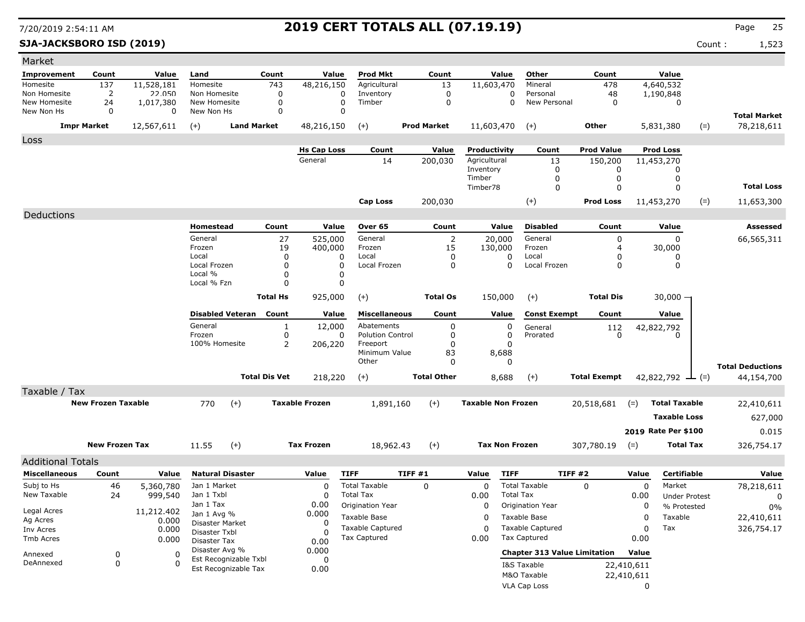**SJA-JACKSBORO ISD (2019)** Count : 1,523

| Market                     |                           |                |                                |                         |                 |                       |                           |         |                      |                           |                       |                                     |                     |             |                        |       |                                   |
|----------------------------|---------------------------|----------------|--------------------------------|-------------------------|-----------------|-----------------------|---------------------------|---------|----------------------|---------------------------|-----------------------|-------------------------------------|---------------------|-------------|------------------------|-------|-----------------------------------|
| Improvement                | Count                     | Value          | Land                           |                         | Count           | Value                 | <b>Prod Mkt</b>           |         | Count                |                           | Value                 | Other                               | Count               |             | Value                  |       |                                   |
| Homesite                   | 137                       | 11,528,181     | Homesite                       |                         | 743             | 48,216,150            | Agricultural              |         | 13                   | 11,603,470                |                       | Mineral                             | 478                 |             | 4,640,532              |       |                                   |
| Non Homesite               | 2                         | 22.050         | Non Homesite                   |                         | 0               | 0                     | Inventory                 |         | 0                    |                           | 0                     | Personal                            | 48                  |             | 1,190,848              |       |                                   |
| New Homesite<br>New Non Hs | 24<br>0                   | 1,017,380<br>0 | New Homesite<br>New Non Hs     |                         | 0<br>0          | 0<br>$\Omega$         | Timber                    |         | 0                    |                           | $\Omega$              | New Personal                        | 0                   |             | 0                      |       |                                   |
|                            | <b>Impr Market</b>        | 12,567,611     | $(+)$                          | <b>Land Market</b>      |                 | 48,216,150            | $(+)$                     |         | <b>Prod Market</b>   | 11,603,470                |                       | $(+)$                               | Other               |             | 5,831,380              | $(=)$ | <b>Total Market</b><br>78,218,611 |
|                            |                           |                |                                |                         |                 |                       |                           |         |                      |                           |                       |                                     |                     |             |                        |       |                                   |
| Loss                       |                           |                |                                |                         |                 | <b>Hs Cap Loss</b>    | Count                     |         | Value                | Productivity              |                       | Count                               | <b>Prod Value</b>   |             | <b>Prod Loss</b>       |       |                                   |
|                            |                           |                |                                |                         |                 | General               | 14                        |         | 200,030              | Agricultural              |                       | 13                                  | 150,200             |             | 11,453,270             |       |                                   |
|                            |                           |                |                                |                         |                 |                       |                           |         |                      | Inventory                 |                       | 0                                   | 0                   |             |                        |       |                                   |
|                            |                           |                |                                |                         |                 |                       |                           |         |                      | Timber<br>Timber78        |                       | 0                                   | 0                   |             | 0<br>$\Omega$          |       | <b>Total Loss</b>                 |
|                            |                           |                |                                |                         |                 |                       |                           |         |                      |                           |                       | $\mathbf 0$                         | $\mathbf 0$         |             |                        |       |                                   |
|                            |                           |                |                                |                         |                 |                       | Cap Loss                  |         | 200,030              |                           |                       | $(+)$                               | <b>Prod Loss</b>    |             | 11,453,270             | $(=)$ | 11,653,300                        |
| Deductions                 |                           |                |                                |                         |                 |                       |                           |         |                      |                           |                       |                                     |                     |             |                        |       |                                   |
|                            |                           |                | Homestead                      |                         | Count           | Value                 | Over 65                   |         | Count                |                           | Value                 | <b>Disabled</b>                     | Count               |             | Value                  |       | Assessed                          |
|                            |                           |                | General<br>Frozen              |                         | 27<br>19        | 525,000<br>400,000    | General<br>Frozen         |         | $\overline{2}$<br>15 |                           | 20,000<br>130,000     | General<br>Frozen                   | 0<br>$\overline{4}$ |             | 0<br>30,000            |       | 66,565,311                        |
|                            |                           |                | Local                          |                         | $\Omega$        | 0                     | Local                     |         | 0                    |                           | 0                     | Local                               | 0                   |             | 0                      |       |                                   |
|                            |                           |                | Local Frozen                   |                         | 0               | 0                     | Local Frozen              |         | 0                    |                           | 0                     | Local Frozen                        | 0                   |             | 0                      |       |                                   |
|                            |                           |                | Local %<br>Local % Fzn         |                         | 0<br>0          | 0<br>0                |                           |         |                      |                           |                       |                                     |                     |             |                        |       |                                   |
|                            |                           |                |                                |                         |                 |                       |                           |         |                      |                           |                       |                                     |                     |             |                        |       |                                   |
|                            |                           |                |                                |                         | <b>Total Hs</b> | 925,000               | $(+)$                     |         | <b>Total Os</b>      |                           | 150,000               | $(+)$                               | <b>Total Dis</b>    |             | 30,000 —               |       |                                   |
|                            |                           |                |                                | <b>Disabled Veteran</b> | Count           | Value                 | <b>Miscellaneous</b>      |         | Count                |                           | Value                 | <b>Const Exempt</b>                 | Count               |             | Value                  |       |                                   |
|                            |                           |                | General                        |                         | $\mathbf{1}$    | 12,000                | Abatements                |         | 0                    |                           | 0                     | General                             | 112                 |             | 42,822,792             |       |                                   |
|                            |                           |                | Frozen                         |                         | 0               | 0                     | <b>Polution Control</b>   |         | 0                    |                           | 0                     | Prorated                            | $\Omega$            |             |                        |       |                                   |
|                            |                           |                | 100% Homesite                  |                         | 2               | 206,220               | Freeport<br>Minimum Value |         | 0<br>83              |                           | 0<br>8,688            |                                     |                     |             |                        |       |                                   |
|                            |                           |                |                                |                         |                 |                       | Other                     |         | 0                    |                           | 0                     |                                     |                     |             |                        |       | <b>Total Deductions</b>           |
|                            |                           |                |                                | <b>Total Dis Vet</b>    |                 | 218,220               | $(+)$                     |         | <b>Total Other</b>   |                           | 8,688                 | $(+)$                               | <b>Total Exempt</b> |             | 42,822,792 $\perp$ (=) |       | 44,154,700                        |
| Taxable / Tax              |                           |                |                                |                         |                 |                       |                           |         |                      |                           |                       |                                     |                     |             |                        |       |                                   |
|                            | <b>New Frozen Taxable</b> |                | 770                            | $(+)$                   |                 | <b>Taxable Frozen</b> | 1,891,160                 |         | $(+)$                | <b>Taxable Non Frozen</b> |                       |                                     | 20,518,681          | $(=)$       | <b>Total Taxable</b>   |       | 22,410,611                        |
|                            |                           |                |                                |                         |                 |                       |                           |         |                      |                           |                       |                                     |                     |             | <b>Taxable Loss</b>    |       | 627,000                           |
|                            |                           |                |                                |                         |                 |                       |                           |         |                      |                           |                       |                                     |                     |             |                        |       |                                   |
|                            |                           |                |                                |                         |                 |                       |                           |         |                      |                           |                       |                                     |                     |             | 2019 Rate Per \$100    |       | 0.015                             |
|                            | <b>New Frozen Tax</b>     |                | 11.55                          | $(+)$                   |                 | <b>Tax Frozen</b>     | 18,962.43                 |         | $(+)$                |                           | <b>Tax Non Frozen</b> |                                     | 307,780.19          | $(=)$       | <b>Total Tax</b>       |       | 326,754.17                        |
| <b>Additional Totals</b>   |                           |                |                                |                         |                 |                       |                           |         |                      |                           |                       |                                     |                     |             |                        |       |                                   |
| <b>Miscellaneous</b>       | Count                     | Value          | <b>Natural Disaster</b>        |                         |                 | Value                 | <b>TIFF</b>               | TIFF #1 |                      | Value                     | <b>TIFF</b>           |                                     | TIFF#2              | Value       | Certifiable            |       | Value                             |
| Subj to Hs                 | 46                        | 5,360,780      | Jan 1 Market                   |                         |                 | 0                     | <b>Total Taxable</b>      |         | $\mathbf 0$          | 0                         |                       | <b>Total Taxable</b>                | 0                   | $\mathbf 0$ | Market                 |       | 78,218,611                        |
| New Taxable                | 24                        | 999,540        | Jan 1 Txbl                     |                         |                 | 0                     | <b>Total Tax</b>          |         |                      | 0.00                      | <b>Total Tax</b>      |                                     |                     | 0.00        | <b>Under Protest</b>   |       | 0                                 |
| Legal Acres                |                           | 11,212.402     | Jan 1 Tax                      |                         |                 | 0.00                  | Origination Year          |         |                      | 0                         |                       | Origination Year                    |                     | 0           | % Protested            |       | 0%                                |
| Ag Acres                   |                           | 0.000          | Jan 1 Avg %<br>Disaster Market |                         |                 | 0.000<br>0            | Taxable Base              |         |                      | 0                         |                       | Taxable Base                        |                     | 0           | Taxable                |       | 22,410,611                        |
| Inv Acres                  |                           | 0.000          | Disaster Txbl                  |                         |                 | $\Omega$              | <b>Taxable Captured</b>   |         |                      | 0                         |                       | <b>Taxable Captured</b>             |                     | 0           | Tax                    |       | 326,754.17                        |
| Tmb Acres                  |                           | 0.000          | Disaster Tax                   |                         |                 | 0.00                  | Tax Captured              |         |                      | 0.00                      |                       | Tax Captured                        |                     | 0.00        |                        |       |                                   |
| Annexed                    | 0                         | 0              | Disaster Avg %                 | Est Recognizable Txbl   |                 | 0.000                 |                           |         |                      |                           |                       | <b>Chapter 313 Value Limitation</b> |                     | Value       |                        |       |                                   |
| DeAnnexed                  | 0                         | $\Omega$       |                                | Est Recognizable Tax    |                 | 0<br>0.00             |                           |         |                      |                           |                       | I&S Taxable                         |                     | 22,410,611  |                        |       |                                   |
|                            |                           |                |                                |                         |                 |                       |                           |         |                      |                           |                       | M&O Taxable                         |                     | 22,410,611  |                        |       |                                   |
|                            |                           |                |                                |                         |                 |                       |                           |         |                      |                           |                       | VLA Cap Loss                        |                     | 0           |                        |       |                                   |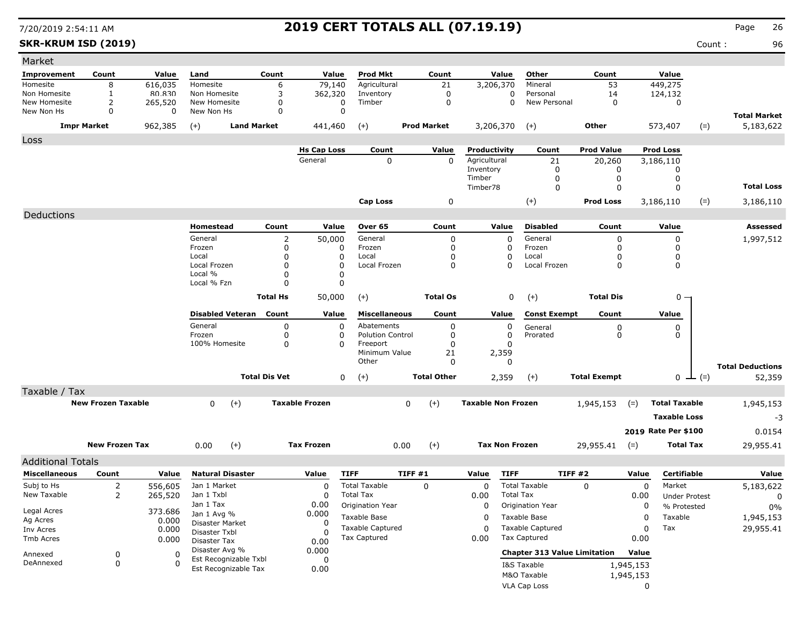**SKR-KRUM ISD (2019)** Count : 96

| Market                     |                           |              |                             |                      |                               |                         |                    |                              |                                     |                             |           |                               |                         |
|----------------------------|---------------------------|--------------|-----------------------------|----------------------|-------------------------------|-------------------------|--------------------|------------------------------|-------------------------------------|-----------------------------|-----------|-------------------------------|-------------------------|
| <b>Improvement</b>         | Count                     | Value        | Land                        | Count                | Value                         | <b>Prod Mkt</b>         | Count              | Value                        | Other                               | Count                       |           | Value                         |                         |
| Homesite                   | 8                         | 616,035      | Homesite                    | 6                    | 79,140                        | Agricultural            | 21                 | 3,206,370                    | Mineral                             | 53                          |           | 449,275                       |                         |
| Non Homesite               | 1                         | 80.830       | Non Homesite                | 3                    | 362,320                       | Inventory               | 0                  | 0                            | Personal                            | 14                          |           | 124,132                       |                         |
| New Homesite<br>New Non Hs | 2<br>0                    | 265,520<br>0 | New Homesite<br>New Non Hs  | 0<br>0               | 0<br>$\mathbf 0$              | Timber                  | 0                  | 0                            | New Personal                        | 0                           |           | $\mathbf 0$                   |                         |
|                            |                           |              |                             |                      |                               |                         |                    |                              |                                     |                             |           |                               | <b>Total Market</b>     |
|                            | <b>Impr Market</b>        | 962,385      | <b>Land Market</b><br>$(+)$ |                      | 441,460                       | $(+)$                   | <b>Prod Market</b> | 3,206,370                    | $(+)$                               | Other                       |           | 573,407                       | $(=)$<br>5,183,622      |
| Loss                       |                           |              |                             |                      |                               |                         |                    |                              |                                     |                             |           |                               |                         |
|                            |                           |              |                             |                      | <b>Hs Cap Loss</b><br>General | Count<br>$\Omega$       | Value<br>$\Omega$  | Productivity<br>Agricultural | Count<br>21                         | <b>Prod Value</b><br>20,260 |           | <b>Prod Loss</b><br>3,186,110 |                         |
|                            |                           |              |                             |                      |                               |                         |                    | Inventory                    | 0                                   | 0                           |           | 0                             |                         |
|                            |                           |              |                             |                      |                               |                         |                    | Timber                       | $\Omega$                            | 0                           |           | 0                             |                         |
|                            |                           |              |                             |                      |                               |                         |                    | Timber78                     | $\mathbf 0$                         | 0                           |           | 0                             | <b>Total Loss</b>       |
|                            |                           |              |                             |                      |                               | <b>Cap Loss</b>         | 0                  |                              | $(+)$                               | <b>Prod Loss</b>            |           | 3,186,110                     | $(=)$<br>3,186,110      |
| Deductions                 |                           |              |                             |                      |                               |                         |                    |                              |                                     |                             |           |                               |                         |
|                            |                           |              | Homestead                   | Count                | Value                         | Over 65                 | Count              | Value                        | <b>Disabled</b>                     | Count                       |           | Value                         | <b>Assessed</b>         |
|                            |                           |              | General                     | 2                    | 50,000                        | General                 | 0                  | 0                            | General                             | 0                           |           | 0                             | 1,997,512               |
|                            |                           |              | Frozen                      | $\Omega$             | 0                             | Frozen                  | 0                  | 0                            | Frozen                              | $\mathbf 0$                 |           | 0                             |                         |
|                            |                           |              | Local                       | $\Omega$             | 0                             | Local                   | 0                  | 0                            | Local                               | 0                           |           | 0                             |                         |
|                            |                           |              | Local Frozen                | $\Omega$             | $\mathbf{0}$                  | Local Frozen            | 0                  | 0                            | Local Frozen                        | 0                           |           | 0                             |                         |
|                            |                           |              | Local %                     | 0                    | 0                             |                         |                    |                              |                                     |                             |           |                               |                         |
|                            |                           |              | Local % Fzn                 | $\Omega$             | 0                             |                         |                    |                              |                                     |                             |           |                               |                         |
|                            |                           |              |                             | <b>Total Hs</b>      | 50,000                        | $(+)$                   | <b>Total Os</b>    | 0                            | $(+)$                               | <b>Total Dis</b>            |           | $0 -$                         |                         |
|                            |                           |              | <b>Disabled Veteran</b>     | Count                | Value                         | <b>Miscellaneous</b>    | Count              | Value                        | <b>Const Exempt</b>                 | Count                       |           | Value                         |                         |
|                            |                           |              | General                     | $\Omega$             | 0                             | Abatements              | 0                  | 0                            | General                             | 0                           |           | 0                             |                         |
|                            |                           |              | Frozen                      | 0                    | 0                             | <b>Polution Control</b> | 0                  | 0                            | Prorated                            | 0                           |           | 0                             |                         |
|                            |                           |              | 100% Homesite               | 0                    | 0                             | Freeport                | 0                  | 0                            |                                     |                             |           |                               |                         |
|                            |                           |              |                             |                      |                               | Minimum Value<br>Other  | 21<br>$\Omega$     | 2,359<br>0                   |                                     |                             |           |                               |                         |
|                            |                           |              |                             |                      |                               |                         |                    |                              |                                     |                             |           |                               | <b>Total Deductions</b> |
|                            |                           |              |                             | <b>Total Dis Vet</b> | 0                             | $(+)$                   | <b>Total Other</b> | 2,359                        | $(+)$                               | <b>Total Exempt</b>         |           | $0 \perp (=)$                 | 52,359                  |
| Taxable / Tax              |                           |              |                             |                      |                               |                         |                    |                              |                                     |                             |           |                               |                         |
|                            | <b>New Frozen Taxable</b> |              | $(+)$<br>$\mathbf 0$        |                      | <b>Taxable Frozen</b>         |                         | $(+)$<br>0         | <b>Taxable Non Frozen</b>    |                                     | 1,945,153                   | $(=)$     | <b>Total Taxable</b>          | 1,945,153               |
|                            |                           |              |                             |                      |                               |                         |                    |                              |                                     |                             |           | <b>Taxable Loss</b>           | -3                      |
|                            |                           |              |                             |                      |                               |                         |                    |                              |                                     |                             |           | 2019 Rate Per \$100           | 0.0154                  |
|                            | <b>New Frozen Tax</b>     |              | 0.00<br>$(+)$               |                      | <b>Tax Frozen</b>             |                         | 0.00<br>$(+)$      | <b>Tax Non Frozen</b>        |                                     | 29,955.41                   | $(=)$     | <b>Total Tax</b>              | 29,955.41               |
|                            |                           |              |                             |                      |                               |                         |                    |                              |                                     |                             |           |                               |                         |
| <b>Additional Totals</b>   |                           |              |                             |                      |                               |                         |                    |                              |                                     |                             |           |                               |                         |
| <b>Miscellaneous</b>       | Count                     | Value        | <b>Natural Disaster</b>     |                      | Value                         | <b>TIFF</b>             | TIFF#1             | <b>TIFF</b><br>Value         |                                     | TIFF #2                     | Value     | <b>Certifiable</b>            | Value                   |
| Subj to Hs                 | 2                         | 556,605      | Jan 1 Market                |                      | 0                             | <b>Total Taxable</b>    | 0                  | 0                            | <b>Total Taxable</b>                | 0                           | 0         | Market                        | 5,183,622               |
| New Taxable                | $\overline{2}$            | 265,520      | Jan 1 Txbl                  |                      | 0                             | <b>Total Tax</b>        |                    | 0.00                         | <b>Total Tax</b>                    |                             | 0.00      | <b>Under Protest</b>          | 0                       |
| Legal Acres                |                           | 373.686      | Jan 1 Tax<br>Jan 1 Avg %    |                      | 0.00<br>0.000                 | Origination Year        |                    | 0                            | Origination Year                    |                             | 0         | % Protested                   | 0%                      |
| Ag Acres                   |                           | 0.000        | Disaster Market             |                      | 0                             | Taxable Base            |                    | $\mathbf 0$                  | Taxable Base                        |                             | 0         | Taxable                       | 1,945,153               |
| Inv Acres                  |                           | 0.000        | Disaster Txbl               |                      | $\Omega$                      | <b>Taxable Captured</b> |                    | $\mathbf 0$                  | <b>Taxable Captured</b>             |                             | 0         | Tax                           | 29,955.41               |
| Tmb Acres                  |                           | 0.000        | Disaster Tax                |                      | 0.00                          | Tax Captured            |                    | 0.00                         | Tax Captured                        |                             | 0.00      |                               |                         |
| Annexed                    | 0                         | 0            | Disaster Avg %              |                      | 0.000                         |                         |                    |                              | <b>Chapter 313 Value Limitation</b> |                             | Value     |                               |                         |
| DeAnnexed                  | $\mathbf 0$               | $\Omega$     | Est Recognizable Txbl       |                      | 0                             |                         |                    |                              | I&S Taxable                         |                             | 1,945,153 |                               |                         |
|                            |                           |              | Est Recognizable Tax        |                      | 0.00                          |                         |                    |                              | M&O Taxable                         |                             | 1,945,153 |                               |                         |
|                            |                           |              |                             |                      |                               |                         |                    |                              | VLA Cap Loss                        |                             | 0         |                               |                         |
|                            |                           |              |                             |                      |                               |                         |                    |                              |                                     |                             |           |                               |                         |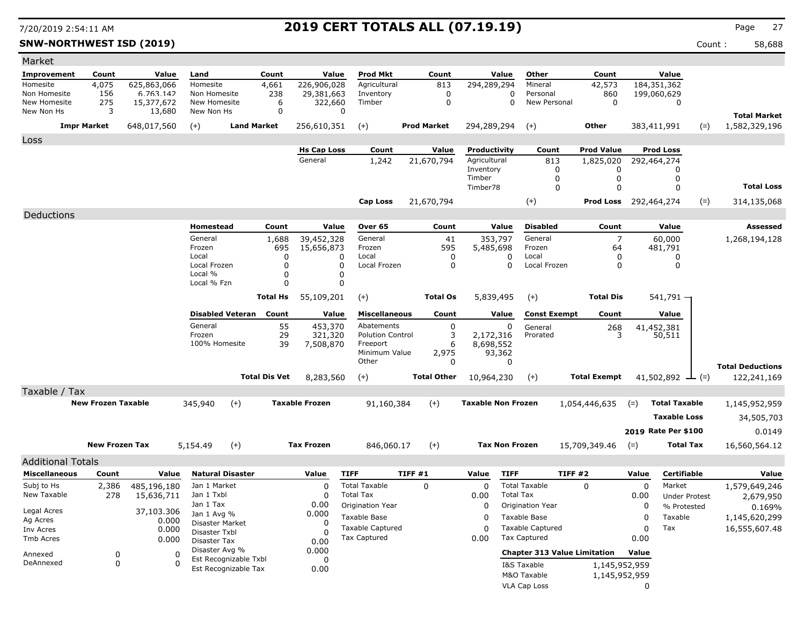**SNW-NORTHWEST ISD (2019)** Count : 58,688

| Market                                           |                           |                         |                                  |                                  |                       |                                     |                    |                           |                       |                                     |                              |       |                        |       |                                      |
|--------------------------------------------------|---------------------------|-------------------------|----------------------------------|----------------------------------|-----------------------|-------------------------------------|--------------------|---------------------------|-----------------------|-------------------------------------|------------------------------|-------|------------------------|-------|--------------------------------------|
| Improvement                                      | Count                     | Value                   | Land                             | Count                            |                       | Value<br><b>Prod Mkt</b>            | Count              |                           | Value                 | Other                               | Count                        |       | Value                  |       |                                      |
| Homesite                                         | 4,075                     | 625,863,066             | Homesite                         | 4,661                            | 226,906,028           | Agricultural                        | 813                | 294,289,294               |                       | Mineral                             | 42,573                       |       | 184,351,362            |       |                                      |
| Non Homesite<br>New Homesite                     | 156<br>275                | 6.763.142<br>15,377,672 | Non Homesite<br>New Homesite     | 238<br>6                         | 29,381,663<br>322,660 | Inventory<br>Timber                 | 0<br>0             |                           | 0<br>$\mathbf 0$      | Personal<br>New Personal            | 860<br>0                     |       | 199,060,629<br>0       |       |                                      |
| New Non Hs                                       | 3                         | 13,680                  | New Non Hs                       |                                  | 0                     | $\Omega$                            |                    |                           |                       |                                     |                              |       |                        |       |                                      |
|                                                  | <b>Impr Market</b>        | 648,017,560             | $(+)$                            | <b>Land Market</b>               | 256,610,351           | $(+)$                               | <b>Prod Market</b> | 294,289,294               |                       | $(+)$                               | Other                        |       | 383,411,991            | $(=)$ | <b>Total Market</b><br>1,582,329,196 |
| Loss                                             |                           |                         |                                  |                                  |                       |                                     |                    |                           |                       |                                     |                              |       |                        |       |                                      |
|                                                  |                           |                         |                                  |                                  | <b>Hs Cap Loss</b>    | Count                               | Value              | <b>Productivity</b>       |                       | Count                               | <b>Prod Value</b>            |       | <b>Prod Loss</b>       |       |                                      |
|                                                  |                           |                         |                                  |                                  | General               | 1,242                               | 21,670,794         | Agricultural              |                       | 813                                 | 1,825,020                    |       | 292,464,274            |       |                                      |
|                                                  |                           |                         |                                  |                                  |                       |                                     |                    | Inventory<br>Timber       |                       | 0<br>0                              | 0<br>0                       |       | 0<br>0                 |       |                                      |
|                                                  |                           |                         |                                  |                                  |                       |                                     |                    | Timber78                  |                       | 0                                   | 0                            |       | $\Omega$               |       | <b>Total Loss</b>                    |
|                                                  |                           |                         |                                  |                                  |                       | Cap Loss                            | 21,670,794         |                           |                       | $(+)$                               | <b>Prod Loss</b> 292,464,274 |       |                        | $(=)$ | 314,135,068                          |
| Deductions                                       |                           |                         |                                  |                                  |                       |                                     |                    |                           |                       |                                     |                              |       |                        |       |                                      |
|                                                  |                           |                         | Homestead                        | Count                            |                       | Value<br>Over 65                    | Count              |                           | Value                 | <b>Disabled</b>                     | Count                        |       | Value                  |       | Assessed                             |
|                                                  |                           |                         | General                          | 1,688                            | 39,452,328            | General                             | 41                 |                           | 353,797               | General                             | 7                            |       | 60,000                 |       | 1,268,194,128                        |
|                                                  |                           |                         | Frozen                           |                                  | 695<br>15,656,873     | Frozen                              | 595                | 5,485,698                 |                       | Frozen                              | 64                           |       | 481,791                |       |                                      |
|                                                  |                           |                         | Local<br>Local Frozen            |                                  | 0                     | Local<br>0                          |                    | 0<br>$\mathbf{0}$         | 0<br>$\Omega$         | Local                               | 0                            |       | 0                      |       |                                      |
|                                                  |                           |                         | Local %                          |                                  | 0<br>$\Omega$         | Local Frozen<br>0<br>0              |                    |                           |                       | Local Frozen                        | 0                            |       | 0                      |       |                                      |
|                                                  |                           |                         | Local % Fzn                      |                                  | O                     | $\Omega$                            |                    |                           |                       |                                     |                              |       |                        |       |                                      |
|                                                  |                           |                         |                                  | <b>Total Hs</b>                  | 55,109,201            | $(+)$                               | <b>Total Os</b>    |                           | 5,839,495             | $(+)$                               | <b>Total Dis</b>             |       | $541,791 -$            |       |                                      |
|                                                  |                           |                         |                                  | <b>Disabled Veteran</b><br>Count |                       | <b>Miscellaneous</b><br>Value       | Count              |                           | Value                 | <b>Const Exempt</b>                 | Count                        |       | Value                  |       |                                      |
|                                                  |                           |                         | General                          |                                  | 55<br>453,370         | Abatements                          |                    | 0                         | 0                     | General                             | 268                          |       | 41,452,381             |       |                                      |
|                                                  |                           |                         | Frozen<br>100% Homesite          |                                  | 29<br>321,320<br>39   | <b>Polution Control</b>             | 6                  | 3<br>2,172,316            |                       | Prorated                            | 3                            |       | 50,511                 |       |                                      |
|                                                  |                           |                         |                                  |                                  | 7,508,870             | Freeport<br>Minimum Value           | 2,975              | 8,698,552                 | 93,362                |                                     |                              |       |                        |       |                                      |
|                                                  |                           |                         |                                  |                                  |                       | Other                               |                    | $\Omega$                  | 0                     |                                     |                              |       |                        |       | <b>Total Deductions</b>              |
|                                                  |                           |                         |                                  | <b>Total Dis Vet</b>             | 8,283,560             | $(+)$                               | <b>Total Other</b> | 10,964,230                |                       | $(+)$                               | <b>Total Exempt</b>          |       | 41,502,892 $\perp$ (=) |       | 122,241,169                          |
| Taxable / Tax                                    |                           |                         |                                  |                                  |                       |                                     |                    |                           |                       |                                     |                              |       |                        |       |                                      |
|                                                  | <b>New Frozen Taxable</b> |                         | 345,940                          | $(+)$                            | <b>Taxable Frozen</b> | 91,160,384                          | $(+)$              | <b>Taxable Non Frozen</b> |                       |                                     | 1,054,446,635                | $(=)$ | <b>Total Taxable</b>   |       | 1,145,952,959                        |
|                                                  |                           |                         |                                  |                                  |                       |                                     |                    |                           |                       |                                     |                              |       | <b>Taxable Loss</b>    |       | 34,505,703                           |
|                                                  |                           |                         |                                  |                                  |                       |                                     |                    |                           |                       |                                     |                              |       | 2019 Rate Per \$100    |       | 0.0149                               |
|                                                  | <b>New Frozen Tax</b>     |                         | 5,154.49                         | $(+)$                            | <b>Tax Frozen</b>     | 846,060.17                          | $(+)$              |                           | <b>Tax Non Frozen</b> |                                     | 15,709,349.46                | $(=)$ | <b>Total Tax</b>       |       | 16,560,564.12                        |
|                                                  |                           |                         |                                  |                                  |                       |                                     |                    |                           |                       |                                     |                              |       |                        |       |                                      |
| <b>Additional Totals</b><br><b>Miscellaneous</b> |                           |                         | <b>Natural Disaster</b>          |                                  | Value                 |                                     |                    | Value                     | <b>TIFF</b>           |                                     |                              | Value | <b>Certifiable</b>     |       |                                      |
| Subj to Hs                                       | Count                     | Value<br>485,196,180    | Jan 1 Market                     |                                  | 0                     | <b>TIFF</b><br><b>Total Taxable</b> | TIFF#1<br>$\Omega$ | 0                         |                       | TIFF #2<br><b>Total Taxable</b>     | 0                            | 0     | Market                 |       | Value<br>1,579,649,246               |
| New Taxable                                      | 2,386<br>278              | 15,636,711              | Jan 1 Txbl                       |                                  | 0                     | <b>Total Tax</b>                    |                    | 0.00                      | <b>Total Tax</b>      |                                     |                              | 0.00  | <b>Under Protest</b>   |       | 2,679,950                            |
|                                                  |                           |                         | Jan 1 Tax                        |                                  | 0.00                  | Origination Year                    |                    | 0                         |                       | Origination Year                    |                              | 0     | % Protested            |       | 0.169%                               |
| Legal Acres<br>Ag Acres                          |                           | 37,103.306<br>0.000     | Jan 1 Avg %                      |                                  | 0.000                 | Taxable Base                        |                    | 0                         |                       | Taxable Base                        |                              | 0     | Taxable                |       | 1,145,620,299                        |
| Inv Acres                                        |                           | 0.000                   | Disaster Market<br>Disaster Txbl |                                  | 0<br>$\mathsf{C}$     | <b>Taxable Captured</b>             |                    | 0                         |                       | <b>Taxable Captured</b>             |                              | 0     | Tax                    |       | 16,555,607.48                        |
| Tmb Acres                                        |                           | 0.000                   | Disaster Tax                     |                                  | 0.00                  | Tax Captured                        |                    | 0.00                      |                       | <b>Tax Captured</b>                 |                              | 0.00  |                        |       |                                      |
| Annexed                                          | 0                         | 0                       | Disaster Avg %                   |                                  | 0.000                 |                                     |                    |                           |                       | <b>Chapter 313 Value Limitation</b> |                              | Value |                        |       |                                      |
| DeAnnexed                                        | 0                         | $\Omega$                |                                  | Est Recognizable Txbl            | 0                     |                                     |                    |                           |                       | I&S Taxable                         | 1,145,952,959                |       |                        |       |                                      |
|                                                  |                           |                         |                                  | Est Recognizable Tax             | 0.00                  |                                     |                    |                           |                       | M&O Taxable                         | 1,145,952,959                |       |                        |       |                                      |
|                                                  |                           |                         |                                  |                                  |                       |                                     |                    |                           |                       | <b>VLA Cap Loss</b>                 |                              | 0     |                        |       |                                      |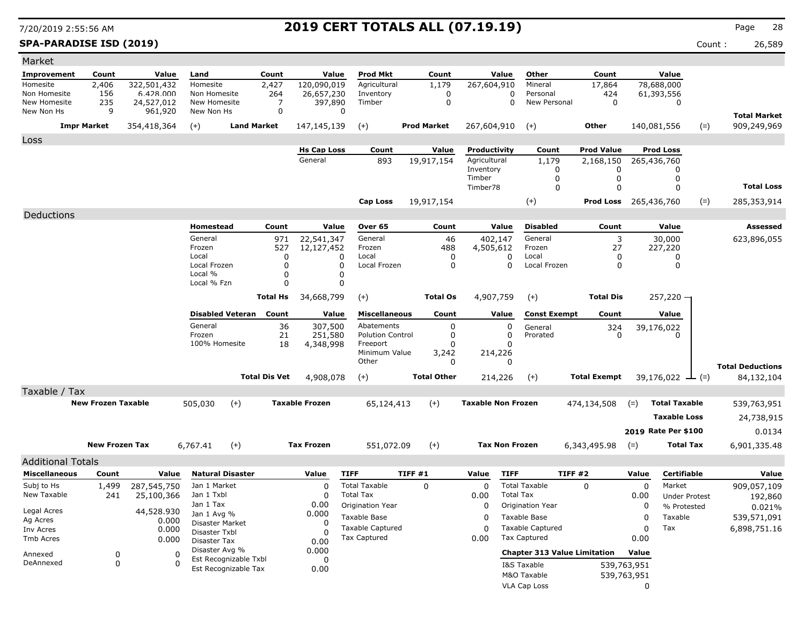**SPA-PARADISE ISD (2019)** Count : 26,589

| Market                       |                           |                       |                                |                      |                               |                                         |                     |                              |                       |                                                |                                |                            |                                 |       |                         |
|------------------------------|---------------------------|-----------------------|--------------------------------|----------------------|-------------------------------|-----------------------------------------|---------------------|------------------------------|-----------------------|------------------------------------------------|--------------------------------|----------------------------|---------------------------------|-------|-------------------------|
| <b>Improvement</b>           | Count                     | Value                 | Land                           | Count                | Value                         | <b>Prod Mkt</b>                         | Count               |                              | Value                 | Other                                          | Count                          |                            | Value                           |       |                         |
| Homesite                     | 2,406                     | 322,501,432           | Homesite                       | 2,427                | 120,090,019                   | Agricultural                            | 1,179               | 267,604,910                  |                       | Mineral                                        | 17,864                         |                            | 78,688,000                      |       |                         |
| Non Homesite<br>New Homesite | 156                       | 6.428.000             | Non Homesite<br>New Homesite   | 264                  | 26,657,230                    | Inventory                               | 0                   |                              | 0                     | Personal<br>New Personal                       | 424                            |                            | 61,393,556                      |       |                         |
| New Non Hs                   | 235<br>9                  | 24,527,012<br>961,920 | New Non Hs                     | 7<br>0               | 397,890<br>$\Omega$           | Timber                                  | $\pmb{0}$           |                              | 0                     |                                                | 0                              |                            | 0                               |       |                         |
|                              | <b>Impr Market</b>        | 354,418,364           |                                | <b>Land Market</b>   |                               |                                         | <b>Prod Market</b>  |                              |                       |                                                | Other                          |                            |                                 |       | <b>Total Market</b>     |
|                              |                           |                       | $(+)$                          |                      | 147,145,139                   | $(+)$                                   |                     | 267,604,910                  |                       | $(+)$                                          |                                |                            | 140,081,556                     | $(=)$ | 909,249,969             |
| Loss                         |                           |                       |                                |                      |                               |                                         |                     |                              |                       |                                                |                                |                            |                                 |       |                         |
|                              |                           |                       |                                |                      | <b>Hs Cap Loss</b><br>General | Count<br>893                            | Value<br>19,917,154 | Productivity<br>Agricultural |                       | Count<br>1,179                                 | <b>Prod Value</b><br>2,168,150 |                            | <b>Prod Loss</b><br>265,436,760 |       |                         |
|                              |                           |                       |                                |                      |                               |                                         |                     | Inventory                    |                       | 0                                              | 0                              |                            | $\Omega$                        |       |                         |
|                              |                           |                       |                                |                      |                               |                                         |                     | Timber                       |                       | 0                                              | 0                              |                            | 0                               |       |                         |
|                              |                           |                       |                                |                      |                               |                                         |                     | Timber78                     |                       | $\Omega$                                       | 0                              |                            | 0                               |       | <b>Total Loss</b>       |
|                              |                           |                       |                                |                      |                               | <b>Cap Loss</b>                         | 19,917,154          |                              |                       | $(+)$                                          | <b>Prod Loss</b> 265,436,760   |                            |                                 | $(=)$ | 285,353,914             |
| Deductions                   |                           |                       |                                |                      |                               |                                         |                     |                              |                       |                                                |                                |                            |                                 |       |                         |
|                              |                           |                       | Homestead                      | Count                | Value                         | Over 65                                 | Count               |                              | Value                 | <b>Disabled</b>                                | Count                          |                            | Value                           |       | Assessed                |
|                              |                           |                       | General                        | 971                  | 22,541,347                    | General                                 | 46                  | 402,147                      |                       | General                                        | 3                              |                            | 30,000                          |       | 623,896,055             |
|                              |                           |                       | Frozen                         | 527                  | 12,127,452                    | Frozen                                  | 488                 | 4,505,612                    |                       | Frozen                                         | 27                             |                            | 227,220                         |       |                         |
|                              |                           |                       | Local<br>Local Frozen          | 0<br>0               | 0<br>O                        | Local<br>Local Frozen                   | 0<br>0              |                              | 0<br>0                | Local<br>Local Frozen                          | 0<br>0                         |                            | 0<br>0                          |       |                         |
|                              |                           |                       | Local %                        | $\mathbf 0$          | 0                             |                                         |                     |                              |                       |                                                |                                |                            |                                 |       |                         |
|                              |                           |                       | Local % Fzn                    | $\Omega$             | $\Omega$                      |                                         |                     |                              |                       |                                                |                                |                            |                                 |       |                         |
|                              |                           |                       |                                | <b>Total Hs</b>      | 34,668,799                    | $(+)$                                   | <b>Total Os</b>     | 4,907,759                    |                       | $(+)$                                          | <b>Total Dis</b>               |                            | $257,220 -$                     |       |                         |
|                              |                           |                       | <b>Disabled Veteran</b>        | Count                | Value                         | <b>Miscellaneous</b>                    | Count               |                              | Value                 | <b>Const Exempt</b>                            | Count                          |                            | Value                           |       |                         |
|                              |                           |                       | General                        | 36                   | 307,500                       | Abatements                              | 0                   |                              | 0                     | General                                        |                                |                            |                                 |       |                         |
|                              |                           |                       | Frozen                         | 21                   | 251,580                       | <b>Polution Control</b>                 | 0                   |                              | 0                     | Prorated                                       | 324<br>$\Omega$                |                            | 39,176,022<br>n                 |       |                         |
|                              |                           |                       | 100% Homesite                  | 18                   | 4,348,998                     | Freeport                                | 0                   |                              | 0                     |                                                |                                |                            |                                 |       |                         |
|                              |                           |                       |                                |                      |                               | Minimum Value<br>Other                  | 3,242<br>0          | 214,226                      | 0                     |                                                |                                |                            |                                 |       |                         |
|                              |                           |                       |                                |                      |                               |                                         |                     |                              |                       |                                                |                                |                            |                                 |       | <b>Total Deductions</b> |
|                              |                           |                       |                                | <b>Total Dis Vet</b> | 4,908,078                     | $(+)$                                   | <b>Total Other</b>  | 214,226                      |                       | $(+)$                                          | <b>Total Exempt</b>            |                            | 39,176,022 $\rightarrow$ (=)    |       | 84,132,104              |
| Taxable / Tax                |                           |                       |                                |                      |                               |                                         |                     |                              |                       |                                                |                                |                            |                                 |       |                         |
|                              | <b>New Frozen Taxable</b> |                       | 505,030<br>$(+)$               |                      | <b>Taxable Frozen</b>         | 65,124,413                              | $(+)$               | <b>Taxable Non Frozen</b>    |                       |                                                | 474,134,508                    | $(=)$                      | <b>Total Taxable</b>            |       | 539,763,951             |
|                              |                           |                       |                                |                      |                               |                                         |                     |                              |                       |                                                |                                |                            | <b>Taxable Loss</b>             |       | 24,738,915              |
|                              |                           |                       |                                |                      |                               |                                         |                     |                              |                       |                                                |                                |                            | 2019 Rate Per \$100             |       | 0.0134                  |
|                              | <b>New Frozen Tax</b>     |                       | 6,767.41<br>$(+)$              |                      | <b>Tax Frozen</b>             | 551,072.09                              | $(+)$               |                              | <b>Tax Non Frozen</b> |                                                | 6,343,495.98                   | $(=)$                      | <b>Total Tax</b>                |       | 6,901,335.48            |
|                              |                           |                       |                                |                      |                               |                                         |                     |                              |                       |                                                |                                |                            |                                 |       |                         |
| <b>Additional Totals</b>     |                           |                       |                                |                      |                               |                                         |                     |                              |                       |                                                |                                |                            |                                 |       |                         |
| <b>Miscellaneous</b>         | Count                     | Value                 | <b>Natural Disaster</b>        |                      | Value                         | <b>TIFF</b>                             | TIFF #1             | Value                        | <b>TIFF</b>           | TIFF #2                                        |                                | Value                      | <b>Certifiable</b>              |       | Value                   |
|                              |                           |                       |                                |                      |                               |                                         |                     |                              |                       |                                                |                                |                            |                                 |       |                         |
| Subj to Hs                   | 1,499                     | 287,545,750           | Jan 1 Market                   |                      | 0                             | <b>Total Taxable</b>                    | $\Omega$            | 0                            |                       | <b>Total Taxable</b>                           | $\Omega$                       | $\mathbf 0$                | Market                          |       | 909,057,109             |
| New Taxable                  | 241                       | 25,100,366            | Jan 1 Txbl<br>Jan 1 Tax        |                      | O                             | <b>Total Tax</b>                        |                     | 0.00                         | <b>Total Tax</b>      |                                                |                                | 0.00                       | <b>Under Protest</b>            |       | 192,860                 |
| Legal Acres                  |                           | 44,528.930            | Jan 1 Avg %                    |                      | 0.00<br>0.000                 | Origination Year                        |                     | 0                            |                       | Origination Year                               |                                | 0                          | % Protested                     |       | 0.021%                  |
| Ag Acres                     |                           | 0.000                 | Disaster Market                |                      | 0                             | Taxable Base                            |                     | 0                            |                       | Taxable Base                                   |                                | 0                          | Taxable                         |       | 539,571,091             |
| Inv Acres<br>Tmb Acres       |                           | 0.000                 | Disaster Txbl                  |                      | $\Omega$                      | <b>Taxable Captured</b><br>Tax Captured |                     | $\Omega$<br>0.00             |                       | <b>Taxable Captured</b><br><b>Tax Captured</b> |                                | 0<br>0.00                  | Tax                             |       | 6,898,751.16            |
|                              |                           | 0.000                 | Disaster Tax<br>Disaster Avg % |                      | 0.00                          |                                         |                     |                              |                       |                                                |                                |                            |                                 |       |                         |
| Annexed                      | 0                         | 0                     | Est Recognizable Txbl          |                      | 0.000<br>0                    |                                         |                     |                              |                       | <b>Chapter 313 Value Limitation</b>            |                                | Value                      |                                 |       |                         |
| DeAnnexed                    | 0                         | $\Omega$              | Est Recognizable Tax           |                      | 0.00                          |                                         |                     |                              |                       | I&S Taxable<br>M&O Taxable                     |                                | 539,763,951<br>539,763,951 |                                 |       |                         |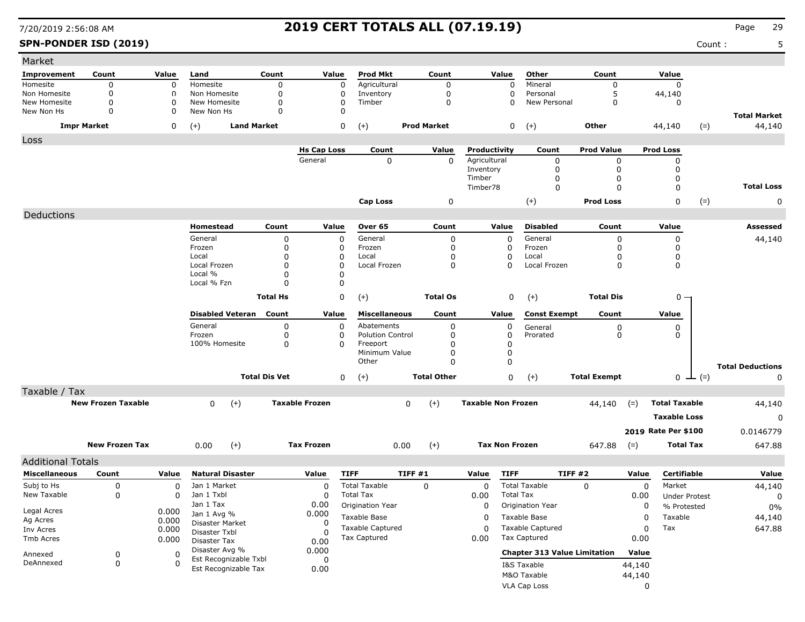**SPN-PONDER ISD (2019)** Count : 5

| Market                   |                           |              |                                |                      |                       |                         |                    |                           |                  |                                     |                     |             |                      |               |                         |
|--------------------------|---------------------------|--------------|--------------------------------|----------------------|-----------------------|-------------------------|--------------------|---------------------------|------------------|-------------------------------------|---------------------|-------------|----------------------|---------------|-------------------------|
| Improvement              | Count                     | Value        | Land                           | Count                | Value                 | <b>Prod Mkt</b>         | Count              |                           | Value            | Other                               | Count               |             | Value                |               |                         |
| Homesite                 | 0                         | 0            | Homesite                       | $\Omega$             | 0                     | Agricultural            | 0                  |                           | $\Omega$         | Mineral                             | 0                   |             | $\Omega$             |               |                         |
| Non Homesite             | 0                         | $\Omega$     | Non Homesite                   | $\Omega$             | 0                     | Inventory               | 0                  |                           | 0                | Personal                            | 5                   |             | 44,140               |               |                         |
| New Homesite             | 0                         | $\Omega$     | New Homesite                   | $\mathbf 0$          | 0                     | Timber                  | $\mathbf 0$        |                           | $\Omega$         | New Personal                        | 0                   |             | $\Omega$             |               |                         |
| New Non Hs               | 0                         | $\Omega$     | New Non Hs                     | $\Omega$             | $\Omega$              |                         |                    |                           |                  |                                     |                     |             |                      |               | <b>Total Market</b>     |
|                          | <b>Impr Market</b>        | 0            | <b>Land Market</b><br>$(+)$    |                      | $\mathbf 0$           | $(+)$                   | <b>Prod Market</b> |                           | 0                | $(+)$                               | Other               |             | 44,140               | $(=)$         | 44,140                  |
| Loss                     |                           |              |                                |                      |                       |                         |                    |                           |                  |                                     |                     |             |                      |               |                         |
|                          |                           |              |                                |                      | <b>Hs Cap Loss</b>    | Count                   | Value              | Productivity              |                  | Count                               | <b>Prod Value</b>   |             | <b>Prod Loss</b>     |               |                         |
|                          |                           |              |                                |                      | General               | $\mathbf 0$             | $\Omega$           | Agricultural              |                  | 0                                   | 0                   |             | $\mathbf 0$          |               |                         |
|                          |                           |              |                                |                      |                       |                         |                    | Inventory<br>Timber       |                  | 0<br>0                              | $\Omega$<br>0       |             | 0<br>0               |               |                         |
|                          |                           |              |                                |                      |                       |                         |                    | Timber78                  |                  | $\mathbf 0$                         | $\Omega$            |             | $\Omega$             |               | <b>Total Loss</b>       |
|                          |                           |              |                                |                      |                       |                         |                    |                           |                  |                                     |                     |             |                      |               |                         |
|                          |                           |              |                                |                      |                       | <b>Cap Loss</b>         | 0                  |                           |                  | $(+)$                               | <b>Prod Loss</b>    |             | $\mathbf 0$          | $(=)$         | 0                       |
| Deductions               |                           |              |                                |                      |                       |                         |                    |                           |                  |                                     |                     |             |                      |               |                         |
|                          |                           |              | Homestead                      | Count                | Value                 | Over 65                 | Count              |                           | Value            | <b>Disabled</b>                     | Count               |             | Value                |               | Assessed                |
|                          |                           |              | General                        | 0                    | $\mathbf 0$           | General                 | 0                  |                           | 0                | General                             | 0                   |             | 0                    |               | 44,140                  |
|                          |                           |              | Frozen                         | 0                    | 0                     | Frozen                  | $\Omega$           |                           | 0                | Frozen                              | $\Omega$            |             | 0                    |               |                         |
|                          |                           |              | Local<br>Local Frozen          | 0<br>0               | 0<br>0                | Local<br>Local Frozen   | 0<br>$\mathbf{0}$  |                           | 0<br>0           | Local<br>Local Frozen               | 0<br>$\Omega$       |             | 0<br>0               |               |                         |
|                          |                           |              | Local %                        | 0                    | $\Omega$              |                         |                    |                           |                  |                                     |                     |             |                      |               |                         |
|                          |                           |              | Local % Fzn                    | 0                    | 0                     |                         |                    |                           |                  |                                     |                     |             |                      |               |                         |
|                          |                           |              |                                | <b>Total Hs</b>      | 0                     | $(+)$                   | <b>Total Os</b>    |                           | 0                | $(+)$                               | <b>Total Dis</b>    |             | $0 -$                |               |                         |
|                          |                           |              |                                |                      |                       |                         |                    |                           |                  |                                     |                     |             |                      |               |                         |
|                          |                           |              | <b>Disabled Veteran</b>        | Count                | Value                 | <b>Miscellaneous</b>    | Count              |                           | Value            | <b>Const Exempt</b>                 | Count               |             | Value                |               |                         |
|                          |                           |              | General                        | 0                    | 0                     | Abatements              | 0                  |                           | 0                | General                             | $\boldsymbol{0}$    |             | 0                    |               |                         |
|                          |                           |              | Frozen                         | 0                    | 0                     | <b>Polution Control</b> | 0                  |                           | 0                | Prorated                            | $\mathbf 0$         |             | 0                    |               |                         |
|                          |                           |              | 100% Homesite                  | $\mathbf 0$          | $\Omega$              | Freeport                | 0                  |                           | 0                |                                     |                     |             |                      |               |                         |
|                          |                           |              |                                |                      |                       | Minimum Value<br>Other  | 0<br>$\Omega$      |                           | 0<br>$\mathbf 0$ |                                     |                     |             |                      |               |                         |
|                          |                           |              |                                |                      |                       |                         |                    |                           |                  |                                     |                     |             |                      |               | <b>Total Deductions</b> |
|                          |                           |              |                                | <b>Total Dis Vet</b> | 0                     | $(+)$                   | <b>Total Other</b> |                           | $\mathbf 0$      | $(+)$                               | <b>Total Exempt</b> |             |                      | $0 \perp (=)$ | 0                       |
| Taxable / Tax            |                           |              |                                |                      |                       |                         |                    |                           |                  |                                     |                     |             |                      |               |                         |
|                          | <b>New Frozen Taxable</b> |              | $\mathbf 0$<br>$(+)$           |                      | <b>Taxable Frozen</b> |                         | $(+)$<br>0         | <b>Taxable Non Frozen</b> |                  |                                     | 44,140              | $(=)$       | <b>Total Taxable</b> |               | 44,140                  |
|                          |                           |              |                                |                      |                       |                         |                    |                           |                  |                                     |                     |             | <b>Taxable Loss</b>  |               | 0                       |
|                          |                           |              |                                |                      |                       |                         |                    |                           |                  |                                     |                     |             | 2019 Rate Per \$100  |               | 0.0146779               |
|                          |                           |              |                                |                      |                       |                         |                    |                           |                  |                                     |                     |             |                      |               |                         |
|                          | <b>New Frozen Tax</b>     |              | $(+)$<br>0.00                  |                      | <b>Tax Frozen</b>     |                         | $(+)$<br>0.00      | <b>Tax Non Frozen</b>     |                  |                                     | 647.88              | $(=)$       | <b>Total Tax</b>     |               | 647.88                  |
| <b>Additional Totals</b> |                           |              |                                |                      |                       |                         |                    |                           |                  |                                     |                     |             |                      |               |                         |
| <b>Miscellaneous</b>     | Count                     | Value        | <b>Natural Disaster</b>        |                      | Value                 | <b>TIFF</b>             | TIFF#1             | Value                     | <b>TIFF</b>      | <b>TIFF #2</b>                      |                     | Value       | <b>Certifiable</b>   |               | Value                   |
| Subj to Hs               | 0                         | $\mathbf 0$  | Jan 1 Market                   |                      | 0                     | <b>Total Taxable</b>    | 0                  | 0                         |                  | <b>Total Taxable</b>                | 0                   | 0           | Market               |               | 44,140                  |
| New Taxable              | 0                         | 0            | Jan 1 Txbl                     |                      | 0                     | <b>Total Tax</b>        |                    | 0.00                      | <b>Total Tax</b> |                                     |                     | 0.00        | <b>Under Protest</b> |               | 0                       |
|                          |                           |              | Jan 1 Tax                      |                      | 0.00                  | Origination Year        |                    | $\Omega$                  |                  | Origination Year                    |                     | $\Omega$    | % Protested          |               | $0\%$                   |
| Legal Acres              |                           | 0.000        | Jan 1 Avg %                    |                      | 0.000                 | Taxable Base            |                    | 0                         |                  | Taxable Base                        |                     | 0           | Taxable              |               | 44,140                  |
| Ag Acres                 |                           | 0.000        | Disaster Market                |                      | $\Omega$              | <b>Taxable Captured</b> |                    | 0                         |                  | <b>Taxable Captured</b>             |                     | 0           | Tax                  |               | 647.88                  |
| Inv Acres<br>Tmb Acres   |                           | 0.000        | Disaster Txbl                  |                      | $\Omega$              | Tax Captured            |                    | 0.00                      |                  | Tax Captured                        |                     | 0.00        |                      |               |                         |
|                          |                           | 0.000        | Disaster Tax<br>Disaster Avg % |                      | 0.00                  |                         |                    |                           |                  |                                     |                     |             |                      |               |                         |
| Annexed                  | 0                         | 0            | Est Recognizable Txbl          |                      | 0.000<br>0            |                         |                    |                           |                  | <b>Chapter 313 Value Limitation</b> |                     | Value       |                      |               |                         |
| DeAnnexed                | 0                         | $\mathbf{0}$ | Est Recognizable Tax           |                      | 0.00                  |                         |                    |                           |                  | I&S Taxable                         |                     | 44,140      |                      |               |                         |
|                          |                           |              |                                |                      |                       |                         |                    |                           |                  | M&O Taxable                         |                     | 44,140      |                      |               |                         |
|                          |                           |              |                                |                      |                       |                         |                    |                           |                  | VLA Cap Loss                        |                     | $\mathbf 0$ |                      |               |                         |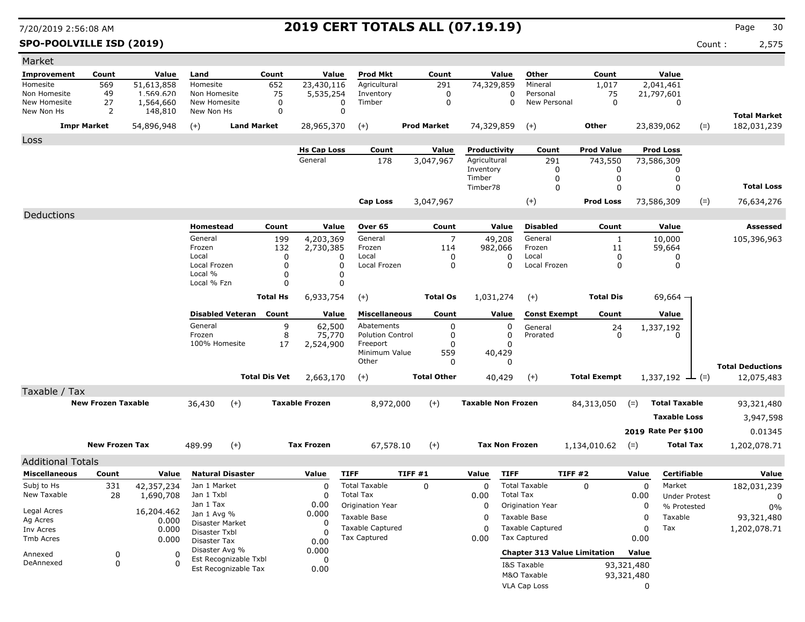**SPO-POOLVILLE ISD (2019)** Count : 2,575

| Market                   |                           |            |                                               |                      |                       |                                     |                          |                           |                       |                                     |             |                             |       |                         |
|--------------------------|---------------------------|------------|-----------------------------------------------|----------------------|-----------------------|-------------------------------------|--------------------------|---------------------------|-----------------------|-------------------------------------|-------------|-----------------------------|-------|-------------------------|
| <b>Improvement</b>       | Count                     | Value      | Land                                          | Count                | Value                 | <b>Prod Mkt</b>                     | Count                    | Value                     | Other                 | Count                               |             | Value                       |       |                         |
| Homesite                 | 569                       | 51,613,858 | Homesite                                      | 652                  | 23,430,116            | Agricultural                        | 291                      | 74,329,859                | Mineral               | 1,017                               |             | 2,041,461                   |       |                         |
| Non Homesite             | 49                        | 1.569.620  | Non Homesite                                  | 75                   | 5,535,254             | Inventory                           | 0                        |                           | Personal<br>0         | 75                                  |             | 21,797,601                  |       |                         |
| New Homesite             | 27                        | 1,564,660  | New Homesite                                  | 0                    | 0<br>$\mathbf 0$      | Timber                              | 0                        |                           | New Personal<br>0     | 0                                   |             | 0                           |       |                         |
| New Non Hs               | 2                         | 148,810    | New Non Hs                                    | 0                    |                       |                                     |                          |                           |                       |                                     |             |                             |       | <b>Total Market</b>     |
|                          | <b>Impr Market</b>        | 54,896,948 | $(+)$                                         | <b>Land Market</b>   | 28,965,370            | $(+)$                               | <b>Prod Market</b>       | 74,329,859                | $(+)$                 | <b>Other</b>                        |             | 23,839,062                  | $(=)$ | 182,031,239             |
| Loss                     |                           |            |                                               |                      |                       |                                     |                          |                           |                       |                                     |             |                             |       |                         |
|                          |                           |            |                                               |                      | <b>Hs Cap Loss</b>    | Count                               | Value                    | Productivity              | Count                 | <b>Prod Value</b>                   |             | <b>Prod Loss</b>            |       |                         |
|                          |                           |            |                                               |                      | General               | 178                                 | 3,047,967                | Agricultural              | 291                   | 743,550                             |             | 73,586,309                  |       |                         |
|                          |                           |            |                                               |                      |                       |                                     |                          | Inventory<br>Timber       | 0                     | 0                                   |             | 0                           |       |                         |
|                          |                           |            |                                               |                      |                       |                                     |                          | Timber78                  | 0<br>0                | 0<br>$\mathbf 0$                    |             | 0<br>0                      |       | <b>Total Loss</b>       |
|                          |                           |            |                                               |                      |                       |                                     |                          |                           |                       |                                     |             |                             |       |                         |
|                          |                           |            |                                               |                      |                       | Cap Loss                            | 3,047,967                |                           | $^{(+)}$              | <b>Prod Loss</b>                    |             | 73,586,309                  | $(=)$ | 76,634,276              |
| Deductions               |                           |            |                                               |                      |                       |                                     |                          |                           |                       |                                     |             |                             |       |                         |
|                          |                           |            | Homestead                                     | Count                | Value                 | Over 65                             | Count                    | Value                     | <b>Disabled</b>       | Count                               |             | Value                       |       | <b>Assessed</b>         |
|                          |                           |            | General                                       | 199                  | 4,203,369             | General                             | $\overline{7}$           | 49,208                    | General               | $\mathbf{1}$                        |             | 10,000                      |       | 105,396,963             |
|                          |                           |            | Frozen                                        | 132                  | 2,730,385             | Frozen                              | 114                      | 982,066                   | Frozen                | 11                                  |             | 59,664                      |       |                         |
|                          |                           |            | Local<br>Local Frozen                         | 0<br>0               | $\Omega$              | Local<br>Local Frozen               | $\Omega$<br>0            | $\Omega$<br>0             | Local<br>Local Frozen | 0<br>0                              |             | 0<br>0                      |       |                         |
|                          |                           |            | Local %                                       | 0                    |                       |                                     |                          |                           |                       |                                     |             |                             |       |                         |
|                          |                           |            | Local % Fzn                                   | 0                    | $\Omega$              |                                     |                          |                           |                       |                                     |             |                             |       |                         |
|                          |                           |            |                                               | <b>Total Hs</b>      | 6,933,754             | $(+)$                               | <b>Total Os</b>          | 1,031,274                 | $(+)$                 | <b>Total Dis</b>                    |             | $69,664 -$                  |       |                         |
|                          |                           |            |                                               |                      |                       |                                     |                          |                           |                       |                                     |             |                             |       |                         |
|                          |                           |            | <b>Disabled Veteran</b>                       | Count                | Value                 | <b>Miscellaneous</b>                | Count                    | Value                     | <b>Const Exempt</b>   | Count                               |             | Value                       |       |                         |
|                          |                           |            | General                                       | 9                    | 62,500                | Abatements                          | 0                        | 0                         | General               | 24                                  |             | 1,337,192                   |       |                         |
|                          |                           |            | Frozen<br>100% Homesite                       | 8<br>17              | 75,770<br>2,524,900   | <b>Polution Control</b><br>Freeport | $\Omega$<br><sup>0</sup> | 0<br>$\Omega$             | Prorated              | $\mathbf{0}$                        |             | 0                           |       |                         |
|                          |                           |            |                                               |                      |                       | Minimum Value                       | 559                      | 40,429                    |                       |                                     |             |                             |       |                         |
|                          |                           |            |                                               |                      |                       | Other                               | 0                        | $\Omega$                  |                       |                                     |             |                             |       | <b>Total Deductions</b> |
|                          |                           |            |                                               | <b>Total Dis Vet</b> | 2,663,170             | $(+)$                               | <b>Total Other</b>       | 40,429                    | $(+)$                 | <b>Total Exempt</b>                 |             | $1,337,192 \rightarrow$ (=) |       | 12,075,483              |
|                          |                           |            |                                               |                      |                       |                                     |                          |                           |                       |                                     |             |                             |       |                         |
| Taxable / Tax            |                           |            |                                               |                      |                       |                                     |                          |                           |                       |                                     |             |                             |       |                         |
|                          | <b>New Frozen Taxable</b> |            | 36,430                                        | $(+)$                | <b>Taxable Frozen</b> | 8,972,000                           | $(+)$                    | <b>Taxable Non Frozen</b> |                       | 84,313,050                          | $(=)$       | <b>Total Taxable</b>        |       | 93,321,480              |
|                          |                           |            |                                               |                      |                       |                                     |                          |                           |                       |                                     |             | <b>Taxable Loss</b>         |       | 3,947,598               |
|                          |                           |            |                                               |                      |                       |                                     |                          |                           |                       |                                     |             | 2019 Rate Per \$100         |       | 0.01345                 |
|                          | <b>New Frozen Tax</b>     |            | 489.99                                        | $(+)$                | <b>Tax Frozen</b>     | 67,578.10                           | $(+)$                    | <b>Tax Non Frozen</b>     |                       | 1,134,010.62                        | $(=)$       | <b>Total Tax</b>            |       | 1,202,078.71            |
|                          |                           |            |                                               |                      |                       |                                     |                          |                           |                       |                                     |             |                             |       |                         |
| <b>Additional Totals</b> |                           |            |                                               |                      |                       |                                     |                          |                           |                       |                                     |             |                             |       |                         |
| <b>Miscellaneous</b>     | Count                     | Value      | <b>Natural Disaster</b>                       |                      | Value                 | <b>TIFF</b>                         | TIFF #1                  | Value                     | <b>TIFF</b>           | <b>TIFF #2</b>                      | Value       | Certifiable                 |       | Value                   |
| Subj to Hs               | 331                       | 42,357,234 | Jan 1 Market                                  |                      | 0                     | <b>Total Taxable</b>                | 0                        | 0                         | <b>Total Taxable</b>  | $\Omega$                            | $\mathbf 0$ | Market                      |       | 182,031,239             |
| New Taxable              | 28                        | 1,690,708  | Jan 1 Txbl                                    |                      |                       | <b>Total Tax</b>                    |                          | 0.00                      | <b>Total Tax</b>      |                                     | 0.00        | <b>Under Protest</b>        |       | 0                       |
| Legal Acres              |                           | 16,204.462 | Jan 1 Tax                                     |                      | 0.00                  | Origination Year                    |                          | $\Omega$                  | Origination Year      |                                     | 0           | % Protested                 |       | $0\%$                   |
| Ag Acres                 |                           | 0.000      | Jan 1 Avg %<br>Disaster Market                |                      | 0.000<br>0            | Taxable Base                        |                          | 0                         | Taxable Base          |                                     | $\mathbf 0$ | Taxable                     |       | 93,321,480              |
| Inv Acres                |                           | 0.000      | Disaster Txbl                                 |                      |                       | Taxable Captured                    |                          | $\Omega$                  | Taxable Captured      |                                     | 0           | Tax                         |       | 1,202,078.71            |
| Tmb Acres                |                           | 0.000      | <b>Disaster Tax</b>                           |                      | 0.00                  | <b>Tax Captured</b>                 |                          | 0.00                      | <b>Tax Captured</b>   |                                     | 0.00        |                             |       |                         |
| Annexed                  | $\boldsymbol{0}$          | 0          | Disaster Avg %                                |                      | 0.000                 |                                     |                          |                           |                       | <b>Chapter 313 Value Limitation</b> | Value       |                             |       |                         |
| DeAnnexed                | 0                         | 0          | Est Recognizable Txbl<br>Est Recognizable Tax |                      | 0                     |                                     |                          |                           | I&S Taxable           |                                     | 93,321,480  |                             |       |                         |
|                          |                           |            |                                               |                      | 0.00                  |                                     |                          |                           | M&O Taxable           |                                     | 93,321,480  |                             |       |                         |
|                          |                           |            |                                               |                      |                       |                                     |                          |                           | VLA Cap Loss          |                                     | 0           |                             |       |                         |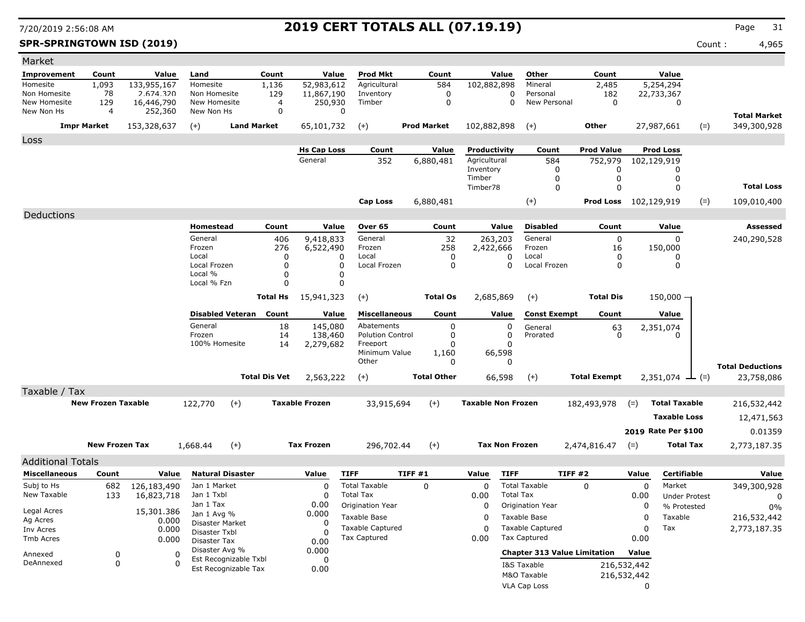**SPR-SPRINGTOWN ISD (2019)** Count : 4,965

| Market                       |                           |                         |                               |                       |                        |                                       |                            |                           |                                           |                                     |             |                                     |       |                         |
|------------------------------|---------------------------|-------------------------|-------------------------------|-----------------------|------------------------|---------------------------------------|----------------------------|---------------------------|-------------------------------------------|-------------------------------------|-------------|-------------------------------------|-------|-------------------------|
| Improvement                  | Count                     | Value                   | Land                          | Count                 | Value                  | Prod Mkt                              | Count                      | Value                     | Other                                     | Count                               |             | Value                               |       |                         |
| Homesite                     | 1,093                     | 133,955,167             | Homesite                      | 1,136                 | 52,983,612             | Agricultural                          | 584                        | 102,882,898               | Mineral                                   | 2,485                               |             | 5,254,294                           |       |                         |
| Non Homesite<br>New Homesite | 78<br>129                 | 2.674.320<br>16,446,790 | Non Homesite<br>New Homesite  | 129<br>$\overline{4}$ | 11,867,190<br>250,930  | Inventory<br>Timber                   | $\mathbf 0$<br>$\mathbf 0$ |                           | Personal<br>0<br>New Personal<br>$\Omega$ | 182<br>$\mathbf 0$                  |             | 22,733,367<br>0                     |       |                         |
| New Non Hs                   | $\overline{4}$            | 252,360                 | New Non Hs                    | 0                     | 0                      |                                       |                            |                           |                                           |                                     |             |                                     |       | <b>Total Market</b>     |
|                              | <b>Impr Market</b>        | 153,328,637             | $(+)$                         | <b>Land Market</b>    | 65,101,732             | $(+)$                                 | <b>Prod Market</b>         | 102,882,898               | $(+)$                                     | Other                               |             | 27,987,661                          | $(=)$ | 349,300,928             |
| Loss                         |                           |                         |                               |                       |                        |                                       |                            |                           |                                           |                                     |             |                                     |       |                         |
|                              |                           |                         |                               |                       | <b>Hs Cap Loss</b>     | Count                                 | Value                      | Productivity              | Count                                     | <b>Prod Value</b>                   |             | <b>Prod Loss</b>                    |       |                         |
|                              |                           |                         |                               |                       | General                | 352                                   | 6,880,481                  | Agricultural              | 584                                       | 752,979                             |             | 102,129,919                         |       |                         |
|                              |                           |                         |                               |                       |                        |                                       |                            | Inventory                 |                                           | 0<br>0                              |             | 0                                   |       |                         |
|                              |                           |                         |                               |                       |                        |                                       |                            | Timber<br>Timber78        |                                           | 0<br>0<br>$\Omega$<br>$\Omega$      |             | 0<br>$\Omega$                       |       | <b>Total Loss</b>       |
|                              |                           |                         |                               |                       |                        | Cap Loss                              | 6,880,481                  |                           | $(+)$                                     | Prod Loss                           |             | 102,129,919                         | $(=)$ | 109,010,400             |
|                              |                           |                         |                               |                       |                        |                                       |                            |                           |                                           |                                     |             |                                     |       |                         |
| Deductions                   |                           |                         |                               |                       |                        |                                       |                            |                           |                                           |                                     |             |                                     |       |                         |
|                              |                           |                         | Homestead<br>General          | Count                 | Value                  | Over 65                               | Count                      | Value                     | <b>Disabled</b><br>General                | Count                               |             | Value<br>$\mathbf 0$                |       | <b>Assessed</b>         |
|                              |                           |                         | Frozen                        | 406<br>276            | 9,418,833<br>6,522,490 | General<br>Frozen                     | 32<br>258                  | 263,203<br>2,422,666      | Frozen                                    | 0<br>16                             |             | 150,000                             |       | 240,290,528             |
|                              |                           |                         | Local                         | 0                     | 0                      | Local                                 | 0                          |                           | Local<br>0                                | 0                                   |             | 0                                   |       |                         |
|                              |                           |                         | Local Frozen                  | 0                     | $\Omega$               | Local Frozen                          | $\Omega$                   |                           | $\Omega$<br>Local Frozen                  | 0                                   |             | 0                                   |       |                         |
|                              |                           |                         | Local %<br>Local % Fzn        | 0<br>0                | 0<br>n                 |                                       |                            |                           |                                           |                                     |             |                                     |       |                         |
|                              |                           |                         |                               | Total Hs              | 15,941,323             | $(+)$                                 | <b>Total Os</b>            | 2,685,869                 | $(+)$                                     | <b>Total Dis</b>                    |             | $150,000 -$                         |       |                         |
|                              |                           |                         |                               |                       |                        |                                       |                            |                           |                                           |                                     |             |                                     |       |                         |
|                              |                           |                         | <b>Disabled Veteran</b>       | Count                 | Value                  | <b>Miscellaneous</b>                  | Count                      | Value                     | <b>Const Exempt</b>                       | Count                               |             | Value                               |       |                         |
|                              |                           |                         | General<br>Frozen             | 18                    | 145,080                | Abatements<br><b>Polution Control</b> | 0<br>0                     |                           | 0<br>General<br>0<br>Prorated             | $63 \atop 0$                        |             | 2,351,074<br>0                      |       |                         |
|                              |                           |                         | 100% Homesite                 | 14<br>14              | 138,460<br>2,279,682   | Freeport                              | $\Omega$                   |                           | $\Omega$                                  |                                     |             |                                     |       |                         |
|                              |                           |                         |                               |                       |                        | Minimum Value                         | 1,160                      | 66,598                    |                                           |                                     |             |                                     |       |                         |
|                              |                           |                         |                               |                       |                        | Other                                 | $\Omega$                   |                           | 0                                         |                                     |             |                                     |       | <b>Total Deductions</b> |
|                              |                           |                         |                               | <b>Total Dis Vet</b>  | 2,563,222              | $(+)$                                 | <b>Total Other</b>         | 66,598                    | $(+)$                                     | <b>Total Exempt</b>                 |             | $2,351,074$ — (=)                   |       | 23,758,086              |
| Taxable / Tax                |                           |                         |                               |                       |                        |                                       |                            |                           |                                           |                                     |             |                                     |       |                         |
|                              | <b>New Frozen Taxable</b> |                         | 122,770                       | $(+)$                 | <b>Taxable Frozen</b>  | 33,915,694                            | $(+)$                      | <b>Taxable Non Frozen</b> |                                           | 182,493,978                         | $(=)$       | <b>Total Taxable</b>                |       | 216,532,442             |
|                              |                           |                         |                               |                       |                        |                                       |                            |                           |                                           |                                     |             | <b>Taxable Loss</b>                 |       | 12,471,563              |
|                              |                           |                         |                               |                       |                        |                                       |                            |                           |                                           |                                     |             | 2019 Rate Per \$100                 |       | 0.01359                 |
|                              | <b>New Frozen Tax</b>     |                         | 1,668.44                      | $(+)$                 | <b>Tax Frozen</b>      | 296,702.44                            | $(+)$                      |                           | <b>Tax Non Frozen</b>                     | 2,474,816.47                        |             | <b>Total Tax</b>                    |       | 2,773,187.35            |
|                              |                           |                         |                               |                       |                        |                                       |                            |                           |                                           |                                     | $(=)$       |                                     |       |                         |
| <b>Additional Totals</b>     |                           |                         |                               |                       |                        |                                       |                            |                           |                                           |                                     |             |                                     |       |                         |
| <b>Miscellaneous</b>         | Count                     | Value                   | <b>Natural Disaster</b>       |                       | Value                  | <b>TIFF</b>                           | TIFF #1                    | Value                     | <b>TIFF</b>                               | TIFF #2                             | Value       | Certifiable                         |       | Value                   |
| Subj to Hs                   | 682                       | 126,183,490             | Jan 1 Market                  |                       | 0<br>$\Omega$          | <b>Total Taxable</b>                  | 0                          | 0                         | <b>Total Taxable</b>                      | 0                                   | 0           | Market                              |       | 349,300,928             |
| New Taxable                  | 133                       | 16,823,718              | Jan 1 Txbl<br>Jan 1 Tax       |                       | 0.00                   | <b>Total Tax</b><br>Origination Year  |                            | 0.00<br>$\Omega$          | <b>Total Tax</b><br>Origination Year      |                                     | 0.00<br>0   | <b>Under Protest</b><br>% Protested |       | $\Omega$                |
| Legal Acres                  |                           | 15,301.386              | Jan 1 Avg %                   |                       | 0.000                  | Taxable Base                          |                            | 0                         | Taxable Base                              |                                     | 0           | Taxable                             |       | $0\%$<br>216,532,442    |
| Ag Acres<br>Inv Acres        |                           | 0.000<br>0.000          | Disaster Market               |                       | 0                      | <b>Taxable Captured</b>               |                            | 0                         | <b>Taxable Captured</b>                   |                                     | 0           | Tax                                 |       | 2,773,187.35            |
| Tmb Acres                    |                           | 0.000                   | Disaster Txbl<br>Disaster Tax |                       | 0.00                   | <b>Tax Captured</b>                   |                            | 0.00                      | <b>Tax Captured</b>                       |                                     | 0.00        |                                     |       |                         |
| Annexed                      |                           | 0                       | Disaster Avg %                |                       | 0.000                  |                                       |                            |                           |                                           | <b>Chapter 313 Value Limitation</b> | Value       |                                     |       |                         |
| DeAnnexed                    | 0<br>0                    | 0                       | Est Recognizable Txbl         |                       | 0                      |                                       |                            |                           | I&S Taxable                               |                                     | 216,532,442 |                                     |       |                         |
|                              |                           |                         | Est Recognizable Tax          |                       | 0.00                   |                                       |                            |                           | M&O Taxable                               |                                     | 216,532,442 |                                     |       |                         |
|                              |                           |                         |                               |                       |                        |                                       |                            |                           | <b>VLA Cap Loss</b>                       |                                     | 0           |                                     |       |                         |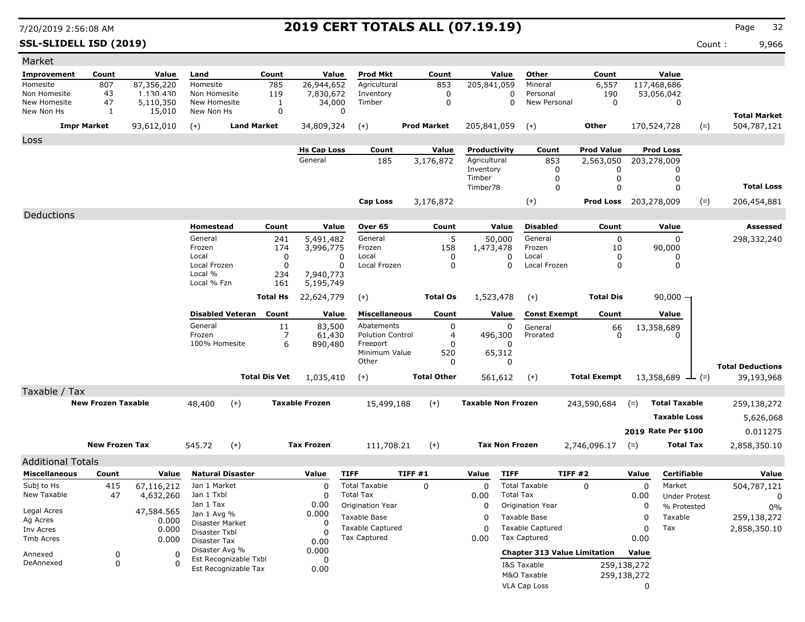**SSL-SLIDELL ISD (2019)** Count : 9,966

| Market                     |                           |                     |                                |                       |                       |                |                                         |                    |                    |                           |                       |                                                |                                       |                |                              |       |                                    |
|----------------------------|---------------------------|---------------------|--------------------------------|-----------------------|-----------------------|----------------|-----------------------------------------|--------------------|--------------------|---------------------------|-----------------------|------------------------------------------------|---------------------------------------|----------------|------------------------------|-------|------------------------------------|
| <b>Improvement</b>         | Count                     | Value               | Land                           | Count                 |                       | Value          | <b>Prod Mkt</b>                         |                    | Count              |                           | Value                 | Other                                          | Count                                 |                | Value                        |       |                                    |
| Homesite                   | 807                       | 87,356,220          | Homesite                       | 785                   |                       | 26,944,652     | Agricultural                            |                    | 853                | 205,841,059               |                       | Mineral                                        | 6,557                                 |                | 117,468,686                  |       |                                    |
| Non Homesite               | 43                        | 1.130.430           | Non Homesite                   | 119                   |                       | 7,830,672      | Inventory                               |                    | 0                  |                           | 0                     | Personal                                       | 190                                   |                | 53,056,042                   |       |                                    |
| New Homesite<br>New Non Hs | 47<br>1                   | 5,110,350<br>15,010 | New Homesite<br>New Non Hs     |                       | 1<br>$\mathbf 0$      | 34,000<br>O    | Timber                                  |                    | 0                  |                           | $\Omega$              | New Personal                                   | $\mathbf 0$                           |                | 0                            |       |                                    |
|                            | <b>Impr Market</b>        | 93,612,010          | $(+)$                          | <b>Land Market</b>    |                       | 34,809,324     | $(+)$                                   | <b>Prod Market</b> |                    | 205,841,059               |                       | $(+)$                                          | Other                                 |                | 170,524,728                  | $(=)$ | <b>Total Market</b><br>504,787,121 |
|                            |                           |                     |                                |                       |                       |                |                                         |                    |                    |                           |                       |                                                |                                       |                |                              |       |                                    |
| Loss                       |                           |                     |                                |                       | <b>Hs Cap Loss</b>    |                | Count                                   |                    | Value              | Productivity              |                       | Count                                          | <b>Prod Value</b>                     |                | <b>Prod Loss</b>             |       |                                    |
|                            |                           |                     |                                |                       | General               |                | 185                                     |                    | 3,176,872          | Agricultural              |                       | 853                                            | 2,563,050                             |                | 203,278,009                  |       |                                    |
|                            |                           |                     |                                |                       |                       |                |                                         |                    |                    | Inventory                 |                       | 0                                              | 0                                     |                | 0                            |       |                                    |
|                            |                           |                     |                                |                       |                       |                |                                         |                    |                    | Timber                    |                       | 0                                              | 0                                     |                | 0                            |       | <b>Total Loss</b>                  |
|                            |                           |                     |                                |                       |                       |                |                                         |                    |                    | Timber78                  |                       | 0                                              | 0                                     |                | 0                            |       |                                    |
|                            |                           |                     |                                |                       |                       |                | Cap Loss                                |                    | 3,176,872          |                           |                       | $(+)$                                          | Prod Loss                             |                | 203,278,009                  | $(=)$ | 206,454,881                        |
| Deductions                 |                           |                     |                                |                       |                       |                |                                         |                    |                    |                           |                       |                                                |                                       |                |                              |       |                                    |
|                            |                           |                     | Homestead                      | Count                 |                       | Value          | Over 65                                 |                    | Count              |                           | Value                 | <b>Disabled</b>                                | Count                                 |                | Value                        |       | <b>Assessed</b>                    |
|                            |                           |                     | General                        |                       | 241                   | 5,491,482      | General                                 |                    | 5                  |                           | 50,000                | General                                        | 0                                     |                | $\Omega$                     |       | 298,332,240                        |
|                            |                           |                     | Frozen<br>Local                |                       | 174<br>0              | 3,996,775<br>0 | Frozen<br>Local                         |                    | 158<br>0           | 1,473,478                 | 0                     | Frozen<br>Local                                | 10<br>$\Omega$                        |                | 90,000<br>0                  |       |                                    |
|                            |                           |                     | Local Frozen                   |                       | 0                     | 0              | Local Frozen                            |                    | 0                  |                           | 0                     | Local Frozen                                   | 0                                     |                | 0                            |       |                                    |
|                            |                           |                     | Local %                        |                       | 234                   | 7,940,773      |                                         |                    |                    |                           |                       |                                                |                                       |                |                              |       |                                    |
|                            |                           |                     | Local % Fzn                    |                       | 161                   | 5,195,749      |                                         |                    |                    |                           |                       |                                                |                                       |                |                              |       |                                    |
|                            |                           |                     |                                | <b>Total Hs</b>       | 22,624,779            |                | $(+)$                                   |                    | <b>Total Os</b>    | 1,523,478                 |                       | $(+)$                                          | <b>Total Dis</b>                      |                | $90,000 -$                   |       |                                    |
|                            |                           |                     | <b>Disabled Veteran</b>        | Count                 |                       | Value          | <b>Miscellaneous</b>                    |                    | Count              |                           | Value                 | <b>Const Exempt</b>                            | Count                                 |                | Value                        |       |                                    |
|                            |                           |                     | General                        |                       | 11                    | 83,500         | Abatements                              |                    | 0                  |                           | 0                     | General                                        | $\begin{matrix} 66 \\ 0 \end{matrix}$ |                | 13,358,689                   |       |                                    |
|                            |                           |                     | Frozen                         |                       | 7                     | 61,430         | <b>Polution Control</b>                 |                    | 4                  |                           | 496,300               | Prorated                                       |                                       |                | n                            |       |                                    |
|                            |                           |                     | 100% Homesite                  |                       | 6                     | 890,480        | Freeport<br>Minimum Value               |                    | 0<br>520           |                           | 0<br>65,312           |                                                |                                       |                |                              |       |                                    |
|                            |                           |                     |                                |                       |                       |                | Other                                   |                    | 0                  |                           | 0                     |                                                |                                       |                |                              |       | <b>Total Deductions</b>            |
|                            |                           |                     |                                | <b>Total Dis Vet</b>  |                       | 1,035,410      | $(+)$                                   |                    | <b>Total Other</b> |                           | 561,612               | $(+)$                                          | <b>Total Exempt</b>                   |                | 13,358,689 $\rightarrow$ (=) |       | 39,193,968                         |
| Taxable / Tax              |                           |                     |                                |                       |                       |                |                                         |                    |                    |                           |                       |                                                |                                       |                |                              |       |                                    |
|                            | <b>New Frozen Taxable</b> |                     | 48,400                         | $(+)$                 | <b>Taxable Frozen</b> |                | 15,499,188                              |                    | $(+)$              | <b>Taxable Non Frozen</b> |                       |                                                | 243,590,684                           | $(=)$          | <b>Total Taxable</b>         |       | 259,138,272                        |
|                            |                           |                     |                                |                       |                       |                |                                         |                    |                    |                           |                       |                                                |                                       |                |                              |       |                                    |
|                            |                           |                     |                                |                       |                       |                |                                         |                    |                    |                           |                       |                                                |                                       |                | <b>Taxable Loss</b>          |       | 5,626,068                          |
|                            |                           |                     |                                |                       |                       |                |                                         |                    |                    |                           |                       |                                                |                                       |                | 2019 Rate Per \$100          |       | 0.011275                           |
|                            | <b>New Frozen Tax</b>     |                     | 545.72                         | $(+)$                 | <b>Tax Frozen</b>     |                | 111,708.21                              |                    | $(+)$              |                           | <b>Tax Non Frozen</b> |                                                | 2,746,096.17                          | $(=)$          | <b>Total Tax</b>             |       | 2,858,350.10                       |
| <b>Additional Totals</b>   |                           |                     |                                |                       |                       |                |                                         |                    |                    |                           |                       |                                                |                                       |                |                              |       |                                    |
| <b>Miscellaneous</b>       | Count                     | Value               | <b>Natural Disaster</b>        |                       | Value                 |                | <b>TIFF</b>                             | TIFF #1            |                    | Value                     | <b>TIFF</b>           |                                                | TIFF#2                                | Value          | Certifiable                  |       | Value                              |
| Subj to Hs                 | 415                       | 67,116,212          | Jan 1 Market                   |                       |                       | $\mathbf 0$    | <b>Total Taxable</b>                    | $\mathbf 0$        |                    | 0                         |                       | <b>Total Taxable</b>                           | $\Omega$                              | 0              | Market                       |       | 504,787,121                        |
| New Taxable                | 47                        | 4,632,260           | Jan 1 Txbl                     |                       |                       | 0              | <b>Total Tax</b>                        |                    |                    | 0.00                      | <b>Total Tax</b>      |                                                |                                       | 0.00           | <b>Under Protest</b>         |       | 0                                  |
| Legal Acres                |                           | 47,584.565          | Jan 1 Tax<br>Jan 1 Avg %       |                       | 0.00<br>0.000         |                | <b>Origination Year</b>                 |                    |                    | 0                         |                       | Origination Year                               |                                       | 0              | % Protested                  |       | 0%                                 |
| Ag Acres                   |                           | 0.000               | Disaster Market                |                       |                       | 0              | Taxable Base                            |                    |                    | 0                         |                       | Taxable Base                                   |                                       | $\overline{0}$ | Taxable                      |       | 259,138,272                        |
| Inv Acres<br>Tmb Acres     |                           | 0.000               | Disaster Txbl                  |                       |                       | $\Omega$       | <b>Taxable Captured</b><br>Tax Captured |                    |                    | 0<br>0.00                 |                       | <b>Taxable Captured</b><br><b>Tax Captured</b> |                                       | 0<br>0.00      | Tax                          |       | 2,858,350.10                       |
|                            |                           | 0.000               | Disaster Tax<br>Disaster Avg % |                       | 0.00                  |                |                                         |                    |                    |                           |                       |                                                |                                       |                |                              |       |                                    |
| Annexed                    | 0                         | 0                   |                                | Est Recognizable Txbl | 0.000                 | 0              |                                         |                    |                    |                           |                       |                                                | <b>Chapter 313 Value Limitation</b>   | Value          |                              |       |                                    |
| DeAnnexed                  | 0                         | $\Omega$            |                                | Est Recognizable Tax  | 0.00                  |                |                                         |                    |                    |                           |                       | I&S Taxable                                    |                                       | 259,138,272    |                              |       |                                    |
|                            |                           |                     |                                |                       |                       |                |                                         |                    |                    |                           |                       | M&O Taxable<br>VLA Cap Loss                    |                                       | 259,138,272    |                              |       |                                    |
|                            |                           |                     |                                |                       |                       |                |                                         |                    |                    |                           |                       |                                                |                                       | 0              |                              |       |                                    |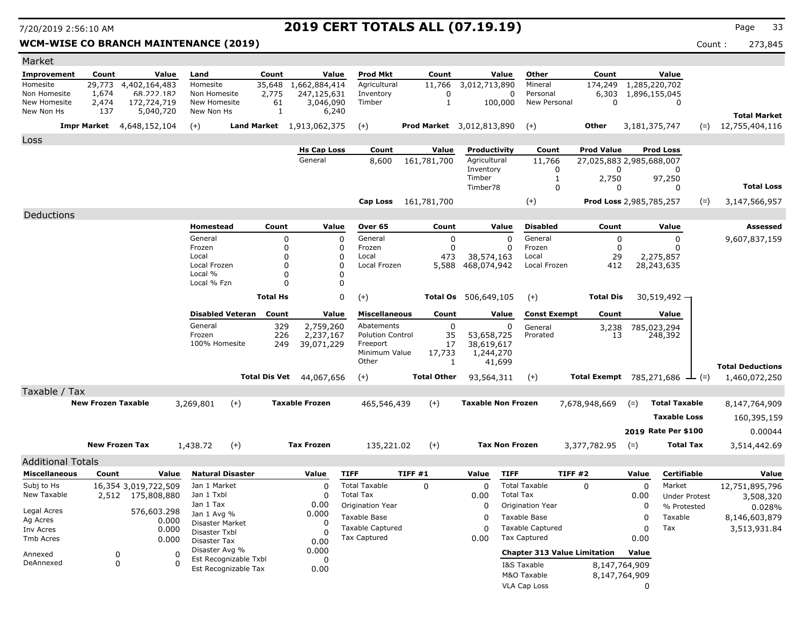### WCM-WISE CO BRANCH MAINTENANCE (2019) **Count : 273,845** Count : 273,845

| Market                     |                           |                                  |                |                                  |                       |                 |                               |                                 |                    |              |                                  |                         |                                               |       |                      |       |                         |
|----------------------------|---------------------------|----------------------------------|----------------|----------------------------------|-----------------------|-----------------|-------------------------------|---------------------------------|--------------------|--------------|----------------------------------|-------------------------|-----------------------------------------------|-------|----------------------|-------|-------------------------|
| Improvement                | Count                     |                                  | Value          | Land                             |                       | Count           | Value                         | <b>Prod Mkt</b>                 |                    | Count        | Value                            | Other                   | Count                                         |       | Value                |       |                         |
| Homesite                   | 29,773                    | 4,402,164,483                    |                | Homesite                         |                       | 35,648          | 1,662,884,414                 | Agricultural                    |                    | 11,766       | 3,012,713,890                    | Mineral                 | 174,249                                       |       | 1,285,220,702        |       |                         |
| Non Homesite               | 1,674                     |                                  | 68.222.182     | Non Homesite                     |                       | 2,775           | 247,125,631                   | Inventory                       |                    | 0            | 0                                | Personal                | 6,303                                         |       | 1,896,155,045        |       |                         |
| New Homesite<br>New Non Hs | 2,474<br>137              | 172,724,719                      | 5,040,720      | New Homesite<br>New Non Hs       |                       | 61<br>1         | 3,046,090<br>6,240            | Timber                          |                    | $\mathbf{1}$ | 100,000                          | New Personal            | $\mathbf 0$                                   |       | 0                    |       |                         |
|                            |                           |                                  |                |                                  |                       |                 |                               |                                 |                    |              |                                  |                         |                                               |       |                      |       | <b>Total Market</b>     |
|                            |                           | <b>Impr Market</b> 4,648,152,104 |                | $(+)$                            |                       |                 | Land Market 1,913,062,375     | $(+)$                           |                    |              | <b>Prod Market</b> 3,012,813,890 | $(+)$                   | Other                                         |       | 3,181,375,747        | $(=)$ | 12,755,404,116          |
| Loss                       |                           |                                  |                |                                  |                       |                 |                               |                                 |                    |              |                                  |                         |                                               |       |                      |       |                         |
|                            |                           |                                  |                |                                  |                       |                 | <b>Hs Cap Loss</b><br>General | Count<br>8,600                  | 161,781,700        | Value        | Productivity<br>Agricultural     | Count<br>11,766         | <b>Prod Value</b><br>27,025,883 2,985,688,007 |       | <b>Prod Loss</b>     |       |                         |
|                            |                           |                                  |                |                                  |                       |                 |                               |                                 |                    |              | Inventory                        | 0                       | 0                                             |       | 0                    |       |                         |
|                            |                           |                                  |                |                                  |                       |                 |                               |                                 |                    |              | Timber                           | 1                       | 2,750                                         |       | 97,250               |       |                         |
|                            |                           |                                  |                |                                  |                       |                 |                               |                                 |                    |              | Timber78                         | 0                       | 0                                             |       | 0                    |       | <b>Total Loss</b>       |
|                            |                           |                                  |                |                                  |                       |                 |                               | Cap Loss                        | 161,781,700        |              |                                  | $(+)$                   | Prod Loss 2,985,785,257                       |       |                      | $(=)$ | 3,147,566,957           |
| Deductions                 |                           |                                  |                |                                  |                       |                 |                               |                                 |                    |              |                                  |                         |                                               |       |                      |       |                         |
|                            |                           |                                  |                | Homestead                        |                       | Count           | Value                         | Over 65                         |                    | Count        | Value                            | <b>Disabled</b>         | Count                                         |       | Value                |       | Assessed                |
|                            |                           |                                  |                | General                          |                       | 0               |                               | $\mathbf 0$<br>General          |                    | 0            | $\mathbf 0$                      | General                 | 0                                             |       | 0                    |       | 9,607,837,159           |
|                            |                           |                                  |                | Frozen                           |                       | 0               |                               | 0<br>Frozen                     |                    | $\Omega$     | $\Omega$                         | Frozen                  | $\mathbf 0$                                   |       | 0                    |       |                         |
|                            |                           |                                  |                | Local<br>Local Frozen            |                       | 0<br>0          |                               | 0<br>Local<br>0<br>Local Frozen |                    | 473          | 38,574,163<br>468,074,942        | Local<br>Local Frozen   | 29<br>412                                     |       | 2,275,857            |       |                         |
|                            |                           |                                  |                | Local %                          |                       | 0               |                               | 0                               |                    | 5,588        |                                  |                         |                                               |       | 28,243,635           |       |                         |
|                            |                           |                                  |                | Local % Fzn                      |                       | 0               |                               | 0                               |                    |              |                                  |                         |                                               |       |                      |       |                         |
|                            |                           |                                  |                |                                  |                       | <b>Total Hs</b> |                               | 0<br>$(+)$                      |                    |              | Total Os 506,649,105             | $(+)$                   | <b>Total Dis</b>                              |       | 30,519,492 -         |       |                         |
|                            |                           |                                  |                | <b>Disabled Veteran</b>          |                       | Count           | Value                         | Miscellaneous                   |                    | Count        | Value                            | <b>Const Exempt</b>     | Count                                         |       | Value                |       |                         |
|                            |                           |                                  |                | General                          |                       | 329             | 2,759,260                     | Abatements                      |                    | 0            | 0                                | General                 | 3,238                                         |       | 785,023,294          |       |                         |
|                            |                           |                                  |                | Frozen                           |                       | 226             | 2,237,167                     | <b>Polution Control</b>         |                    | 35           | 53,658,725                       | Prorated                | 13                                            |       | 248,392              |       |                         |
|                            |                           |                                  |                | 100% Homesite                    |                       | 249             | 39,071,229                    | Freeport<br>Minimum Value       |                    | 17<br>17,733 | 38,619,617<br>1,244,270          |                         |                                               |       |                      |       |                         |
|                            |                           |                                  |                |                                  |                       |                 |                               | Other                           |                    | 1            | 41,699                           |                         |                                               |       |                      |       |                         |
|                            |                           |                                  |                |                                  |                       | Total Dis Vet   |                               |                                 | <b>Total Other</b> |              |                                  |                         | <b>Total Exempt</b> 785,271,686 $\perp$ (=)   |       |                      |       | <b>Total Deductions</b> |
|                            |                           |                                  |                |                                  |                       |                 | 44,067,656                    | $(+)$                           |                    |              | 93,564,311                       | $(+)$                   |                                               |       |                      |       | 1,460,072,250           |
| Taxable / Tax              |                           |                                  |                |                                  |                       |                 |                               |                                 |                    |              |                                  |                         |                                               |       |                      |       |                         |
|                            | <b>New Frozen Taxable</b> |                                  |                | 3,269,801                        | $(+)$                 |                 | <b>Taxable Frozen</b>         | 465,546,439                     | $(+)$              |              | <b>Taxable Non Frozen</b>        |                         | 7,678,948,669                                 | $(=)$ | <b>Total Taxable</b> |       | 8,147,764,909           |
|                            |                           |                                  |                |                                  |                       |                 |                               |                                 |                    |              |                                  |                         |                                               |       | <b>Taxable Loss</b>  |       | 160,395,159             |
|                            |                           |                                  |                |                                  |                       |                 |                               |                                 |                    |              |                                  |                         |                                               |       | 2019 Rate Per \$100  |       | 0.00044                 |
|                            |                           | <b>New Frozen Tax</b>            |                | 1,438.72                         | $(+)$                 |                 | <b>Tax Frozen</b>             | 135,221.02                      | $(+)$              |              | <b>Tax Non Frozen</b>            |                         | 3,377,782.95                                  | $(=)$ | Total Tax            |       | 3,514,442.69            |
| <b>Additional Totals</b>   |                           |                                  |                |                                  |                       |                 |                               |                                 |                    |              |                                  |                         |                                               |       |                      |       |                         |
| <b>Miscellaneous</b>       | Count                     |                                  | Value          | <b>Natural Disaster</b>          |                       |                 | Value                         | <b>TIFF</b>                     | TIFF #1            |              | <b>TIFF</b><br>Value             |                         | TIFF #2                                       | Value | <b>Certifiable</b>   |       | Value                   |
| Subj to Hs                 |                           | 16,354 3,019,722,509             |                | Jan 1 Market                     |                       |                 | 0                             | <b>Total Taxable</b>            | $\Omega$           |              | 0                                | <b>Total Taxable</b>    | 0                                             | 0     | Market               |       | 12,751,895,796          |
| New Taxable                |                           | 2,512 175,808,880                |                | Jan 1 Txbl                       |                       |                 | 0                             | <b>Total Tax</b>                |                    |              | 0.00                             | <b>Total Tax</b>        |                                               | 0.00  | Under Protest        |       | 3,508,320               |
|                            |                           |                                  |                | Jan 1 Tax                        |                       |                 | 0.00                          | Origination Year                |                    |              | 0                                | Origination Year        |                                               | 0     | % Protested          |       | 0.028%                  |
| Legal Acres                |                           |                                  | 576,603.298    | Jan 1 Avg %                      |                       |                 | 0.000                         | Taxable Base                    |                    |              | 0                                | Taxable Base            |                                               | 0     | Taxable              |       | 8,146,603,879           |
| Ag Acres<br>Inv Acres      |                           |                                  | 0.000<br>0.000 | Disaster Market<br>Disaster Txbl |                       |                 | 0                             | <b>Taxable Captured</b>         |                    |              | $\Omega$                         | <b>Taxable Captured</b> |                                               | 0     | Tax                  |       | 3,513,931.84            |
| Tmb Acres                  |                           |                                  | 0.000          | Disaster Tax                     |                       |                 | $\Omega$<br>0.00              | Tax Captured                    |                    |              | 0.00                             | <b>Tax Captured</b>     |                                               | 0.00  |                      |       |                         |
| Annexed                    |                           |                                  | 0              | Disaster Avg %                   |                       |                 | 0.000                         |                                 |                    |              |                                  |                         | <b>Chapter 313 Value Limitation</b>           | Value |                      |       |                         |
| DeAnnexed                  |                           | 0<br>0                           | $\Omega$       |                                  | Est Recognizable Txbl |                 | 0                             |                                 |                    |              |                                  | I&S Taxable             | 8,147,764,909                                 |       |                      |       |                         |
|                            |                           |                                  |                |                                  | Est Recognizable Tax  |                 | 0.00                          |                                 |                    |              |                                  | M&O Taxable             | 8,147,764,909                                 |       |                      |       |                         |
|                            |                           |                                  |                |                                  |                       |                 |                               |                                 |                    |              |                                  | VLA Cap Loss            |                                               | 0     |                      |       |                         |
|                            |                           |                                  |                |                                  |                       |                 |                               |                                 |                    |              |                                  |                         |                                               |       |                      |       |                         |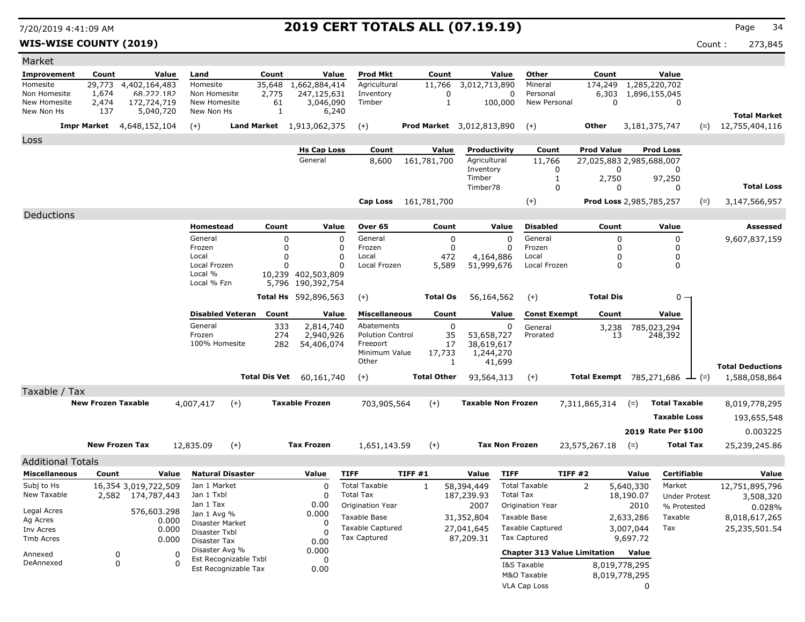**WIS-WISE COUNTY (2019)** Count : 273,845

| Market                       |                           |                                  |                               |             |                                 |                                         |                      |                                  |                                         |                      |                                      |                      |                         |
|------------------------------|---------------------------|----------------------------------|-------------------------------|-------------|---------------------------------|-----------------------------------------|----------------------|----------------------------------|-----------------------------------------|----------------------|--------------------------------------|----------------------|-------------------------|
| <b>Improvement</b>           | Count                     | Value                            | Land                          | Count       | Value                           | <b>Prod Mkt</b>                         | Count                | Value                            | Other                                   | Count                | Value                                |                      |                         |
| Homesite                     |                           | 29,773 4,402,164,483             | Homesite                      |             | 35,648 1,662,884,414            | Agricultural                            | 11,766               | 3,012,713,890                    | Mineral                                 | 174,249              | $\overline{1,285,220,702}$           |                      |                         |
| Non Homesite<br>New Homesite | 1,674<br>2,474            | 68.222.182<br>172,724,719        | Non Homesite<br>New Homesite  | 2,775<br>61 | 247,125,631<br>3,046,090        | Inventory<br>Timber                     | 0<br>1               | 100,000                          | Personal<br>0<br>New Personal           | 6,303<br>$\mathbf 0$ | 1,896,155,045                        | 0                    |                         |
| New Non Hs                   | 137                       | 5,040,720                        | New Non Hs                    | 1           | 6,240                           |                                         |                      |                                  |                                         |                      |                                      |                      | <b>Total Market</b>     |
|                              |                           | <b>Impr Market</b> 4,648,152,104 | $(+)$                         |             | Land Market 1,913,062,375       | $(+)$                                   |                      | <b>Prod Market</b> 3,012,813,890 | $(+)$                                   | Other                | 3,181,375,747                        | $(=)$                | 12,755,404,116          |
| Loss                         |                           |                                  |                               |             |                                 |                                         |                      |                                  |                                         |                      |                                      |                      |                         |
|                              |                           |                                  |                               |             | <b>Hs Cap Loss</b>              | Count                                   | Value                | Productivity                     | Count                                   | <b>Prod Value</b>    | <b>Prod Loss</b>                     |                      |                         |
|                              |                           |                                  |                               |             | General                         | 8,600                                   | 161,781,700          | Agricultural<br>Inventory        | 11,766<br>0                             |                      | 27.025.883 2.985.688.007<br>0        | 0                    |                         |
|                              |                           |                                  |                               |             |                                 |                                         |                      | Timber                           | 1                                       | 2,750                | 97,250                               |                      |                         |
|                              |                           |                                  |                               |             |                                 |                                         |                      | Timber78                         | 0                                       |                      | 0                                    | 0                    | <b>Total Loss</b>       |
|                              |                           |                                  |                               |             |                                 |                                         | Cap Loss 161,781,700 |                                  | $(+)$                                   |                      | Prod Loss 2,985,785,257              | $(=)$                | 3,147,566,957           |
| Deductions                   |                           |                                  |                               |             |                                 |                                         |                      |                                  |                                         |                      |                                      |                      |                         |
|                              |                           |                                  | Homestead                     | Count       | Value                           | Over 65                                 | Count                | Value                            | <b>Disabled</b>                         | Count                | Value                                |                      | Assessed                |
|                              |                           |                                  | General<br>Frozen             | 0<br>0      | 0<br>0                          | General<br>Frozen                       |                      | 0<br>0                           | General<br>0<br>Frozen<br>0             |                      | $\Omega$<br>$\Omega$                 | 0<br>0               | 9,607,837,159           |
|                              |                           |                                  | Local                         | 0           | 0                               | Local                                   | 472                  | 4,164,886                        | Local                                   |                      | $\Omega$                             | 0                    |                         |
|                              |                           |                                  | Local Frozen<br>Local %       | 0           | $\Omega$<br>10,239 402,503,809  | Local Frozen                            | 5,589                | 51,999,676                       | Local Frozen                            |                      | $\Omega$                             | 0                    |                         |
|                              |                           |                                  | Local % Fzn                   |             | 5,796 190,392,754               |                                         |                      |                                  |                                         |                      |                                      |                      |                         |
|                              |                           |                                  |                               |             | Total Hs 592,896,563            | $(+)$                                   | Total Os             | 56,164,562                       | $(+)$                                   | <b>Total Dis</b>     |                                      | $0 -$                |                         |
|                              |                           |                                  | <b>Disabled Veteran</b>       | Count       | Value                           | <b>Miscellaneous</b>                    | Count                | Value                            | <b>Const Exempt</b>                     | Count                | Value                                |                      |                         |
|                              |                           |                                  | General                       | 333         | 2,814,740                       | Abatements                              |                      | 0                                | 0<br>General                            | 3,238                | 785,023,294                          |                      |                         |
|                              |                           |                                  | Frozen                        | 274         | 2,940,926                       | <b>Polution Control</b>                 | 35                   | 53,658,727                       | Prorated                                | 13                   | 248,392                              |                      |                         |
|                              |                           |                                  | 100% Homesite                 | 282         | 54,406,074                      | Freeport<br>Minimum Value               | 17<br>17,733         | 38,619,617<br>1,244,270          |                                         |                      |                                      |                      |                         |
|                              |                           |                                  |                               |             |                                 | Other                                   | 1                    | 41,699                           |                                         |                      |                                      |                      | <b>Total Deductions</b> |
|                              |                           |                                  |                               |             | <b>Total Dis Vet</b> 60,161,740 | $(+)$                                   | <b>Total Other</b>   | 93,564,313                       | $(+)$                                   |                      | Total Exempt 785,271,686 $\perp$ (=) |                      | 1,588,058,864           |
| Taxable / Tax                |                           |                                  |                               |             |                                 |                                         |                      |                                  |                                         |                      |                                      |                      |                         |
|                              | <b>New Frozen Taxable</b> |                                  | 4,007,417<br>$(+)$            |             | <b>Taxable Frozen</b>           | 703,905,564                             | $(+)$                | <b>Taxable Non Frozen</b>        |                                         | 7,311,865,314        | $(=)$                                | <b>Total Taxable</b> | 8,019,778,295           |
|                              |                           |                                  |                               |             |                                 |                                         |                      |                                  |                                         |                      |                                      | <b>Taxable Loss</b>  | 193,655,548             |
|                              |                           |                                  |                               |             |                                 |                                         |                      |                                  |                                         |                      | 2019 Rate Per \$100                  |                      | 0.003225                |
|                              | <b>New Frozen Tax</b>     |                                  | 12,835.09<br>$(+)$            |             | <b>Tax Frozen</b>               | 1,651,143.59                            | $(+)$                | <b>Tax Non Frozen</b>            |                                         | 23,575,267.18        | $(=)$                                | Total Tax            | 25,239,245.86           |
| <b>Additional Totals</b>     |                           |                                  |                               |             |                                 |                                         |                      |                                  |                                         |                      |                                      |                      |                         |
| <b>Miscellaneous</b>         | Count                     | Value                            | <b>Natural Disaster</b>       |             | Value                           | <b>TIFF</b>                             | TIFF #1              | Value                            | <b>TIFF</b>                             | TIFF#2               | Value                                | <b>Certifiable</b>   | Value                   |
| Subj to Hs                   |                           | 16,354 3,019,722,509             | Jan 1 Market                  |             | 0                               | <b>Total Taxable</b>                    | 1                    | 58,394,449                       | <b>Total Taxable</b>                    | 2                    | 5,640,330                            | Market               | 12,751,895,796          |
| New Taxable                  |                           | 2,582 174,787,443                | Jan 1 Txbl                    |             | 0                               | <b>Total Tax</b>                        |                      | 187,239.93                       | <b>Total Tax</b>                        |                      | 18,190.07                            | <b>Under Protest</b> | 3,508,320               |
| Legal Acres                  |                           | 576,603.298                      | Jan 1 Tax<br>Jan 1 Avg %      |             | 0.00<br>0.000                   | Origination Year                        |                      | 2007                             | Origination Year                        |                      | 2010                                 | % Protested          | 0.028%                  |
| Ag Acres                     |                           | 0.000                            | Disaster Market               |             | 0                               | Taxable Base<br><b>Taxable Captured</b> |                      | 31,352,804                       | Taxable Base<br><b>Taxable Captured</b> |                      | 2,633,286<br>Tax                     | Taxable              | 8,018,617,265           |
| Inv Acres<br>Tmb Acres       |                           | 0.000<br>0.000                   | Disaster Txbl<br>Disaster Tax |             | $\Omega$                        | Tax Captured                            |                      | 27,041,645<br>87,209.31          | Tax Captured                            |                      | 3,007,044<br>9,697.72                |                      | 25,235,501.54           |
|                              |                           |                                  | Disaster Avg %                |             | 0.00<br>0.000                   |                                         |                      |                                  | <b>Chapter 313 Value Limitation</b>     |                      | Value                                |                      |                         |
| Annexed<br>DeAnnexed         | 0<br>$\mathbf 0$          | 0<br>$\Omega$                    | Est Recognizable Txbl         |             | 0                               |                                         |                      |                                  | I&S Taxable                             |                      | 8,019,778,295                        |                      |                         |
|                              |                           |                                  | Est Recognizable Tax          |             | 0.00                            |                                         |                      |                                  | M&O Taxable                             |                      | 8,019,778,295                        |                      |                         |
|                              |                           |                                  |                               |             |                                 |                                         |                      |                                  | VLA Cap Loss                            |                      | 0                                    |                      |                         |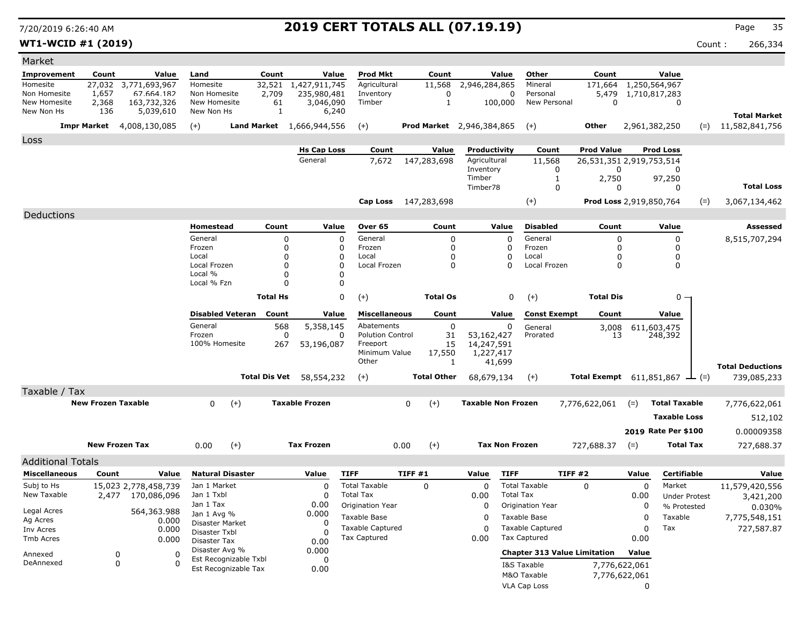**WT1-WCID #1 (2019)** Count : 266,334

| Market                     |                           |                                           |                               |                       |                    |                                 |                                               |                                           |               |                                            |                                     |                                              |                               |                                |                  |                                           |
|----------------------------|---------------------------|-------------------------------------------|-------------------------------|-----------------------|--------------------|---------------------------------|-----------------------------------------------|-------------------------------------------|---------------|--------------------------------------------|-------------------------------------|----------------------------------------------|-------------------------------|--------------------------------|------------------|-------------------------------------------|
| <b>Improvement</b>         | Count                     | Value                                     | Land                          |                       | Count              | Value                           | <b>Prod Mkt</b>                               | Count                                     |               | Value                                      | Other                               | Count                                        |                               | Value                          |                  |                                           |
| Homesite                   |                           | 27,032 3,771,693,967                      | Homesite                      |                       | 32,521             | 1,427,911,745                   | Agricultural                                  | 11,568                                    |               | 2,946,284,865                              | Mineral                             | 171,664                                      |                               | 1,250,564,967                  |                  |                                           |
| Non Homesite               | 1,657                     | 67.664.182                                | Non Homesite                  |                       | 2,709              | 235,980,481                     | Inventory                                     | 0                                         |               | 0                                          | Personal                            | 5,479                                        |                               | 1,710,817,283                  |                  |                                           |
| New Homesite<br>New Non Hs | 2,368<br>136              | 163,732,326<br>5,039,610                  | New Homesite<br>New Non Hs    |                       | 61<br>$\mathbf{1}$ | 3,046,090<br>6,240              | Timber                                        | 1                                         |               | 100,000                                    | New Personal                        | 0                                            |                               | 0                              |                  |                                           |
|                            |                           | <b>Impr Market</b> 4,008,130,085          | $(+)$                         |                       |                    | Land Market 1,666,944,556       | $(+)$                                         | <b>Prod Market</b> 2,946,384,865          |               |                                            | $(+)$                               | Other                                        |                               | 2,961,382,250                  |                  | <b>Total Market</b><br>$= 11,582,841,756$ |
| Loss                       |                           |                                           |                               |                       |                    |                                 |                                               |                                           |               |                                            |                                     |                                              |                               |                                |                  |                                           |
|                            |                           |                                           |                               |                       |                    | <b>Hs Cap Loss</b>              | Count                                         | Value                                     |               | Productivity                               | Count                               | <b>Prod Value</b>                            |                               | <b>Prod Loss</b>               |                  |                                           |
|                            |                           |                                           |                               |                       |                    | General                         | 7,672                                         | 147,283,698                               |               | Agricultural                               | 11,568                              | 26,531,351 2,919,753,514                     |                               |                                |                  |                                           |
|                            |                           |                                           |                               |                       |                    |                                 |                                               |                                           | Timber        | Inventory                                  | 0<br>-1                             | 0<br>2,750                                   |                               | O<br>97,250                    |                  |                                           |
|                            |                           |                                           |                               |                       |                    |                                 |                                               |                                           |               | Timber78                                   | 0                                   | 0                                            |                               | $\Omega$                       |                  | <b>Total Loss</b>                         |
|                            |                           |                                           |                               |                       |                    |                                 |                                               | Cap Loss 147,283,698                      |               |                                            | $(+)$                               | Prod Loss 2,919,850,764                      |                               |                                | $(=)$            | 3,067,134,462                             |
| Deductions                 |                           |                                           |                               |                       |                    |                                 |                                               |                                           |               |                                            |                                     |                                              |                               |                                |                  |                                           |
|                            |                           |                                           | Homestead                     |                       | Count              | Value                           | Over 65                                       | Count                                     |               | Value                                      | <b>Disabled</b>                     | Count                                        |                               | Value                          |                  | <b>Assessed</b>                           |
|                            |                           |                                           | General                       |                       | 0                  |                                 | $\mathbf 0$<br>General                        |                                           | 0             | $\Omega$                                   | General                             | 0                                            |                               | 0                              |                  | 8,515,707,294                             |
|                            |                           |                                           | Frozen                        |                       | 0                  |                                 | Frozen<br>0                                   |                                           | $\mathbf 0$   | 0                                          | Frozen                              | $\Omega$                                     |                               | 0                              |                  |                                           |
|                            |                           |                                           | Local<br>Local Frozen         |                       | 0<br>0             |                                 | Local<br>$\Omega$<br>$\Omega$<br>Local Frozen |                                           | 0<br>$\Omega$ | $\mathbf 0$<br>$\Omega$                    | Local<br>Local Frozen               | 0                                            |                               | 0<br>0                         |                  |                                           |
|                            |                           |                                           | Local %                       |                       | $\Omega$           |                                 | $\Omega$                                      |                                           |               |                                            |                                     | 0                                            |                               |                                |                  |                                           |
|                            |                           |                                           | Local % Fzn                   |                       | 0                  |                                 | 0                                             |                                           |               |                                            |                                     |                                              |                               |                                |                  |                                           |
|                            |                           |                                           |                               | <b>Total Hs</b>       |                    | 0<br>$(+)$                      | <b>Total Os</b>                               |                                           | 0             | <b>Total Dis</b><br>$(+)$                  |                                     |                                              | $0 -$                         |                                |                  |                                           |
|                            |                           | <b>Disabled Veteran</b>                   |                               | Count                 | Value              |                                 | <b>Miscellaneous</b><br>Count                 |                                           | Value         | <b>Const Exempt</b><br>Count               |                                     | Value                                        |                               |                                |                  |                                           |
|                            |                           | General                                   |                               | 568                   | 5,358,145          |                                 | 0<br>Abatements                               |                                           | 0             | General<br>3,008                           |                                     |                                              | 611,603,475                   |                                |                  |                                           |
|                            |                           |                                           | Frozen                        |                       | 0                  |                                 | <b>Polution Control</b><br>0                  |                                           | 31            | 53,162,427                                 | Prorated                            | 13                                           |                               | 248,392                        |                  |                                           |
|                            |                           |                                           | 100% Homesite                 |                       | 267<br>53,196,087  |                                 |                                               | 15<br>Freeport<br>Minimum Value<br>17,550 |               | 14,247,591<br>1,227,417                    |                                     |                                              |                               |                                |                  |                                           |
|                            |                           |                                           |                               |                       |                    |                                 | Other                                         |                                           | 1             | 41,699                                     |                                     |                                              |                               |                                |                  | <b>Total Deductions</b>                   |
|                            |                           |                                           |                               |                       |                    | <b>Total Dis Vet</b> 58,554,232 | $(+)$                                         | <b>Total Other</b>                        |               | 68,679,134                                 | $(+)$                               | Total Exempt $611,851,867$ $\rightarrow$ (=) |                               |                                |                  | 739,085,233                               |
| Taxable / Tax              |                           |                                           |                               |                       |                    |                                 |                                               |                                           |               |                                            |                                     |                                              |                               |                                |                  |                                           |
|                            | <b>New Frozen Taxable</b> |                                           | 0                             | $(+)$                 |                    | <b>Taxable Frozen</b>           |                                               | $(+)$<br>0                                |               | <b>Taxable Non Frozen</b><br>7,776,622,061 |                                     |                                              | <b>Total Taxable</b><br>$(=)$ |                                |                  | 7,776,622,061                             |
|                            |                           |                                           |                               |                       |                    |                                 |                                               |                                           |               |                                            |                                     |                                              |                               | <b>Taxable Loss</b>            |                  | 512,102                                   |
|                            |                           |                                           |                               |                       |                    |                                 |                                               |                                           |               |                                            |                                     |                                              |                               | 2019 Rate Per \$100            |                  | 0.00009358                                |
|                            | <b>New Frozen Tax</b>     |                                           | 0.00                          | $(+)$                 |                    | <b>Tax Frozen</b>               |                                               | 0.00<br>$(+)$                             |               | <b>Tax Non Frozen</b>                      |                                     | 727,688.37                                   | $(=)$                         |                                | <b>Total Tax</b> | 727,688.37                                |
|                            |                           |                                           |                               |                       |                    |                                 |                                               |                                           |               |                                            |                                     |                                              |                               |                                |                  |                                           |
| <b>Additional Totals</b>   |                           |                                           |                               |                       |                    |                                 |                                               |                                           |               |                                            |                                     |                                              |                               |                                |                  |                                           |
| <b>Miscellaneous</b>       | Count                     | Value                                     | <b>Natural Disaster</b>       |                       |                    | Value                           | <b>TIFF</b>                                   | TIFF #1                                   | Value         | <b>TIFF</b>                                |                                     | <b>TIFF #2</b>                               | Value                         | <b>Certifiable</b>             |                  | Value                                     |
| Subj to Hs<br>New Taxable  |                           | 15,023 2,778,458,739<br>2,477 170,086,096 | Jan 1 Market<br>Jan 1 Txbl    |                       |                    | $\Omega$<br>$\Omega$            | <b>Total Taxable</b><br><b>Total Tax</b>      | 0                                         | 0.00          | 0<br><b>Total Tax</b>                      | <b>Total Taxable</b>                | $\Omega$                                     | $\Omega$<br>0.00              | Market<br><b>Under Protest</b> |                  | 11,579,420,556<br>3,421,200               |
|                            |                           |                                           | Jan 1 Tax                     |                       |                    | 0.00                            | <b>Origination Year</b>                       |                                           |               | 0                                          | Origination Year                    |                                              | 0                             | % Protested                    |                  | 0.030%                                    |
| Legal Acres                |                           | 564,363.988                               | Jan 1 Avg %                   |                       |                    | 0.000                           | Taxable Base                                  |                                           |               | 0                                          | Taxable Base                        |                                              | 0                             | Taxable                        |                  | 7,775,548,151                             |
| Ag Acres<br>Inv Acres      |                           | 0.000<br>0.000                            | Disaster Market               |                       |                    | $\Omega$                        | <b>Taxable Captured</b>                       |                                           |               | 0                                          | <b>Taxable Captured</b>             |                                              | 0                             | Tax                            |                  | 727,587.87                                |
| Tmb Acres                  |                           | 0.000                                     | Disaster Txbl<br>Disaster Tax |                       |                    | 0.00                            | Tax Captured                                  |                                           | 0.00          |                                            | <b>Tax Captured</b>                 |                                              | 0.00                          |                                |                  |                                           |
|                            |                           |                                           | Disaster Avg %                |                       |                    | 0.000                           |                                               |                                           |               |                                            | <b>Chapter 313 Value Limitation</b> |                                              | Value                         |                                |                  |                                           |
| Annexed<br>DeAnnexed       | 0<br>0                    | 0<br>0                                    |                               | Est Recognizable Txbl |                    | 0                               |                                               |                                           |               |                                            | I&S Taxable                         |                                              | 7,776,622,061                 |                                |                  |                                           |
|                            |                           |                                           |                               | Est Recognizable Tax  |                    | 0.00                            |                                               |                                           |               |                                            | M&O Taxable                         |                                              | 7,776,622,061                 |                                |                  |                                           |
|                            |                           |                                           |                               |                       |                    |                                 |                                               |                                           |               |                                            | VLA Cap Loss                        |                                              | 0                             |                                |                  |                                           |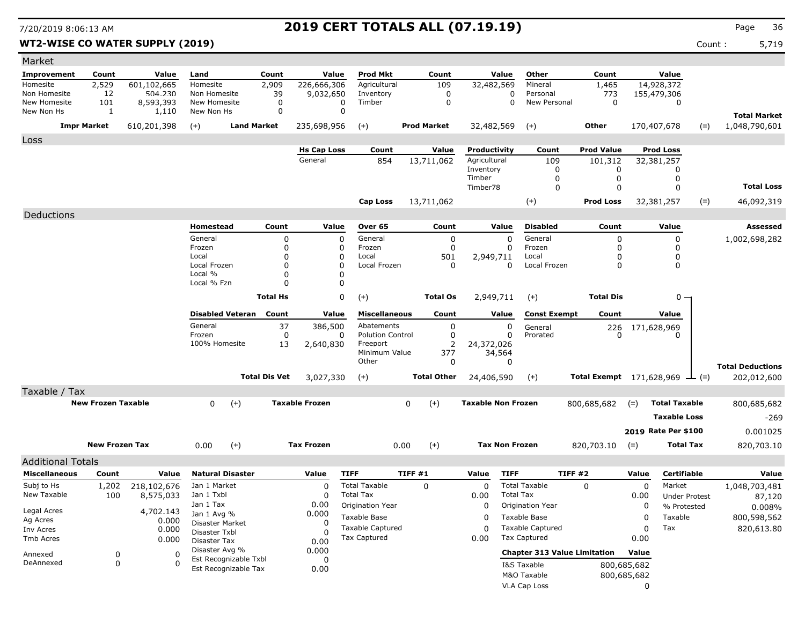### **WT2-WISE CO WATER SUPPLY (2019)** Count : 5,719

| <b>Prod Mkt</b><br>Other<br>Count<br>Value<br>Improvement<br>Count<br>Value<br>Land<br>Count<br>Value<br>Count<br>Value<br>2,529<br>601,102,665<br>2,909<br>226,666,306<br>109<br>32,482,569<br>Mineral<br>1,465<br>14,928,372<br>Homesite<br>Agricultural<br>Homesite<br>$\mathbf 0$<br>Non Homesite<br>12<br>504.230<br>39<br>Inventory<br>$\mathbf 0$<br>773<br>155,479,306<br>Non Homesite<br>9,032,650<br>Personal<br>$\mathbf 0$<br>101<br>$\mathbf 0$<br>Timber<br>$\mathbf 0$<br>New Personal<br>$\mathbf 0$<br>New Homesite<br>8,593,393<br>New Homesite<br>$\mathbf 0$<br>$\mathbf 0$<br>$\mathbf 0$<br>$\mathbf 0$<br>New Non Hs<br>1,110<br>New Non Hs<br>1<br><b>Total Market</b><br><b>Impr Market</b><br><b>Land Market</b><br><b>Prod Market</b><br>32,482,569<br>Other<br>610,201,398<br>$(+)$<br>235,698,956<br>$(+)$<br>$(+)$<br>170,407,678<br>$(=)$<br>1,048,790,601<br>Loss<br><b>Hs Cap Loss</b><br>Count<br>Value<br>Productivity<br>Count<br><b>Prod Value</b><br><b>Prod Loss</b><br>General<br>854<br>13,711,062<br>Agricultural<br>109<br>101,312<br>32,381,257<br>Inventory<br>$\mathbf 0$<br>0<br>0<br>$\mathsf 0$<br>Timber<br>0<br>0<br><b>Total Loss</b><br>$\mathbf 0$<br>Timber78<br>$\mathbf 0$<br>$\Omega$<br>$(+)$<br><b>Prod Loss</b><br>32,381,257<br>Cap Loss<br>13,711,062<br>$(=)$<br>46,092,319<br>Deductions<br>Homestead<br>Count<br>Value<br>Over 65<br>Count<br>Value<br><b>Disabled</b><br>Count<br>Value<br><b>Assessed</b><br>General<br>$\mathbf 0$<br>$\mathbf 0$<br>General<br>$\mathbf 0$<br>$\mathbf 0$<br>General<br>$\mathbf 0$<br>$\mathbf 0$<br>1,002,698,282<br>0<br>Frozen<br>$\Omega$<br>Frozen<br>$\Omega$<br>Frozen<br>$\Omega$<br>$\Omega$<br>0<br>$\mathbf 0$<br>Local<br>Local<br>501<br>2,949,711<br>Local<br>$\mathbf 0$<br>$\mathbf 0$<br>0<br>$\mathbf 0$<br>$\mathbf 0$<br>0<br>Local Frozen<br>0<br>Local Frozen<br>0<br>Local Frozen<br>0<br>Local %<br>$\mathbf 0$<br>$\Omega$<br>Local % Fzn<br>0<br>$\Omega$<br><b>Total Hs</b><br>0<br><b>Total Dis</b><br>$(+)$<br><b>Total Os</b><br>2,949,711<br>$(+)$<br>$0 \cdot$<br><b>Disabled Veteran</b><br>Count<br>Value<br><b>Miscellaneous</b><br><b>Const Exempt</b><br>Value<br>Count<br>Value<br>Count<br>General<br>37<br>0<br>0<br>386,500<br>Abatements<br>General<br>$^{226}_{0}$<br>171,628,969<br>$\Omega$ |
|-------------------------------------------------------------------------------------------------------------------------------------------------------------------------------------------------------------------------------------------------------------------------------------------------------------------------------------------------------------------------------------------------------------------------------------------------------------------------------------------------------------------------------------------------------------------------------------------------------------------------------------------------------------------------------------------------------------------------------------------------------------------------------------------------------------------------------------------------------------------------------------------------------------------------------------------------------------------------------------------------------------------------------------------------------------------------------------------------------------------------------------------------------------------------------------------------------------------------------------------------------------------------------------------------------------------------------------------------------------------------------------------------------------------------------------------------------------------------------------------------------------------------------------------------------------------------------------------------------------------------------------------------------------------------------------------------------------------------------------------------------------------------------------------------------------------------------------------------------------------------------------------------------------------------------------------------------------------------------------------------------------------------------------------------------------------------------------------------------------------------------------------------------------------------------------------------------------------------------------------------------------------------------------------------------------------------------------------------|
|                                                                                                                                                                                                                                                                                                                                                                                                                                                                                                                                                                                                                                                                                                                                                                                                                                                                                                                                                                                                                                                                                                                                                                                                                                                                                                                                                                                                                                                                                                                                                                                                                                                                                                                                                                                                                                                                                                                                                                                                                                                                                                                                                                                                                                                                                                                                                 |
|                                                                                                                                                                                                                                                                                                                                                                                                                                                                                                                                                                                                                                                                                                                                                                                                                                                                                                                                                                                                                                                                                                                                                                                                                                                                                                                                                                                                                                                                                                                                                                                                                                                                                                                                                                                                                                                                                                                                                                                                                                                                                                                                                                                                                                                                                                                                                 |
|                                                                                                                                                                                                                                                                                                                                                                                                                                                                                                                                                                                                                                                                                                                                                                                                                                                                                                                                                                                                                                                                                                                                                                                                                                                                                                                                                                                                                                                                                                                                                                                                                                                                                                                                                                                                                                                                                                                                                                                                                                                                                                                                                                                                                                                                                                                                                 |
|                                                                                                                                                                                                                                                                                                                                                                                                                                                                                                                                                                                                                                                                                                                                                                                                                                                                                                                                                                                                                                                                                                                                                                                                                                                                                                                                                                                                                                                                                                                                                                                                                                                                                                                                                                                                                                                                                                                                                                                                                                                                                                                                                                                                                                                                                                                                                 |
|                                                                                                                                                                                                                                                                                                                                                                                                                                                                                                                                                                                                                                                                                                                                                                                                                                                                                                                                                                                                                                                                                                                                                                                                                                                                                                                                                                                                                                                                                                                                                                                                                                                                                                                                                                                                                                                                                                                                                                                                                                                                                                                                                                                                                                                                                                                                                 |
|                                                                                                                                                                                                                                                                                                                                                                                                                                                                                                                                                                                                                                                                                                                                                                                                                                                                                                                                                                                                                                                                                                                                                                                                                                                                                                                                                                                                                                                                                                                                                                                                                                                                                                                                                                                                                                                                                                                                                                                                                                                                                                                                                                                                                                                                                                                                                 |
|                                                                                                                                                                                                                                                                                                                                                                                                                                                                                                                                                                                                                                                                                                                                                                                                                                                                                                                                                                                                                                                                                                                                                                                                                                                                                                                                                                                                                                                                                                                                                                                                                                                                                                                                                                                                                                                                                                                                                                                                                                                                                                                                                                                                                                                                                                                                                 |
|                                                                                                                                                                                                                                                                                                                                                                                                                                                                                                                                                                                                                                                                                                                                                                                                                                                                                                                                                                                                                                                                                                                                                                                                                                                                                                                                                                                                                                                                                                                                                                                                                                                                                                                                                                                                                                                                                                                                                                                                                                                                                                                                                                                                                                                                                                                                                 |
|                                                                                                                                                                                                                                                                                                                                                                                                                                                                                                                                                                                                                                                                                                                                                                                                                                                                                                                                                                                                                                                                                                                                                                                                                                                                                                                                                                                                                                                                                                                                                                                                                                                                                                                                                                                                                                                                                                                                                                                                                                                                                                                                                                                                                                                                                                                                                 |
|                                                                                                                                                                                                                                                                                                                                                                                                                                                                                                                                                                                                                                                                                                                                                                                                                                                                                                                                                                                                                                                                                                                                                                                                                                                                                                                                                                                                                                                                                                                                                                                                                                                                                                                                                                                                                                                                                                                                                                                                                                                                                                                                                                                                                                                                                                                                                 |
|                                                                                                                                                                                                                                                                                                                                                                                                                                                                                                                                                                                                                                                                                                                                                                                                                                                                                                                                                                                                                                                                                                                                                                                                                                                                                                                                                                                                                                                                                                                                                                                                                                                                                                                                                                                                                                                                                                                                                                                                                                                                                                                                                                                                                                                                                                                                                 |
|                                                                                                                                                                                                                                                                                                                                                                                                                                                                                                                                                                                                                                                                                                                                                                                                                                                                                                                                                                                                                                                                                                                                                                                                                                                                                                                                                                                                                                                                                                                                                                                                                                                                                                                                                                                                                                                                                                                                                                                                                                                                                                                                                                                                                                                                                                                                                 |
|                                                                                                                                                                                                                                                                                                                                                                                                                                                                                                                                                                                                                                                                                                                                                                                                                                                                                                                                                                                                                                                                                                                                                                                                                                                                                                                                                                                                                                                                                                                                                                                                                                                                                                                                                                                                                                                                                                                                                                                                                                                                                                                                                                                                                                                                                                                                                 |
|                                                                                                                                                                                                                                                                                                                                                                                                                                                                                                                                                                                                                                                                                                                                                                                                                                                                                                                                                                                                                                                                                                                                                                                                                                                                                                                                                                                                                                                                                                                                                                                                                                                                                                                                                                                                                                                                                                                                                                                                                                                                                                                                                                                                                                                                                                                                                 |
|                                                                                                                                                                                                                                                                                                                                                                                                                                                                                                                                                                                                                                                                                                                                                                                                                                                                                                                                                                                                                                                                                                                                                                                                                                                                                                                                                                                                                                                                                                                                                                                                                                                                                                                                                                                                                                                                                                                                                                                                                                                                                                                                                                                                                                                                                                                                                 |
|                                                                                                                                                                                                                                                                                                                                                                                                                                                                                                                                                                                                                                                                                                                                                                                                                                                                                                                                                                                                                                                                                                                                                                                                                                                                                                                                                                                                                                                                                                                                                                                                                                                                                                                                                                                                                                                                                                                                                                                                                                                                                                                                                                                                                                                                                                                                                 |
|                                                                                                                                                                                                                                                                                                                                                                                                                                                                                                                                                                                                                                                                                                                                                                                                                                                                                                                                                                                                                                                                                                                                                                                                                                                                                                                                                                                                                                                                                                                                                                                                                                                                                                                                                                                                                                                                                                                                                                                                                                                                                                                                                                                                                                                                                                                                                 |
|                                                                                                                                                                                                                                                                                                                                                                                                                                                                                                                                                                                                                                                                                                                                                                                                                                                                                                                                                                                                                                                                                                                                                                                                                                                                                                                                                                                                                                                                                                                                                                                                                                                                                                                                                                                                                                                                                                                                                                                                                                                                                                                                                                                                                                                                                                                                                 |
|                                                                                                                                                                                                                                                                                                                                                                                                                                                                                                                                                                                                                                                                                                                                                                                                                                                                                                                                                                                                                                                                                                                                                                                                                                                                                                                                                                                                                                                                                                                                                                                                                                                                                                                                                                                                                                                                                                                                                                                                                                                                                                                                                                                                                                                                                                                                                 |
|                                                                                                                                                                                                                                                                                                                                                                                                                                                                                                                                                                                                                                                                                                                                                                                                                                                                                                                                                                                                                                                                                                                                                                                                                                                                                                                                                                                                                                                                                                                                                                                                                                                                                                                                                                                                                                                                                                                                                                                                                                                                                                                                                                                                                                                                                                                                                 |
|                                                                                                                                                                                                                                                                                                                                                                                                                                                                                                                                                                                                                                                                                                                                                                                                                                                                                                                                                                                                                                                                                                                                                                                                                                                                                                                                                                                                                                                                                                                                                                                                                                                                                                                                                                                                                                                                                                                                                                                                                                                                                                                                                                                                                                                                                                                                                 |
| $\mathbf 0$<br>Frozen<br>$\mathbf 0$<br><b>Polution Control</b><br>Prorated<br>0                                                                                                                                                                                                                                                                                                                                                                                                                                                                                                                                                                                                                                                                                                                                                                                                                                                                                                                                                                                                                                                                                                                                                                                                                                                                                                                                                                                                                                                                                                                                                                                                                                                                                                                                                                                                                                                                                                                                                                                                                                                                                                                                                                                                                                                                |
| $\overline{2}$<br>100% Homesite<br>13<br>Freeport<br>24,372,026<br>2,640,830<br>Minimum Value<br>377<br>34,564                                                                                                                                                                                                                                                                                                                                                                                                                                                                                                                                                                                                                                                                                                                                                                                                                                                                                                                                                                                                                                                                                                                                                                                                                                                                                                                                                                                                                                                                                                                                                                                                                                                                                                                                                                                                                                                                                                                                                                                                                                                                                                                                                                                                                                  |
| Other<br>$\Omega$<br>$\Omega$                                                                                                                                                                                                                                                                                                                                                                                                                                                                                                                                                                                                                                                                                                                                                                                                                                                                                                                                                                                                                                                                                                                                                                                                                                                                                                                                                                                                                                                                                                                                                                                                                                                                                                                                                                                                                                                                                                                                                                                                                                                                                                                                                                                                                                                                                                                   |
| <b>Total Deductions</b><br><b>Total Dis Vet</b><br>3,027,330<br><b>Total Other</b><br>24,406,590<br>202,012,600<br>$(+)$<br>$(+)$<br><b>Total Exempt</b> 171,628,969<br>$\perp$ (=)                                                                                                                                                                                                                                                                                                                                                                                                                                                                                                                                                                                                                                                                                                                                                                                                                                                                                                                                                                                                                                                                                                                                                                                                                                                                                                                                                                                                                                                                                                                                                                                                                                                                                                                                                                                                                                                                                                                                                                                                                                                                                                                                                             |
|                                                                                                                                                                                                                                                                                                                                                                                                                                                                                                                                                                                                                                                                                                                                                                                                                                                                                                                                                                                                                                                                                                                                                                                                                                                                                                                                                                                                                                                                                                                                                                                                                                                                                                                                                                                                                                                                                                                                                                                                                                                                                                                                                                                                                                                                                                                                                 |
| Taxable / Tax                                                                                                                                                                                                                                                                                                                                                                                                                                                                                                                                                                                                                                                                                                                                                                                                                                                                                                                                                                                                                                                                                                                                                                                                                                                                                                                                                                                                                                                                                                                                                                                                                                                                                                                                                                                                                                                                                                                                                                                                                                                                                                                                                                                                                                                                                                                                   |
| <b>New Frozen Taxable</b><br>0<br><b>Taxable Frozen</b><br>$(+)$<br><b>Taxable Non Frozen</b><br><b>Total Taxable</b><br>$(+)$<br>0<br>800,685,682<br>$(=)$<br>800,685,682                                                                                                                                                                                                                                                                                                                                                                                                                                                                                                                                                                                                                                                                                                                                                                                                                                                                                                                                                                                                                                                                                                                                                                                                                                                                                                                                                                                                                                                                                                                                                                                                                                                                                                                                                                                                                                                                                                                                                                                                                                                                                                                                                                      |
| <b>Taxable Loss</b><br>$-269$                                                                                                                                                                                                                                                                                                                                                                                                                                                                                                                                                                                                                                                                                                                                                                                                                                                                                                                                                                                                                                                                                                                                                                                                                                                                                                                                                                                                                                                                                                                                                                                                                                                                                                                                                                                                                                                                                                                                                                                                                                                                                                                                                                                                                                                                                                                   |
| 2019 Rate Per \$100<br>0.001025                                                                                                                                                                                                                                                                                                                                                                                                                                                                                                                                                                                                                                                                                                                                                                                                                                                                                                                                                                                                                                                                                                                                                                                                                                                                                                                                                                                                                                                                                                                                                                                                                                                                                                                                                                                                                                                                                                                                                                                                                                                                                                                                                                                                                                                                                                                 |
| <b>New Frozen Tax</b><br>$(+)$<br><b>Tax Frozen</b><br>$(+)$<br><b>Tax Non Frozen</b><br>820,703.10<br><b>Total Tax</b><br>820,703.10<br>0.00<br>0.00<br>$(=)$                                                                                                                                                                                                                                                                                                                                                                                                                                                                                                                                                                                                                                                                                                                                                                                                                                                                                                                                                                                                                                                                                                                                                                                                                                                                                                                                                                                                                                                                                                                                                                                                                                                                                                                                                                                                                                                                                                                                                                                                                                                                                                                                                                                  |
| <b>Additional Totals</b>                                                                                                                                                                                                                                                                                                                                                                                                                                                                                                                                                                                                                                                                                                                                                                                                                                                                                                                                                                                                                                                                                                                                                                                                                                                                                                                                                                                                                                                                                                                                                                                                                                                                                                                                                                                                                                                                                                                                                                                                                                                                                                                                                                                                                                                                                                                        |
| <b>TIFF</b><br><b>Miscellaneous</b><br>Count<br>Value<br><b>Natural Disaster</b><br>Value<br>TIFF #1<br>Value<br><b>TIFF</b><br><b>TIFF #2</b><br>Value<br><b>Certifiable</b><br>Value                                                                                                                                                                                                                                                                                                                                                                                                                                                                                                                                                                                                                                                                                                                                                                                                                                                                                                                                                                                                                                                                                                                                                                                                                                                                                                                                                                                                                                                                                                                                                                                                                                                                                                                                                                                                                                                                                                                                                                                                                                                                                                                                                          |
| <b>Total Taxable</b><br><b>Total Taxable</b><br>$\mathbf 0$<br>$\mathbf 0$<br>$\mathbf 0$<br>Subj to Hs<br>218,102,676<br>$\mathbf 0$<br>0<br>Market<br>1,048,703,481<br>1,202<br>Jan 1 Market                                                                                                                                                                                                                                                                                                                                                                                                                                                                                                                                                                                                                                                                                                                                                                                                                                                                                                                                                                                                                                                                                                                                                                                                                                                                                                                                                                                                                                                                                                                                                                                                                                                                                                                                                                                                                                                                                                                                                                                                                                                                                                                                                  |
| <b>Total Tax</b><br>New Taxable<br>100<br>8,575,033<br>Jan 1 Txbl<br>$\Omega$<br><b>Total Tax</b><br>0.00<br>0.00<br><b>Under Protest</b><br>87,120                                                                                                                                                                                                                                                                                                                                                                                                                                                                                                                                                                                                                                                                                                                                                                                                                                                                                                                                                                                                                                                                                                                                                                                                                                                                                                                                                                                                                                                                                                                                                                                                                                                                                                                                                                                                                                                                                                                                                                                                                                                                                                                                                                                             |
| Jan 1 Tax<br>0.00<br>Origination Year<br>0<br>Origination Year<br>0<br>% Protested<br>0.008%<br>Legal Acres<br>4,702.143                                                                                                                                                                                                                                                                                                                                                                                                                                                                                                                                                                                                                                                                                                                                                                                                                                                                                                                                                                                                                                                                                                                                                                                                                                                                                                                                                                                                                                                                                                                                                                                                                                                                                                                                                                                                                                                                                                                                                                                                                                                                                                                                                                                                                        |
| Jan 1 Avg %<br>0.000<br>Taxable Base<br><b>Taxable Base</b><br>Taxable<br>$\Omega$<br>0<br>800,598,562<br>Ag Acres<br>0.000<br>Disaster Market<br>0                                                                                                                                                                                                                                                                                                                                                                                                                                                                                                                                                                                                                                                                                                                                                                                                                                                                                                                                                                                                                                                                                                                                                                                                                                                                                                                                                                                                                                                                                                                                                                                                                                                                                                                                                                                                                                                                                                                                                                                                                                                                                                                                                                                             |
| <b>Taxable Captured</b><br><b>Taxable Captured</b><br>Tax<br>$\Omega$<br>$\Omega$<br>820,613.80<br>Inv Acres<br>0.000<br>Disaster Txbl<br>O                                                                                                                                                                                                                                                                                                                                                                                                                                                                                                                                                                                                                                                                                                                                                                                                                                                                                                                                                                                                                                                                                                                                                                                                                                                                                                                                                                                                                                                                                                                                                                                                                                                                                                                                                                                                                                                                                                                                                                                                                                                                                                                                                                                                     |
| <b>Tax Captured</b><br>0.00<br>Tax Captured<br>0.00<br>Tmb Acres<br>0.000<br>0.00<br>Disaster Tax                                                                                                                                                                                                                                                                                                                                                                                                                                                                                                                                                                                                                                                                                                                                                                                                                                                                                                                                                                                                                                                                                                                                                                                                                                                                                                                                                                                                                                                                                                                                                                                                                                                                                                                                                                                                                                                                                                                                                                                                                                                                                                                                                                                                                                               |
|                                                                                                                                                                                                                                                                                                                                                                                                                                                                                                                                                                                                                                                                                                                                                                                                                                                                                                                                                                                                                                                                                                                                                                                                                                                                                                                                                                                                                                                                                                                                                                                                                                                                                                                                                                                                                                                                                                                                                                                                                                                                                                                                                                                                                                                                                                                                                 |
| Disaster Avg %<br>0.000<br><b>Chapter 313 Value Limitation</b><br>Value                                                                                                                                                                                                                                                                                                                                                                                                                                                                                                                                                                                                                                                                                                                                                                                                                                                                                                                                                                                                                                                                                                                                                                                                                                                                                                                                                                                                                                                                                                                                                                                                                                                                                                                                                                                                                                                                                                                                                                                                                                                                                                                                                                                                                                                                         |
| 0<br>$\Omega$<br>Annexed<br>Est Recognizable Txbl<br>0<br>$\mathbf 0$<br>DeAnnexed<br>$\mathbf{0}$<br>I&S Taxable<br>800,685,682<br>Est Recognizable Tax<br>0.00                                                                                                                                                                                                                                                                                                                                                                                                                                                                                                                                                                                                                                                                                                                                                                                                                                                                                                                                                                                                                                                                                                                                                                                                                                                                                                                                                                                                                                                                                                                                                                                                                                                                                                                                                                                                                                                                                                                                                                                                                                                                                                                                                                                |

VLA Cap Loss 0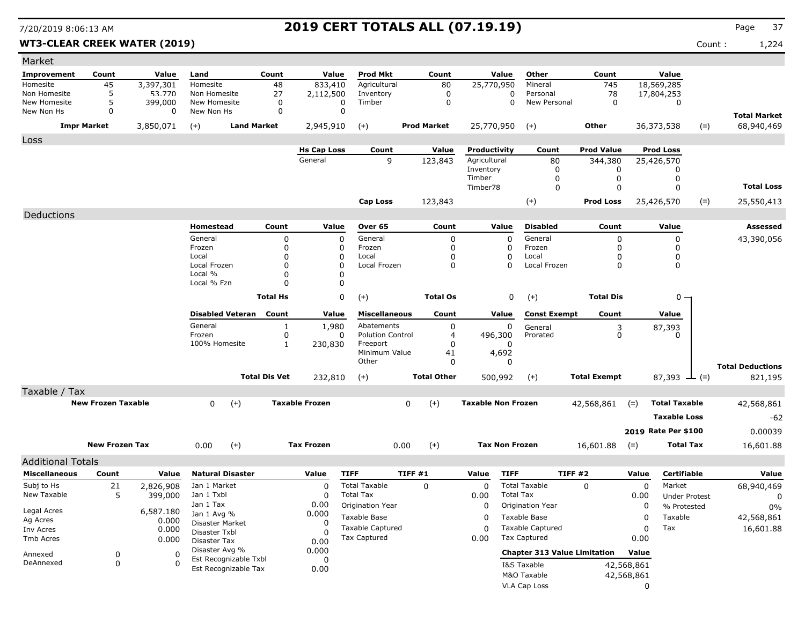### **WT3-CLEAR CREEK WATER (2019)** Count : 1,224

| Page |  |
|------|--|
|      |  |

| Market                     |                           |                    |                                  |                      |                       |                         |                    |                           |                                     |                     |             |                      |             |                         |
|----------------------------|---------------------------|--------------------|----------------------------------|----------------------|-----------------------|-------------------------|--------------------|---------------------------|-------------------------------------|---------------------|-------------|----------------------|-------------|-------------------------|
| <b>Improvement</b>         | Count                     | Value              | Land                             | Count                | Value                 | <b>Prod Mkt</b>         | Count              | Value                     | Other                               | Count               |             | Value                |             |                         |
| Homesite                   | 45                        | 3,397,301          | Homesite                         | 48                   | 833,410               | Agricultural            | 80                 | 25,770,950                | Mineral                             | 745                 |             | 18,569,285           |             |                         |
| Non Homesite               | 5                         | 53.770             | Non Homesite                     | 27                   | 2,112,500             | Inventory               | 0                  | 0                         | Personal                            | 78                  |             | 17,804,253           |             |                         |
| New Homesite<br>New Non Hs | 5<br>$\Omega$             | 399,000<br>0       | New Homesite<br>New Non Hs       | 0<br>$\mathbf 0$     | 0<br>$\mathbf 0$      | Timber                  | 0                  | $\mathbf 0$               | New Personal                        | $\mathbf 0$         |             | 0                    |             |                         |
|                            |                           |                    |                                  |                      |                       |                         |                    |                           |                                     |                     |             |                      |             | <b>Total Market</b>     |
|                            | <b>Impr Market</b>        | 3,850,071          | $(+)$                            | <b>Land Market</b>   | 2,945,910             | $(+)$                   | <b>Prod Market</b> | 25,770,950                | $(+)$                               | Other               |             | 36,373,538           | $(=)$       | 68,940,469              |
| Loss                       |                           |                    |                                  |                      | <b>Hs Cap Loss</b>    | Count                   | Value              | Productivity              | Count                               | <b>Prod Value</b>   |             | <b>Prod Loss</b>     |             |                         |
|                            |                           |                    |                                  |                      | General               | 9                       | 123,843            | Agricultural              | 80                                  | 344,380             |             | 25,426,570           |             |                         |
|                            |                           |                    |                                  |                      |                       |                         |                    | Inventory                 | 0                                   | 0                   |             | 0                    |             |                         |
|                            |                           |                    |                                  |                      |                       |                         |                    | Timber                    | 0                                   | 0                   |             | 0                    |             |                         |
|                            |                           |                    |                                  |                      |                       |                         |                    | Timber78                  | 0                                   | $\mathbf 0$         |             | 0                    |             | <b>Total Loss</b>       |
|                            |                           |                    |                                  |                      |                       | Cap Loss                | 123,843            |                           | $(+)$                               | <b>Prod Loss</b>    |             | 25,426,570           | $(=)$       | 25,550,413              |
| Deductions                 |                           |                    |                                  |                      |                       |                         |                    |                           |                                     |                     |             |                      |             |                         |
|                            |                           |                    | Homestead                        | Count                | Value                 | Over 65                 | Count              | Value                     | <b>Disabled</b>                     | Count               |             | Value                |             | Assessed                |
|                            |                           |                    | General                          | 0                    | $\Omega$              | General                 | 0                  | 0                         | General                             | 0                   |             | 0                    |             | 43,390,056              |
|                            |                           |                    | Frozen                           | 0                    | 0                     | Frozen                  | 0                  | 0                         | Frozen                              | $\Omega$            |             | 0                    |             |                         |
|                            |                           |                    | Local<br>Local Frozen            | 0<br>0               | 0<br>0                | Local<br>Local Frozen   | 0<br>0             | 0<br>$\Omega$             | Local<br>Local Frozen               | 0<br>$\Omega$       |             | 0<br>0               |             |                         |
|                            |                           |                    | Local %                          | $\Omega$             | 0                     |                         |                    |                           |                                     |                     |             |                      |             |                         |
|                            |                           |                    | Local % Fzn                      | $\Omega$             | $\Omega$              |                         |                    |                           |                                     |                     |             |                      |             |                         |
|                            |                           |                    |                                  | <b>Total Hs</b>      | 0                     | $(+)$                   | <b>Total Os</b>    | 0                         | $(+)$                               | <b>Total Dis</b>    |             | 0 -                  |             |                         |
|                            |                           |                    | <b>Disabled Veteran</b>          | Count                | Value                 | <b>Miscellaneous</b>    | Count              | Value                     | <b>Const Exempt</b>                 | Count               |             | Value                |             |                         |
|                            |                           |                    | General                          | 1                    | 1,980                 | Abatements              | 0                  | 0                         | General                             |                     |             | 87,393               |             |                         |
|                            |                           |                    | Frozen                           | 0                    | 0                     | <b>Polution Control</b> | 4                  | 496,300                   | Prorated                            | $_{0}^{3}$          |             | O                    |             |                         |
|                            |                           |                    | 100% Homesite                    | $\mathbf{1}$         | 230,830               | Freeport                | 0                  | 0                         |                                     |                     |             |                      |             |                         |
|                            |                           |                    |                                  |                      |                       | Minimum Value<br>Other  | 41<br>0            | 4,692<br>0                |                                     |                     |             |                      |             |                         |
|                            |                           |                    |                                  | <b>Total Dis Vet</b> |                       |                         |                    |                           |                                     |                     |             |                      |             | <b>Total Deductions</b> |
|                            |                           |                    |                                  |                      | 232,810               | $(+)$                   | <b>Total Other</b> | 500,992                   | $(+)$                               | <b>Total Exempt</b> |             | 87,393               | $\perp$ (=) | 821,195                 |
| Taxable / Tax              | <b>New Frozen Taxable</b> |                    |                                  |                      | <b>Taxable Frozen</b> |                         |                    | <b>Taxable Non Frozen</b> |                                     |                     |             | <b>Total Taxable</b> |             |                         |
|                            |                           |                    | 0<br>$(+)$                       |                      |                       | 0<br>$(+)$              |                    |                           | 42,568,861                          | $(=)$               |             |                      | 42,568,861  |                         |
|                            |                           |                    |                                  |                      |                       |                         |                    |                           |                                     |                     |             | <b>Taxable Loss</b>  |             | $-62$                   |
|                            |                           |                    |                                  |                      |                       |                         |                    |                           |                                     |                     |             | 2019 Rate Per \$100  |             | 0.00039                 |
|                            | <b>New Frozen Tax</b>     |                    | 0.00<br>$(+)$                    |                      | <b>Tax Frozen</b>     |                         | $(+)$<br>0.00      | <b>Tax Non Frozen</b>     |                                     | 16,601.88           | $(=)$       | <b>Total Tax</b>     |             | 16,601.88               |
| <b>Additional Totals</b>   |                           |                    |                                  |                      |                       |                         |                    |                           |                                     |                     |             |                      |             |                         |
| <b>Miscellaneous</b>       | Count                     | Value              | <b>Natural Disaster</b>          |                      | Value                 | <b>TIFF</b>             | TIFF #1            | <b>TIFF</b><br>Value      |                                     | TIFF#2              | Value       | <b>Certifiable</b>   |             | Value                   |
| Subj to Hs                 | 21                        | 2,826,908          | Jan 1 Market                     |                      | 0                     | <b>Total Taxable</b>    | $\mathbf{0}$       | 0                         | <b>Total Taxable</b>                | $\Omega$            | 0           | Market               |             | 68,940,469              |
| New Taxable                | 5                         | 399,000            | Jan 1 Txbl                       |                      | 0                     | <b>Total Tax</b>        |                    | 0.00                      | <b>Total Tax</b>                    |                     | 0.00        | <b>Under Protest</b> |             | 0                       |
| Legal Acres                |                           |                    | Jan 1 Tax                        |                      | 0.00                  | Origination Year        |                    | 0                         | Origination Year                    |                     | 0           | % Protested          |             | 0%                      |
| Ag Acres                   |                           | 6,587.180<br>0.000 | Jan 1 Avg %                      |                      | 0.000                 | Taxable Base            |                    | 0                         | Taxable Base                        |                     | $\mathbf 0$ | Taxable              |             | 42,568,861              |
| Inv Acres                  |                           | 0.000              | Disaster Market<br>Disaster Txbl |                      | 0<br>$\Omega$         | <b>Taxable Captured</b> |                    | 0                         | <b>Taxable Captured</b>             |                     | 0           | Tax                  |             | 16,601.88               |
| Tmb Acres                  |                           | 0.000              | Disaster Tax                     |                      | 0.00                  | Tax Captured            |                    | 0.00                      | <b>Tax Captured</b>                 |                     | 0.00        |                      |             |                         |
| Annexed                    | 0                         | 0                  | Disaster Avg %                   |                      | 0.000                 |                         |                    |                           | <b>Chapter 313 Value Limitation</b> |                     | Value       |                      |             |                         |
| DeAnnexed                  | 0                         | $\Omega$           | Est Recognizable Txbl            |                      | 0                     |                         |                    |                           | I&S Taxable                         |                     | 42,568,861  |                      |             |                         |
|                            |                           |                    | Est Recognizable Tax             |                      | 0.00                  |                         |                    |                           | M&O Taxable                         |                     | 42,568,861  |                      |             |                         |
|                            |                           |                    |                                  |                      |                       |                         |                    |                           | <b>VLA Cap Loss</b>                 |                     | 0           |                      |             |                         |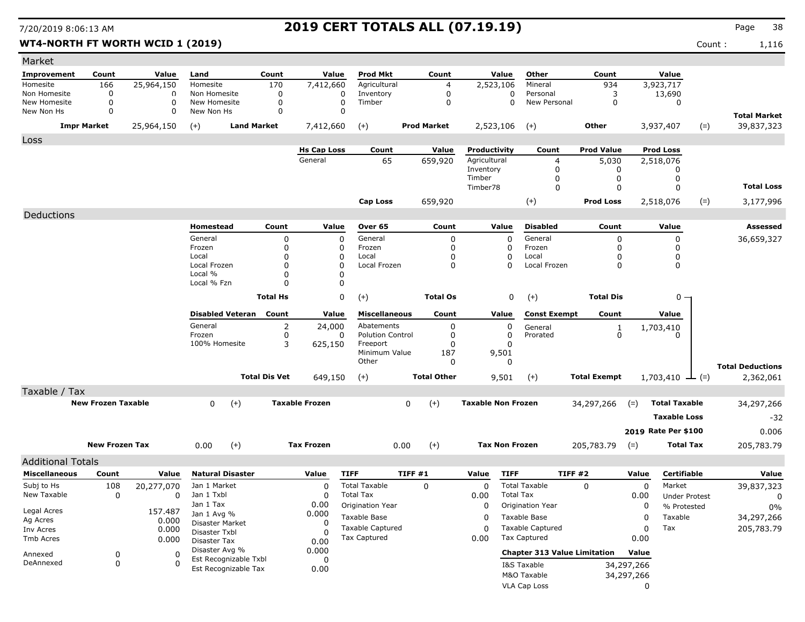### **WT4-NORTH FT WORTH WCID 1 (2019)** Count : 1,116

| Market                   |                           |                  |                                  |                      |                       |                         |                    |                           |                                     |                     |                               |                             |            |                         |
|--------------------------|---------------------------|------------------|----------------------------------|----------------------|-----------------------|-------------------------|--------------------|---------------------------|-------------------------------------|---------------------|-------------------------------|-----------------------------|------------|-------------------------|
| Improvement              | Count                     | Value            | Land                             | Count                | Value                 | <b>Prod Mkt</b>         | Count              | Value                     | Other                               | Count               |                               | Value                       |            |                         |
| Homesite                 | 166                       | 25,964,150       | Homesite                         | 170                  | 7,412,660             | Agricultural            | 4                  | 2,523,106                 | Mineral                             | 934                 |                               | 3,923,717                   |            |                         |
| Non Homesite             | 0                         | 0                | Non Homesite                     | 0                    | 0                     | Inventory               | 0                  |                           | Personal<br>0                       | 3                   |                               | 13,690                      |            |                         |
| New Homesite             | 0                         | $\mathbf 0$      | New Homesite                     | 0                    | 0                     | Timber                  | 0                  |                           | New Personal<br>0                   | 0                   |                               | 0                           |            |                         |
| New Non Hs               | 0                         | $\Omega$         | New Non Hs                       | 0                    | $\Omega$              |                         |                    |                           |                                     |                     |                               |                             |            | <b>Total Market</b>     |
|                          | <b>Impr Market</b>        | 25,964,150       | $(+)$                            | <b>Land Market</b>   | 7,412,660             | $(+)$                   | <b>Prod Market</b> | 2,523,106                 | $(+)$                               | Other               |                               | 3,937,407                   | $(=)$      | 39,837,323              |
| Loss                     |                           |                  |                                  |                      |                       |                         |                    |                           |                                     |                     |                               |                             |            |                         |
|                          |                           |                  |                                  |                      | <b>Hs Cap Loss</b>    | Count                   | Value              | Productivity              | Count                               | <b>Prod Value</b>   |                               | <b>Prod Loss</b>            |            |                         |
|                          |                           |                  |                                  |                      | General               | 65                      | 659,920            | Agricultural              | 4                                   | 5,030               |                               | 2,518,076                   |            |                         |
|                          |                           |                  |                                  |                      |                       |                         |                    | Inventory<br>Timber       | 0                                   | 0<br>$\mathbf 0$    |                               | 0                           |            |                         |
|                          |                           |                  |                                  |                      |                       |                         |                    | Timber78                  | 0<br>$\mathbf 0$                    | 0                   |                               | 0<br>$\Omega$               |            | <b>Total Loss</b>       |
|                          |                           |                  |                                  |                      |                       |                         |                    |                           |                                     |                     |                               |                             |            |                         |
|                          |                           |                  |                                  |                      |                       | <b>Cap Loss</b>         | 659,920            |                           | $(+)$                               | <b>Prod Loss</b>    |                               | 2,518,076                   | $(=)$      | 3,177,996               |
| Deductions               |                           |                  |                                  |                      |                       |                         |                    |                           |                                     |                     |                               |                             |            |                         |
|                          |                           |                  | Homestead                        | Count                | Value                 | Over 65                 | Count              | Value                     | <b>Disabled</b>                     | Count               |                               | Value                       |            | Assessed                |
|                          |                           |                  | General                          | 0                    | 0                     | General                 | 0                  | 0                         | General                             | 0                   |                               | 0                           |            | 36,659,327              |
|                          |                           |                  | Frozen<br>Local                  | 0<br>0               | 0<br>0                | Frozen<br>Local         | 0<br>0             | 0                         | Frozen<br>Local                     | 0<br>0              |                               | 0<br>0                      |            |                         |
|                          |                           |                  | Local Frozen                     | $\Omega$             | 0                     | Local Frozen            | 0                  | 0<br>0                    | Local Frozen                        | 0                   |                               | 0                           |            |                         |
|                          |                           |                  | Local %                          | $\Omega$             | 0                     |                         |                    |                           |                                     |                     |                               |                             |            |                         |
|                          |                           |                  | Local % Fzn                      | $\Omega$             | $\mathbf 0$           |                         |                    |                           |                                     |                     |                               |                             |            |                         |
|                          |                           |                  |                                  | <b>Total Hs</b>      | 0                     | $(+)$                   | <b>Total Os</b>    |                           | 0<br>$(+)$                          | <b>Total Dis</b>    |                               | $0 -$                       |            |                         |
|                          |                           |                  | <b>Disabled Veteran</b>          | Count                | Value                 | <b>Miscellaneous</b>    | Count              | Value                     | <b>Const Exempt</b>                 | Count               |                               | Value                       |            |                         |
|                          |                           |                  | General                          | 2                    | 24,000                | Abatements              | 0                  | 0                         | General                             |                     |                               |                             |            |                         |
|                          |                           |                  | Frozen                           | 0                    | 0                     | <b>Polution Control</b> | 0                  | 0                         | Prorated                            | $\frac{1}{0}$       |                               | 1,703,410<br>O              |            |                         |
|                          |                           |                  | 100% Homesite                    | 3                    | 625,150               | Freeport                | 0                  | 0                         |                                     |                     |                               |                             |            |                         |
|                          |                           |                  |                                  |                      |                       | Minimum Value           | 187                | 9,501                     |                                     |                     |                               |                             |            |                         |
|                          |                           |                  |                                  |                      |                       | Other                   | 0                  | 0                         |                                     |                     |                               |                             |            | <b>Total Deductions</b> |
|                          |                           |                  |                                  | <b>Total Dis Vet</b> | 649,150               | $(+)$                   | <b>Total Other</b> | 9,501                     | $(+)$                               | <b>Total Exempt</b> |                               | $1,703,410 \rightarrow$ (=) |            | 2,362,061               |
| Taxable / Tax            |                           |                  |                                  |                      |                       |                         |                    |                           |                                     |                     |                               |                             |            |                         |
|                          | <b>New Frozen Taxable</b> |                  | 0<br>$(+)$                       |                      | <b>Taxable Frozen</b> | 0<br>$(+)$              |                    | <b>Taxable Non Frozen</b> |                                     | 34,297,266          | <b>Total Taxable</b><br>$(=)$ |                             | 34,297,266 |                         |
|                          |                           |                  |                                  |                      |                       |                         |                    |                           |                                     |                     |                               | <b>Taxable Loss</b>         |            | $-32$                   |
|                          |                           |                  |                                  |                      |                       |                         |                    |                           |                                     |                     |                               |                             |            |                         |
|                          |                           |                  |                                  |                      |                       |                         |                    |                           |                                     |                     |                               | 2019 Rate Per \$100         |            | 0.006                   |
|                          | <b>New Frozen Tax</b>     |                  | 0.00<br>$(+)$                    |                      | <b>Tax Frozen</b>     |                         | $(+)$<br>0.00      | <b>Tax Non Frozen</b>     |                                     | 205,783.79          | $(=)$                         | <b>Total Tax</b>            |            | 205,783.79              |
| <b>Additional Totals</b> |                           |                  |                                  |                      |                       |                         |                    |                           |                                     |                     |                               |                             |            |                         |
| <b>Miscellaneous</b>     | Count                     | Value            | <b>Natural Disaster</b>          |                      | Value                 | <b>TIFF</b>             | TIFF #1            | Value                     | <b>TIFF</b>                         | TIFF#2              | Value                         | Certifiable                 |            | Value                   |
| Subj to Hs               | 108                       | 20,277,070       | Jan 1 Market                     |                      | 0                     | <b>Total Taxable</b>    | $\Omega$           | 0                         | <b>Total Taxable</b>                | $\Omega$            | 0                             | Market                      |            | 39,837,323              |
| New Taxable              | 0                         | 0                | Jan 1 Txbl                       |                      | 0                     | <b>Total Tax</b>        |                    | 0.00                      | <b>Total Tax</b>                    |                     | 0.00                          | <b>Under Protest</b>        |            | 0                       |
|                          |                           |                  | Jan 1 Tax                        |                      | 0.00                  | Origination Year        |                    | 0                         | Origination Year                    |                     | 0                             | % Protested                 |            | $0\%$                   |
| Legal Acres<br>Ag Acres  |                           | 157.487<br>0.000 | Jan 1 Avg %                      |                      | 0.000                 | Taxable Base            |                    | 0                         | Taxable Base                        |                     | 0                             | Taxable                     |            | 34,297,266              |
| Inv Acres                |                           | 0.000            | Disaster Market<br>Disaster Txbl |                      | 0<br>$\Omega$         | <b>Taxable Captured</b> |                    | 0                         | <b>Taxable Captured</b>             |                     | 0                             | Tax                         |            | 205,783.79              |
| Tmb Acres                |                           | 0.000            | Disaster Tax                     |                      | 0.00                  | Tax Captured            |                    | 0.00                      | <b>Tax Captured</b>                 |                     | 0.00                          |                             |            |                         |
|                          |                           |                  | Disaster Avg %                   |                      | 0.000                 |                         |                    |                           | <b>Chapter 313 Value Limitation</b> |                     | Value                         |                             |            |                         |
| Annexed<br>DeAnnexed     | 0<br>0                    | 0<br>$\Omega$    | Est Recognizable Txbl            |                      | 0                     |                         |                    |                           |                                     |                     |                               |                             |            |                         |
|                          |                           |                  | Est Recognizable Tax             |                      | 0.00                  |                         |                    |                           | I&S Taxable<br>M&O Taxable          |                     | 34,297,266                    |                             |            |                         |
|                          |                           |                  |                                  |                      |                       |                         |                    |                           | VLA Cap Loss                        |                     | 34,297,266<br>0               |                             |            |                         |
|                          |                           |                  |                                  |                      |                       |                         |                    |                           |                                     |                     |                               |                             |            |                         |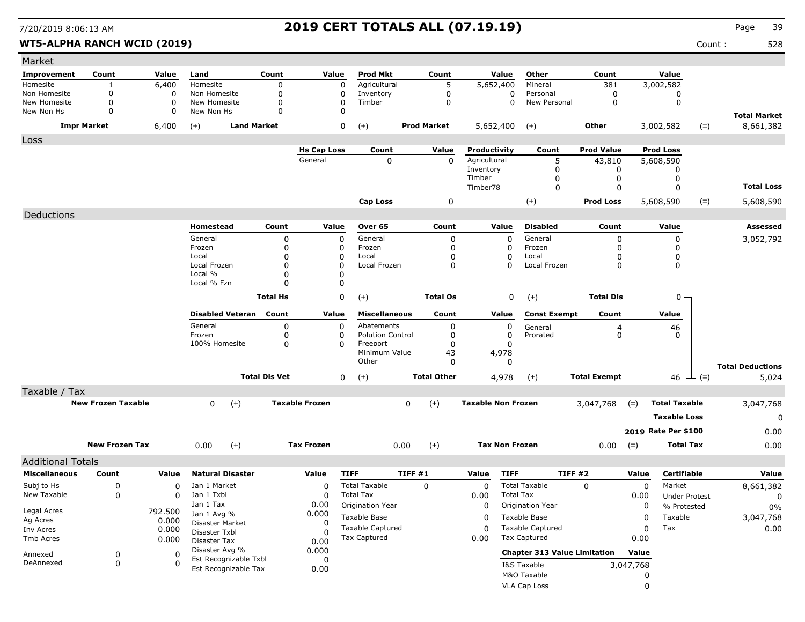### WT5-ALPHA RANCH WCID (2019) **Count :** 528

| Market                   |                           |          |                                |                      |                       |                           |        |                    |                           |                  |                                     |                                      |           |                      |       |                         |
|--------------------------|---------------------------|----------|--------------------------------|----------------------|-----------------------|---------------------------|--------|--------------------|---------------------------|------------------|-------------------------------------|--------------------------------------|-----------|----------------------|-------|-------------------------|
| <b>Improvement</b>       | Count                     | Value    | Land                           | Count                | Value                 | <b>Prod Mkt</b>           |        | Count              |                           | Value            | Other                               | Count                                |           | Value                |       |                         |
| Homesite                 | $\mathbf{1}$              | 6,400    | Homesite                       | 0                    | 0                     | Agricultural              |        | 5                  | 5,652,400                 |                  | Mineral                             | 381                                  |           | 3,002,582            |       |                         |
| Non Homesite             | 0                         | 0        | Non Homesite                   | 0                    | 0                     | Inventory                 |        | $\mathbf 0$        |                           | 0                | Personal                            | 0                                    |           | 0                    |       |                         |
| New Homesite             | 0                         | $\Omega$ | New Homesite                   | 0                    | $\Omega$              | Timber                    |        | $\mathbf 0$        |                           | $\Omega$         | New Personal                        | 0                                    |           | $\mathbf 0$          |       |                         |
| New Non Hs               | 0                         | $\Omega$ | New Non Hs                     | 0                    | 0                     |                           |        |                    |                           |                  |                                     |                                      |           |                      |       | <b>Total Market</b>     |
|                          | <b>Impr Market</b>        | 6,400    | <b>Land Market</b><br>$(+)$    |                      | 0                     | $(+)$                     |        | <b>Prod Market</b> | 5,652,400                 |                  | $(+)$                               | Other                                |           | 3,002,582            | $(=)$ | 8,661,382               |
| Loss                     |                           |          |                                |                      |                       |                           |        |                    |                           |                  |                                     |                                      |           |                      |       |                         |
|                          |                           |          |                                |                      | <b>Hs Cap Loss</b>    | Count                     |        | Value              | Productivity              |                  | Count                               | <b>Prod Value</b>                    |           | <b>Prod Loss</b>     |       |                         |
|                          |                           |          |                                |                      | General               | 0                         |        | $\mathbf{0}$       | Agricultural              |                  | 5                                   | 43,810                               |           | 5,608,590            |       |                         |
|                          |                           |          |                                |                      |                       |                           |        |                    | Inventory                 |                  | 0                                   | 0                                    |           | 0                    |       |                         |
|                          |                           |          |                                |                      |                       |                           |        |                    | Timber<br>Timber78        |                  | 0<br>0                              | 0<br>$\mathbf 0$                     |           | 0<br>$\Omega$        |       | <b>Total Loss</b>       |
|                          |                           |          |                                |                      |                       |                           |        |                    |                           |                  |                                     |                                      |           |                      |       |                         |
|                          |                           |          |                                |                      |                       | Cap Loss                  |        | 0                  |                           |                  | $(+)$                               | <b>Prod Loss</b>                     |           | 5,608,590            | $(=)$ | 5,608,590               |
| Deductions               |                           |          |                                |                      |                       |                           |        |                    |                           |                  |                                     |                                      |           |                      |       |                         |
|                          |                           |          | Homestead                      | Count                | Value                 | Over 65                   |        | Count              |                           | Value            | <b>Disabled</b>                     | Count                                |           | Value                |       | Assessed                |
|                          |                           |          | General                        | 0                    | 0                     | General                   |        | 0                  |                           | 0                | General                             | 0                                    |           | 0                    |       | 3,052,792               |
|                          |                           |          | Frozen                         | 0                    | 0                     | Frozen                    |        | 0                  |                           | 0                | Frozen                              | 0                                    |           | $\Omega$             |       |                         |
|                          |                           |          | Local<br>Local Frozen          | 0                    | 0                     | Local<br>Local Frozen     |        | 0                  |                           | 0                | Local                               | $\mathbf 0$                          |           | 0                    |       |                         |
|                          |                           |          | Local %                        | 0<br>0               | $\Omega$<br>0         |                           |        | 0                  |                           | $\Omega$         | Local Frozen                        | $\Omega$                             |           | 0                    |       |                         |
|                          |                           |          | Local % Fzn                    | U                    | $\Omega$              |                           |        |                    |                           |                  |                                     |                                      |           |                      |       |                         |
|                          |                           |          |                                | <b>Total Hs</b>      | 0                     | $(+)$                     |        | <b>Total Os</b>    |                           | 0                | $(+)$                               | <b>Total Dis</b>                     |           | $0 -$                |       |                         |
|                          |                           |          |                                |                      |                       |                           |        |                    |                           |                  |                                     |                                      |           |                      |       |                         |
|                          |                           |          | <b>Disabled Veteran</b>        | Count                | Value                 | <b>Miscellaneous</b>      |        | Count              |                           | Value            | <b>Const Exempt</b>                 | Count                                |           | Value                |       |                         |
|                          |                           |          | General                        | 0                    | 0                     | Abatements                |        | 0                  |                           | 0                | General                             | $\begin{matrix} 4 \\ 0 \end{matrix}$ |           | 46                   |       |                         |
|                          |                           |          | Frozen                         | 0                    | 0                     | <b>Polution Control</b>   |        | 0                  |                           | 0                | Prorated                            |                                      |           | <sup>0</sup>         |       |                         |
|                          |                           |          | 100% Homesite                  | 0                    | $\Omega$              | Freeport<br>Minimum Value |        | 0<br>43            |                           | 0<br>4,978       |                                     |                                      |           |                      |       |                         |
|                          |                           |          |                                |                      |                       | Other                     |        | $\Omega$           |                           | 0                |                                     |                                      |           |                      |       |                         |
|                          |                           |          |                                |                      |                       |                           |        | <b>Total Other</b> |                           |                  |                                     |                                      |           |                      |       | <b>Total Deductions</b> |
|                          |                           |          |                                | <b>Total Dis Vet</b> | $\mathbf 0$           | $(+)$                     |        |                    |                           | 4,978            | $(+)$                               | <b>Total Exempt</b>                  |           | 46 $\perp$ (=)       |       | 5,024                   |
| Taxable / Tax            |                           |          |                                |                      |                       |                           |        |                    |                           |                  |                                     |                                      |           |                      |       |                         |
|                          | <b>New Frozen Taxable</b> |          | $(+)$<br>0                     |                      | <b>Taxable Frozen</b> |                           | 0      | $(+)$              | <b>Taxable Non Frozen</b> |                  |                                     | 3,047,768                            | $(=)$     | <b>Total Taxable</b> |       | 3,047,768               |
|                          |                           |          |                                |                      |                       |                           |        |                    |                           |                  |                                     |                                      |           | <b>Taxable Loss</b>  |       | 0                       |
|                          |                           |          |                                |                      |                       |                           |        |                    |                           |                  |                                     |                                      |           | 2019 Rate Per \$100  |       | 0.00                    |
|                          | <b>New Frozen Tax</b>     |          | $(+)$<br>0.00                  |                      | <b>Tax Frozen</b>     |                           | 0.00   | $(+)$              | <b>Tax Non Frozen</b>     |                  |                                     |                                      |           | <b>Total Tax</b>     |       | 0.00                    |
|                          |                           |          |                                |                      |                       |                           |        |                    |                           |                  |                                     | 0.00                                 | $(=)$     |                      |       |                         |
| <b>Additional Totals</b> |                           |          |                                |                      |                       |                           |        |                    |                           |                  |                                     |                                      |           |                      |       |                         |
| <b>Miscellaneous</b>     | Count                     | Value    | <b>Natural Disaster</b>        |                      | Value                 | <b>TIFF</b>               | TIFF#1 |                    | Value                     | <b>TIFF</b>      | TIFF #2                             |                                      | Value     | <b>Certifiable</b>   |       | Value                   |
| Subj to Hs               | 0                         | 0        | Jan 1 Market                   |                      | 0                     | <b>Total Taxable</b>      |        | 0                  | 0                         |                  | <b>Total Taxable</b>                | $\Omega$                             | 0         | Market               |       | 8,661,382               |
| New Taxable              | 0                         | 0        | Jan 1 Txbl                     |                      | <sup>0</sup>          | <b>Total Tax</b>          |        |                    | 0.00                      | <b>Total Tax</b> |                                     |                                      | 0.00      | <b>Under Protest</b> |       | 0                       |
| Legal Acres              |                           | 792.500  | Jan 1 Tax                      |                      | 0.00                  | Origination Year          |        |                    | 0                         |                  | Origination Year                    |                                      | 0         | % Protested          |       | 0%                      |
| Ag Acres                 |                           | 0.000    | Jan 1 Avg %<br>Disaster Market |                      | 0.000<br>0            | Taxable Base              |        |                    | 0                         |                  | Taxable Base                        |                                      | 0         | Taxable              |       | 3,047,768               |
| Inv Acres                |                           | 0.000    | Disaster Txbl                  |                      |                       | Taxable Captured          |        |                    | $\Omega$                  |                  | <b>Taxable Captured</b>             |                                      | 0         | Tax                  |       | $0.00\,$                |
| Tmb Acres                |                           | 0.000    | Disaster Tax                   |                      | 0.00                  | Tax Captured              |        |                    | 0.00                      |                  | <b>Tax Captured</b>                 |                                      | 0.00      |                      |       |                         |
| Annexed                  | $\boldsymbol{0}$          | 0        | Disaster Avg %                 |                      | 0.000                 |                           |        |                    |                           |                  | <b>Chapter 313 Value Limitation</b> |                                      | Value     |                      |       |                         |
| DeAnnexed                | 0                         | 0        | Est Recognizable Txbl          |                      | 0                     |                           |        |                    |                           |                  | I&S Taxable                         |                                      | 3,047,768 |                      |       |                         |
|                          |                           |          | Est Recognizable Tax           |                      | 0.00                  |                           |        |                    |                           |                  | M&O Taxable                         |                                      |           |                      |       |                         |
|                          |                           |          |                                |                      |                       |                           |        |                    |                           |                  | VLA Cap Loss                        |                                      | 0         |                      |       |                         |